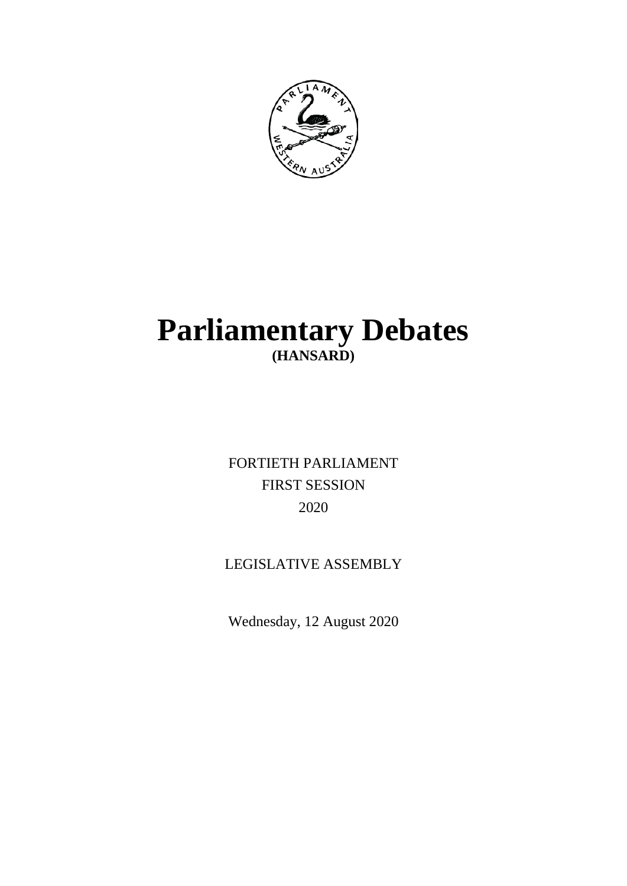

# **Parliamentary Debates (HANSARD)**

FORTIETH PARLIAMENT FIRST SESSION 2020

## LEGISLATIVE ASSEMBLY

Wednesday, 12 August 2020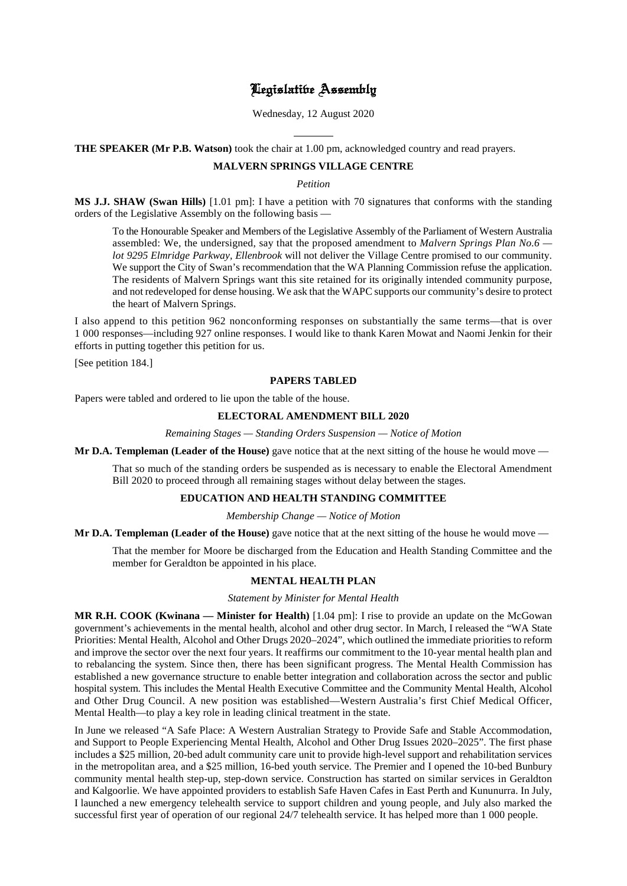## Legislative Assembly

Wednesday, 12 August 2020

l **THE SPEAKER (Mr P.B. Watson)** took the chair at 1.00 pm, acknowledged country and read prayers.

## **MALVERN SPRINGS VILLAGE CENTRE**

*Petition*

**MS J.J. SHAW (Swan Hills)** [1.01 pm]: I have a petition with 70 signatures that conforms with the standing orders of the Legislative Assembly on the following basis —

To the Honourable Speaker and Members of the Legislative Assembly of the Parliament of Western Australia assembled: We, the undersigned, say that the proposed amendment to *Malvern Springs Plan No.6 lot 9295 Elmridge Parkway, Ellenbrook* will not deliver the Village Centre promised to our community. We support the City of Swan's recommendation that the WA Planning Commission refuse the application. The residents of Malvern Springs want this site retained for its originally intended community purpose, and not redeveloped for dense housing. We ask that the WAPC supports our community's desire to protect the heart of Malvern Springs.

I also append to this petition 962 nonconforming responses on substantially the same terms—that is over 1 000 responses—including 927 online responses. I would like to thank Karen Mowat and Naomi Jenkin for their efforts in putting together this petition for us.

[See petition 184.]

#### **PAPERS TABLED**

Papers were tabled and ordered to lie upon the table of the house.

## **ELECTORAL AMENDMENT BILL 2020**

*Remaining Stages — Standing Orders Suspension — Notice of Motion*

**Mr D.A. Templeman (Leader of the House)** gave notice that at the next sitting of the house he would move —

That so much of the standing orders be suspended as is necessary to enable the Electoral Amendment Bill 2020 to proceed through all remaining stages without delay between the stages.

#### **EDUCATION AND HEALTH STANDING COMMITTEE**

#### *Membership Change — Notice of Motion*

**Mr D.A. Templeman (Leader of the House)** gave notice that at the next sitting of the house he would move —

That the member for Moore be discharged from the Education and Health Standing Committee and the member for Geraldton be appointed in his place.

## **MENTAL HEALTH PLAN**

*Statement by Minister for Mental Health*

**MR R.H. COOK (Kwinana — Minister for Health)** [1.04 pm]: I rise to provide an update on the McGowan government's achievements in the mental health, alcohol and other drug sector. In March, I released the "WA State Priorities: Mental Health, Alcohol and Other Drugs 2020–2024", which outlined the immediate priorities to reform and improve the sector over the next four years. It reaffirms our commitment to the 10-year mental health plan and to rebalancing the system. Since then, there has been significant progress. The Mental Health Commission has established a new governance structure to enable better integration and collaboration across the sector and public hospital system. This includes the Mental Health Executive Committee and the Community Mental Health, Alcohol and Other Drug Council. A new position was established—Western Australia's first Chief Medical Officer, Mental Health—to play a key role in leading clinical treatment in the state.

In June we released "A Safe Place: A Western Australian Strategy to Provide Safe and Stable Accommodation, and Support to People Experiencing Mental Health, Alcohol and Other Drug Issues 2020–2025". The first phase includes a \$25 million, 20-bed adult community care unit to provide high-level support and rehabilitation services in the metropolitan area, and a \$25 million, 16-bed youth service. The Premier and I opened the 10-bed Bunbury community mental health step-up, step-down service. Construction has started on similar services in Geraldton and Kalgoorlie. We have appointed providers to establish Safe Haven Cafes in East Perth and Kununurra. In July, I launched a new emergency telehealth service to support children and young people, and July also marked the successful first year of operation of our regional 24/7 telehealth service. It has helped more than 1 000 people.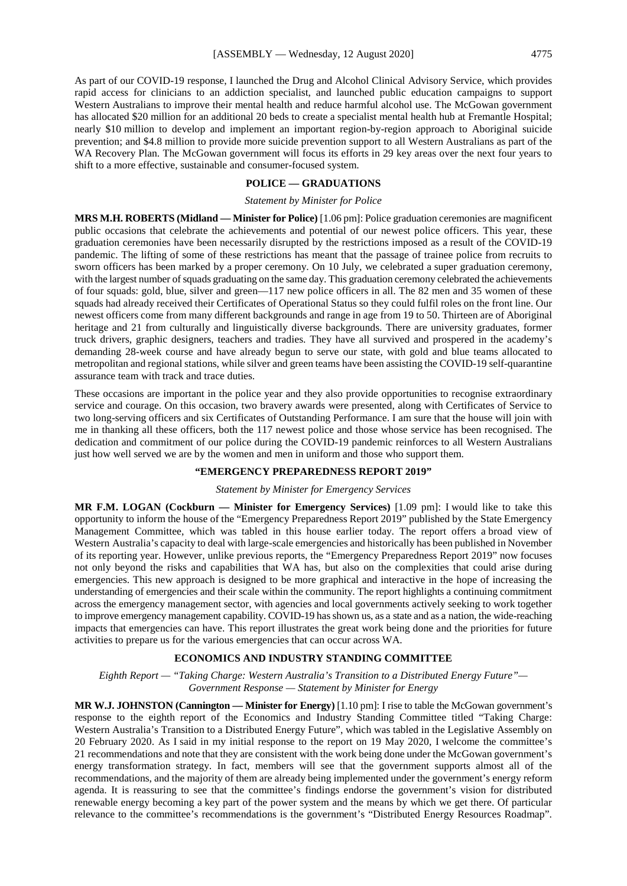As part of our COVID-19 response, I launched the Drug and Alcohol Clinical Advisory Service, which provides rapid access for clinicians to an addiction specialist, and launched public education campaigns to support Western Australians to improve their mental health and reduce harmful alcohol use. The McGowan government has allocated \$20 million for an additional 20 beds to create a specialist mental health hub at Fremantle Hospital; nearly \$10 million to develop and implement an important region-by-region approach to Aboriginal suicide prevention; and \$4.8 million to provide more suicide prevention support to all Western Australians as part of the WA Recovery Plan. The McGowan government will focus its efforts in 29 key areas over the next four years to shift to a more effective, sustainable and consumer-focused system.

## **POLICE — GRADUATIONS**

#### *Statement by Minister for Police*

**MRS M.H. ROBERTS (Midland — Minister for Police)** [1.06 pm]: Police graduation ceremonies are magnificent public occasions that celebrate the achievements and potential of our newest police officers. This year, these graduation ceremonies have been necessarily disrupted by the restrictions imposed as a result of the COVID-19 pandemic. The lifting of some of these restrictions has meant that the passage of trainee police from recruits to sworn officers has been marked by a proper ceremony. On 10 July, we celebrated a super graduation ceremony, with the largest number of squads graduating on the same day. This graduation ceremony celebrated the achievements of four squads: gold, blue, silver and green—117 new police officers in all. The 82 men and 35 women of these squads had already received their Certificates of Operational Status so they could fulfil roles on the front line. Our newest officers come from many different backgrounds and range in age from 19 to 50. Thirteen are of Aboriginal heritage and 21 from culturally and linguistically diverse backgrounds. There are university graduates, former truck drivers, graphic designers, teachers and tradies. They have all survived and prospered in the academy's demanding 28-week course and have already begun to serve our state, with gold and blue teams allocated to metropolitan and regional stations, while silver and green teams have been assisting the COVID-19 self-quarantine assurance team with track and trace duties.

These occasions are important in the police year and they also provide opportunities to recognise extraordinary service and courage. On this occasion, two bravery awards were presented, along with Certificates of Service to two long-serving officers and six Certificates of Outstanding Performance. I am sure that the house will join with me in thanking all these officers, both the 117 newest police and those whose service has been recognised. The dedication and commitment of our police during the COVID-19 pandemic reinforces to all Western Australians just how well served we are by the women and men in uniform and those who support them.

#### **"EMERGENCY PREPAREDNESS REPORT 2019"**

#### *Statement by Minister for Emergency Services*

**MR F.M. LOGAN (Cockburn — Minister for Emergency Services)** [1.09 pm]: I would like to take this opportunity to inform the house of the "Emergency Preparedness Report 2019" published by the State Emergency Management Committee, which was tabled in this house earlier today. The report offers a broad view of Western Australia's capacity to deal with large-scale emergencies and historically has been published in November of its reporting year. However, unlike previous reports, the "Emergency Preparedness Report 2019" now focuses not only beyond the risks and capabilities that WA has, but also on the complexities that could arise during emergencies. This new approach is designed to be more graphical and interactive in the hope of increasing the understanding of emergencies and their scale within the community. The report highlights a continuing commitment across the emergency management sector, with agencies and local governments actively seeking to work together to improve emergency management capability. COVID-19 has shown us, as a state and as a nation, the wide-reaching impacts that emergencies can have. This report illustrates the great work being done and the priorities for future activities to prepare us for the various emergencies that can occur across WA.

## **ECONOMICS AND INDUSTRY STANDING COMMITTEE**

*Eighth Report — "Taking Charge: Western Australia's Transition to a Distributed Energy Future"— Government Response — Statement by Minister for Energy*

**MR W.J. JOHNSTON (Cannington — Minister for Energy)** [1.10 pm]: I rise to table the McGowan government's response to the eighth report of the Economics and Industry Standing Committee titled "Taking Charge: Western Australia's Transition to a Distributed Energy Future", which was tabled in the Legislative Assembly on 20 February 2020. As I said in my initial response to the report on 19 May 2020, I welcome the committee's 21 recommendations and note that they are consistent with the work being done under the McGowan government's energy transformation strategy. In fact, members will see that the government supports almost all of the recommendations, and the majority of them are already being implemented under the government's energy reform agenda. It is reassuring to see that the committee's findings endorse the government's vision for distributed renewable energy becoming a key part of the power system and the means by which we get there. Of particular relevance to the committee's recommendations is the government's "Distributed Energy Resources Roadmap".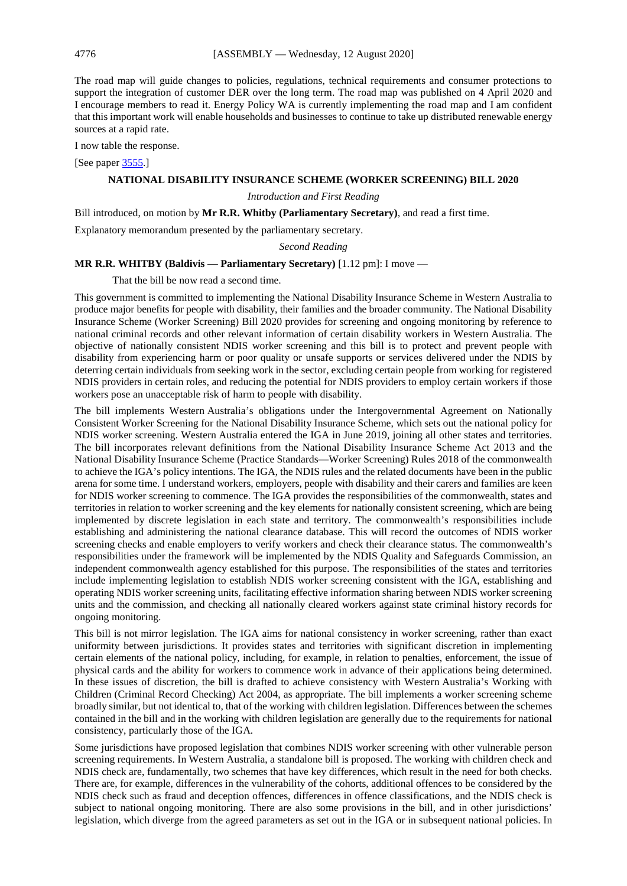The road map will guide changes to policies, regulations, technical requirements and consumer protections to support the integration of customer DER over the long term. The road map was published on 4 April 2020 and I encourage members to read it. Energy Policy WA is currently implementing the road map and I am confident that this important work will enable households and businesses to continue to take up distributed renewable energy sources at a rapid rate.

I now table the response.

[See paper [3555.](https://www.parliament.wa.gov.au/publications/tabledpapers.nsf/displaypaper/4013555a03e0ce15bd9b43ea482585c2004d3970/$file/3555.pdf)]

### **NATIONAL DISABILITY INSURANCE SCHEME (WORKER SCREENING) BILL 2020**

## *Introduction and First Reading*

Bill introduced, on motion by **Mr R.R. Whitby (Parliamentary Secretary)**, and read a first time.

Explanatory memorandum presented by the parliamentary secretary.

#### *Second Reading*

## **MR R.R. WHITBY (Baldivis — Parliamentary Secretary)** [1.12 pm]: I move —

That the bill be now read a second time.

This government is committed to implementing the National Disability Insurance Scheme in Western Australia to produce major benefits for people with disability, their families and the broader community. The National Disability Insurance Scheme (Worker Screening) Bill 2020 provides for screening and ongoing monitoring by reference to national criminal records and other relevant information of certain disability workers in Western Australia. The objective of nationally consistent NDIS worker screening and this bill is to protect and prevent people with disability from experiencing harm or poor quality or unsafe supports or services delivered under the NDIS by deterring certain individuals from seeking work in the sector, excluding certain people from working for registered NDIS providers in certain roles, and reducing the potential for NDIS providers to employ certain workers if those workers pose an unacceptable risk of harm to people with disability.

The bill implements Western Australia's obligations under the Intergovernmental Agreement on Nationally Consistent Worker Screening for the National Disability Insurance Scheme, which sets out the national policy for NDIS worker screening. Western Australia entered the IGA in June 2019, joining all other states and territories. The bill incorporates relevant definitions from the National Disability Insurance Scheme Act 2013 and the National Disability Insurance Scheme (Practice Standards—Worker Screening) Rules 2018 of the commonwealth to achieve the IGA's policy intentions. The IGA, the NDIS rules and the related documents have been in the public arena for some time. I understand workers, employers, people with disability and their carers and families are keen for NDIS worker screening to commence. The IGA provides the responsibilities of the commonwealth, states and territories in relation to worker screening and the key elements for nationally consistent screening, which are being implemented by discrete legislation in each state and territory. The commonwealth's responsibilities include establishing and administering the national clearance database. This will record the outcomes of NDIS worker screening checks and enable employers to verify workers and check their clearance status. The commonwealth's responsibilities under the framework will be implemented by the NDIS Quality and Safeguards Commission, an independent commonwealth agency established for this purpose. The responsibilities of the states and territories include implementing legislation to establish NDIS worker screening consistent with the IGA, establishing and operating NDIS worker screening units, facilitating effective information sharing between NDIS worker screening units and the commission, and checking all nationally cleared workers against state criminal history records for ongoing monitoring.

This bill is not mirror legislation. The IGA aims for national consistency in worker screening, rather than exact uniformity between jurisdictions. It provides states and territories with significant discretion in implementing certain elements of the national policy, including, for example, in relation to penalties, enforcement, the issue of physical cards and the ability for workers to commence work in advance of their applications being determined. In these issues of discretion, the bill is drafted to achieve consistency with Western Australia's Working with Children (Criminal Record Checking) Act 2004, as appropriate. The bill implements a worker screening scheme broadly similar, but not identical to, that of the working with children legislation. Differences between the schemes contained in the bill and in the working with children legislation are generally due to the requirements for national consistency, particularly those of the IGA.

Some jurisdictions have proposed legislation that combines NDIS worker screening with other vulnerable person screening requirements. In Western Australia, a standalone bill is proposed. The working with children check and NDIS check are, fundamentally, two schemes that have key differences, which result in the need for both checks. There are, for example, differences in the vulnerability of the cohorts, additional offences to be considered by the NDIS check such as fraud and deception offences, differences in offence classifications, and the NDIS check is subject to national ongoing monitoring. There are also some provisions in the bill, and in other jurisdictions' legislation, which diverge from the agreed parameters as set out in the IGA or in subsequent national policies. In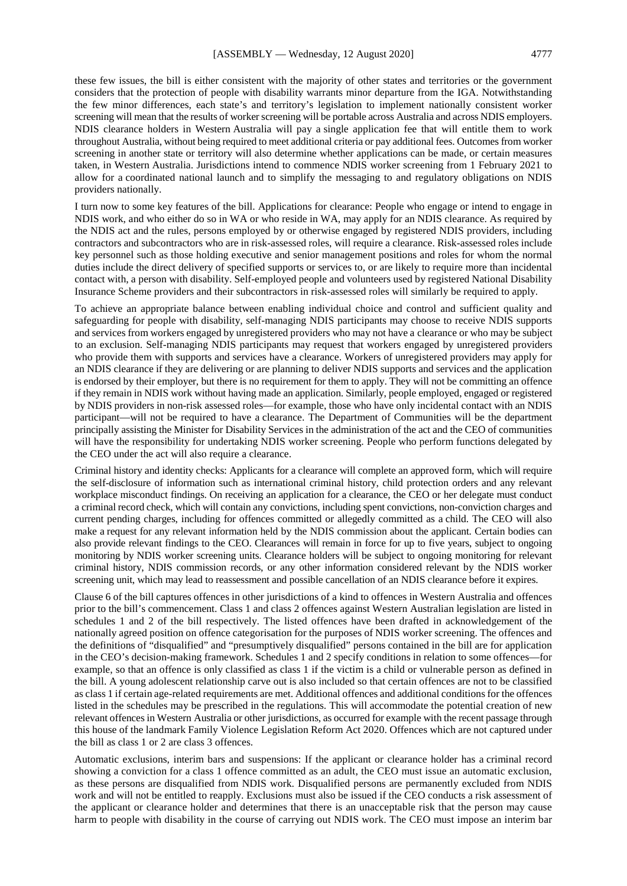these few issues, the bill is either consistent with the majority of other states and territories or the government considers that the protection of people with disability warrants minor departure from the IGA. Notwithstanding the few minor differences, each state's and territory's legislation to implement nationally consistent worker screening will mean that the results of worker screening will be portable across Australia and across NDIS employers. NDIS clearance holders in Western Australia will pay a single application fee that will entitle them to work throughout Australia, without being required to meet additional criteria or pay additional fees. Outcomes from worker screening in another state or territory will also determine whether applications can be made, or certain measures taken, in Western Australia. Jurisdictions intend to commence NDIS worker screening from 1 February 2021 to allow for a coordinated national launch and to simplify the messaging to and regulatory obligations on NDIS providers nationally.

I turn now to some key features of the bill. Applications for clearance: People who engage or intend to engage in NDIS work, and who either do so in WA or who reside in WA, may apply for an NDIS clearance. As required by the NDIS act and the rules, persons employed by or otherwise engaged by registered NDIS providers, including contractors and subcontractors who are in risk-assessed roles, will require a clearance. Risk-assessed roles include key personnel such as those holding executive and senior management positions and roles for whom the normal duties include the direct delivery of specified supports or services to, or are likely to require more than incidental contact with, a person with disability. Self-employed people and volunteers used by registered National Disability Insurance Scheme providers and their subcontractors in risk-assessed roles will similarly be required to apply.

To achieve an appropriate balance between enabling individual choice and control and sufficient quality and safeguarding for people with disability, self-managing NDIS participants may choose to receive NDIS supports and services from workers engaged by unregistered providers who may not have a clearance or who may be subject to an exclusion. Self-managing NDIS participants may request that workers engaged by unregistered providers who provide them with supports and services have a clearance. Workers of unregistered providers may apply for an NDIS clearance if they are delivering or are planning to deliver NDIS supports and services and the application is endorsed by their employer, but there is no requirement for them to apply. They will not be committing an offence if they remain in NDIS work without having made an application. Similarly, people employed, engaged or registered by NDIS providers in non-risk assessed roles—for example, those who have only incidental contact with an NDIS participant—will not be required to have a clearance. The Department of Communities will be the department principally assisting the Minister for Disability Services in the administration of the act and the CEO of communities will have the responsibility for undertaking NDIS worker screening. People who perform functions delegated by the CEO under the act will also require a clearance.

Criminal history and identity checks: Applicants for a clearance will complete an approved form, which will require the self-disclosure of information such as international criminal history, child protection orders and any relevant workplace misconduct findings. On receiving an application for a clearance, the CEO or her delegate must conduct a criminal record check, which will contain any convictions, including spent convictions, non-conviction charges and current pending charges, including for offences committed or allegedly committed as a child. The CEO will also make a request for any relevant information held by the NDIS commission about the applicant. Certain bodies can also provide relevant findings to the CEO. Clearances will remain in force for up to five years, subject to ongoing monitoring by NDIS worker screening units. Clearance holders will be subject to ongoing monitoring for relevant criminal history, NDIS commission records, or any other information considered relevant by the NDIS worker screening unit, which may lead to reassessment and possible cancellation of an NDIS clearance before it expires.

Clause 6 of the bill captures offences in other jurisdictions of a kind to offences in Western Australia and offences prior to the bill's commencement. Class 1 and class 2 offences against Western Australian legislation are listed in schedules 1 and 2 of the bill respectively. The listed offences have been drafted in acknowledgement of the nationally agreed position on offence categorisation for the purposes of NDIS worker screening. The offences and the definitions of "disqualified" and "presumptively disqualified" persons contained in the bill are for application in the CEO's decision-making framework. Schedules 1 and 2 specify conditions in relation to some offences—for example, so that an offence is only classified as class 1 if the victim is a child or vulnerable person as defined in the bill. A young adolescent relationship carve out is also included so that certain offences are not to be classified as class 1 if certain age-related requirements are met. Additional offences and additional conditions for the offences listed in the schedules may be prescribed in the regulations. This will accommodate the potential creation of new relevant offences in Western Australia or other jurisdictions, as occurred for example with the recent passage through this house of the landmark Family Violence Legislation Reform Act 2020. Offences which are not captured under the bill as class 1 or 2 are class 3 offences.

Automatic exclusions, interim bars and suspensions: If the applicant or clearance holder has a criminal record showing a conviction for a class 1 offence committed as an adult, the CEO must issue an automatic exclusion, as these persons are disqualified from NDIS work. Disqualified persons are permanently excluded from NDIS work and will not be entitled to reapply. Exclusions must also be issued if the CEO conducts a risk assessment of the applicant or clearance holder and determines that there is an unacceptable risk that the person may cause harm to people with disability in the course of carrying out NDIS work. The CEO must impose an interim bar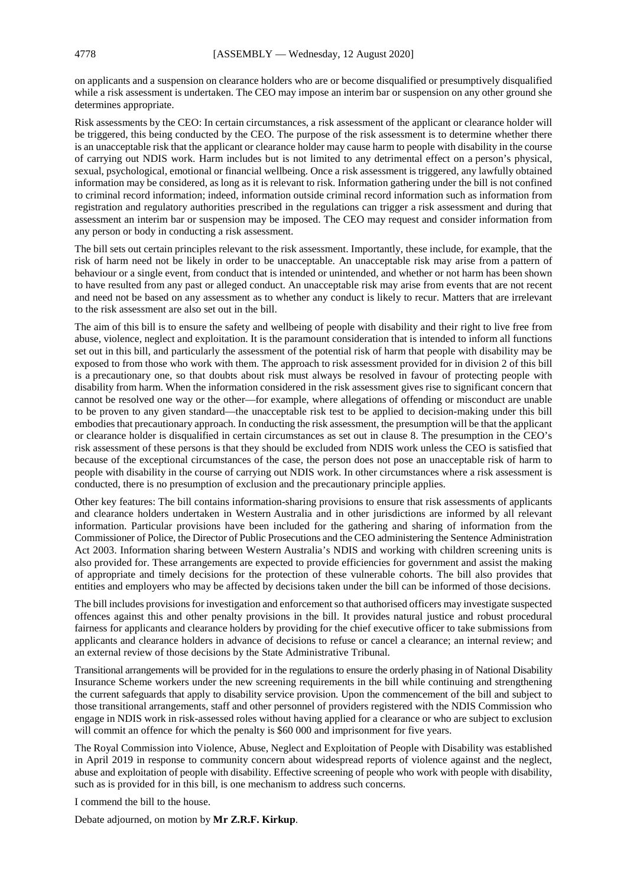on applicants and a suspension on clearance holders who are or become disqualified or presumptively disqualified while a risk assessment is undertaken. The CEO may impose an interim bar or suspension on any other ground she determines appropriate.

Risk assessments by the CEO: In certain circumstances, a risk assessment of the applicant or clearance holder will be triggered, this being conducted by the CEO. The purpose of the risk assessment is to determine whether there is an unacceptable risk that the applicant or clearance holder may cause harm to people with disability in the course of carrying out NDIS work. Harm includes but is not limited to any detrimental effect on a person's physical, sexual, psychological, emotional or financial wellbeing. Once a risk assessment is triggered, any lawfully obtained information may be considered, as long as it is relevant to risk. Information gathering under the bill is not confined to criminal record information; indeed, information outside criminal record information such as information from registration and regulatory authorities prescribed in the regulations can trigger a risk assessment and during that assessment an interim bar or suspension may be imposed. The CEO may request and consider information from any person or body in conducting a risk assessment.

The bill sets out certain principles relevant to the risk assessment. Importantly, these include, for example, that the risk of harm need not be likely in order to be unacceptable. An unacceptable risk may arise from a pattern of behaviour or a single event, from conduct that is intended or unintended, and whether or not harm has been shown to have resulted from any past or alleged conduct. An unacceptable risk may arise from events that are not recent and need not be based on any assessment as to whether any conduct is likely to recur. Matters that are irrelevant to the risk assessment are also set out in the bill.

The aim of this bill is to ensure the safety and wellbeing of people with disability and their right to live free from abuse, violence, neglect and exploitation. It is the paramount consideration that is intended to inform all functions set out in this bill, and particularly the assessment of the potential risk of harm that people with disability may be exposed to from those who work with them. The approach to risk assessment provided for in division 2 of this bill is a precautionary one, so that doubts about risk must always be resolved in favour of protecting people with disability from harm. When the information considered in the risk assessment gives rise to significant concern that cannot be resolved one way or the other—for example, where allegations of offending or misconduct are unable to be proven to any given standard—the unacceptable risk test to be applied to decision-making under this bill embodies that precautionary approach. In conducting the risk assessment, the presumption will be that the applicant or clearance holder is disqualified in certain circumstances as set out in clause 8. The presumption in the CEO's risk assessment of these persons is that they should be excluded from NDIS work unless the CEO is satisfied that because of the exceptional circumstances of the case, the person does not pose an unacceptable risk of harm to people with disability in the course of carrying out NDIS work. In other circumstances where a risk assessment is conducted, there is no presumption of exclusion and the precautionary principle applies.

Other key features: The bill contains information-sharing provisions to ensure that risk assessments of applicants and clearance holders undertaken in Western Australia and in other jurisdictions are informed by all relevant information. Particular provisions have been included for the gathering and sharing of information from the Commissioner of Police, the Director of Public Prosecutions and the CEO administering the Sentence Administration Act 2003. Information sharing between Western Australia's NDIS and working with children screening units is also provided for. These arrangements are expected to provide efficiencies for government and assist the making of appropriate and timely decisions for the protection of these vulnerable cohorts. The bill also provides that entities and employers who may be affected by decisions taken under the bill can be informed of those decisions.

The bill includes provisions for investigation and enforcement so that authorised officers may investigate suspected offences against this and other penalty provisions in the bill. It provides natural justice and robust procedural fairness for applicants and clearance holders by providing for the chief executive officer to take submissions from applicants and clearance holders in advance of decisions to refuse or cancel a clearance; an internal review; and an external review of those decisions by the State Administrative Tribunal.

Transitional arrangements will be provided for in the regulations to ensure the orderly phasing in of National Disability Insurance Scheme workers under the new screening requirements in the bill while continuing and strengthening the current safeguards that apply to disability service provision. Upon the commencement of the bill and subject to those transitional arrangements, staff and other personnel of providers registered with the NDIS Commission who engage in NDIS work in risk-assessed roles without having applied for a clearance or who are subject to exclusion will commit an offence for which the penalty is \$60 000 and imprisonment for five years.

The Royal Commission into Violence, Abuse, Neglect and Exploitation of People with Disability was established in April 2019 in response to community concern about widespread reports of violence against and the neglect, abuse and exploitation of people with disability. Effective screening of people who work with people with disability, such as is provided for in this bill, is one mechanism to address such concerns.

I commend the bill to the house.

Debate adjourned, on motion by **Mr Z.R.F. Kirkup**.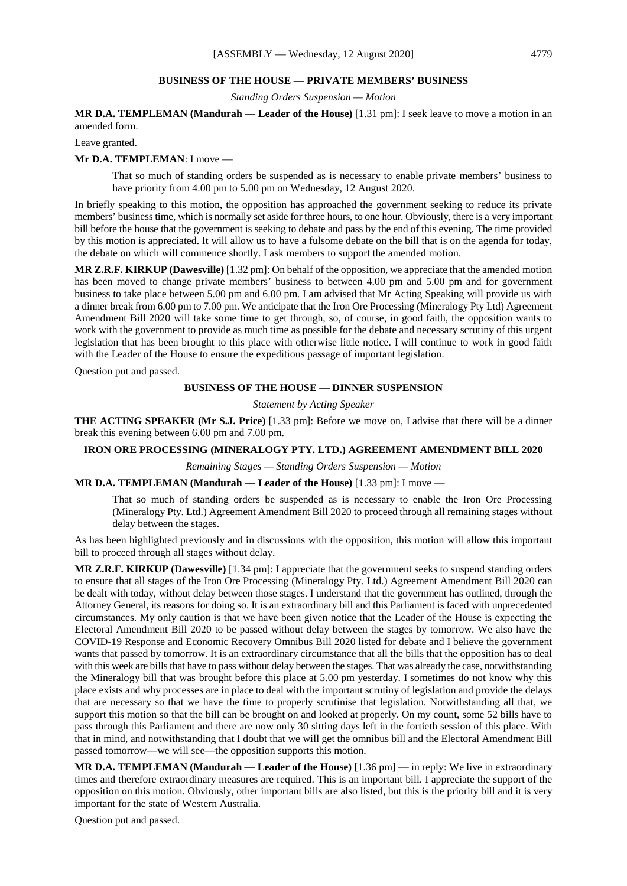#### **BUSINESS OF THE HOUSE — PRIVATE MEMBERS' BUSINESS**

*Standing Orders Suspension — Motion*

## **MR D.A. TEMPLEMAN (Mandurah — Leader of the House)** [1.31 pm]: I seek leave to move a motion in an amended form.

Leave granted.

#### **Mr D.A. TEMPLEMAN**: I move —

That so much of standing orders be suspended as is necessary to enable private members' business to have priority from 4.00 pm to 5.00 pm on Wednesday, 12 August 2020.

In briefly speaking to this motion, the opposition has approached the government seeking to reduce its private members' business time, which is normally set aside for three hours, to one hour. Obviously, there is a very important bill before the house that the government is seeking to debate and pass by the end of this evening. The time provided by this motion is appreciated. It will allow us to have a fulsome debate on the bill that is on the agenda for today, the debate on which will commence shortly. I ask members to support the amended motion.

**MR Z.R.F. KIRKUP (Dawesville)** [1.32 pm]: On behalf of the opposition, we appreciate that the amended motion has been moved to change private members' business to between 4.00 pm and 5.00 pm and for government business to take place between 5.00 pm and 6.00 pm. I am advised that Mr Acting Speaking will provide us with a dinner break from 6.00 pm to 7.00 pm. We anticipate that the Iron Ore Processing (Mineralogy Pty Ltd) Agreement Amendment Bill 2020 will take some time to get through, so, of course, in good faith, the opposition wants to work with the government to provide as much time as possible for the debate and necessary scrutiny of this urgent legislation that has been brought to this place with otherwise little notice. I will continue to work in good faith with the Leader of the House to ensure the expeditious passage of important legislation.

Question put and passed.

## **BUSINESS OF THE HOUSE — DINNER SUSPENSION**

*Statement by Acting Speaker*

**THE ACTING SPEAKER (Mr S.J. Price)** [1.33 pm]: Before we move on, I advise that there will be a dinner break this evening between 6.00 pm and 7.00 pm.

## **IRON ORE PROCESSING (MINERALOGY PTY. LTD.) AGREEMENT AMENDMENT BILL 2020**

*Remaining Stages — Standing Orders Suspension — Motion*

**MR D.A. TEMPLEMAN (Mandurah — Leader of the House)** [1.33 pm]: I move —

That so much of standing orders be suspended as is necessary to enable the Iron Ore Processing (Mineralogy Pty. Ltd.) Agreement Amendment Bill 2020 to proceed through all remaining stages without delay between the stages.

As has been highlighted previously and in discussions with the opposition, this motion will allow this important bill to proceed through all stages without delay.

**MR Z.R.F. KIRKUP (Dawesville)** [1.34 pm]: I appreciate that the government seeks to suspend standing orders to ensure that all stages of the Iron Ore Processing (Mineralogy Pty. Ltd.) Agreement Amendment Bill 2020 can be dealt with today, without delay between those stages. I understand that the government has outlined, through the Attorney General, its reasons for doing so. It is an extraordinary bill and this Parliament is faced with unprecedented circumstances. My only caution is that we have been given notice that the Leader of the House is expecting the Electoral Amendment Bill 2020 to be passed without delay between the stages by tomorrow. We also have the COVID-19 Response and Economic Recovery Omnibus Bill 2020 listed for debate and I believe the government wants that passed by tomorrow. It is an extraordinary circumstance that all the bills that the opposition has to deal with this week are bills that have to pass without delay between the stages. That was already the case, notwithstanding the Mineralogy bill that was brought before this place at 5.00 pm yesterday. I sometimes do not know why this place exists and why processes are in place to deal with the important scrutiny of legislation and provide the delays that are necessary so that we have the time to properly scrutinise that legislation. Notwithstanding all that, we support this motion so that the bill can be brought on and looked at properly. On my count, some 52 bills have to pass through this Parliament and there are now only 30 sitting days left in the fortieth session of this place. With that in mind, and notwithstanding that I doubt that we will get the omnibus bill and the Electoral Amendment Bill passed tomorrow—we will see—the opposition supports this motion.

**MR D.A. TEMPLEMAN (Mandurah — Leader of the House)** [1.36 pm] — in reply: We live in extraordinary times and therefore extraordinary measures are required. This is an important bill. I appreciate the support of the opposition on this motion. Obviously, other important bills are also listed, but this is the priority bill and it is very important for the state of Western Australia.

Question put and passed.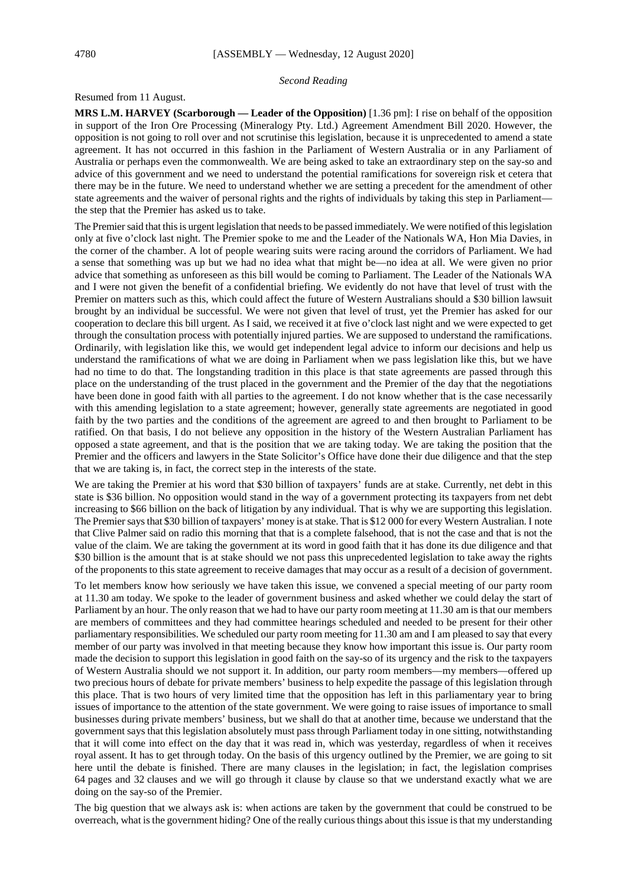#### *Second Reading*

Resumed from 11 August.

**MRS L.M. HARVEY (Scarborough — Leader of the Opposition)** [1.36 pm]: I rise on behalf of the opposition in support of the Iron Ore Processing (Mineralogy Pty. Ltd.) Agreement Amendment Bill 2020. However, the opposition is not going to roll over and not scrutinise this legislation, because it is unprecedented to amend a state agreement. It has not occurred in this fashion in the Parliament of Western Australia or in any Parliament of Australia or perhaps even the commonwealth. We are being asked to take an extraordinary step on the say-so and advice of this government and we need to understand the potential ramifications for sovereign risk et cetera that there may be in the future. We need to understand whether we are setting a precedent for the amendment of other state agreements and the waiver of personal rights and the rights of individuals by taking this step in Parliament the step that the Premier has asked us to take.

The Premier said that this is urgent legislation that needs to be passed immediately. We were notified of this legislation only at five o'clock last night. The Premier spoke to me and the Leader of the Nationals WA, Hon Mia Davies, in the corner of the chamber. A lot of people wearing suits were racing around the corridors of Parliament. We had a sense that something was up but we had no idea what that might be—no idea at all. We were given no prior advice that something as unforeseen as this bill would be coming to Parliament. The Leader of the Nationals WA and I were not given the benefit of a confidential briefing. We evidently do not have that level of trust with the Premier on matters such as this, which could affect the future of Western Australians should a \$30 billion lawsuit brought by an individual be successful. We were not given that level of trust, yet the Premier has asked for our cooperation to declare this bill urgent. As I said, we received it at five o'clock last night and we were expected to get through the consultation process with potentially injured parties. We are supposed to understand the ramifications. Ordinarily, with legislation like this, we would get independent legal advice to inform our decisions and help us understand the ramifications of what we are doing in Parliament when we pass legislation like this, but we have had no time to do that. The longstanding tradition in this place is that state agreements are passed through this place on the understanding of the trust placed in the government and the Premier of the day that the negotiations have been done in good faith with all parties to the agreement. I do not know whether that is the case necessarily with this amending legislation to a state agreement; however, generally state agreements are negotiated in good faith by the two parties and the conditions of the agreement are agreed to and then brought to Parliament to be ratified. On that basis, I do not believe any opposition in the history of the Western Australian Parliament has opposed a state agreement, and that is the position that we are taking today. We are taking the position that the Premier and the officers and lawyers in the State Solicitor's Office have done their due diligence and that the step that we are taking is, in fact, the correct step in the interests of the state.

We are taking the Premier at his word that \$30 billion of taxpayers' funds are at stake. Currently, net debt in this state is \$36 billion. No opposition would stand in the way of a government protecting its taxpayers from net debt increasing to \$66 billion on the back of litigation by any individual. That is why we are supporting this legislation. The Premier says that \$30 billion of taxpayers' money is at stake. That is \$12 000 for every Western Australian. I note that Clive Palmer said on radio this morning that that is a complete falsehood, that is not the case and that is not the value of the claim. We are taking the government at its word in good faith that it has done its due diligence and that \$30 billion is the amount that is at stake should we not pass this unprecedented legislation to take away the rights of the proponents to this state agreement to receive damages that may occur as a result of a decision of government.

To let members know how seriously we have taken this issue, we convened a special meeting of our party room at 11.30 am today. We spoke to the leader of government business and asked whether we could delay the start of Parliament by an hour. The only reason that we had to have our party room meeting at 11.30 am is that our members are members of committees and they had committee hearings scheduled and needed to be present for their other parliamentary responsibilities. We scheduled our party room meeting for 11.30 am and I am pleased to say that every member of our party was involved in that meeting because they know how important this issue is. Our party room made the decision to support this legislation in good faith on the say-so of its urgency and the risk to the taxpayers of Western Australia should we not support it. In addition, our party room members—my members—offered up two precious hours of debate for private members' business to help expedite the passage of this legislation through this place. That is two hours of very limited time that the opposition has left in this parliamentary year to bring issues of importance to the attention of the state government. We were going to raise issues of importance to small businesses during private members' business, but we shall do that at another time, because we understand that the government says that this legislation absolutely must pass through Parliament today in one sitting, notwithstanding that it will come into effect on the day that it was read in, which was yesterday, regardless of when it receives royal assent. It has to get through today. On the basis of this urgency outlined by the Premier, we are going to sit here until the debate is finished. There are many clauses in the legislation; in fact, the legislation comprises 64 pages and 32 clauses and we will go through it clause by clause so that we understand exactly what we are doing on the say-so of the Premier.

The big question that we always ask is: when actions are taken by the government that could be construed to be overreach, what is the government hiding? One of the really curious things about this issue is that my understanding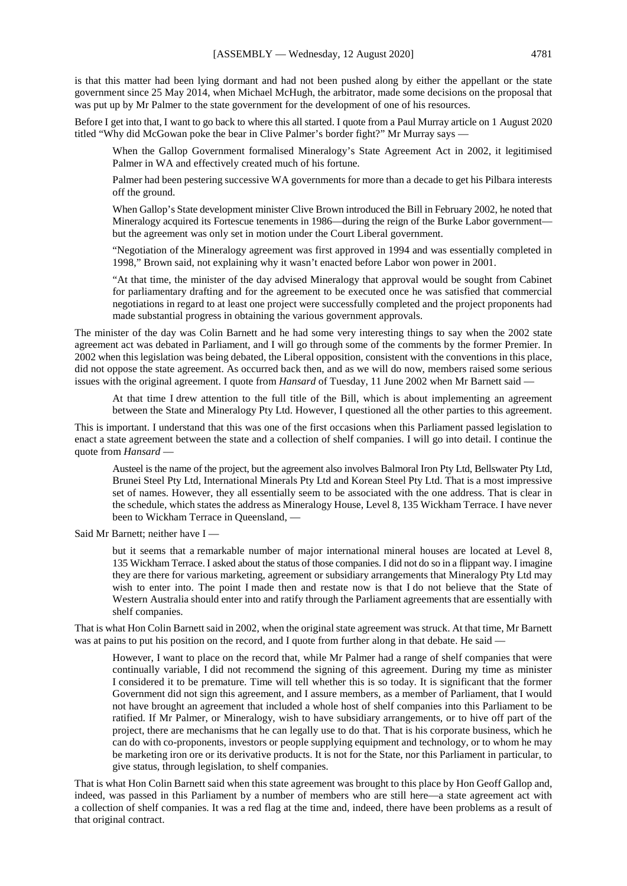is that this matter had been lying dormant and had not been pushed along by either the appellant or the state government since 25 May 2014, when Michael McHugh, the arbitrator, made some decisions on the proposal that was put up by Mr Palmer to the state government for the development of one of his resources.

Before I get into that, I want to go back to where this all started. I quote from a Paul Murray article on 1 August 2020 titled "Why did McGowan poke the bear in Clive Palmer's border fight?" Mr Murray says —

When the Gallop Government formalised Mineralogy's State Agreement Act in 2002, it legitimised Palmer in WA and effectively created much of his fortune.

Palmer had been pestering successive WA governments for more than a decade to get his Pilbara interests off the ground.

When Gallop's State development minister Clive Brown introduced the Bill in February 2002, he noted that Mineralogy acquired its Fortescue tenements in 1986—during the reign of the Burke Labor government but the agreement was only set in motion under the Court Liberal government.

"Negotiation of the Mineralogy agreement was first approved in 1994 and was essentially completed in 1998," Brown said, not explaining why it wasn't enacted before Labor won power in 2001.

"At that time, the minister of the day advised Mineralogy that approval would be sought from Cabinet for parliamentary drafting and for the agreement to be executed once he was satisfied that commercial negotiations in regard to at least one project were successfully completed and the project proponents had made substantial progress in obtaining the various government approvals.

The minister of the day was Colin Barnett and he had some very interesting things to say when the 2002 state agreement act was debated in Parliament, and I will go through some of the comments by the former Premier. In 2002 when this legislation was being debated, the Liberal opposition, consistent with the conventions in this place, did not oppose the state agreement. As occurred back then, and as we will do now, members raised some serious issues with the original agreement. I quote from *Hansard* of Tuesday, 11 June 2002 when Mr Barnett said —

At that time I drew attention to the full title of the Bill, which is about implementing an agreement between the State and Mineralogy Pty Ltd. However, I questioned all the other parties to this agreement.

This is important. I understand that this was one of the first occasions when this Parliament passed legislation to enact a state agreement between the state and a collection of shelf companies. I will go into detail. I continue the quote from *Hansard* —

Austeel is the name of the project, but the agreement also involves Balmoral Iron Pty Ltd, Bellswater Pty Ltd, Brunei Steel Pty Ltd, International Minerals Pty Ltd and Korean Steel Pty Ltd. That is a most impressive set of names. However, they all essentially seem to be associated with the one address. That is clear in the schedule, which states the address as Mineralogy House, Level 8, 135 Wickham Terrace. I have never been to Wickham Terrace in Queensland, —

Said Mr Barnett; neither have I —

but it seems that a remarkable number of major international mineral houses are located at Level 8, 135 Wickham Terrace. I asked about the status of those companies. I did not do so in a flippant way. I imagine they are there for various marketing, agreement or subsidiary arrangements that Mineralogy Pty Ltd may wish to enter into. The point I made then and restate now is that I do not believe that the State of Western Australia should enter into and ratify through the Parliament agreements that are essentially with shelf companies.

That is what Hon Colin Barnett said in 2002, when the original state agreement was struck. At that time, Mr Barnett was at pains to put his position on the record, and I quote from further along in that debate. He said —

However, I want to place on the record that, while Mr Palmer had a range of shelf companies that were continually variable, I did not recommend the signing of this agreement. During my time as minister I considered it to be premature. Time will tell whether this is so today. It is significant that the former Government did not sign this agreement, and I assure members, as a member of Parliament, that I would not have brought an agreement that included a whole host of shelf companies into this Parliament to be ratified. If Mr Palmer, or Mineralogy, wish to have subsidiary arrangements, or to hive off part of the project, there are mechanisms that he can legally use to do that. That is his corporate business, which he can do with co-proponents, investors or people supplying equipment and technology, or to whom he may be marketing iron ore or its derivative products. It is not for the State, nor this Parliament in particular, to give status, through legislation, to shelf companies.

That is what Hon Colin Barnett said when this state agreement was brought to this place by Hon Geoff Gallop and, indeed, was passed in this Parliament by a number of members who are still here—a state agreement act with a collection of shelf companies. It was a red flag at the time and, indeed, there have been problems as a result of that original contract.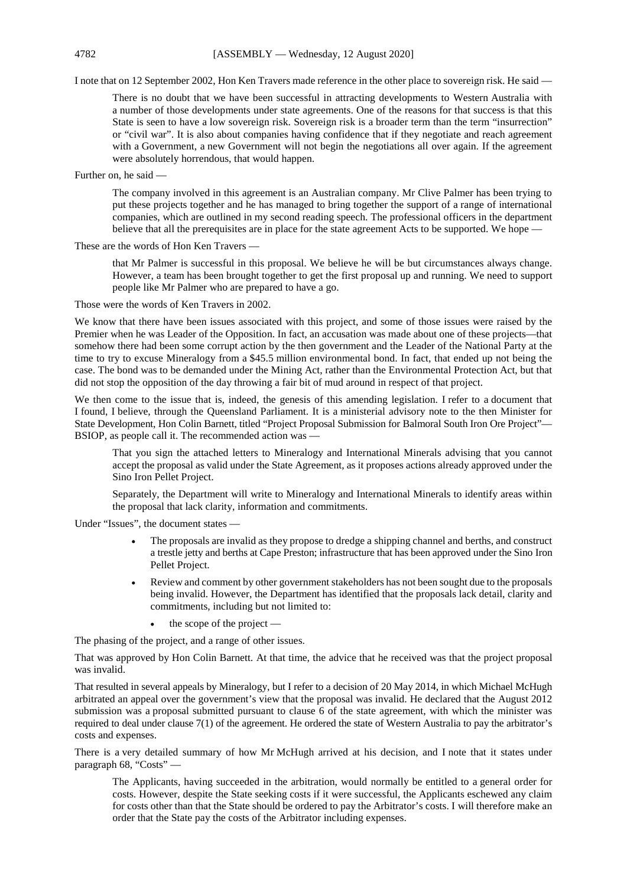### 4782 [ASSEMBLY — Wednesday, 12 August 2020]

I note that on 12 September 2002, Hon Ken Travers made reference in the other place to sovereign risk. He said —

There is no doubt that we have been successful in attracting developments to Western Australia with a number of those developments under state agreements. One of the reasons for that success is that this State is seen to have a low sovereign risk. Sovereign risk is a broader term than the term "insurrection" or "civil war". It is also about companies having confidence that if they negotiate and reach agreement with a Government, a new Government will not begin the negotiations all over again. If the agreement were absolutely horrendous, that would happen.

Further on, he said —

The company involved in this agreement is an Australian company. Mr Clive Palmer has been trying to put these projects together and he has managed to bring together the support of a range of international companies, which are outlined in my second reading speech. The professional officers in the department believe that all the prerequisites are in place for the state agreement Acts to be supported. We hope —

These are the words of Hon Ken Travers —

that Mr Palmer is successful in this proposal. We believe he will be but circumstances always change. However, a team has been brought together to get the first proposal up and running. We need to support people like Mr Palmer who are prepared to have a go.

Those were the words of Ken Travers in 2002.

We know that there have been issues associated with this project, and some of those issues were raised by the Premier when he was Leader of the Opposition. In fact, an accusation was made about one of these projects—that somehow there had been some corrupt action by the then government and the Leader of the National Party at the time to try to excuse Mineralogy from a \$45.5 million environmental bond. In fact, that ended up not being the case. The bond was to be demanded under the Mining Act, rather than the Environmental Protection Act, but that did not stop the opposition of the day throwing a fair bit of mud around in respect of that project.

We then come to the issue that is, indeed, the genesis of this amending legislation. I refer to a document that I found, I believe, through the Queensland Parliament. It is a ministerial advisory note to the then Minister for State Development, Hon Colin Barnett, titled "Project Proposal Submission for Balmoral South Iron Ore Project"— BSIOP, as people call it. The recommended action was -

That you sign the attached letters to Mineralogy and International Minerals advising that you cannot accept the proposal as valid under the State Agreement, as it proposes actions already approved under the Sino Iron Pellet Project.

Separately, the Department will write to Mineralogy and International Minerals to identify areas within the proposal that lack clarity, information and commitments.

Under "Issues", the document states —

- The proposals are invalid as they propose to dredge a shipping channel and berths, and construct a trestle jetty and berths at Cape Preston; infrastructure that has been approved under the Sino Iron Pellet Project.
- Review and comment by other government stakeholders has not been sought due to the proposals being invalid. However, the Department has identified that the proposals lack detail, clarity and commitments, including but not limited to:
	- the scope of the project —

The phasing of the project, and a range of other issues.

That was approved by Hon Colin Barnett. At that time, the advice that he received was that the project proposal was invalid.

That resulted in several appeals by Mineralogy, but I refer to a decision of 20 May 2014, in which Michael McHugh arbitrated an appeal over the government's view that the proposal was invalid. He declared that the August 2012 submission was a proposal submitted pursuant to clause 6 of the state agreement, with which the minister was required to deal under clause 7(1) of the agreement. He ordered the state of Western Australia to pay the arbitrator's costs and expenses.

There is a very detailed summary of how Mr McHugh arrived at his decision, and I note that it states under paragraph 68, "Costs" —

The Applicants, having succeeded in the arbitration, would normally be entitled to a general order for costs. However, despite the State seeking costs if it were successful, the Applicants eschewed any claim for costs other than that the State should be ordered to pay the Arbitrator's costs. I will therefore make an order that the State pay the costs of the Arbitrator including expenses.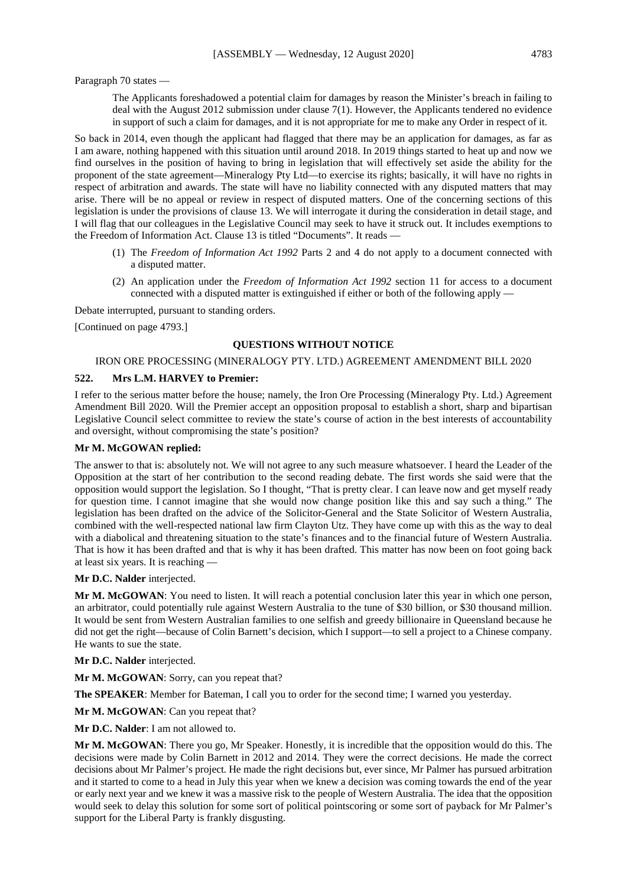Paragraph 70 states —

The Applicants foreshadowed a potential claim for damages by reason the Minister's breach in failing to deal with the August 2012 submission under clause 7(1). However, the Applicants tendered no evidence in support of such a claim for damages, and it is not appropriate for me to make any Order in respect of it.

So back in 2014, even though the applicant had flagged that there may be an application for damages, as far as I am aware, nothing happened with this situation until around 2018. In 2019 things started to heat up and now we find ourselves in the position of having to bring in legislation that will effectively set aside the ability for the proponent of the state agreement—Mineralogy Pty Ltd—to exercise its rights; basically, it will have no rights in respect of arbitration and awards. The state will have no liability connected with any disputed matters that may arise. There will be no appeal or review in respect of disputed matters. One of the concerning sections of this legislation is under the provisions of clause 13. We will interrogate it during the consideration in detail stage, and I will flag that our colleagues in the Legislative Council may seek to have it struck out. It includes exemptions to the Freedom of Information Act. Clause 13 is titled "Documents". It reads -

- (1) The *Freedom of Information Act 1992* Parts 2 and 4 do not apply to a document connected with a disputed matter.
- (2) An application under the *Freedom of Information Act 1992* section 11 for access to a document connected with a disputed matter is extinguished if either or both of the following apply —

Debate interrupted, pursuant to standing orders.

[Continued on page 4793.]

## **QUESTIONS WITHOUT NOTICE**

#### IRON ORE PROCESSING (MINERALOGY PTY. LTD.) AGREEMENT AMENDMENT BILL 2020

#### **522. Mrs L.M. HARVEY to Premier:**

I refer to the serious matter before the house; namely, the Iron Ore Processing (Mineralogy Pty. Ltd.) Agreement Amendment Bill 2020. Will the Premier accept an opposition proposal to establish a short, sharp and bipartisan Legislative Council select committee to review the state's course of action in the best interests of accountability and oversight, without compromising the state's position?

#### **Mr M. McGOWAN replied:**

The answer to that is: absolutely not. We will not agree to any such measure whatsoever. I heard the Leader of the Opposition at the start of her contribution to the second reading debate. The first words she said were that the opposition would support the legislation. So I thought, "That is pretty clear. I can leave now and get myself ready for question time. I cannot imagine that she would now change position like this and say such a thing." The legislation has been drafted on the advice of the Solicitor-General and the State Solicitor of Western Australia, combined with the well-respected national law firm Clayton Utz. They have come up with this as the way to deal with a diabolical and threatening situation to the state's finances and to the financial future of Western Australia. That is how it has been drafted and that is why it has been drafted. This matter has now been on foot going back at least six years. It is reaching —

**Mr D.C. Nalder** interjected.

**Mr M. McGOWAN**: You need to listen. It will reach a potential conclusion later this year in which one person, an arbitrator, could potentially rule against Western Australia to the tune of \$30 billion, or \$30 thousand million. It would be sent from Western Australian families to one selfish and greedy billionaire in Queensland because he did not get the right—because of Colin Barnett's decision, which I support—to sell a project to a Chinese company. He wants to sue the state.

**Mr D.C. Nalder** interjected.

**Mr M. McGOWAN**: Sorry, can you repeat that?

**The SPEAKER**: Member for Bateman, I call you to order for the second time; I warned you yesterday.

**Mr M. McGOWAN**: Can you repeat that?

**Mr D.C. Nalder**: I am not allowed to.

**Mr M. McGOWAN**: There you go, Mr Speaker. Honestly, it is incredible that the opposition would do this. The decisions were made by Colin Barnett in 2012 and 2014. They were the correct decisions. He made the correct decisions about Mr Palmer's project. He made the right decisions but, ever since, Mr Palmer has pursued arbitration and it started to come to a head in July this year when we knew a decision was coming towards the end of the year or early next year and we knew it was a massive risk to the people of Western Australia. The idea that the opposition would seek to delay this solution for some sort of political pointscoring or some sort of payback for Mr Palmer's support for the Liberal Party is frankly disgusting.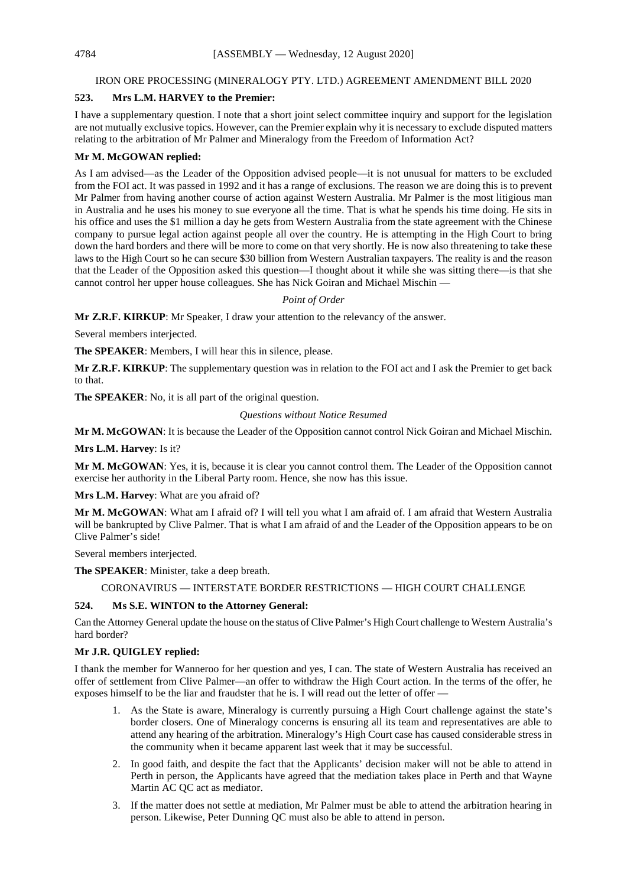#### IRON ORE PROCESSING (MINERALOGY PTY. LTD.) AGREEMENT AMENDMENT BILL 2020

### **523. Mrs L.M. HARVEY to the Premier:**

I have a supplementary question. I note that a short joint select committee inquiry and support for the legislation are not mutually exclusive topics. However, can the Premier explain why it is necessary to exclude disputed matters relating to the arbitration of Mr Palmer and Mineralogy from the Freedom of Information Act?

#### **Mr M. McGOWAN replied:**

As I am advised—as the Leader of the Opposition advised people—it is not unusual for matters to be excluded from the FOI act. It was passed in 1992 and it has a range of exclusions. The reason we are doing this is to prevent Mr Palmer from having another course of action against Western Australia. Mr Palmer is the most litigious man in Australia and he uses his money to sue everyone all the time. That is what he spends his time doing. He sits in his office and uses the \$1 million a day he gets from Western Australia from the state agreement with the Chinese company to pursue legal action against people all over the country. He is attempting in the High Court to bring down the hard borders and there will be more to come on that very shortly. He is now also threatening to take these laws to the High Court so he can secure \$30 billion from Western Australian taxpayers. The reality is and the reason that the Leader of the Opposition asked this question—I thought about it while she was sitting there—is that she cannot control her upper house colleagues. She has Nick Goiran and Michael Mischin —

#### *Point of Order*

**Mr Z.R.F. KIRKUP**: Mr Speaker, I draw your attention to the relevancy of the answer.

Several members interjected.

**The SPEAKER**: Members, I will hear this in silence, please.

**Mr Z.R.F. KIRKUP**: The supplementary question was in relation to the FOI act and I ask the Premier to get back to that.

**The SPEAKER**: No, it is all part of the original question.

#### *Questions without Notice Resumed*

**Mr M. McGOWAN**: It is because the Leader of the Opposition cannot control Nick Goiran and Michael Mischin.

**Mrs L.M. Harvey**: Is it?

**Mr M. McGOWAN**: Yes, it is, because it is clear you cannot control them. The Leader of the Opposition cannot exercise her authority in the Liberal Party room. Hence, she now has this issue.

**Mrs L.M. Harvey**: What are you afraid of?

**Mr M. McGOWAN**: What am I afraid of? I will tell you what I am afraid of. I am afraid that Western Australia will be bankrupted by Clive Palmer. That is what I am afraid of and the Leader of the Opposition appears to be on Clive Palmer's side!

Several members interjected.

**The SPEAKER**: Minister, take a deep breath.

#### CORONAVIRUS — INTERSTATE BORDER RESTRICTIONS — HIGH COURT CHALLENGE

#### **524. Ms S.E. WINTON to the Attorney General:**

Can the Attorney General update the house on the status of Clive Palmer's High Court challenge to Western Australia's hard border?

#### **Mr J.R. QUIGLEY replied:**

I thank the member for Wanneroo for her question and yes, I can. The state of Western Australia has received an offer of settlement from Clive Palmer—an offer to withdraw the High Court action. In the terms of the offer, he exposes himself to be the liar and fraudster that he is. I will read out the letter of offer —

- 1. As the State is aware, Mineralogy is currently pursuing a High Court challenge against the state's border closers. One of Mineralogy concerns is ensuring all its team and representatives are able to attend any hearing of the arbitration. Mineralogy's High Court case has caused considerable stress in the community when it became apparent last week that it may be successful.
- 2. In good faith, and despite the fact that the Applicants' decision maker will not be able to attend in Perth in person, the Applicants have agreed that the mediation takes place in Perth and that Wayne Martin AC QC act as mediator.
- 3. If the matter does not settle at mediation, Mr Palmer must be able to attend the arbitration hearing in person. Likewise, Peter Dunning QC must also be able to attend in person.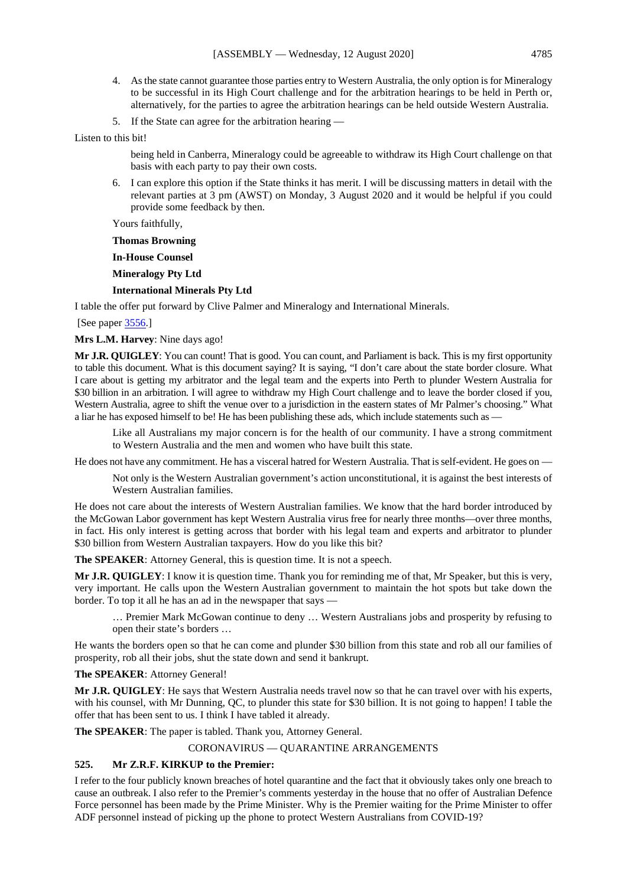- 4. As the state cannot guarantee those parties entry to Western Australia, the only option is for Mineralogy to be successful in its High Court challenge and for the arbitration hearings to be held in Perth or, alternatively, for the parties to agree the arbitration hearings can be held outside Western Australia.
- 5. If the State can agree for the arbitration hearing —

Listen to this bit!

being held in Canberra, Mineralogy could be agreeable to withdraw its High Court challenge on that basis with each party to pay their own costs.

6. I can explore this option if the State thinks it has merit. I will be discussing matters in detail with the relevant parties at 3 pm (AWST) on Monday, 3 August 2020 and it would be helpful if you could provide some feedback by then.

Yours faithfully,

**Thomas Browning**

**In-House Counsel**

**Mineralogy Pty Ltd**

#### **International Minerals Pty Ltd**

I table the offer put forward by Clive Palmer and Mineralogy and International Minerals.

[See paper [3556.\]](https://www.parliament.wa.gov.au/publications/tabledpapers.nsf/displaypaper/4013556a16d40844d9f5ebd1482585c2004d398b/$file/3556.pdf)

**Mrs L.M. Harvey**: Nine days ago!

**Mr J.R. QUIGLEY**: You can count! That is good. You can count, and Parliament is back. This is my first opportunity to table this document. What is this document saying? It is saying, "I don't care about the state border closure. What I care about is getting my arbitrator and the legal team and the experts into Perth to plunder Western Australia for \$30 billion in an arbitration. I will agree to withdraw my High Court challenge and to leave the border closed if you, Western Australia, agree to shift the venue over to a jurisdiction in the eastern states of Mr Palmer's choosing." What a liar he has exposed himself to be! He has been publishing these ads, which include statements such as —

Like all Australians my major concern is for the health of our community. I have a strong commitment to Western Australia and the men and women who have built this state.

He does not have any commitment. He has a visceral hatred for Western Australia. That is self-evident. He goes on —

Not only is the Western Australian government's action unconstitutional, it is against the best interests of Western Australian families.

He does not care about the interests of Western Australian families. We know that the hard border introduced by the McGowan Labor government has kept Western Australia virus free for nearly three months—over three months, in fact. His only interest is getting across that border with his legal team and experts and arbitrator to plunder \$30 billion from Western Australian taxpayers. How do you like this bit?

**The SPEAKER**: Attorney General, this is question time. It is not a speech.

**Mr J.R. QUIGLEY**: I know it is question time. Thank you for reminding me of that, Mr Speaker, but this is very, very important. He calls upon the Western Australian government to maintain the hot spots but take down the border. To top it all he has an ad in the newspaper that says —

… Premier Mark McGowan continue to deny … Western Australians jobs and prosperity by refusing to open their state's borders …

He wants the borders open so that he can come and plunder \$30 billion from this state and rob all our families of prosperity, rob all their jobs, shut the state down and send it bankrupt.

#### **The SPEAKER**: Attorney General!

**Mr J.R. QUIGLEY**: He says that Western Australia needs travel now so that he can travel over with his experts, with his counsel, with Mr Dunning, OC, to plunder this state for \$30 billion. It is not going to happen! I table the offer that has been sent to us. I think I have tabled it already.

**The SPEAKER**: The paper is tabled. Thank you, Attorney General.

#### CORONAVIRUS — QUARANTINE ARRANGEMENTS

#### **525. Mr Z.R.F. KIRKUP to the Premier:**

I refer to the four publicly known breaches of hotel quarantine and the fact that it obviously takes only one breach to cause an outbreak. I also refer to the Premier's comments yesterday in the house that no offer of Australian Defence Force personnel has been made by the Prime Minister. Why is the Premier waiting for the Prime Minister to offer ADF personnel instead of picking up the phone to protect Western Australians from COVID-19?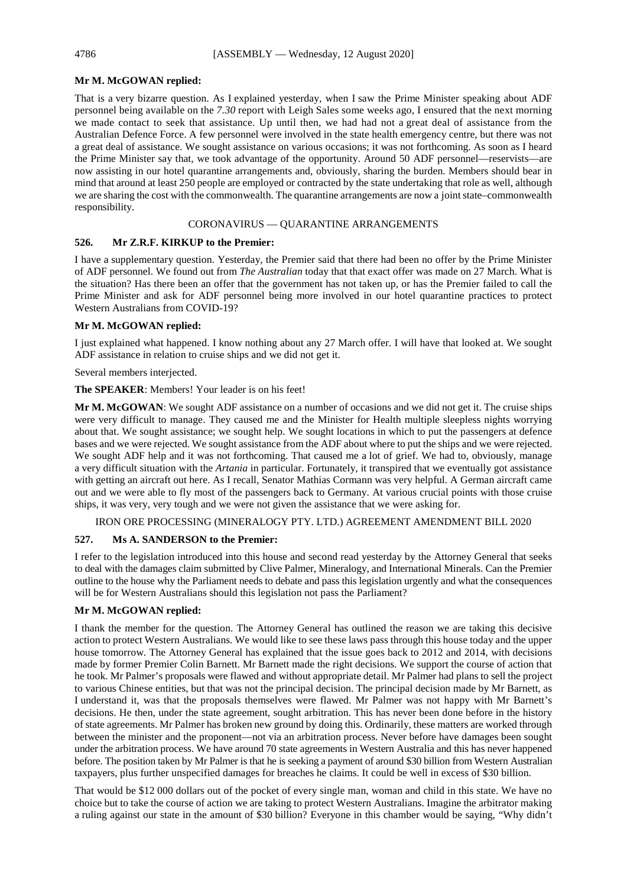## **Mr M. McGOWAN replied:**

That is a very bizarre question. As I explained yesterday, when I saw the Prime Minister speaking about ADF personnel being available on the *7.30* report with Leigh Sales some weeks ago, I ensured that the next morning we made contact to seek that assistance. Up until then, we had had not a great deal of assistance from the Australian Defence Force. A few personnel were involved in the state health emergency centre, but there was not a great deal of assistance. We sought assistance on various occasions; it was not forthcoming. As soon as I heard the Prime Minister say that, we took advantage of the opportunity. Around 50 ADF personnel—reservists—are now assisting in our hotel quarantine arrangements and, obviously, sharing the burden. Members should bear in mind that around at least 250 people are employed or contracted by the state undertaking that role as well, although we are sharing the cost with the commonwealth. The quarantine arrangements are now a joint state–commonwealth responsibility.

## CORONAVIRUS — QUARANTINE ARRANGEMENTS

## **526. Mr Z.R.F. KIRKUP to the Premier:**

I have a supplementary question. Yesterday, the Premier said that there had been no offer by the Prime Minister of ADF personnel. We found out from *The Australian* today that that exact offer was made on 27 March. What is the situation? Has there been an offer that the government has not taken up, or has the Premier failed to call the Prime Minister and ask for ADF personnel being more involved in our hotel quarantine practices to protect Western Australians from COVID-19?

## **Mr M. McGOWAN replied:**

I just explained what happened. I know nothing about any 27 March offer. I will have that looked at. We sought ADF assistance in relation to cruise ships and we did not get it.

Several members interjected.

## **The SPEAKER**: Members! Your leader is on his feet!

**Mr M. McGOWAN**: We sought ADF assistance on a number of occasions and we did not get it. The cruise ships were very difficult to manage. They caused me and the Minister for Health multiple sleepless nights worrying about that. We sought assistance; we sought help. We sought locations in which to put the passengers at defence bases and we were rejected. We sought assistance from the ADF about where to put the ships and we were rejected. We sought ADF help and it was not forthcoming. That caused me a lot of grief. We had to, obviously, manage a very difficult situation with the *Artania* in particular. Fortunately, it transpired that we eventually got assistance with getting an aircraft out here. As I recall, Senator Mathias Cormann was very helpful. A German aircraft came out and we were able to fly most of the passengers back to Germany. At various crucial points with those cruise ships, it was very, very tough and we were not given the assistance that we were asking for.

IRON ORE PROCESSING (MINERALOGY PTY. LTD.) AGREEMENT AMENDMENT BILL 2020

## **527. Ms A. SANDERSON to the Premier:**

I refer to the legislation introduced into this house and second read yesterday by the Attorney General that seeks to deal with the damages claim submitted by Clive Palmer, Mineralogy, and International Minerals. Can the Premier outline to the house why the Parliament needs to debate and pass this legislation urgently and what the consequences will be for Western Australians should this legislation not pass the Parliament?

## **Mr M. McGOWAN replied:**

I thank the member for the question. The Attorney General has outlined the reason we are taking this decisive action to protect Western Australians. We would like to see these laws pass through this house today and the upper house tomorrow. The Attorney General has explained that the issue goes back to 2012 and 2014, with decisions made by former Premier Colin Barnett. Mr Barnett made the right decisions. We support the course of action that he took. Mr Palmer's proposals were flawed and without appropriate detail. Mr Palmer had plans to sell the project to various Chinese entities, but that was not the principal decision. The principal decision made by Mr Barnett, as I understand it, was that the proposals themselves were flawed. Mr Palmer was not happy with Mr Barnett's decisions. He then, under the state agreement, sought arbitration. This has never been done before in the history of state agreements. Mr Palmer has broken new ground by doing this. Ordinarily, these matters are worked through between the minister and the proponent—not via an arbitration process. Never before have damages been sought under the arbitration process. We have around 70 state agreements in Western Australia and this has never happened before. The position taken by Mr Palmer is that he is seeking a payment of around \$30 billion from Western Australian taxpayers, plus further unspecified damages for breaches he claims. It could be well in excess of \$30 billion.

That would be \$12 000 dollars out of the pocket of every single man, woman and child in this state. We have no choice but to take the course of action we are taking to protect Western Australians. Imagine the arbitrator making a ruling against our state in the amount of \$30 billion? Everyone in this chamber would be saying, "Why didn't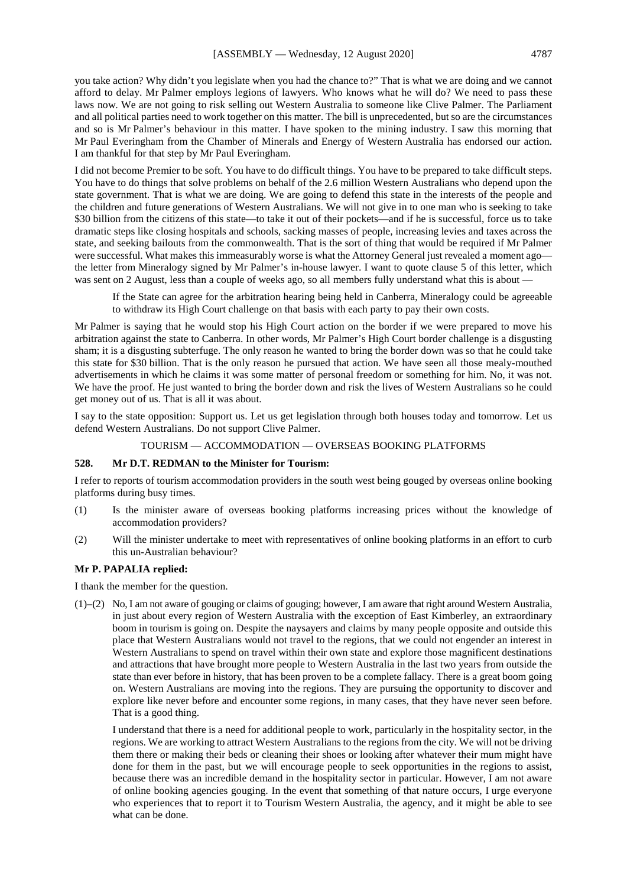you take action? Why didn't you legislate when you had the chance to?" That is what we are doing and we cannot afford to delay. Mr Palmer employs legions of lawyers. Who knows what he will do? We need to pass these laws now. We are not going to risk selling out Western Australia to someone like Clive Palmer. The Parliament and all political parties need to work together on this matter. The bill is unprecedented, but so are the circumstances and so is Mr Palmer's behaviour in this matter. I have spoken to the mining industry. I saw this morning that Mr Paul Everingham from the Chamber of Minerals and Energy of Western Australia has endorsed our action. I am thankful for that step by Mr Paul Everingham.

I did not become Premier to be soft. You have to do difficult things. You have to be prepared to take difficult steps. You have to do things that solve problems on behalf of the 2.6 million Western Australians who depend upon the state government. That is what we are doing. We are going to defend this state in the interests of the people and the children and future generations of Western Australians. We will not give in to one man who is seeking to take \$30 billion from the citizens of this state—to take it out of their pockets—and if he is successful, force us to take dramatic steps like closing hospitals and schools, sacking masses of people, increasing levies and taxes across the state, and seeking bailouts from the commonwealth. That is the sort of thing that would be required if Mr Palmer were successful. What makes this immeasurably worse is what the Attorney General just revealed a moment ago the letter from Mineralogy signed by Mr Palmer's in-house lawyer. I want to quote clause 5 of this letter, which was sent on 2 August, less than a couple of weeks ago, so all members fully understand what this is about –

If the State can agree for the arbitration hearing being held in Canberra, Mineralogy could be agreeable to withdraw its High Court challenge on that basis with each party to pay their own costs.

Mr Palmer is saying that he would stop his High Court action on the border if we were prepared to move his arbitration against the state to Canberra. In other words, Mr Palmer's High Court border challenge is a disgusting sham; it is a disgusting subterfuge. The only reason he wanted to bring the border down was so that he could take this state for \$30 billion. That is the only reason he pursued that action. We have seen all those mealy-mouthed advertisements in which he claims it was some matter of personal freedom or something for him. No, it was not. We have the proof. He just wanted to bring the border down and risk the lives of Western Australians so he could get money out of us. That is all it was about.

I say to the state opposition: Support us. Let us get legislation through both houses today and tomorrow. Let us defend Western Australians. Do not support Clive Palmer.

#### TOURISM — ACCOMMODATION — OVERSEAS BOOKING PLATFORMS

#### **528. Mr D.T. REDMAN to the Minister for Tourism:**

I refer to reports of tourism accommodation providers in the south west being gouged by overseas online booking platforms during busy times.

- (1) Is the minister aware of overseas booking platforms increasing prices without the knowledge of accommodation providers?
- (2) Will the minister undertake to meet with representatives of online booking platforms in an effort to curb this un-Australian behaviour?

#### **Mr P. PAPALIA replied:**

I thank the member for the question.

(1)–(2) No, I am not aware of gouging or claims of gouging; however, I am aware that right around Western Australia, in just about every region of Western Australia with the exception of East Kimberley, an extraordinary boom in tourism is going on. Despite the naysayers and claims by many people opposite and outside this place that Western Australians would not travel to the regions, that we could not engender an interest in Western Australians to spend on travel within their own state and explore those magnificent destinations and attractions that have brought more people to Western Australia in the last two years from outside the state than ever before in history, that has been proven to be a complete fallacy. There is a great boom going on. Western Australians are moving into the regions. They are pursuing the opportunity to discover and explore like never before and encounter some regions, in many cases, that they have never seen before. That is a good thing.

I understand that there is a need for additional people to work, particularly in the hospitality sector, in the regions. We are working to attract Western Australians to the regions from the city. We will not be driving them there or making their beds or cleaning their shoes or looking after whatever their mum might have done for them in the past, but we will encourage people to seek opportunities in the regions to assist, because there was an incredible demand in the hospitality sector in particular. However, I am not aware of online booking agencies gouging. In the event that something of that nature occurs, I urge everyone who experiences that to report it to Tourism Western Australia, the agency, and it might be able to see what can be done.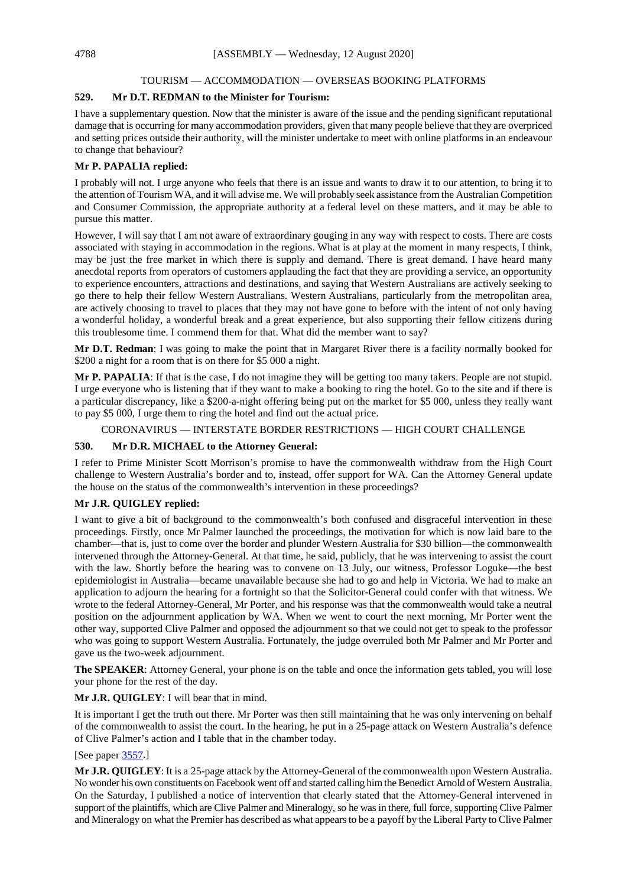## TOURISM — ACCOMMODATION — OVERSEAS BOOKING PLATFORMS

## **529. Mr D.T. REDMAN to the Minister for Tourism:**

I have a supplementary question. Now that the minister is aware of the issue and the pending significant reputational damage that is occurring for many accommodation providers, given that many people believe that they are overpriced and setting prices outside their authority, will the minister undertake to meet with online platforms in an endeavour to change that behaviour?

## **Mr P. PAPALIA replied:**

I probably will not. I urge anyone who feels that there is an issue and wants to draw it to our attention, to bring it to the attention of Tourism WA, and it will advise me. We will probably seek assistance from the Australian Competition and Consumer Commission, the appropriate authority at a federal level on these matters, and it may be able to pursue this matter.

However, I will say that I am not aware of extraordinary gouging in any way with respect to costs. There are costs associated with staying in accommodation in the regions. What is at play at the moment in many respects, I think, may be just the free market in which there is supply and demand. There is great demand. I have heard many anecdotal reports from operators of customers applauding the fact that they are providing a service, an opportunity to experience encounters, attractions and destinations, and saying that Western Australians are actively seeking to go there to help their fellow Western Australians. Western Australians, particularly from the metropolitan area, are actively choosing to travel to places that they may not have gone to before with the intent of not only having a wonderful holiday, a wonderful break and a great experience, but also supporting their fellow citizens during this troublesome time. I commend them for that. What did the member want to say?

**Mr D.T. Redman**: I was going to make the point that in Margaret River there is a facility normally booked for \$200 a night for a room that is on there for \$5 000 a night.

**Mr P. PAPALIA**: If that is the case, I do not imagine they will be getting too many takers. People are not stupid. I urge everyone who is listening that if they want to make a booking to ring the hotel. Go to the site and if there is a particular discrepancy, like a \$200-a-night offering being put on the market for \$5 000, unless they really want to pay \$5 000, I urge them to ring the hotel and find out the actual price.

CORONAVIRUS — INTERSTATE BORDER RESTRICTIONS — HIGH COURT CHALLENGE

## **530. Mr D.R. MICHAEL to the Attorney General:**

I refer to Prime Minister Scott Morrison's promise to have the commonwealth withdraw from the High Court challenge to Western Australia's border and to, instead, offer support for WA. Can the Attorney General update the house on the status of the commonwealth's intervention in these proceedings?

## **Mr J.R. QUIGLEY replied:**

I want to give a bit of background to the commonwealth's both confused and disgraceful intervention in these proceedings. Firstly, once Mr Palmer launched the proceedings, the motivation for which is now laid bare to the chamber—that is, just to come over the border and plunder Western Australia for \$30 billion—the commonwealth intervened through the Attorney-General. At that time, he said, publicly, that he was intervening to assist the court with the law. Shortly before the hearing was to convene on 13 July, our witness, Professor Loguke—the best epidemiologist in Australia—became unavailable because she had to go and help in Victoria. We had to make an application to adjourn the hearing for a fortnight so that the Solicitor-General could confer with that witness. We wrote to the federal Attorney-General, Mr Porter, and his response was that the commonwealth would take a neutral position on the adjournment application by WA. When we went to court the next morning, Mr Porter went the other way, supported Clive Palmer and opposed the adjournment so that we could not get to speak to the professor who was going to support Western Australia. Fortunately, the judge overruled both Mr Palmer and Mr Porter and gave us the two-week adjournment.

**The SPEAKER**: Attorney General, your phone is on the table and once the information gets tabled, you will lose your phone for the rest of the day.

## **Mr J.R. QUIGLEY**: I will bear that in mind.

It is important I get the truth out there. Mr Porter was then still maintaining that he was only intervening on behalf of the commonwealth to assist the court. In the hearing, he put in a 25-page attack on Western Australia's defence of Clive Palmer's action and I table that in the chamber today.

## [See paper [3557.](https://www.parliament.wa.gov.au/publications/tabledpapers.nsf/displaypaper/4013557a7094df51cf8d3439482585c2004d39af/$file/3557.pdf)]

**Mr J.R. QUIGLEY**: It is a 25-page attack by the Attorney-General of the commonwealth upon Western Australia. No wonder his own constituents on Facebook went off and started calling him the Benedict Arnold of Western Australia. On the Saturday, I published a notice of intervention that clearly stated that the Attorney-General intervened in support of the plaintiffs, which are Clive Palmer and Mineralogy, so he was in there, full force, supporting Clive Palmer and Mineralogy on what the Premier has described as what appears to be a payoff by the Liberal Party to Clive Palmer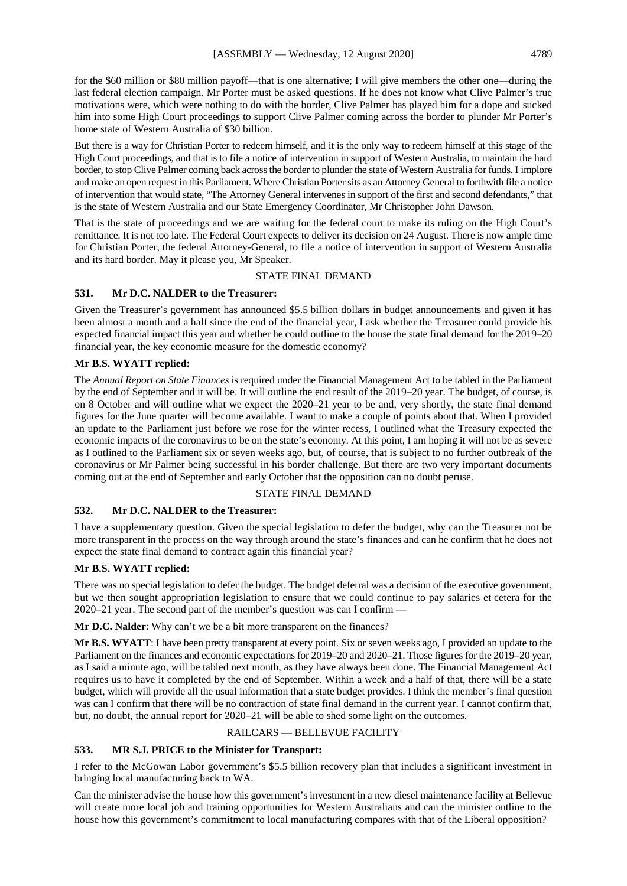for the \$60 million or \$80 million payoff—that is one alternative; I will give members the other one—during the last federal election campaign. Mr Porter must be asked questions. If he does not know what Clive Palmer's true motivations were, which were nothing to do with the border, Clive Palmer has played him for a dope and sucked him into some High Court proceedings to support Clive Palmer coming across the border to plunder Mr Porter's home state of Western Australia of \$30 billion.

But there is a way for Christian Porter to redeem himself, and it is the only way to redeem himself at this stage of the High Court proceedings, and that is to file a notice of intervention in support of Western Australia, to maintain the hard border, to stop Clive Palmer coming back across the border to plunder the state of Western Australia for funds. I implore and make an open request in this Parliament. Where Christian Porter sits as an Attorney General to forthwith file a notice of intervention that would state, "The Attorney General intervenes in support of the first and second defendants," that is the state of Western Australia and our State Emergency Coordinator, Mr Christopher John Dawson.

That is the state of proceedings and we are waiting for the federal court to make its ruling on the High Court's remittance. It is not too late. The Federal Court expects to deliver its decision on 24 August. There is now ample time for Christian Porter, the federal Attorney-General, to file a notice of intervention in support of Western Australia and its hard border. May it please you, Mr Speaker.

## STATE FINAL DEMAND

## **531. Mr D.C. NALDER to the Treasurer:**

Given the Treasurer's government has announced \$5.5 billion dollars in budget announcements and given it has been almost a month and a half since the end of the financial year, I ask whether the Treasurer could provide his expected financial impact this year and whether he could outline to the house the state final demand for the 2019–20 financial year, the key economic measure for the domestic economy?

## **Mr B.S. WYATT replied:**

The *Annual Report on State Finances* is required under the Financial Management Act to be tabled in the Parliament by the end of September and it will be. It will outline the end result of the 2019–20 year. The budget, of course, is on 8 October and will outline what we expect the 2020–21 year to be and, very shortly, the state final demand figures for the June quarter will become available. I want to make a couple of points about that. When I provided an update to the Parliament just before we rose for the winter recess, I outlined what the Treasury expected the economic impacts of the coronavirus to be on the state's economy. At this point, I am hoping it will not be as severe as I outlined to the Parliament six or seven weeks ago, but, of course, that is subject to no further outbreak of the coronavirus or Mr Palmer being successful in his border challenge. But there are two very important documents coming out at the end of September and early October that the opposition can no doubt peruse.

#### STATE FINAL DEMAND

## **532. Mr D.C. NALDER to the Treasurer:**

I have a supplementary question. Given the special legislation to defer the budget, why can the Treasurer not be more transparent in the process on the way through around the state's finances and can he confirm that he does not expect the state final demand to contract again this financial year?

#### **Mr B.S. WYATT replied:**

There was no special legislation to defer the budget. The budget deferral was a decision of the executive government, but we then sought appropriation legislation to ensure that we could continue to pay salaries et cetera for the 2020–21 year. The second part of the member's question was can I confirm —

**Mr D.C. Nalder**: Why can't we be a bit more transparent on the finances?

**Mr B.S. WYATT**: I have been pretty transparent at every point. Six or seven weeks ago, I provided an update to the Parliament on the finances and economic expectations for 2019–20 and 2020–21. Those figures for the 2019–20 year, as I said a minute ago, will be tabled next month, as they have always been done. The Financial Management Act requires us to have it completed by the end of September. Within a week and a half of that, there will be a state budget, which will provide all the usual information that a state budget provides. I think the member's final question was can I confirm that there will be no contraction of state final demand in the current year. I cannot confirm that, but, no doubt, the annual report for 2020–21 will be able to shed some light on the outcomes.

#### RAILCARS — BELLEVUE FACILITY

#### **533. MR S.J. PRICE to the Minister for Transport:**

I refer to the McGowan Labor government's \$5.5 billion recovery plan that includes a significant investment in bringing local manufacturing back to WA.

Can the minister advise the house how this government's investment in a new diesel maintenance facility at Bellevue will create more local job and training opportunities for Western Australians and can the minister outline to the house how this government's commitment to local manufacturing compares with that of the Liberal opposition?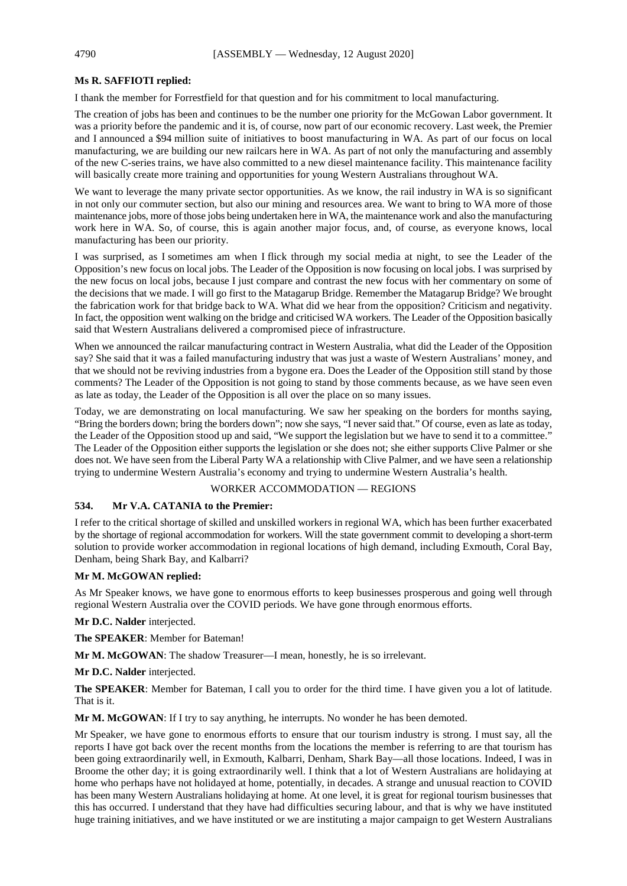## **Ms R. SAFFIOTI replied:**

I thank the member for Forrestfield for that question and for his commitment to local manufacturing.

The creation of jobs has been and continues to be the number one priority for the McGowan Labor government. It was a priority before the pandemic and it is, of course, now part of our economic recovery. Last week, the Premier and I announced a \$94 million suite of initiatives to boost manufacturing in WA. As part of our focus on local manufacturing, we are building our new railcars here in WA. As part of not only the manufacturing and assembly of the new C-series trains, we have also committed to a new diesel maintenance facility. This maintenance facility will basically create more training and opportunities for young Western Australians throughout WA.

We want to leverage the many private sector opportunities. As we know, the rail industry in WA is so significant in not only our commuter section, but also our mining and resources area. We want to bring to WA more of those maintenance jobs, more of those jobs being undertaken here in WA, the maintenance work and also the manufacturing work here in WA. So, of course, this is again another major focus, and, of course, as everyone knows, local manufacturing has been our priority.

I was surprised, as I sometimes am when I flick through my social media at night, to see the Leader of the Opposition's new focus on local jobs. The Leader of the Opposition is now focusing on local jobs. I was surprised by the new focus on local jobs, because I just compare and contrast the new focus with her commentary on some of the decisions that we made. I will go first to the Matagarup Bridge. Remember the Matagarup Bridge? We brought the fabrication work for that bridge back to WA. What did we hear from the opposition? Criticism and negativity. In fact, the opposition went walking on the bridge and criticised WA workers. The Leader of the Opposition basically said that Western Australians delivered a compromised piece of infrastructure.

When we announced the railcar manufacturing contract in Western Australia, what did the Leader of the Opposition say? She said that it was a failed manufacturing industry that was just a waste of Western Australians' money, and that we should not be reviving industries from a bygone era. Does the Leader of the Opposition still stand by those comments? The Leader of the Opposition is not going to stand by those comments because, as we have seen even as late as today, the Leader of the Opposition is all over the place on so many issues.

Today, we are demonstrating on local manufacturing. We saw her speaking on the borders for months saying, "Bring the borders down; bring the borders down"; now she says, "I never said that." Of course, even as late as today, the Leader of the Opposition stood up and said, "We support the legislation but we have to send it to a committee." The Leader of the Opposition either supports the legislation or she does not; she either supports Clive Palmer or she does not. We have seen from the Liberal Party WA a relationship with Clive Palmer, and we have seen a relationship trying to undermine Western Australia's economy and trying to undermine Western Australia's health.

## WORKER ACCOMMODATION — REGIONS

## **534. Mr V.A. CATANIA to the Premier:**

I refer to the critical shortage of skilled and unskilled workers in regional WA, which has been further exacerbated by the shortage of regional accommodation for workers. Will the state government commit to developing a short-term solution to provide worker accommodation in regional locations of high demand, including Exmouth, Coral Bay, Denham, being Shark Bay, and Kalbarri?

## **Mr M. McGOWAN replied:**

As Mr Speaker knows, we have gone to enormous efforts to keep businesses prosperous and going well through regional Western Australia over the COVID periods. We have gone through enormous efforts.

**Mr D.C. Nalder** interjected.

**The SPEAKER**: Member for Bateman!

**Mr M. McGOWAN**: The shadow Treasurer—I mean, honestly, he is so irrelevant.

**Mr D.C. Nalder** interjected.

**The SPEAKER**: Member for Bateman, I call you to order for the third time. I have given you a lot of latitude. That is it.

Mr M. McGOWAN: If I try to say anything, he interrupts. No wonder he has been demoted.

Mr Speaker, we have gone to enormous efforts to ensure that our tourism industry is strong. I must say, all the reports I have got back over the recent months from the locations the member is referring to are that tourism has been going extraordinarily well, in Exmouth, Kalbarri, Denham, Shark Bay—all those locations. Indeed, I was in Broome the other day; it is going extraordinarily well. I think that a lot of Western Australians are holidaying at home who perhaps have not holidayed at home, potentially, in decades. A strange and unusual reaction to COVID has been many Western Australians holidaying at home. At one level, it is great for regional tourism businesses that this has occurred. I understand that they have had difficulties securing labour, and that is why we have instituted huge training initiatives, and we have instituted or we are instituting a major campaign to get Western Australians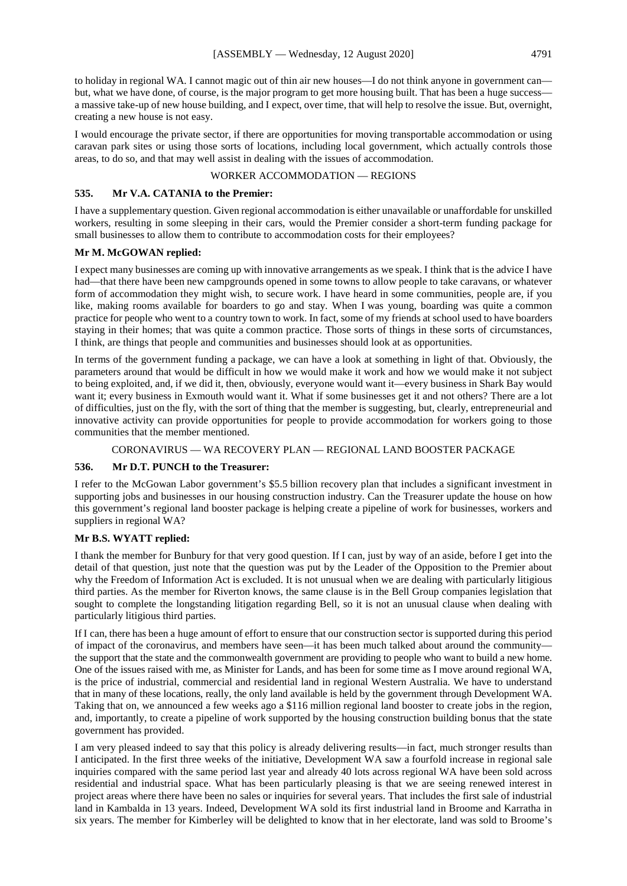to holiday in regional WA. I cannot magic out of thin air new houses—I do not think anyone in government can but, what we have done, of course, is the major program to get more housing built. That has been a huge success a massive take-up of new house building, and I expect, over time, that will help to resolve the issue. But, overnight, creating a new house is not easy.

I would encourage the private sector, if there are opportunities for moving transportable accommodation or using caravan park sites or using those sorts of locations, including local government, which actually controls those areas, to do so, and that may well assist in dealing with the issues of accommodation.

## WORKER ACCOMMODATION — REGIONS

#### **535. Mr V.A. CATANIA to the Premier:**

I have a supplementary question. Given regional accommodation is either unavailable or unaffordable for unskilled workers, resulting in some sleeping in their cars, would the Premier consider a short-term funding package for small businesses to allow them to contribute to accommodation costs for their employees?

#### **Mr M. McGOWAN replied:**

I expect many businesses are coming up with innovative arrangements as we speak. I think that is the advice I have had—that there have been new campgrounds opened in some towns to allow people to take caravans, or whatever form of accommodation they might wish, to secure work. I have heard in some communities, people are, if you like, making rooms available for boarders to go and stay. When I was young, boarding was quite a common practice for people who went to a country town to work. In fact, some of my friends at school used to have boarders staying in their homes; that was quite a common practice. Those sorts of things in these sorts of circumstances, I think, are things that people and communities and businesses should look at as opportunities.

In terms of the government funding a package, we can have a look at something in light of that. Obviously, the parameters around that would be difficult in how we would make it work and how we would make it not subject to being exploited, and, if we did it, then, obviously, everyone would want it—every business in Shark Bay would want it; every business in Exmouth would want it. What if some businesses get it and not others? There are a lot of difficulties, just on the fly, with the sort of thing that the member is suggesting, but, clearly, entrepreneurial and innovative activity can provide opportunities for people to provide accommodation for workers going to those communities that the member mentioned.

## CORONAVIRUS — WA RECOVERY PLAN — REGIONAL LAND BOOSTER PACKAGE

#### **536. Mr D.T. PUNCH to the Treasurer:**

I refer to the McGowan Labor government's \$5.5 billion recovery plan that includes a significant investment in supporting jobs and businesses in our housing construction industry. Can the Treasurer update the house on how this government's regional land booster package is helping create a pipeline of work for businesses, workers and suppliers in regional WA?

#### **Mr B.S. WYATT replied:**

I thank the member for Bunbury for that very good question. If I can, just by way of an aside, before I get into the detail of that question, just note that the question was put by the Leader of the Opposition to the Premier about why the Freedom of Information Act is excluded. It is not unusual when we are dealing with particularly litigious third parties. As the member for Riverton knows, the same clause is in the Bell Group companies legislation that sought to complete the longstanding litigation regarding Bell, so it is not an unusual clause when dealing with particularly litigious third parties.

If I can, there has been a huge amount of effort to ensure that our construction sector is supported during this period of impact of the coronavirus, and members have seen—it has been much talked about around the community the support that the state and the commonwealth government are providing to people who want to build a new home. One of the issues raised with me, as Minister for Lands, and has been for some time as I move around regional WA, is the price of industrial, commercial and residential land in regional Western Australia. We have to understand that in many of these locations, really, the only land available is held by the government through Development WA. Taking that on, we announced a few weeks ago a \$116 million regional land booster to create jobs in the region, and, importantly, to create a pipeline of work supported by the housing construction building bonus that the state government has provided.

I am very pleased indeed to say that this policy is already delivering results—in fact, much stronger results than I anticipated. In the first three weeks of the initiative, Development WA saw a fourfold increase in regional sale inquiries compared with the same period last year and already 40 lots across regional WA have been sold across residential and industrial space. What has been particularly pleasing is that we are seeing renewed interest in project areas where there have been no sales or inquiries for several years. That includes the first sale of industrial land in Kambalda in 13 years. Indeed, Development WA sold its first industrial land in Broome and Karratha in six years. The member for Kimberley will be delighted to know that in her electorate, land was sold to Broome's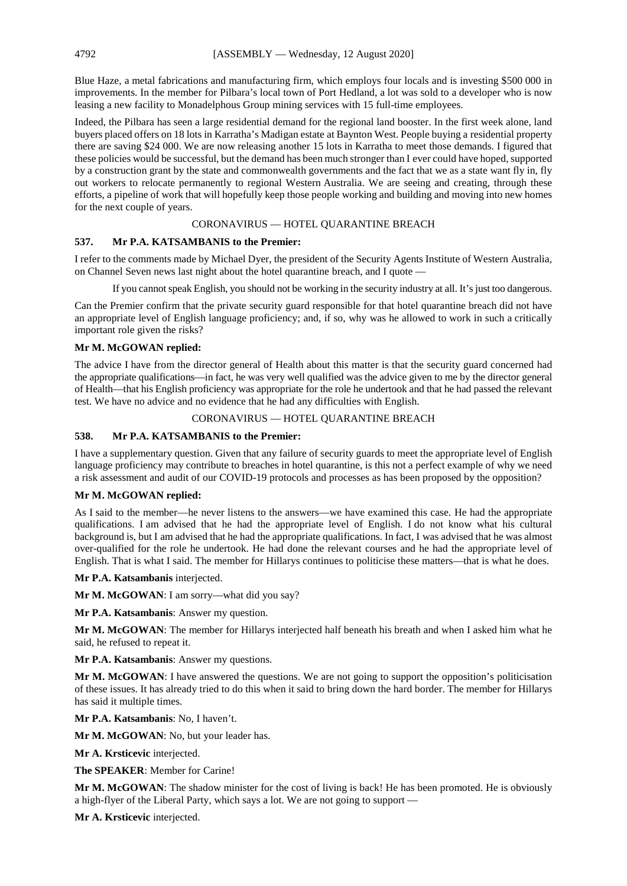Blue Haze, a metal fabrications and manufacturing firm, which employs four locals and is investing \$500 000 in improvements. In the member for Pilbara's local town of Port Hedland, a lot was sold to a developer who is now leasing a new facility to Monadelphous Group mining services with 15 full-time employees.

Indeed, the Pilbara has seen a large residential demand for the regional land booster. In the first week alone, land buyers placed offers on 18 lots in Karratha's Madigan estate at Baynton West. People buying a residential property there are saving \$24 000. We are now releasing another 15 lots in Karratha to meet those demands. I figured that these policies would be successful, but the demand has been much stronger than I ever could have hoped, supported by a construction grant by the state and commonwealth governments and the fact that we as a state want fly in, fly out workers to relocate permanently to regional Western Australia. We are seeing and creating, through these efforts, a pipeline of work that will hopefully keep those people working and building and moving into new homes for the next couple of years.

## CORONAVIRUS — HOTEL QUARANTINE BREACH

## **537. Mr P.A. KATSAMBANIS to the Premier:**

I refer to the comments made by Michael Dyer, the president of the Security Agents Institute of Western Australia, on Channel Seven news last night about the hotel quarantine breach, and I quote -

If you cannot speak English, you should not be working in the security industry at all. It's just too dangerous.

Can the Premier confirm that the private security guard responsible for that hotel quarantine breach did not have an appropriate level of English language proficiency; and, if so, why was he allowed to work in such a critically important role given the risks?

## **Mr M. McGOWAN replied:**

The advice I have from the director general of Health about this matter is that the security guard concerned had the appropriate qualifications—in fact, he was very well qualified was the advice given to me by the director general of Health—that his English proficiency was appropriate for the role he undertook and that he had passed the relevant test. We have no advice and no evidence that he had any difficulties with English.

## CORONAVIRUS — HOTEL QUARANTINE BREACH

## **538. Mr P.A. KATSAMBANIS to the Premier:**

I have a supplementary question. Given that any failure of security guards to meet the appropriate level of English language proficiency may contribute to breaches in hotel quarantine, is this not a perfect example of why we need a risk assessment and audit of our COVID-19 protocols and processes as has been proposed by the opposition?

## **Mr M. McGOWAN replied:**

As I said to the member—he never listens to the answers—we have examined this case. He had the appropriate qualifications. I am advised that he had the appropriate level of English. I do not know what his cultural background is, but I am advised that he had the appropriate qualifications. In fact, I was advised that he was almost over-qualified for the role he undertook. He had done the relevant courses and he had the appropriate level of English. That is what I said. The member for Hillarys continues to politicise these matters—that is what he does.

**Mr P.A. Katsambanis** interjected.

**Mr M. McGOWAN**: I am sorry—what did you say?

**Mr P.A. Katsambanis**: Answer my question.

**Mr M. McGOWAN**: The member for Hillarys interjected half beneath his breath and when I asked him what he said, he refused to repeat it.

**Mr P.A. Katsambanis**: Answer my questions.

**Mr M. McGOWAN**: I have answered the questions. We are not going to support the opposition's politicisation of these issues. It has already tried to do this when it said to bring down the hard border. The member for Hillarys has said it multiple times.

**Mr P.A. Katsambanis**: No, I haven't.

**Mr M. McGOWAN**: No, but your leader has.

**Mr A. Krsticevic** interjected.

**The SPEAKER**: Member for Carine!

**Mr M. McGOWAN**: The shadow minister for the cost of living is back! He has been promoted. He is obviously a high-flyer of the Liberal Party, which says a lot. We are not going to support —

**Mr A. Krsticevic** interjected.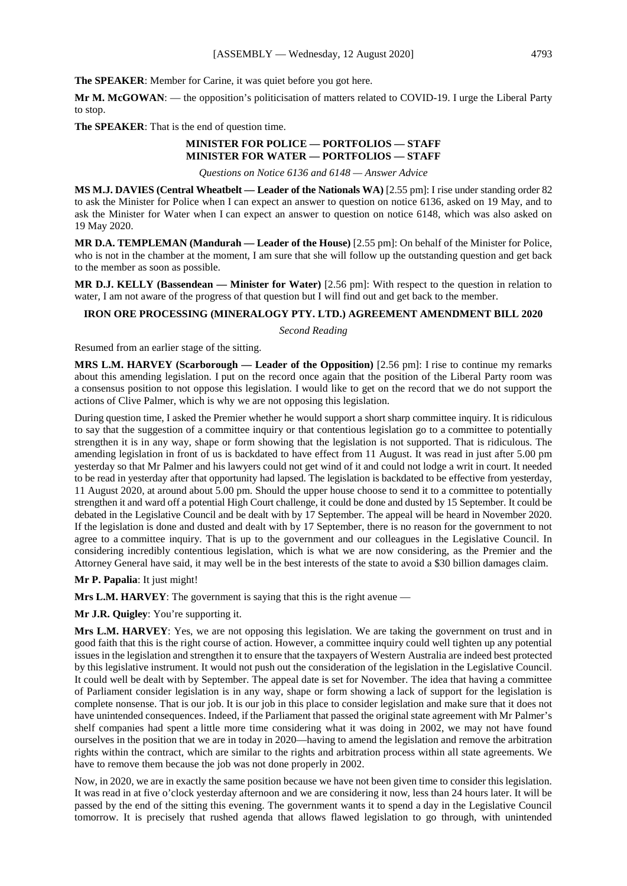**The SPEAKER**: Member for Carine, it was quiet before you got here.

**Mr M. McGOWAN**: — the opposition's politicisation of matters related to COVID-19. I urge the Liberal Party to stop.

**The SPEAKER**: That is the end of question time.

## **MINISTER FOR POLICE — PORTFOLIOS — STAFF MINISTER FOR WATER — PORTFOLIOS — STAFF**

*Questions on Notice 6136 and 6148 — Answer Advice*

**MS M.J. DAVIES (Central Wheatbelt — Leader of the Nationals WA)** [2.55 pm]: I rise under standing order 82 to ask the Minister for Police when I can expect an answer to question on notice 6136, asked on 19 May, and to ask the Minister for Water when I can expect an answer to question on notice 6148, which was also asked on 19 May 2020.

**MR D.A. TEMPLEMAN (Mandurah — Leader of the House)** [2.55 pm]: On behalf of the Minister for Police, who is not in the chamber at the moment, I am sure that she will follow up the outstanding question and get back to the member as soon as possible.

**MR D.J. KELLY (Bassendean — Minister for Water)** [2.56 pm]: With respect to the question in relation to water, I am not aware of the progress of that question but I will find out and get back to the member.

## **IRON ORE PROCESSING (MINERALOGY PTY. LTD.) AGREEMENT AMENDMENT BILL 2020**

*Second Reading*

Resumed from an earlier stage of the sitting.

**MRS L.M. HARVEY (Scarborough — Leader of the Opposition)** [2.56 pm]: I rise to continue my remarks about this amending legislation. I put on the record once again that the position of the Liberal Party room was a consensus position to not oppose this legislation. I would like to get on the record that we do not support the actions of Clive Palmer, which is why we are not opposing this legislation.

During question time, I asked the Premier whether he would support a short sharp committee inquiry. It is ridiculous to say that the suggestion of a committee inquiry or that contentious legislation go to a committee to potentially strengthen it is in any way, shape or form showing that the legislation is not supported. That is ridiculous. The amending legislation in front of us is backdated to have effect from 11 August. It was read in just after 5.00 pm yesterday so that Mr Palmer and his lawyers could not get wind of it and could not lodge a writ in court. It needed to be read in yesterday after that opportunity had lapsed. The legislation is backdated to be effective from yesterday, 11 August 2020, at around about 5.00 pm. Should the upper house choose to send it to a committee to potentially strengthen it and ward off a potential High Court challenge, it could be done and dusted by 15 September. It could be debated in the Legislative Council and be dealt with by 17 September. The appeal will be heard in November 2020. If the legislation is done and dusted and dealt with by 17 September, there is no reason for the government to not agree to a committee inquiry. That is up to the government and our colleagues in the Legislative Council. In considering incredibly contentious legislation, which is what we are now considering, as the Premier and the Attorney General have said, it may well be in the best interests of the state to avoid a \$30 billion damages claim.

**Mr P. Papalia**: It just might!

**Mrs L.M. HARVEY**: The government is saying that this is the right avenue —

**Mr J.R. Quigley**: You're supporting it.

**Mrs L.M. HARVEY**: Yes, we are not opposing this legislation. We are taking the government on trust and in good faith that this is the right course of action. However, a committee inquiry could well tighten up any potential issues in the legislation and strengthen it to ensure that the taxpayers of Western Australia are indeed best protected by this legislative instrument. It would not push out the consideration of the legislation in the Legislative Council. It could well be dealt with by September. The appeal date is set for November. The idea that having a committee of Parliament consider legislation is in any way, shape or form showing a lack of support for the legislation is complete nonsense. That is our job. It is our job in this place to consider legislation and make sure that it does not have unintended consequences. Indeed, if the Parliament that passed the original state agreement with Mr Palmer's shelf companies had spent a little more time considering what it was doing in 2002, we may not have found ourselves in the position that we are in today in 2020—having to amend the legislation and remove the arbitration rights within the contract, which are similar to the rights and arbitration process within all state agreements. We have to remove them because the job was not done properly in 2002.

Now, in 2020, we are in exactly the same position because we have not been given time to consider this legislation. It was read in at five o'clock yesterday afternoon and we are considering it now, less than 24 hours later. It will be passed by the end of the sitting this evening. The government wants it to spend a day in the Legislative Council tomorrow. It is precisely that rushed agenda that allows flawed legislation to go through, with unintended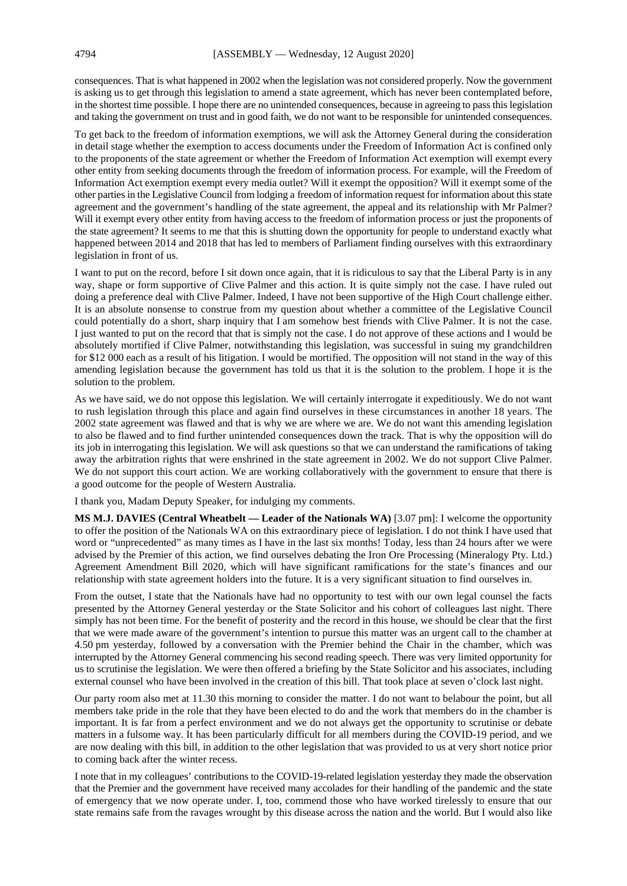consequences. That is what happened in 2002 when the legislation was not considered properly. Now the government is asking us to get through this legislation to amend a state agreement, which has never been contemplated before, in the shortest time possible. I hope there are no unintended consequences, because in agreeing to pass this legislation and taking the government on trust and in good faith, we do not want to be responsible for unintended consequences.

To get back to the freedom of information exemptions, we will ask the Attorney General during the consideration in detail stage whether the exemption to access documents under the Freedom of Information Act is confined only to the proponents of the state agreement or whether the Freedom of Information Act exemption will exempt every other entity from seeking documents through the freedom of information process. For example, will the Freedom of Information Act exemption exempt every media outlet? Will it exempt the opposition? Will it exempt some of the other parties in the Legislative Council from lodging a freedom of information request for information about this state agreement and the government's handling of the state agreement, the appeal and its relationship with Mr Palmer? Will it exempt every other entity from having access to the freedom of information process or just the proponents of the state agreement? It seems to me that this is shutting down the opportunity for people to understand exactly what happened between 2014 and 2018 that has led to members of Parliament finding ourselves with this extraordinary legislation in front of us.

I want to put on the record, before I sit down once again, that it is ridiculous to say that the Liberal Party is in any way, shape or form supportive of Clive Palmer and this action. It is quite simply not the case. I have ruled out doing a preference deal with Clive Palmer. Indeed, I have not been supportive of the High Court challenge either. It is an absolute nonsense to construe from my question about whether a committee of the Legislative Council could potentially do a short, sharp inquiry that I am somehow best friends with Clive Palmer. It is not the case. I just wanted to put on the record that that is simply not the case. I do not approve of these actions and I would be absolutely mortified if Clive Palmer, notwithstanding this legislation, was successful in suing my grandchildren for \$12 000 each as a result of his litigation. I would be mortified. The opposition will not stand in the way of this amending legislation because the government has told us that it is the solution to the problem. I hope it is the solution to the problem.

As we have said, we do not oppose this legislation. We will certainly interrogate it expeditiously. We do not want to rush legislation through this place and again find ourselves in these circumstances in another 18 years. The 2002 state agreement was flawed and that is why we are where we are. We do not want this amending legislation to also be flawed and to find further unintended consequences down the track. That is why the opposition will do its job in interrogating this legislation. We will ask questions so that we can understand the ramifications of taking away the arbitration rights that were enshrined in the state agreement in 2002. We do not support Clive Palmer. We do not support this court action. We are working collaboratively with the government to ensure that there is a good outcome for the people of Western Australia.

I thank you, Madam Deputy Speaker, for indulging my comments.

**MS M.J. DAVIES (Central Wheatbelt — Leader of the Nationals WA)** [3.07 pm]: I welcome the opportunity to offer the position of the Nationals WA on this extraordinary piece of legislation. I do not think I have used that word or "unprecedented" as many times as I have in the last six months! Today, less than 24 hours after we were advised by the Premier of this action, we find ourselves debating the Iron Ore Processing (Mineralogy Pty. Ltd.) Agreement Amendment Bill 2020, which will have significant ramifications for the state's finances and our relationship with state agreement holders into the future. It is a very significant situation to find ourselves in.

From the outset, I state that the Nationals have had no opportunity to test with our own legal counsel the facts presented by the Attorney General yesterday or the State Solicitor and his cohort of colleagues last night. There simply has not been time. For the benefit of posterity and the record in this house, we should be clear that the first that we were made aware of the government's intention to pursue this matter was an urgent call to the chamber at 4.50 pm yesterday, followed by a conversation with the Premier behind the Chair in the chamber, which was interrupted by the Attorney General commencing his second reading speech. There was very limited opportunity for us to scrutinise the legislation. We were then offered a briefing by the State Solicitor and his associates, including external counsel who have been involved in the creation of this bill. That took place at seven o'clock last night.

Our party room also met at 11.30 this morning to consider the matter. I do not want to belabour the point, but all members take pride in the role that they have been elected to do and the work that members do in the chamber is important. It is far from a perfect environment and we do not always get the opportunity to scrutinise or debate matters in a fulsome way. It has been particularly difficult for all members during the COVID-19 period, and we are now dealing with this bill, in addition to the other legislation that was provided to us at very short notice prior to coming back after the winter recess.

I note that in my colleagues' contributions to the COVID-19-related legislation yesterday they made the observation that the Premier and the government have received many accolades for their handling of the pandemic and the state of emergency that we now operate under. I, too, commend those who have worked tirelessly to ensure that our state remains safe from the ravages wrought by this disease across the nation and the world. But I would also like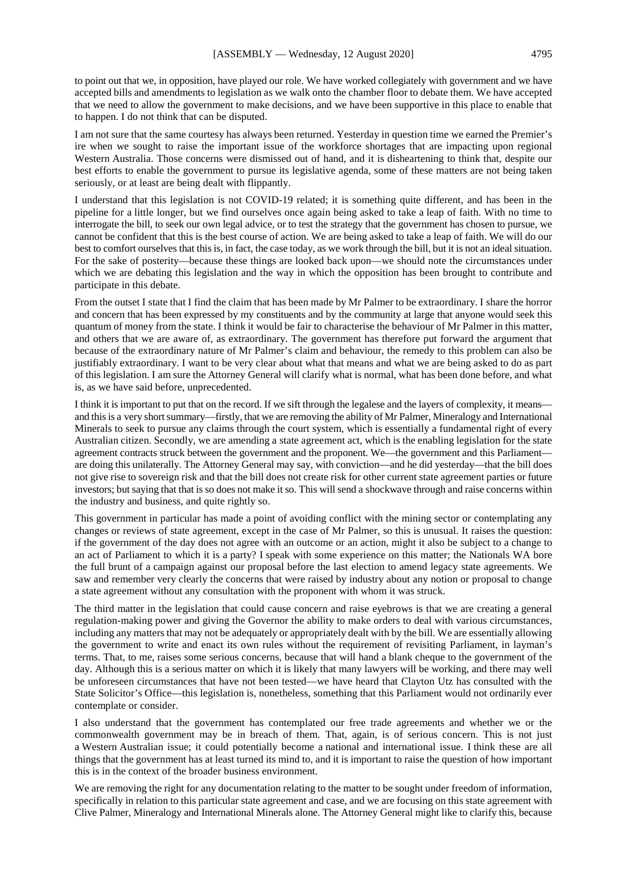to point out that we, in opposition, have played our role. We have worked collegiately with government and we have accepted bills and amendments to legislation as we walk onto the chamber floor to debate them. We have accepted that we need to allow the government to make decisions, and we have been supportive in this place to enable that to happen. I do not think that can be disputed.

I am not sure that the same courtesy has always been returned. Yesterday in question time we earned the Premier's ire when we sought to raise the important issue of the workforce shortages that are impacting upon regional Western Australia. Those concerns were dismissed out of hand, and it is disheartening to think that, despite our best efforts to enable the government to pursue its legislative agenda, some of these matters are not being taken seriously, or at least are being dealt with flippantly.

I understand that this legislation is not COVID-19 related; it is something quite different, and has been in the pipeline for a little longer, but we find ourselves once again being asked to take a leap of faith. With no time to interrogate the bill, to seek our own legal advice, or to test the strategy that the government has chosen to pursue, we cannot be confident that this is the best course of action. We are being asked to take a leap of faith. We will do our best to comfort ourselves that this is, in fact, the case today, as we work through the bill, but it is not an ideal situation. For the sake of posterity—because these things are looked back upon—we should note the circumstances under which we are debating this legislation and the way in which the opposition has been brought to contribute and participate in this debate.

From the outset I state that I find the claim that has been made by Mr Palmer to be extraordinary. I share the horror and concern that has been expressed by my constituents and by the community at large that anyone would seek this quantum of money from the state. I think it would be fair to characterise the behaviour of Mr Palmer in this matter, and others that we are aware of, as extraordinary. The government has therefore put forward the argument that because of the extraordinary nature of Mr Palmer's claim and behaviour, the remedy to this problem can also be justifiably extraordinary. I want to be very clear about what that means and what we are being asked to do as part of this legislation. I am sure the Attorney General will clarify what is normal, what has been done before, and what is, as we have said before, unprecedented.

I think it is important to put that on the record. If we sift through the legalese and the layers of complexity, it means and this is a very short summary—firstly, that we are removing the ability of Mr Palmer, Mineralogy and International Minerals to seek to pursue any claims through the court system, which is essentially a fundamental right of every Australian citizen. Secondly, we are amending a state agreement act, which is the enabling legislation for the state agreement contracts struck between the government and the proponent. We—the government and this Parliament are doing this unilaterally. The Attorney General may say, with conviction—and he did yesterday—that the bill does not give rise to sovereign risk and that the bill does not create risk for other current state agreement parties or future investors; but saying that that is so does not make it so. This will send a shockwave through and raise concerns within the industry and business, and quite rightly so.

This government in particular has made a point of avoiding conflict with the mining sector or contemplating any changes or reviews of state agreement, except in the case of Mr Palmer, so this is unusual. It raises the question: if the government of the day does not agree with an outcome or an action, might it also be subject to a change to an act of Parliament to which it is a party? I speak with some experience on this matter; the Nationals WA bore the full brunt of a campaign against our proposal before the last election to amend legacy state agreements. We saw and remember very clearly the concerns that were raised by industry about any notion or proposal to change a state agreement without any consultation with the proponent with whom it was struck.

The third matter in the legislation that could cause concern and raise eyebrows is that we are creating a general regulation-making power and giving the Governor the ability to make orders to deal with various circumstances, including any matters that may not be adequately or appropriately dealt with by the bill. We are essentially allowing the government to write and enact its own rules without the requirement of revisiting Parliament, in layman's terms. That, to me, raises some serious concerns, because that will hand a blank cheque to the government of the day. Although this is a serious matter on which it is likely that many lawyers will be working, and there may well be unforeseen circumstances that have not been tested—we have heard that Clayton Utz has consulted with the State Solicitor's Office—this legislation is, nonetheless, something that this Parliament would not ordinarily ever contemplate or consider.

I also understand that the government has contemplated our free trade agreements and whether we or the commonwealth government may be in breach of them. That, again, is of serious concern. This is not just a Western Australian issue; it could potentially become a national and international issue. I think these are all things that the government has at least turned its mind to, and it is important to raise the question of how important this is in the context of the broader business environment.

We are removing the right for any documentation relating to the matter to be sought under freedom of information, specifically in relation to this particular state agreement and case, and we are focusing on this state agreement with Clive Palmer, Mineralogy and International Minerals alone. The Attorney General might like to clarify this, because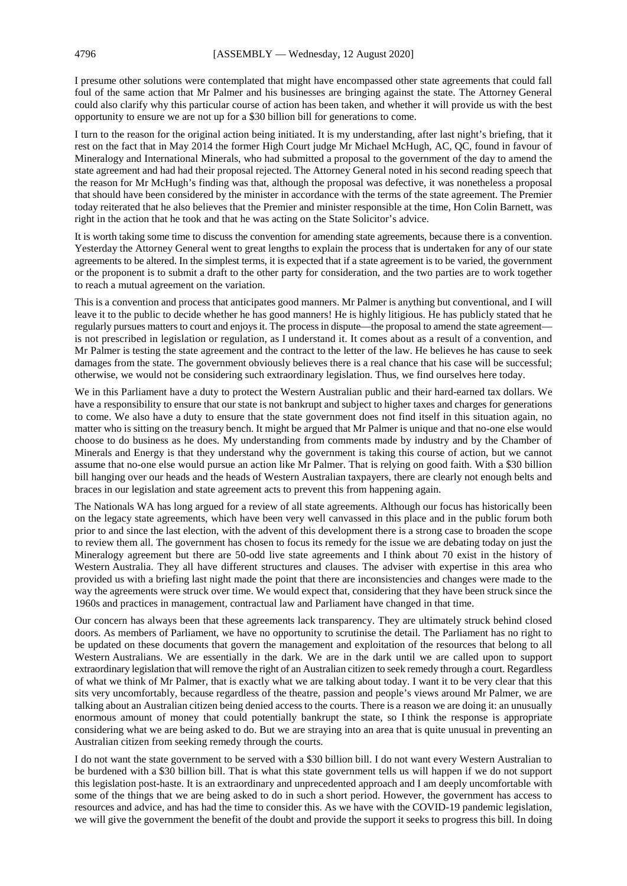I presume other solutions were contemplated that might have encompassed other state agreements that could fall foul of the same action that Mr Palmer and his businesses are bringing against the state. The Attorney General could also clarify why this particular course of action has been taken, and whether it will provide us with the best opportunity to ensure we are not up for a \$30 billion bill for generations to come.

I turn to the reason for the original action being initiated. It is my understanding, after last night's briefing, that it rest on the fact that in May 2014 the former High Court judge Mr Michael McHugh, AC, QC, found in favour of Mineralogy and International Minerals, who had submitted a proposal to the government of the day to amend the state agreement and had had their proposal rejected. The Attorney General noted in his second reading speech that the reason for Mr McHugh's finding was that, although the proposal was defective, it was nonetheless a proposal that should have been considered by the minister in accordance with the terms of the state agreement. The Premier today reiterated that he also believes that the Premier and minister responsible at the time, Hon Colin Barnett, was right in the action that he took and that he was acting on the State Solicitor's advice.

It is worth taking some time to discuss the convention for amending state agreements, because there is a convention. Yesterday the Attorney General went to great lengths to explain the process that is undertaken for any of our state agreements to be altered. In the simplest terms, it is expected that if a state agreement is to be varied, the government or the proponent is to submit a draft to the other party for consideration, and the two parties are to work together to reach a mutual agreement on the variation.

This is a convention and process that anticipates good manners. Mr Palmer is anything but conventional, and I will leave it to the public to decide whether he has good manners! He is highly litigious. He has publicly stated that he regularly pursues matters to court and enjoys it. The process in dispute—the proposal to amend the state agreement is not prescribed in legislation or regulation, as I understand it. It comes about as a result of a convention, and Mr Palmer is testing the state agreement and the contract to the letter of the law. He believes he has cause to seek damages from the state. The government obviously believes there is a real chance that his case will be successful; otherwise, we would not be considering such extraordinary legislation. Thus, we find ourselves here today.

We in this Parliament have a duty to protect the Western Australian public and their hard-earned tax dollars. We have a responsibility to ensure that our state is not bankrupt and subject to higher taxes and charges for generations to come. We also have a duty to ensure that the state government does not find itself in this situation again, no matter who is sitting on the treasury bench. It might be argued that Mr Palmer is unique and that no-one else would choose to do business as he does. My understanding from comments made by industry and by the Chamber of Minerals and Energy is that they understand why the government is taking this course of action, but we cannot assume that no-one else would pursue an action like Mr Palmer. That is relying on good faith. With a \$30 billion bill hanging over our heads and the heads of Western Australian taxpayers, there are clearly not enough belts and braces in our legislation and state agreement acts to prevent this from happening again.

The Nationals WA has long argued for a review of all state agreements. Although our focus has historically been on the legacy state agreements, which have been very well canvassed in this place and in the public forum both prior to and since the last election, with the advent of this development there is a strong case to broaden the scope to review them all. The government has chosen to focus its remedy for the issue we are debating today on just the Mineralogy agreement but there are 50-odd live state agreements and I think about 70 exist in the history of Western Australia. They all have different structures and clauses. The adviser with expertise in this area who provided us with a briefing last night made the point that there are inconsistencies and changes were made to the way the agreements were struck over time. We would expect that, considering that they have been struck since the 1960s and practices in management, contractual law and Parliament have changed in that time.

Our concern has always been that these agreements lack transparency. They are ultimately struck behind closed doors. As members of Parliament, we have no opportunity to scrutinise the detail. The Parliament has no right to be updated on these documents that govern the management and exploitation of the resources that belong to all Western Australians. We are essentially in the dark. We are in the dark until we are called upon to support extraordinary legislation that will remove the right of an Australian citizen to seek remedy through a court. Regardless of what we think of Mr Palmer, that is exactly what we are talking about today. I want it to be very clear that this sits very uncomfortably, because regardless of the theatre, passion and people's views around Mr Palmer, we are talking about an Australian citizen being denied access to the courts. There is a reason we are doing it: an unusually enormous amount of money that could potentially bankrupt the state, so I think the response is appropriate considering what we are being asked to do. But we are straying into an area that is quite unusual in preventing an Australian citizen from seeking remedy through the courts.

I do not want the state government to be served with a \$30 billion bill. I do not want every Western Australian to be burdened with a \$30 billion bill. That is what this state government tells us will happen if we do not support this legislation post-haste. It is an extraordinary and unprecedented approach and I am deeply uncomfortable with some of the things that we are being asked to do in such a short period. However, the government has access to resources and advice, and has had the time to consider this. As we have with the COVID-19 pandemic legislation, we will give the government the benefit of the doubt and provide the support it seeks to progress this bill. In doing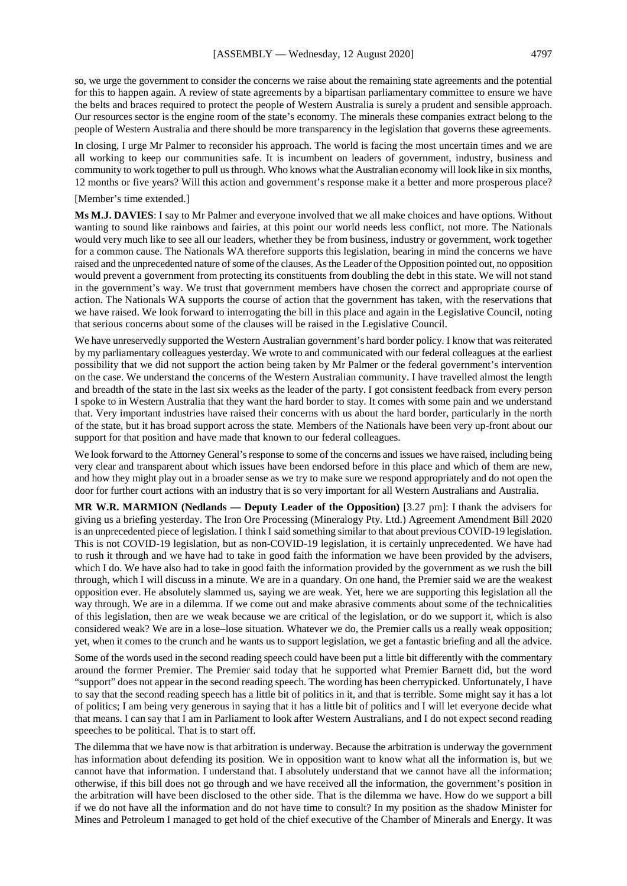so, we urge the government to consider the concerns we raise about the remaining state agreements and the potential for this to happen again. A review of state agreements by a bipartisan parliamentary committee to ensure we have the belts and braces required to protect the people of Western Australia is surely a prudent and sensible approach. Our resources sector is the engine room of the state's economy. The minerals these companies extract belong to the people of Western Australia and there should be more transparency in the legislation that governs these agreements.

In closing, I urge Mr Palmer to reconsider his approach. The world is facing the most uncertain times and we are all working to keep our communities safe. It is incumbent on leaders of government, industry, business and community to work together to pull us through. Who knows what the Australian economy will look like in six months, 12 months or five years? Will this action and government's response make it a better and more prosperous place?

#### [Member's time extended.]

**Ms M.J. DAVIES**: I say to Mr Palmer and everyone involved that we all make choices and have options. Without wanting to sound like rainbows and fairies, at this point our world needs less conflict, not more. The Nationals would very much like to see all our leaders, whether they be from business, industry or government, work together for a common cause. The Nationals WA therefore supports this legislation, bearing in mind the concerns we have raised and the unprecedented nature of some of the clauses. As the Leader of the Opposition pointed out, no opposition would prevent a government from protecting its constituents from doubling the debt in this state. We will not stand in the government's way. We trust that government members have chosen the correct and appropriate course of action. The Nationals WA supports the course of action that the government has taken, with the reservations that we have raised. We look forward to interrogating the bill in this place and again in the Legislative Council, noting that serious concerns about some of the clauses will be raised in the Legislative Council.

We have unreservedly supported the Western Australian government's hard border policy. I know that was reiterated by my parliamentary colleagues yesterday. We wrote to and communicated with our federal colleagues at the earliest possibility that we did not support the action being taken by Mr Palmer or the federal government's intervention on the case. We understand the concerns of the Western Australian community. I have travelled almost the length and breadth of the state in the last six weeks as the leader of the party. I got consistent feedback from every person I spoke to in Western Australia that they want the hard border to stay. It comes with some pain and we understand that. Very important industries have raised their concerns with us about the hard border, particularly in the north of the state, but it has broad support across the state. Members of the Nationals have been very up-front about our support for that position and have made that known to our federal colleagues.

We look forward to the Attorney General's response to some of the concerns and issues we have raised, including being very clear and transparent about which issues have been endorsed before in this place and which of them are new, and how they might play out in a broader sense as we try to make sure we respond appropriately and do not open the door for further court actions with an industry that is so very important for all Western Australians and Australia.

**MR W.R. MARMION (Nedlands — Deputy Leader of the Opposition)** [3.27 pm]: I thank the advisers for giving us a briefing yesterday. The Iron Ore Processing (Mineralogy Pty. Ltd.) Agreement Amendment Bill 2020 is an unprecedented piece of legislation. I think I said something similar to that about previous COVID-19 legislation. This is not COVID-19 legislation, but as non-COVID-19 legislation, it is certainly unprecedented. We have had to rush it through and we have had to take in good faith the information we have been provided by the advisers, which I do. We have also had to take in good faith the information provided by the government as we rush the bill through, which I will discuss in a minute. We are in a quandary. On one hand, the Premier said we are the weakest opposition ever. He absolutely slammed us, saying we are weak. Yet, here we are supporting this legislation all the way through. We are in a dilemma. If we come out and make abrasive comments about some of the technicalities of this legislation, then are we weak because we are critical of the legislation, or do we support it, which is also considered weak? We are in a lose−lose situation. Whatever we do, the Premier calls us a really weak opposition; yet, when it comes to the crunch and he wants us to support legislation, we get a fantastic briefing and all the advice.

Some of the words used in the second reading speech could have been put a little bit differently with the commentary around the former Premier. The Premier said today that he supported what Premier Barnett did, but the word "support" does not appear in the second reading speech. The wording has been cherrypicked. Unfortunately, I have to say that the second reading speech has a little bit of politics in it, and that is terrible. Some might say it has a lot of politics; I am being very generous in saying that it has a little bit of politics and I will let everyone decide what that means. I can say that I am in Parliament to look after Western Australians, and I do not expect second reading speeches to be political. That is to start off.

The dilemma that we have now is that arbitration is underway. Because the arbitration is underway the government has information about defending its position. We in opposition want to know what all the information is, but we cannot have that information. I understand that. I absolutely understand that we cannot have all the information; otherwise, if this bill does not go through and we have received all the information, the government's position in the arbitration will have been disclosed to the other side. That is the dilemma we have. How do we support a bill if we do not have all the information and do not have time to consult? In my position as the shadow Minister for Mines and Petroleum I managed to get hold of the chief executive of the Chamber of Minerals and Energy. It was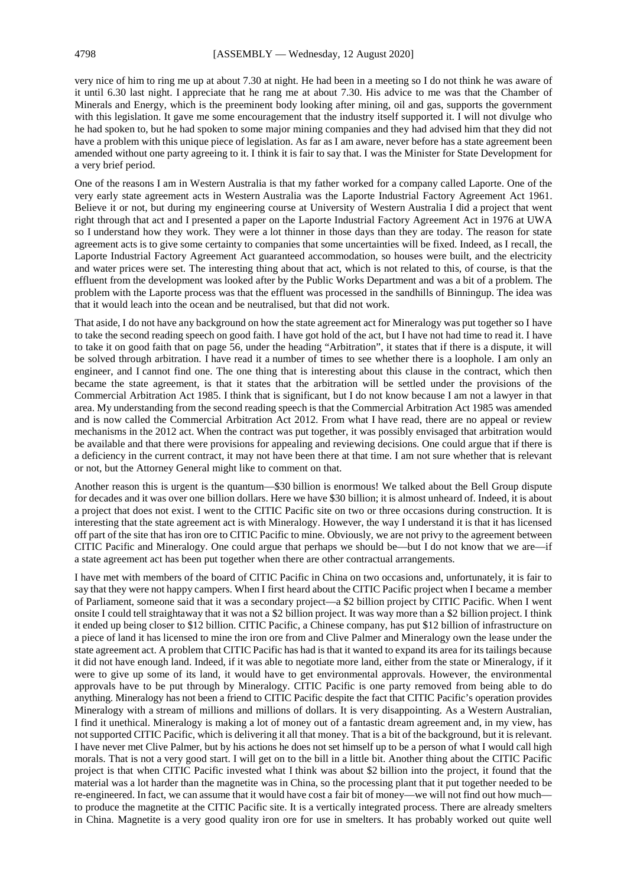very nice of him to ring me up at about 7.30 at night. He had been in a meeting so I do not think he was aware of it until 6.30 last night. I appreciate that he rang me at about 7.30. His advice to me was that the Chamber of Minerals and Energy, which is the preeminent body looking after mining, oil and gas, supports the government with this legislation. It gave me some encouragement that the industry itself supported it. I will not divulge who he had spoken to, but he had spoken to some major mining companies and they had advised him that they did not have a problem with this unique piece of legislation. As far as I am aware, never before has a state agreement been amended without one party agreeing to it. I think it is fair to say that. I was the Minister for State Development for a very brief period.

One of the reasons I am in Western Australia is that my father worked for a company called Laporte. One of the very early state agreement acts in Western Australia was the Laporte Industrial Factory Agreement Act 1961. Believe it or not, but during my engineering course at University of Western Australia I did a project that went right through that act and I presented a paper on the Laporte Industrial Factory Agreement Act in 1976 at UWA so I understand how they work. They were a lot thinner in those days than they are today. The reason for state agreement acts is to give some certainty to companies that some uncertainties will be fixed. Indeed, as I recall, the Laporte Industrial Factory Agreement Act guaranteed accommodation, so houses were built, and the electricity and water prices were set. The interesting thing about that act, which is not related to this, of course, is that the effluent from the development was looked after by the Public Works Department and was a bit of a problem. The problem with the Laporte process was that the effluent was processed in the sandhills of Binningup. The idea was that it would leach into the ocean and be neutralised, but that did not work.

That aside, I do not have any background on how the state agreement act for Mineralogy was put together so I have to take the second reading speech on good faith. I have got hold of the act, but I have not had time to read it. I have to take it on good faith that on page 56, under the heading "Arbitration", it states that if there is a dispute, it will be solved through arbitration. I have read it a number of times to see whether there is a loophole. I am only an engineer, and I cannot find one. The one thing that is interesting about this clause in the contract, which then became the state agreement, is that it states that the arbitration will be settled under the provisions of the Commercial Arbitration Act 1985. I think that is significant, but I do not know because I am not a lawyer in that area. My understanding from the second reading speech is that the Commercial Arbitration Act 1985 was amended and is now called the Commercial Arbitration Act 2012. From what I have read, there are no appeal or review mechanisms in the 2012 act. When the contract was put together, it was possibly envisaged that arbitration would be available and that there were provisions for appealing and reviewing decisions. One could argue that if there is a deficiency in the current contract, it may not have been there at that time. I am not sure whether that is relevant or not, but the Attorney General might like to comment on that.

Another reason this is urgent is the quantum—\$30 billion is enormous! We talked about the Bell Group dispute for decades and it was over one billion dollars. Here we have \$30 billion; it is almost unheard of. Indeed, it is about a project that does not exist. I went to the CITIC Pacific site on two or three occasions during construction. It is interesting that the state agreement act is with Mineralogy. However, the way I understand it is that it has licensed off part of the site that has iron ore to CITIC Pacific to mine. Obviously, we are not privy to the agreement between CITIC Pacific and Mineralogy. One could argue that perhaps we should be—but I do not know that we are—if a state agreement act has been put together when there are other contractual arrangements.

I have met with members of the board of CITIC Pacific in China on two occasions and, unfortunately, it is fair to say that they were not happy campers. When I first heard about the CITIC Pacific project when I became a member of Parliament, someone said that it was a secondary project—a \$2 billion project by CITIC Pacific. When I went onsite I could tell straightaway that it was not a \$2 billion project. It was way more than a \$2 billion project. I think it ended up being closer to \$12 billion. CITIC Pacific, a Chinese company, has put \$12 billion of infrastructure on a piece of land it has licensed to mine the iron ore from and Clive Palmer and Mineralogy own the lease under the state agreement act. A problem that CITIC Pacific has had is that it wanted to expand its area for its tailings because it did not have enough land. Indeed, if it was able to negotiate more land, either from the state or Mineralogy, if it were to give up some of its land, it would have to get environmental approvals. However, the environmental approvals have to be put through by Mineralogy. CITIC Pacific is one party removed from being able to do anything. Mineralogy has not been a friend to CITIC Pacific despite the fact that CITIC Pacific's operation provides Mineralogy with a stream of millions and millions of dollars. It is very disappointing. As a Western Australian, I find it unethical. Mineralogy is making a lot of money out of a fantastic dream agreement and, in my view, has not supported CITIC Pacific, which is delivering it all that money. That is a bit of the background, but it is relevant. I have never met Clive Palmer, but by his actions he does not set himself up to be a person of what I would call high morals. That is not a very good start. I will get on to the bill in a little bit. Another thing about the CITIC Pacific project is that when CITIC Pacific invested what I think was about \$2 billion into the project, it found that the material was a lot harder than the magnetite was in China, so the processing plant that it put together needed to be re-engineered. In fact, we can assume that it would have cost a fair bit of money—we will not find out how much to produce the magnetite at the CITIC Pacific site. It is a vertically integrated process. There are already smelters in China. Magnetite is a very good quality iron ore for use in smelters. It has probably worked out quite well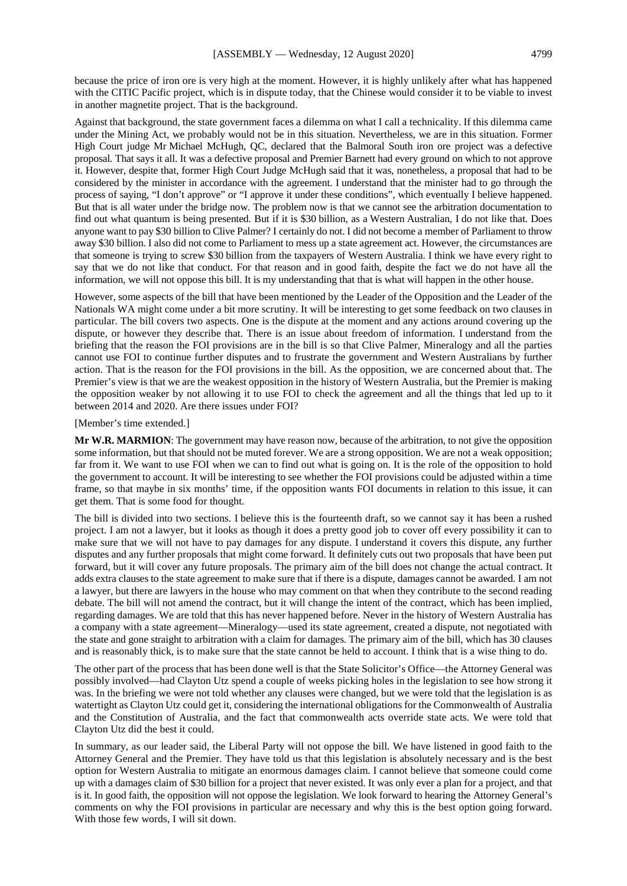because the price of iron ore is very high at the moment. However, it is highly unlikely after what has happened with the CITIC Pacific project, which is in dispute today, that the Chinese would consider it to be viable to invest in another magnetite project. That is the background.

Against that background, the state government faces a dilemma on what I call a technicality. If this dilemma came under the Mining Act, we probably would not be in this situation. Nevertheless, we are in this situation. Former High Court judge Mr Michael McHugh, QC, declared that the Balmoral South iron ore project was a defective proposal. That says it all. It was a defective proposal and Premier Barnett had every ground on which to not approve it. However, despite that, former High Court Judge McHugh said that it was, nonetheless, a proposal that had to be considered by the minister in accordance with the agreement. I understand that the minister had to go through the process of saying, "I don't approve" or "I approve it under these conditions", which eventually I believe happened. But that is all water under the bridge now. The problem now is that we cannot see the arbitration documentation to find out what quantum is being presented. But if it is \$30 billion, as a Western Australian, I do not like that. Does anyone want to pay \$30 billion to Clive Palmer? I certainly do not. I did not become a member of Parliament to throw away \$30 billion. I also did not come to Parliament to mess up a state agreement act. However, the circumstances are that someone is trying to screw \$30 billion from the taxpayers of Western Australia. I think we have every right to say that we do not like that conduct. For that reason and in good faith, despite the fact we do not have all the information, we will not oppose this bill. It is my understanding that that is what will happen in the other house.

However, some aspects of the bill that have been mentioned by the Leader of the Opposition and the Leader of the Nationals WA might come under a bit more scrutiny. It will be interesting to get some feedback on two clauses in particular. The bill covers two aspects. One is the dispute at the moment and any actions around covering up the dispute, or however they describe that. There is an issue about freedom of information. I understand from the briefing that the reason the FOI provisions are in the bill is so that Clive Palmer, Mineralogy and all the parties cannot use FOI to continue further disputes and to frustrate the government and Western Australians by further action. That is the reason for the FOI provisions in the bill. As the opposition, we are concerned about that. The Premier's view is that we are the weakest opposition in the history of Western Australia, but the Premier is making the opposition weaker by not allowing it to use FOI to check the agreement and all the things that led up to it between 2014 and 2020. Are there issues under FOI?

#### [Member's time extended.]

**Mr W.R. MARMION**: The government may have reason now, because of the arbitration, to not give the opposition some information, but that should not be muted forever. We are a strong opposition. We are not a weak opposition; far from it. We want to use FOI when we can to find out what is going on. It is the role of the opposition to hold the government to account. It will be interesting to see whether the FOI provisions could be adjusted within a time frame, so that maybe in six months' time, if the opposition wants FOI documents in relation to this issue, it can get them. That is some food for thought.

The bill is divided into two sections. I believe this is the fourteenth draft, so we cannot say it has been a rushed project. I am not a lawyer, but it looks as though it does a pretty good job to cover off every possibility it can to make sure that we will not have to pay damages for any dispute. I understand it covers this dispute, any further disputes and any further proposals that might come forward. It definitely cuts out two proposals that have been put forward, but it will cover any future proposals. The primary aim of the bill does not change the actual contract. It adds extra clauses to the state agreement to make sure that if there is a dispute, damages cannot be awarded. I am not a lawyer, but there are lawyers in the house who may comment on that when they contribute to the second reading debate. The bill will not amend the contract, but it will change the intent of the contract, which has been implied, regarding damages. We are told that this has never happened before. Never in the history of Western Australia has a company with a state agreement—Mineralogy—used its state agreement, created a dispute, not negotiated with the state and gone straight to arbitration with a claim for damages. The primary aim of the bill, which has 30 clauses and is reasonably thick, is to make sure that the state cannot be held to account. I think that is a wise thing to do.

The other part of the process that has been done well is that the State Solicitor's Office—the Attorney General was possibly involved—had Clayton Utz spend a couple of weeks picking holes in the legislation to see how strong it was. In the briefing we were not told whether any clauses were changed, but we were told that the legislation is as watertight as Clayton Utz could get it, considering the international obligations for the Commonwealth of Australia and the Constitution of Australia, and the fact that commonwealth acts override state acts. We were told that Clayton Utz did the best it could.

In summary, as our leader said, the Liberal Party will not oppose the bill. We have listened in good faith to the Attorney General and the Premier. They have told us that this legislation is absolutely necessary and is the best option for Western Australia to mitigate an enormous damages claim. I cannot believe that someone could come up with a damages claim of \$30 billion for a project that never existed. It was only ever a plan for a project, and that is it. In good faith, the opposition will not oppose the legislation. We look forward to hearing the Attorney General's comments on why the FOI provisions in particular are necessary and why this is the best option going forward. With those few words, I will sit down.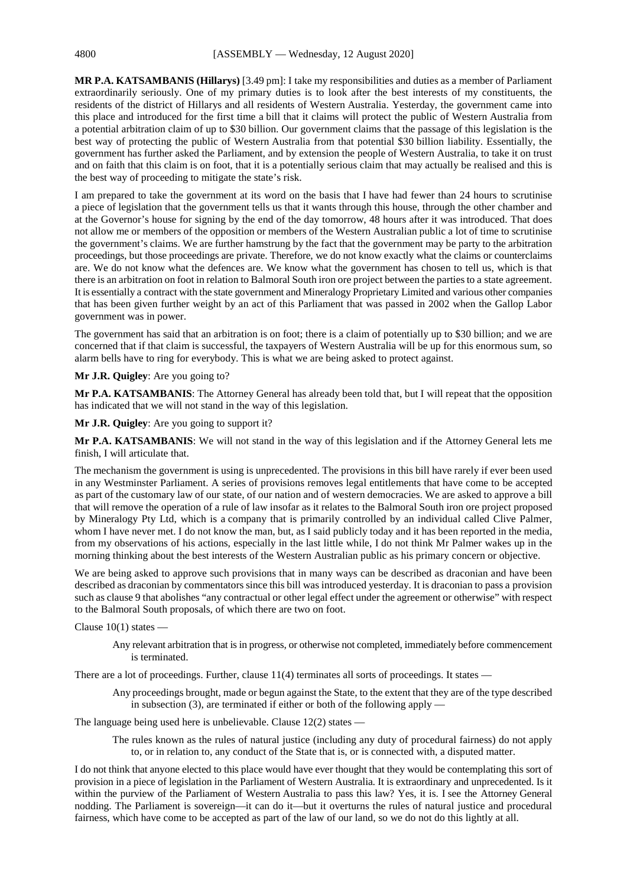**MR P.A. KATSAMBANIS (Hillarys)** [3.49 pm]: I take my responsibilities and duties as a member of Parliament extraordinarily seriously. One of my primary duties is to look after the best interests of my constituents, the residents of the district of Hillarys and all residents of Western Australia. Yesterday, the government came into this place and introduced for the first time a bill that it claims will protect the public of Western Australia from a potential arbitration claim of up to \$30 billion. Our government claims that the passage of this legislation is the best way of protecting the public of Western Australia from that potential \$30 billion liability. Essentially, the government has further asked the Parliament, and by extension the people of Western Australia, to take it on trust and on faith that this claim is on foot, that it is a potentially serious claim that may actually be realised and this is the best way of proceeding to mitigate the state's risk.

I am prepared to take the government at its word on the basis that I have had fewer than 24 hours to scrutinise a piece of legislation that the government tells us that it wants through this house, through the other chamber and at the Governor's house for signing by the end of the day tomorrow, 48 hours after it was introduced. That does not allow me or members of the opposition or members of the Western Australian public a lot of time to scrutinise the government's claims. We are further hamstrung by the fact that the government may be party to the arbitration proceedings, but those proceedings are private. Therefore, we do not know exactly what the claims or counterclaims are. We do not know what the defences are. We know what the government has chosen to tell us, which is that there is an arbitration on foot in relation to Balmoral South iron ore project between the parties to a state agreement. It is essentially a contract with the state government and Mineralogy Proprietary Limited and various other companies that has been given further weight by an act of this Parliament that was passed in 2002 when the Gallop Labor government was in power.

The government has said that an arbitration is on foot; there is a claim of potentially up to \$30 billion; and we are concerned that if that claim is successful, the taxpayers of Western Australia will be up for this enormous sum, so alarm bells have to ring for everybody. This is what we are being asked to protect against.

#### **Mr J.R. Quigley**: Are you going to?

**Mr P.A. KATSAMBANIS**: The Attorney General has already been told that, but I will repeat that the opposition has indicated that we will not stand in the way of this legislation.

**Mr J.R. Quigley**: Are you going to support it?

**Mr P.A. KATSAMBANIS**: We will not stand in the way of this legislation and if the Attorney General lets me finish, I will articulate that.

The mechanism the government is using is unprecedented. The provisions in this bill have rarely if ever been used in any Westminster Parliament. A series of provisions removes legal entitlements that have come to be accepted as part of the customary law of our state, of our nation and of western democracies. We are asked to approve a bill that will remove the operation of a rule of law insofar as it relates to the Balmoral South iron ore project proposed by Mineralogy Pty Ltd, which is a company that is primarily controlled by an individual called Clive Palmer, whom I have never met. I do not know the man, but, as I said publicly today and it has been reported in the media, from my observations of his actions, especially in the last little while, I do not think Mr Palmer wakes up in the morning thinking about the best interests of the Western Australian public as his primary concern or objective.

We are being asked to approve such provisions that in many ways can be described as draconian and have been described as draconian by commentators since this bill was introduced yesterday. It is draconian to pass a provision such as clause 9 that abolishes "any contractual or other legal effect under the agreement or otherwise" with respect to the Balmoral South proposals, of which there are two on foot.

Clause  $10(1)$  states  $-$ 

Any relevant arbitration that is in progress, or otherwise not completed, immediately before commencement is terminated.

There are a lot of proceedings. Further, clause 11(4) terminates all sorts of proceedings. It states —

Any proceedings brought, made or begun against the State, to the extent that they are of the type described in subsection  $(3)$ , are terminated if either or both of the following apply —

The language being used here is unbelievable. Clause 12(2) states —

The rules known as the rules of natural justice (including any duty of procedural fairness) do not apply to, or in relation to, any conduct of the State that is, or is connected with, a disputed matter.

I do not think that anyone elected to this place would have ever thought that they would be contemplating this sort of provision in a piece of legislation in the Parliament of Western Australia. It is extraordinary and unprecedented. Is it within the purview of the Parliament of Western Australia to pass this law? Yes, it is. I see the Attorney General nodding. The Parliament is sovereign—it can do it—but it overturns the rules of natural justice and procedural fairness, which have come to be accepted as part of the law of our land, so we do not do this lightly at all.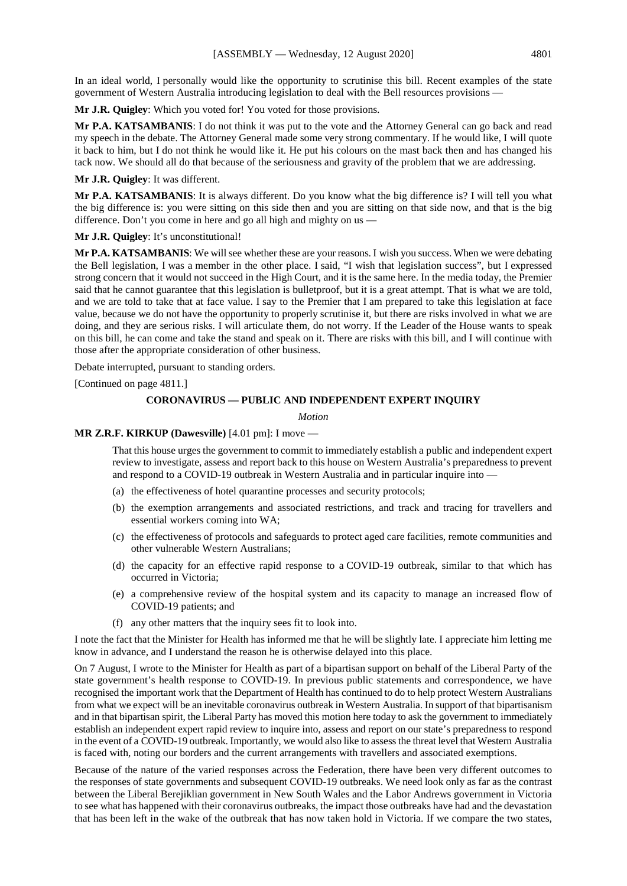In an ideal world, I personally would like the opportunity to scrutinise this bill. Recent examples of the state government of Western Australia introducing legislation to deal with the Bell resources provisions —

**Mr J.R. Quigley**: Which you voted for! You voted for those provisions.

**Mr P.A. KATSAMBANIS**: I do not think it was put to the vote and the Attorney General can go back and read my speech in the debate. The Attorney General made some very strong commentary. If he would like, I will quote it back to him, but I do not think he would like it. He put his colours on the mast back then and has changed his tack now. We should all do that because of the seriousness and gravity of the problem that we are addressing.

**Mr J.R. Quigley**: It was different.

**Mr P.A. KATSAMBANIS**: It is always different. Do you know what the big difference is? I will tell you what the big difference is: you were sitting on this side then and you are sitting on that side now, and that is the big difference. Don't you come in here and go all high and mighty on us —

## **Mr J.R. Quigley**: It's unconstitutional!

**Mr P.A. KATSAMBANIS**: We will see whether these are your reasons. I wish you success. When we were debating the Bell legislation, I was a member in the other place. I said, "I wish that legislation success", but I expressed strong concern that it would not succeed in the High Court, and it is the same here. In the media today, the Premier said that he cannot guarantee that this legislation is bulletproof, but it is a great attempt. That is what we are told, and we are told to take that at face value. I say to the Premier that I am prepared to take this legislation at face value, because we do not have the opportunity to properly scrutinise it, but there are risks involved in what we are doing, and they are serious risks. I will articulate them, do not worry. If the Leader of the House wants to speak on this bill, he can come and take the stand and speak on it. There are risks with this bill, and I will continue with those after the appropriate consideration of other business.

Debate interrupted, pursuant to standing orders.

[Continued on page 4811.]

#### **CORONAVIRUS — PUBLIC AND INDEPENDENT EXPERT INQUIRY**

#### *Motion*

#### **MR Z.R.F. KIRKUP (Dawesville)** [4.01 pm]: I move —

That this house urges the government to commit to immediately establish a public and independent expert review to investigate, assess and report back to this house on Western Australia's preparedness to prevent and respond to a COVID-19 outbreak in Western Australia and in particular inquire into —

- (a) the effectiveness of hotel quarantine processes and security protocols;
- (b) the exemption arrangements and associated restrictions, and track and tracing for travellers and essential workers coming into WA;
- (c) the effectiveness of protocols and safeguards to protect aged care facilities, remote communities and other vulnerable Western Australians;
- (d) the capacity for an effective rapid response to a COVID-19 outbreak, similar to that which has occurred in Victoria;
- (e) a comprehensive review of the hospital system and its capacity to manage an increased flow of COVID-19 patients; and
- (f) any other matters that the inquiry sees fit to look into.

I note the fact that the Minister for Health has informed me that he will be slightly late. I appreciate him letting me know in advance, and I understand the reason he is otherwise delayed into this place.

On 7 August, I wrote to the Minister for Health as part of a bipartisan support on behalf of the Liberal Party of the state government's health response to COVID-19. In previous public statements and correspondence, we have recognised the important work that the Department of Health has continued to do to help protect Western Australians from what we expect will be an inevitable coronavirus outbreak in Western Australia. In support of that bipartisanism and in that bipartisan spirit, the Liberal Party has moved this motion here today to ask the government to immediately establish an independent expert rapid review to inquire into, assess and report on our state's preparedness to respond in the event of a COVID-19 outbreak. Importantly, we would also like to assess the threat level that Western Australia is faced with, noting our borders and the current arrangements with travellers and associated exemptions.

Because of the nature of the varied responses across the Federation, there have been very different outcomes to the responses of state governments and subsequent COVID-19 outbreaks. We need look only as far as the contrast between the Liberal Berejiklian government in New South Wales and the Labor Andrews government in Victoria to see what has happened with their coronavirus outbreaks, the impact those outbreaks have had and the devastation that has been left in the wake of the outbreak that has now taken hold in Victoria. If we compare the two states,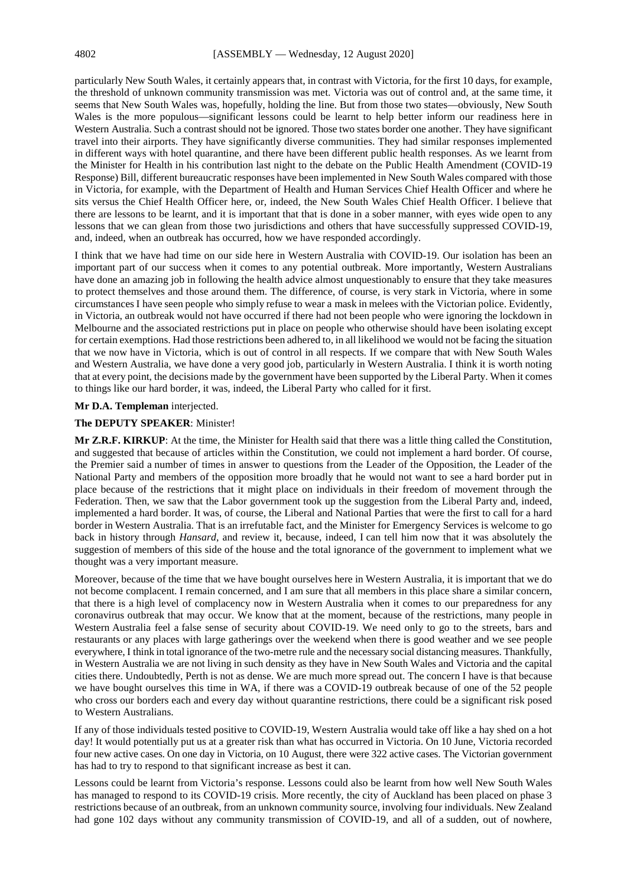particularly New South Wales, it certainly appears that, in contrast with Victoria, for the first 10 days, for example, the threshold of unknown community transmission was met. Victoria was out of control and, at the same time, it seems that New South Wales was, hopefully, holding the line. But from those two states—obviously, New South Wales is the more populous—significant lessons could be learnt to help better inform our readiness here in Western Australia. Such a contrast should not be ignored. Those two states border one another. They have significant travel into their airports. They have significantly diverse communities. They had similar responses implemented in different ways with hotel quarantine, and there have been different public health responses. As we learnt from the Minister for Health in his contribution last night to the debate on the Public Health Amendment (COVID-19 Response) Bill, different bureaucratic responses have been implemented in New South Wales compared with those in Victoria, for example, with the Department of Health and Human Services Chief Health Officer and where he sits versus the Chief Health Officer here, or, indeed, the New South Wales Chief Health Officer. I believe that there are lessons to be learnt, and it is important that that is done in a sober manner, with eyes wide open to any lessons that we can glean from those two jurisdictions and others that have successfully suppressed COVID-19, and, indeed, when an outbreak has occurred, how we have responded accordingly.

I think that we have had time on our side here in Western Australia with COVID-19. Our isolation has been an important part of our success when it comes to any potential outbreak. More importantly, Western Australians have done an amazing job in following the health advice almost unquestionably to ensure that they take measures to protect themselves and those around them. The difference, of course, is very stark in Victoria, where in some circumstances I have seen people who simply refuse to wear a mask in melees with the Victorian police. Evidently, in Victoria, an outbreak would not have occurred if there had not been people who were ignoring the lockdown in Melbourne and the associated restrictions put in place on people who otherwise should have been isolating except for certain exemptions. Had those restrictions been adhered to, in all likelihood we would not be facing the situation that we now have in Victoria, which is out of control in all respects. If we compare that with New South Wales and Western Australia, we have done a very good job, particularly in Western Australia. I think it is worth noting that at every point, the decisions made by the government have been supported by the Liberal Party. When it comes to things like our hard border, it was, indeed, the Liberal Party who called for it first.

#### **Mr D.A. Templeman** interjected.

## **The DEPUTY SPEAKER**: Minister!

**Mr Z.R.F. KIRKUP**: At the time, the Minister for Health said that there was a little thing called the Constitution, and suggested that because of articles within the Constitution, we could not implement a hard border. Of course, the Premier said a number of times in answer to questions from the Leader of the Opposition, the Leader of the National Party and members of the opposition more broadly that he would not want to see a hard border put in place because of the restrictions that it might place on individuals in their freedom of movement through the Federation. Then, we saw that the Labor government took up the suggestion from the Liberal Party and, indeed, implemented a hard border. It was, of course, the Liberal and National Parties that were the first to call for a hard border in Western Australia. That is an irrefutable fact, and the Minister for Emergency Services is welcome to go back in history through *Hansard*, and review it, because, indeed, I can tell him now that it was absolutely the suggestion of members of this side of the house and the total ignorance of the government to implement what we thought was a very important measure.

Moreover, because of the time that we have bought ourselves here in Western Australia, it is important that we do not become complacent. I remain concerned, and I am sure that all members in this place share a similar concern, that there is a high level of complacency now in Western Australia when it comes to our preparedness for any coronavirus outbreak that may occur. We know that at the moment, because of the restrictions, many people in Western Australia feel a false sense of security about COVID-19. We need only to go to the streets, bars and restaurants or any places with large gatherings over the weekend when there is good weather and we see people everywhere, I think in total ignorance of the two-metre rule and the necessary social distancing measures. Thankfully, in Western Australia we are not living in such density as they have in New South Wales and Victoria and the capital cities there. Undoubtedly, Perth is not as dense. We are much more spread out. The concern I have is that because we have bought ourselves this time in WA, if there was a COVID-19 outbreak because of one of the 52 people who cross our borders each and every day without quarantine restrictions, there could be a significant risk posed to Western Australians.

If any of those individuals tested positive to COVID-19, Western Australia would take off like a hay shed on a hot day! It would potentially put us at a greater risk than what has occurred in Victoria. On 10 June, Victoria recorded four new active cases. On one day in Victoria, on 10 August, there were 322 active cases. The Victorian government has had to try to respond to that significant increase as best it can.

Lessons could be learnt from Victoria's response. Lessons could also be learnt from how well New South Wales has managed to respond to its COVID-19 crisis. More recently, the city of Auckland has been placed on phase 3 restrictions because of an outbreak, from an unknown community source, involving four individuals. New Zealand had gone 102 days without any community transmission of COVID-19, and all of a sudden, out of nowhere,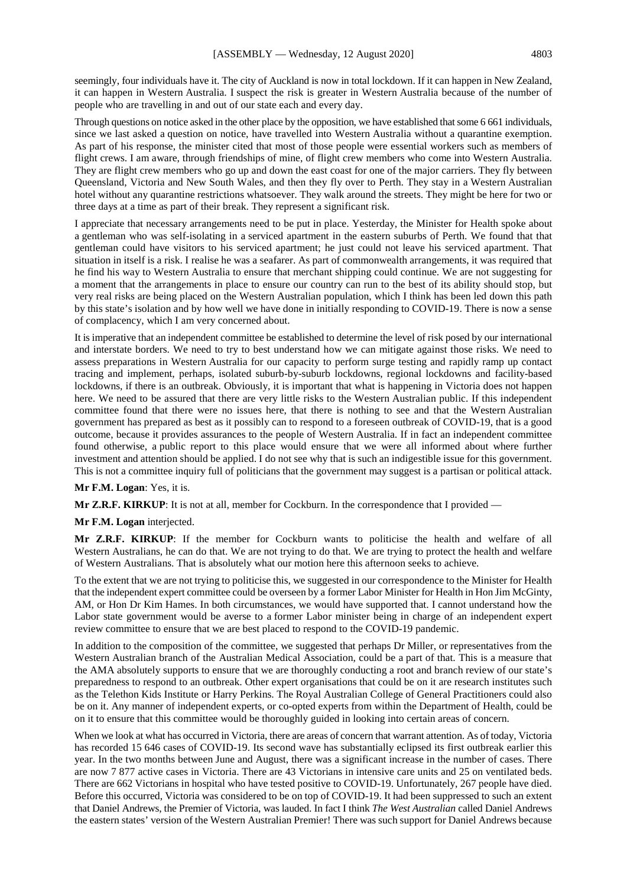seemingly, four individuals have it. The city of Auckland is now in total lockdown. If it can happen in New Zealand, it can happen in Western Australia. I suspect the risk is greater in Western Australia because of the number of people who are travelling in and out of our state each and every day.

Through questions on notice asked in the other place by the opposition, we have established that some 6 661 individuals, since we last asked a question on notice, have travelled into Western Australia without a quarantine exemption. As part of his response, the minister cited that most of those people were essential workers such as members of flight crews. I am aware, through friendships of mine, of flight crew members who come into Western Australia. They are flight crew members who go up and down the east coast for one of the major carriers. They fly between Queensland, Victoria and New South Wales, and then they fly over to Perth. They stay in a Western Australian hotel without any quarantine restrictions whatsoever. They walk around the streets. They might be here for two or three days at a time as part of their break. They represent a significant risk.

I appreciate that necessary arrangements need to be put in place. Yesterday, the Minister for Health spoke about a gentleman who was self-isolating in a serviced apartment in the eastern suburbs of Perth. We found that that gentleman could have visitors to his serviced apartment; he just could not leave his serviced apartment. That situation in itself is a risk. I realise he was a seafarer. As part of commonwealth arrangements, it was required that he find his way to Western Australia to ensure that merchant shipping could continue. We are not suggesting for a moment that the arrangements in place to ensure our country can run to the best of its ability should stop, but very real risks are being placed on the Western Australian population, which I think has been led down this path by this state's isolation and by how well we have done in initially responding to COVID-19. There is now a sense of complacency, which I am very concerned about.

It is imperative that an independent committee be established to determine the level of risk posed by our international and interstate borders. We need to try to best understand how we can mitigate against those risks. We need to assess preparations in Western Australia for our capacity to perform surge testing and rapidly ramp up contact tracing and implement, perhaps, isolated suburb-by-suburb lockdowns, regional lockdowns and facility-based lockdowns, if there is an outbreak. Obviously, it is important that what is happening in Victoria does not happen here. We need to be assured that there are very little risks to the Western Australian public. If this independent committee found that there were no issues here, that there is nothing to see and that the Western Australian government has prepared as best as it possibly can to respond to a foreseen outbreak of COVID-19, that is a good outcome, because it provides assurances to the people of Western Australia. If in fact an independent committee found otherwise, a public report to this place would ensure that we were all informed about where further investment and attention should be applied. I do not see why that is such an indigestible issue for this government. This is not a committee inquiry full of politicians that the government may suggest is a partisan or political attack.

#### **Mr F.M. Logan**: Yes, it is.

**Mr Z.R.F. KIRKUP:** It is not at all, member for Cockburn. In the correspondence that I provided —

#### **Mr F.M. Logan** interjected.

**Mr Z.R.F. KIRKUP**: If the member for Cockburn wants to politicise the health and welfare of all Western Australians, he can do that. We are not trying to do that. We are trying to protect the health and welfare of Western Australians. That is absolutely what our motion here this afternoon seeks to achieve.

To the extent that we are not trying to politicise this, we suggested in our correspondence to the Minister for Health that the independent expert committee could be overseen by a former Labor Minister for Health in Hon Jim McGinty, AM, or Hon Dr Kim Hames. In both circumstances, we would have supported that. I cannot understand how the Labor state government would be averse to a former Labor minister being in charge of an independent expert review committee to ensure that we are best placed to respond to the COVID-19 pandemic.

In addition to the composition of the committee, we suggested that perhaps Dr Miller, or representatives from the Western Australian branch of the Australian Medical Association, could be a part of that. This is a measure that the AMA absolutely supports to ensure that we are thoroughly conducting a root and branch review of our state's preparedness to respond to an outbreak. Other expert organisations that could be on it are research institutes such as the Telethon Kids Institute or Harry Perkins. The Royal Australian College of General Practitioners could also be on it. Any manner of independent experts, or co-opted experts from within the Department of Health, could be on it to ensure that this committee would be thoroughly guided in looking into certain areas of concern.

When we look at what has occurred in Victoria, there are areas of concern that warrant attention. As of today, Victoria has recorded 15 646 cases of COVID-19. Its second wave has substantially eclipsed its first outbreak earlier this year. In the two months between June and August, there was a significant increase in the number of cases. There are now 7 877 active cases in Victoria. There are 43 Victorians in intensive care units and 25 on ventilated beds. There are 662 Victorians in hospital who have tested positive to COVID-19. Unfortunately, 267 people have died. Before this occurred, Victoria was considered to be on top of COVID-19. It had been suppressed to such an extent that Daniel Andrews, the Premier of Victoria, was lauded. In fact I think *The West Australian* called Daniel Andrews the eastern states' version of the Western Australian Premier! There was such support for Daniel Andrews because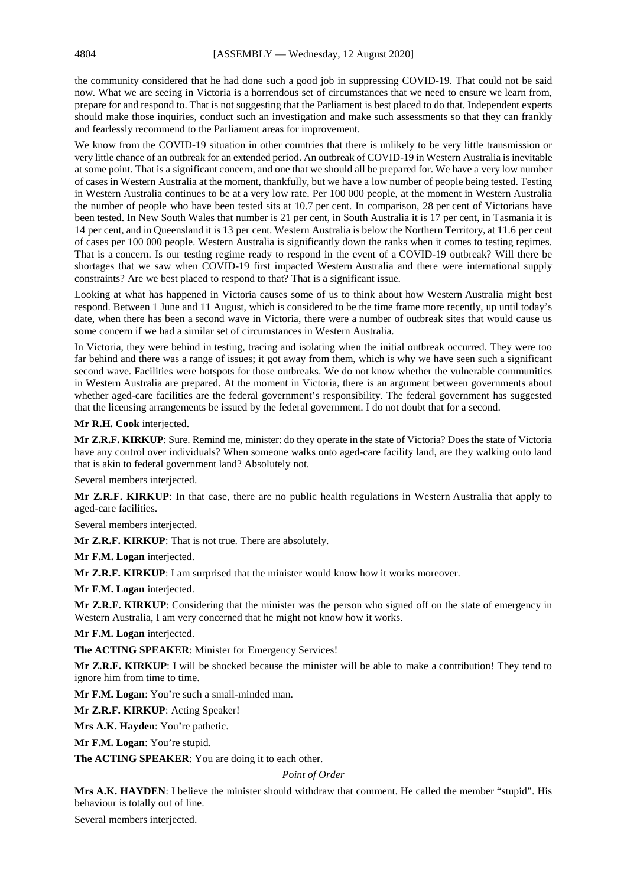the community considered that he had done such a good job in suppressing COVID-19. That could not be said now. What we are seeing in Victoria is a horrendous set of circumstances that we need to ensure we learn from, prepare for and respond to. That is not suggesting that the Parliament is best placed to do that. Independent experts should make those inquiries, conduct such an investigation and make such assessments so that they can frankly and fearlessly recommend to the Parliament areas for improvement.

We know from the COVID-19 situation in other countries that there is unlikely to be very little transmission or very little chance of an outbreak for an extended period. An outbreak of COVID-19 in Western Australia is inevitable at some point. That is a significant concern, and one that we should all be prepared for. We have a very low number of cases in Western Australia at the moment, thankfully, but we have a low number of people being tested. Testing in Western Australia continues to be at a very low rate. Per 100 000 people, at the moment in Western Australia the number of people who have been tested sits at 10.7 per cent. In comparison, 28 per cent of Victorians have been tested. In New South Wales that number is 21 per cent, in South Australia it is 17 per cent, in Tasmania it is 14 per cent, and in Queensland it is 13 per cent. Western Australia is below the Northern Territory, at 11.6 per cent of cases per 100 000 people. Western Australia is significantly down the ranks when it comes to testing regimes. That is a concern. Is our testing regime ready to respond in the event of a COVID-19 outbreak? Will there be shortages that we saw when COVID-19 first impacted Western Australia and there were international supply constraints? Are we best placed to respond to that? That is a significant issue.

Looking at what has happened in Victoria causes some of us to think about how Western Australia might best respond. Between 1 June and 11 August, which is considered to be the time frame more recently, up until today's date, when there has been a second wave in Victoria, there were a number of outbreak sites that would cause us some concern if we had a similar set of circumstances in Western Australia.

In Victoria, they were behind in testing, tracing and isolating when the initial outbreak occurred. They were too far behind and there was a range of issues; it got away from them, which is why we have seen such a significant second wave. Facilities were hotspots for those outbreaks. We do not know whether the vulnerable communities in Western Australia are prepared. At the moment in Victoria, there is an argument between governments about whether aged-care facilities are the federal government's responsibility. The federal government has suggested that the licensing arrangements be issued by the federal government. I do not doubt that for a second.

#### **Mr R.H. Cook** interjected.

**Mr Z.R.F. KIRKUP**: Sure. Remind me, minister: do they operate in the state of Victoria? Does the state of Victoria have any control over individuals? When someone walks onto aged-care facility land, are they walking onto land that is akin to federal government land? Absolutely not.

Several members interjected.

**Mr Z.R.F. KIRKUP**: In that case, there are no public health regulations in Western Australia that apply to aged-care facilities.

Several members interjected.

**Mr Z.R.F. KIRKUP**: That is not true. There are absolutely.

**Mr F.M. Logan** interjected.

**Mr Z.R.F. KIRKUP**: I am surprised that the minister would know how it works moreover.

**Mr F.M. Logan** interjected.

**Mr Z.R.F. KIRKUP**: Considering that the minister was the person who signed off on the state of emergency in Western Australia, I am very concerned that he might not know how it works.

**Mr F.M. Logan** interjected.

**The ACTING SPEAKER**: Minister for Emergency Services!

**Mr Z.R.F. KIRKUP**: I will be shocked because the minister will be able to make a contribution! They tend to ignore him from time to time.

Mr F.M. Logan: You're such a small-minded man.

**Mr Z.R.F. KIRKUP**: Acting Speaker!

**Mrs A.K. Hayden**: You're pathetic.

**Mr F.M. Logan**: You're stupid.

**The ACTING SPEAKER**: You are doing it to each other.

#### *Point of Order*

**Mrs A.K. HAYDEN:** I believe the minister should withdraw that comment. He called the member "stupid". His behaviour is totally out of line.

Several members interjected.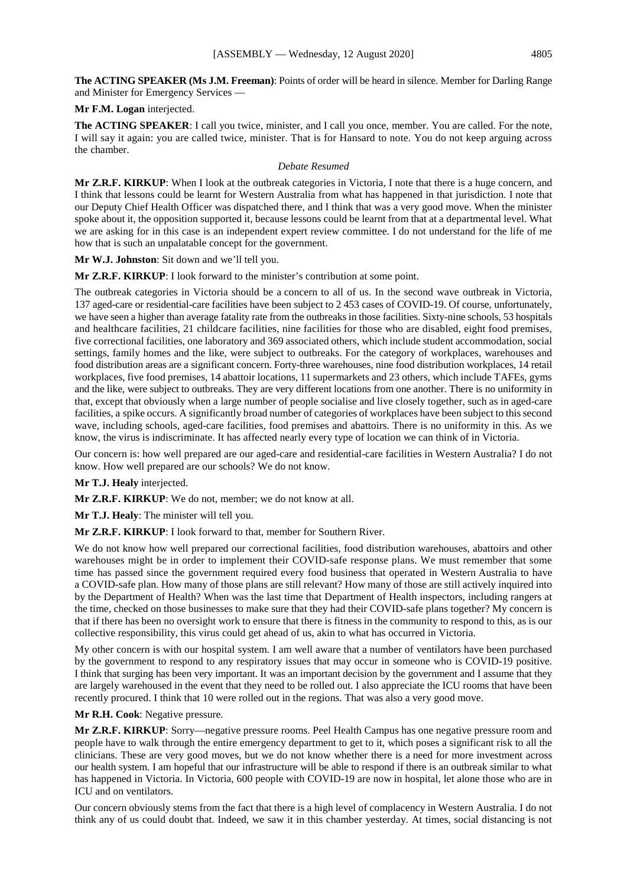**The ACTING SPEAKER (Ms J.M. Freeman)**: Points of order will be heard in silence. Member for Darling Range and Minister for Emergency Services —

## **Mr F.M. Logan** interjected.

**The ACTING SPEAKER**: I call you twice, minister, and I call you once, member. You are called. For the note, I will say it again: you are called twice, minister. That is for Hansard to note. You do not keep arguing across the chamber.

#### *Debate Resumed*

**Mr Z.R.F. KIRKUP**: When I look at the outbreak categories in Victoria, I note that there is a huge concern, and I think that lessons could be learnt for Western Australia from what has happened in that jurisdiction. I note that our Deputy Chief Health Officer was dispatched there, and I think that was a very good move. When the minister spoke about it, the opposition supported it, because lessons could be learnt from that at a departmental level. What we are asking for in this case is an independent expert review committee. I do not understand for the life of me how that is such an unpalatable concept for the government.

**Mr W.J. Johnston**: Sit down and we'll tell you.

**Mr Z.R.F. KIRKUP**: I look forward to the minister's contribution at some point.

The outbreak categories in Victoria should be a concern to all of us. In the second wave outbreak in Victoria, 137 aged-care or residential-care facilities have been subject to 2 453 cases of COVID-19. Of course, unfortunately, we have seen a higher than average fatality rate from the outbreaks in those facilities. Sixty-nine schools, 53 hospitals and healthcare facilities, 21 childcare facilities, nine facilities for those who are disabled, eight food premises, five correctional facilities, one laboratory and 369 associated others, which include student accommodation, social settings, family homes and the like, were subject to outbreaks. For the category of workplaces, warehouses and food distribution areas are a significant concern. Forty-three warehouses, nine food distribution workplaces, 14 retail workplaces, five food premises, 14 abattoir locations, 11 supermarkets and 23 others, which include TAFEs, gyms and the like, were subject to outbreaks. They are very different locations from one another. There is no uniformity in that, except that obviously when a large number of people socialise and live closely together, such as in aged-care facilities, a spike occurs. A significantly broad number of categories of workplaces have been subject to this second wave, including schools, aged-care facilities, food premises and abattoirs. There is no uniformity in this. As we know, the virus is indiscriminate. It has affected nearly every type of location we can think of in Victoria.

Our concern is: how well prepared are our aged-care and residential-care facilities in Western Australia? I do not know. How well prepared are our schools? We do not know.

## **Mr T.J. Healy** interjected.

**Mr Z.R.F. KIRKUP**: We do not, member; we do not know at all.

**Mr T.J. Healy**: The minister will tell you.

**Mr Z.R.F. KIRKUP**: I look forward to that, member for Southern River.

We do not know how well prepared our correctional facilities, food distribution warehouses, abattoirs and other warehouses might be in order to implement their COVID-safe response plans. We must remember that some time has passed since the government required every food business that operated in Western Australia to have a COVID-safe plan. How many of those plans are still relevant? How many of those are still actively inquired into by the Department of Health? When was the last time that Department of Health inspectors, including rangers at the time, checked on those businesses to make sure that they had their COVID-safe plans together? My concern is that if there has been no oversight work to ensure that there is fitness in the community to respond to this, as is our collective responsibility, this virus could get ahead of us, akin to what has occurred in Victoria.

My other concern is with our hospital system. I am well aware that a number of ventilators have been purchased by the government to respond to any respiratory issues that may occur in someone who is COVID-19 positive. I think that surging has been very important. It was an important decision by the government and I assume that they are largely warehoused in the event that they need to be rolled out. I also appreciate the ICU rooms that have been recently procured. I think that 10 were rolled out in the regions. That was also a very good move.

**Mr R.H. Cook**: Negative pressure.

**Mr Z.R.F. KIRKUP**: Sorry—negative pressure rooms. Peel Health Campus has one negative pressure room and people have to walk through the entire emergency department to get to it, which poses a significant risk to all the clinicians. These are very good moves, but we do not know whether there is a need for more investment across our health system. I am hopeful that our infrastructure will be able to respond if there is an outbreak similar to what has happened in Victoria. In Victoria, 600 people with COVID-19 are now in hospital, let alone those who are in ICU and on ventilators.

Our concern obviously stems from the fact that there is a high level of complacency in Western Australia. I do not think any of us could doubt that. Indeed, we saw it in this chamber yesterday. At times, social distancing is not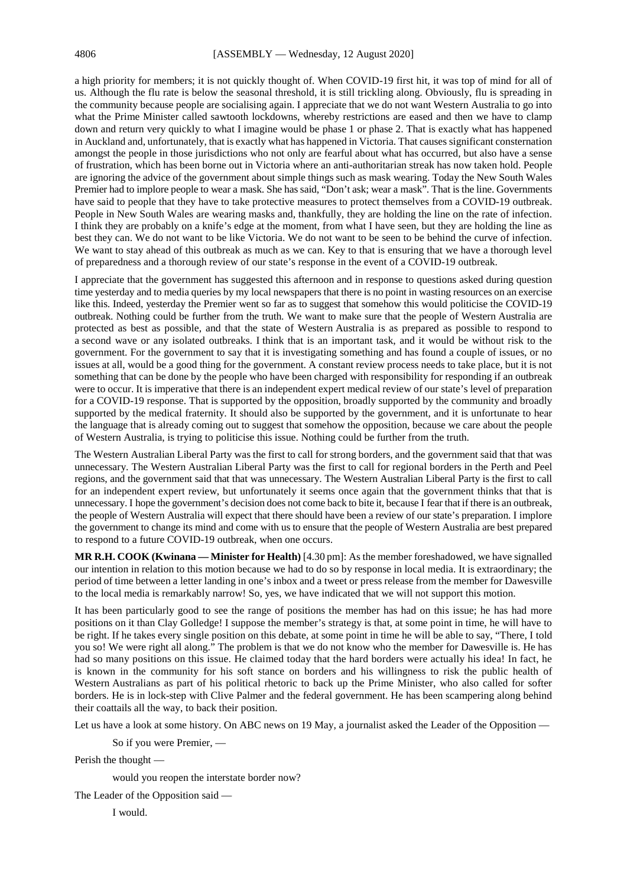a high priority for members; it is not quickly thought of. When COVID-19 first hit, it was top of mind for all of us. Although the flu rate is below the seasonal threshold, it is still trickling along. Obviously, flu is spreading in the community because people are socialising again. I appreciate that we do not want Western Australia to go into what the Prime Minister called sawtooth lockdowns, whereby restrictions are eased and then we have to clamp down and return very quickly to what I imagine would be phase 1 or phase 2. That is exactly what has happened in Auckland and, unfortunately, that is exactly what has happened in Victoria. That causes significant consternation amongst the people in those jurisdictions who not only are fearful about what has occurred, but also have a sense of frustration, which has been borne out in Victoria where an anti-authoritarian streak has now taken hold. People are ignoring the advice of the government about simple things such as mask wearing. Today the New South Wales Premier had to implore people to wear a mask. She has said, "Don't ask; wear a mask". That is the line. Governments have said to people that they have to take protective measures to protect themselves from a COVID-19 outbreak. People in New South Wales are wearing masks and, thankfully, they are holding the line on the rate of infection. I think they are probably on a knife's edge at the moment, from what I have seen, but they are holding the line as best they can. We do not want to be like Victoria. We do not want to be seen to be behind the curve of infection. We want to stay ahead of this outbreak as much as we can. Key to that is ensuring that we have a thorough level of preparedness and a thorough review of our state's response in the event of a COVID-19 outbreak.

I appreciate that the government has suggested this afternoon and in response to questions asked during question time yesterday and to media queries by my local newspapers that there is no point in wasting resources on an exercise like this. Indeed, yesterday the Premier went so far as to suggest that somehow this would politicise the COVID-19 outbreak. Nothing could be further from the truth. We want to make sure that the people of Western Australia are protected as best as possible, and that the state of Western Australia is as prepared as possible to respond to a second wave or any isolated outbreaks. I think that is an important task, and it would be without risk to the government. For the government to say that it is investigating something and has found a couple of issues, or no issues at all, would be a good thing for the government. A constant review process needs to take place, but it is not something that can be done by the people who have been charged with responsibility for responding if an outbreak were to occur. It is imperative that there is an independent expert medical review of our state's level of preparation for a COVID-19 response. That is supported by the opposition, broadly supported by the community and broadly supported by the medical fraternity. It should also be supported by the government, and it is unfortunate to hear the language that is already coming out to suggest that somehow the opposition, because we care about the people of Western Australia, is trying to politicise this issue. Nothing could be further from the truth.

The Western Australian Liberal Party was the first to call for strong borders, and the government said that that was unnecessary. The Western Australian Liberal Party was the first to call for regional borders in the Perth and Peel regions, and the government said that that was unnecessary. The Western Australian Liberal Party is the first to call for an independent expert review, but unfortunately it seems once again that the government thinks that that is unnecessary. I hope the government's decision does not come back to bite it, because I fear that if there is an outbreak, the people of Western Australia will expect that there should have been a review of our state's preparation. I implore the government to change its mind and come with us to ensure that the people of Western Australia are best prepared to respond to a future COVID-19 outbreak, when one occurs.

**MR R.H. COOK (Kwinana — Minister for Health)** [4.30 pm]: As the member foreshadowed, we have signalled our intention in relation to this motion because we had to do so by response in local media. It is extraordinary; the period of time between a letter landing in one's inbox and a tweet or press release from the member for Dawesville to the local media is remarkably narrow! So, yes, we have indicated that we will not support this motion.

It has been particularly good to see the range of positions the member has had on this issue; he has had more positions on it than Clay Golledge! I suppose the member's strategy is that, at some point in time, he will have to be right. If he takes every single position on this debate, at some point in time he will be able to say, "There, I told you so! We were right all along." The problem is that we do not know who the member for Dawesville is. He has had so many positions on this issue. He claimed today that the hard borders were actually his idea! In fact, he is known in the community for his soft stance on borders and his willingness to risk the public health of Western Australians as part of his political rhetoric to back up the Prime Minister, who also called for softer borders. He is in lock-step with Clive Palmer and the federal government. He has been scampering along behind their coattails all the way, to back their position.

Let us have a look at some history. On ABC news on 19 May, a journalist asked the Leader of the Opposition —

So if you were Premier, —

Perish the thought —

would you reopen the interstate border now?

The Leader of the Opposition said —

I would.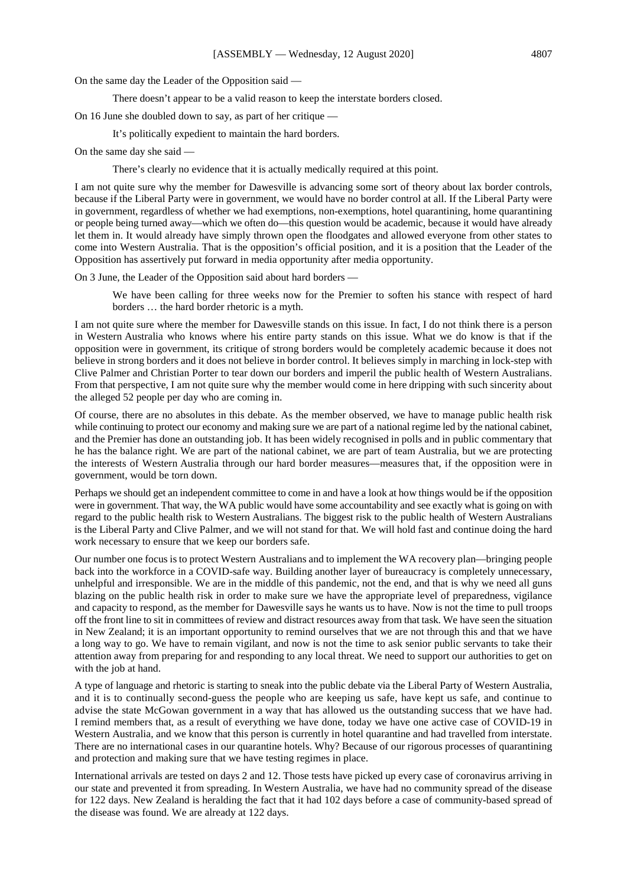On the same day the Leader of the Opposition said —

There doesn't appear to be a valid reason to keep the interstate borders closed.

On 16 June she doubled down to say, as part of her critique —

It's politically expedient to maintain the hard borders.

On the same day she said —

There's clearly no evidence that it is actually medically required at this point.

I am not quite sure why the member for Dawesville is advancing some sort of theory about lax border controls, because if the Liberal Party were in government, we would have no border control at all. If the Liberal Party were in government, regardless of whether we had exemptions, non-exemptions, hotel quarantining, home quarantining or people being turned away—which we often do—this question would be academic, because it would have already let them in. It would already have simply thrown open the floodgates and allowed everyone from other states to come into Western Australia. That is the opposition's official position, and it is a position that the Leader of the Opposition has assertively put forward in media opportunity after media opportunity.

On 3 June, the Leader of the Opposition said about hard borders —

We have been calling for three weeks now for the Premier to soften his stance with respect of hard borders … the hard border rhetoric is a myth.

I am not quite sure where the member for Dawesville stands on this issue. In fact, I do not think there is a person in Western Australia who knows where his entire party stands on this issue. What we do know is that if the opposition were in government, its critique of strong borders would be completely academic because it does not believe in strong borders and it does not believe in border control. It believes simply in marching in lock-step with Clive Palmer and Christian Porter to tear down our borders and imperil the public health of Western Australians. From that perspective, I am not quite sure why the member would come in here dripping with such sincerity about the alleged 52 people per day who are coming in.

Of course, there are no absolutes in this debate. As the member observed, we have to manage public health risk while continuing to protect our economy and making sure we are part of a national regime led by the national cabinet, and the Premier has done an outstanding job. It has been widely recognised in polls and in public commentary that he has the balance right. We are part of the national cabinet, we are part of team Australia, but we are protecting the interests of Western Australia through our hard border measures—measures that, if the opposition were in government, would be torn down.

Perhaps we should get an independent committee to come in and have a look at how things would be if the opposition were in government. That way, the WA public would have some accountability and see exactly what is going on with regard to the public health risk to Western Australians. The biggest risk to the public health of Western Australians is the Liberal Party and Clive Palmer, and we will not stand for that. We will hold fast and continue doing the hard work necessary to ensure that we keep our borders safe.

Our number one focus is to protect Western Australians and to implement the WA recovery plan—bringing people back into the workforce in a COVID-safe way. Building another layer of bureaucracy is completely unnecessary, unhelpful and irresponsible. We are in the middle of this pandemic, not the end, and that is why we need all guns blazing on the public health risk in order to make sure we have the appropriate level of preparedness, vigilance and capacity to respond, as the member for Dawesville says he wants us to have. Now is not the time to pull troops off the front line to sit in committees of review and distract resources away from that task. We have seen the situation in New Zealand; it is an important opportunity to remind ourselves that we are not through this and that we have a long way to go. We have to remain vigilant, and now is not the time to ask senior public servants to take their attention away from preparing for and responding to any local threat. We need to support our authorities to get on with the job at hand.

A type of language and rhetoric is starting to sneak into the public debate via the Liberal Party of Western Australia, and it is to continually second-guess the people who are keeping us safe, have kept us safe, and continue to advise the state McGowan government in a way that has allowed us the outstanding success that we have had. I remind members that, as a result of everything we have done, today we have one active case of COVID-19 in Western Australia, and we know that this person is currently in hotel quarantine and had travelled from interstate. There are no international cases in our quarantine hotels. Why? Because of our rigorous processes of quarantining and protection and making sure that we have testing regimes in place.

International arrivals are tested on days 2 and 12. Those tests have picked up every case of coronavirus arriving in our state and prevented it from spreading. In Western Australia, we have had no community spread of the disease for 122 days. New Zealand is heralding the fact that it had 102 days before a case of community-based spread of the disease was found. We are already at 122 days.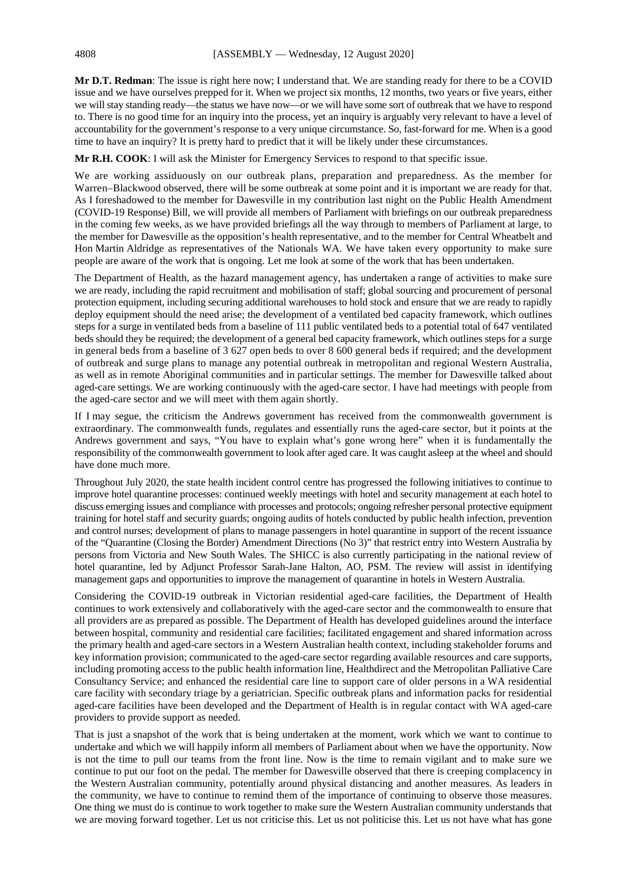**Mr D.T. Redman**: The issue is right here now; I understand that. We are standing ready for there to be a COVID issue and we have ourselves prepped for it. When we project six months, 12 months, two years or five years, either we will stay standing ready—the status we have now—or we will have some sort of outbreak that we have to respond to. There is no good time for an inquiry into the process, yet an inquiry is arguably very relevant to have a level of accountability for the government's response to a very unique circumstance. So, fast-forward for me. When is a good time to have an inquiry? It is pretty hard to predict that it will be likely under these circumstances.

**Mr R.H. COOK**: I will ask the Minister for Emergency Services to respond to that specific issue.

We are working assiduously on our outbreak plans, preparation and preparedness. As the member for Warren–Blackwood observed, there will be some outbreak at some point and it is important we are ready for that. As I foreshadowed to the member for Dawesville in my contribution last night on the Public Health Amendment (COVID-19 Response) Bill, we will provide all members of Parliament with briefings on our outbreak preparedness in the coming few weeks, as we have provided briefings all the way through to members of Parliament at large, to the member for Dawesville as the opposition's health representative, and to the member for Central Wheatbelt and Hon Martin Aldridge as representatives of the Nationals WA. We have taken every opportunity to make sure people are aware of the work that is ongoing. Let me look at some of the work that has been undertaken.

The Department of Health, as the hazard management agency, has undertaken a range of activities to make sure we are ready, including the rapid recruitment and mobilisation of staff; global sourcing and procurement of personal protection equipment, including securing additional warehouses to hold stock and ensure that we are ready to rapidly deploy equipment should the need arise; the development of a ventilated bed capacity framework, which outlines steps for a surge in ventilated beds from a baseline of 111 public ventilated beds to a potential total of 647 ventilated beds should they be required; the development of a general bed capacity framework, which outlines steps for a surge in general beds from a baseline of 3 627 open beds to over 8 600 general beds if required; and the development of outbreak and surge plans to manage any potential outbreak in metropolitan and regional Western Australia, as well as in remote Aboriginal communities and in particular settings. The member for Dawesville talked about aged-care settings. We are working continuously with the aged-care sector. I have had meetings with people from the aged-care sector and we will meet with them again shortly.

If I may segue, the criticism the Andrews government has received from the commonwealth government is extraordinary. The commonwealth funds, regulates and essentially runs the aged-care sector, but it points at the Andrews government and says, "You have to explain what's gone wrong here" when it is fundamentally the responsibility of the commonwealth government to look after aged care. It was caught asleep at the wheel and should have done much more.

Throughout July 2020, the state health incident control centre has progressed the following initiatives to continue to improve hotel quarantine processes: continued weekly meetings with hotel and security management at each hotel to discuss emerging issues and compliance with processes and protocols; ongoing refresher personal protective equipment training for hotel staff and security guards; ongoing audits of hotels conducted by public health infection, prevention and control nurses; development of plans to manage passengers in hotel quarantine in support of the recent issuance of the "Quarantine (Closing the Border) Amendment Directions (No 3)" that restrict entry into Western Australia by persons from Victoria and New South Wales. The SHICC is also currently participating in the national review of hotel quarantine, led by Adjunct Professor Sarah-Jane Halton, AO, PSM. The review will assist in identifying management gaps and opportunities to improve the management of quarantine in hotels in Western Australia.

Considering the COVID-19 outbreak in Victorian residential aged-care facilities, the Department of Health continues to work extensively and collaboratively with the aged-care sector and the commonwealth to ensure that all providers are as prepared as possible. The Department of Health has developed guidelines around the interface between hospital, community and residential care facilities; facilitated engagement and shared information across the primary health and aged-care sectors in a Western Australian health context, including stakeholder forums and key information provision; communicated to the aged-care sector regarding available resources and care supports, including promoting access to the public health information line, Healthdirect and the Metropolitan Palliative Care Consultancy Service; and enhanced the residential care line to support care of older persons in a WA residential care facility with secondary triage by a geriatrician. Specific outbreak plans and information packs for residential aged-care facilities have been developed and the Department of Health is in regular contact with WA aged-care providers to provide support as needed.

That is just a snapshot of the work that is being undertaken at the moment, work which we want to continue to undertake and which we will happily inform all members of Parliament about when we have the opportunity. Now is not the time to pull our teams from the front line. Now is the time to remain vigilant and to make sure we continue to put our foot on the pedal. The member for Dawesville observed that there is creeping complacency in the Western Australian community, potentially around physical distancing and another measures. As leaders in the community, we have to continue to remind them of the importance of continuing to observe those measures. One thing we must do is continue to work together to make sure the Western Australian community understands that we are moving forward together. Let us not criticise this. Let us not politicise this. Let us not have what has gone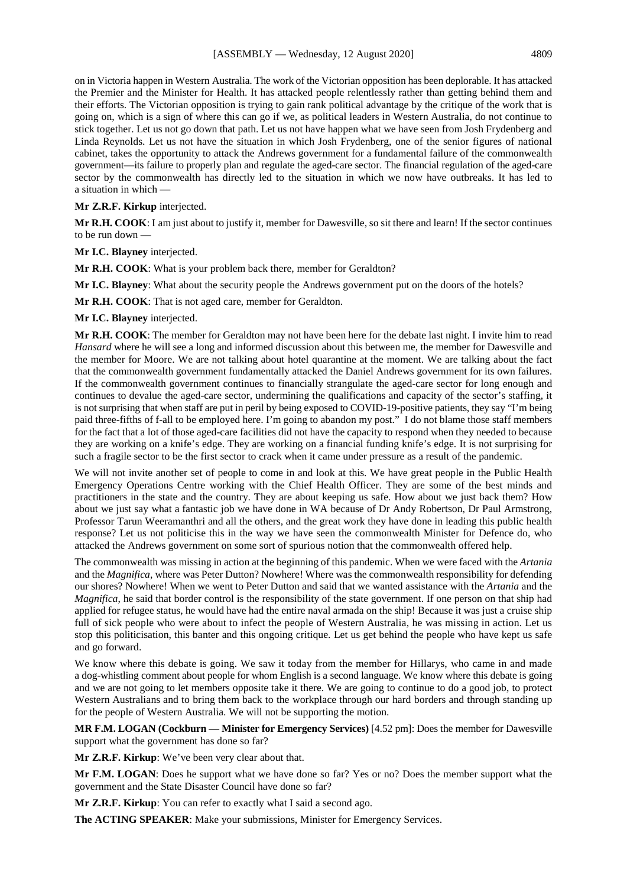on in Victoria happen in Western Australia. The work of the Victorian opposition has been deplorable. It has attacked the Premier and the Minister for Health. It has attacked people relentlessly rather than getting behind them and their efforts. The Victorian opposition is trying to gain rank political advantage by the critique of the work that is going on, which is a sign of where this can go if we, as political leaders in Western Australia, do not continue to stick together. Let us not go down that path. Let us not have happen what we have seen from Josh Frydenberg and Linda Reynolds. Let us not have the situation in which Josh Frydenberg, one of the senior figures of national cabinet, takes the opportunity to attack the Andrews government for a fundamental failure of the commonwealth government—its failure to properly plan and regulate the aged-care sector. The financial regulation of the aged-care sector by the commonwealth has directly led to the situation in which we now have outbreaks. It has led to a situation in which —

#### **Mr Z.R.F. Kirkup** interjected.

**Mr R.H. COOK**: I am just about to justify it, member for Dawesville, so sit there and learn! If the sector continues to be run down —

**Mr I.C. Blayney** interjected.

**Mr R.H. COOK**: What is your problem back there, member for Geraldton?

**Mr I.C. Blayney**: What about the security people the Andrews government put on the doors of the hotels?

**Mr R.H. COOK**: That is not aged care, member for Geraldton.

**Mr I.C. Blayney** interjected.

**Mr R.H. COOK**: The member for Geraldton may not have been here for the debate last night. I invite him to read *Hansard* where he will see a long and informed discussion about this between me, the member for Dawesville and the member for Moore. We are not talking about hotel quarantine at the moment. We are talking about the fact that the commonwealth government fundamentally attacked the Daniel Andrews government for its own failures. If the commonwealth government continues to financially strangulate the aged-care sector for long enough and continues to devalue the aged-care sector, undermining the qualifications and capacity of the sector's staffing, it is not surprising that when staff are put in peril by being exposed to COVID-19-positive patients, they say "I'm being paid three-fifths of f-all to be employed here. I'm going to abandon my post." I do not blame those staff members for the fact that a lot of those aged-care facilities did not have the capacity to respond when they needed to because they are working on a knife's edge. They are working on a financial funding knife's edge. It is not surprising for such a fragile sector to be the first sector to crack when it came under pressure as a result of the pandemic.

We will not invite another set of people to come in and look at this. We have great people in the Public Health Emergency Operations Centre working with the Chief Health Officer. They are some of the best minds and practitioners in the state and the country. They are about keeping us safe. How about we just back them? How about we just say what a fantastic job we have done in WA because of Dr Andy Robertson, Dr Paul Armstrong, Professor Tarun Weeramanthri and all the others, and the great work they have done in leading this public health response? Let us not politicise this in the way we have seen the commonwealth Minister for Defence do, who attacked the Andrews government on some sort of spurious notion that the commonwealth offered help.

The commonwealth was missing in action at the beginning of this pandemic. When we were faced with the *Artania*  and the *Magnifica*, where was Peter Dutton? Nowhere! Where was the commonwealth responsibility for defending our shores? Nowhere! When we went to Peter Dutton and said that we wanted assistance with the *Artania* and the *Magnifica*, he said that border control is the responsibility of the state government. If one person on that ship had applied for refugee status, he would have had the entire naval armada on the ship! Because it was just a cruise ship full of sick people who were about to infect the people of Western Australia, he was missing in action. Let us stop this politicisation, this banter and this ongoing critique. Let us get behind the people who have kept us safe and go forward.

We know where this debate is going. We saw it today from the member for Hillarys, who came in and made a dog-whistling comment about people for whom English is a second language. We know where this debate is going and we are not going to let members opposite take it there. We are going to continue to do a good job, to protect Western Australians and to bring them back to the workplace through our hard borders and through standing up for the people of Western Australia. We will not be supporting the motion.

**MR F.M. LOGAN (Cockburn — Minister for Emergency Services)** [4.52 pm]: Does the member for Dawesville support what the government has done so far?

**Mr Z.R.F. Kirkup**: We've been very clear about that.

**Mr F.M. LOGAN**: Does he support what we have done so far? Yes or no? Does the member support what the government and the State Disaster Council have done so far?

**Mr Z.R.F. Kirkup**: You can refer to exactly what I said a second ago.

**The ACTING SPEAKER**: Make your submissions, Minister for Emergency Services.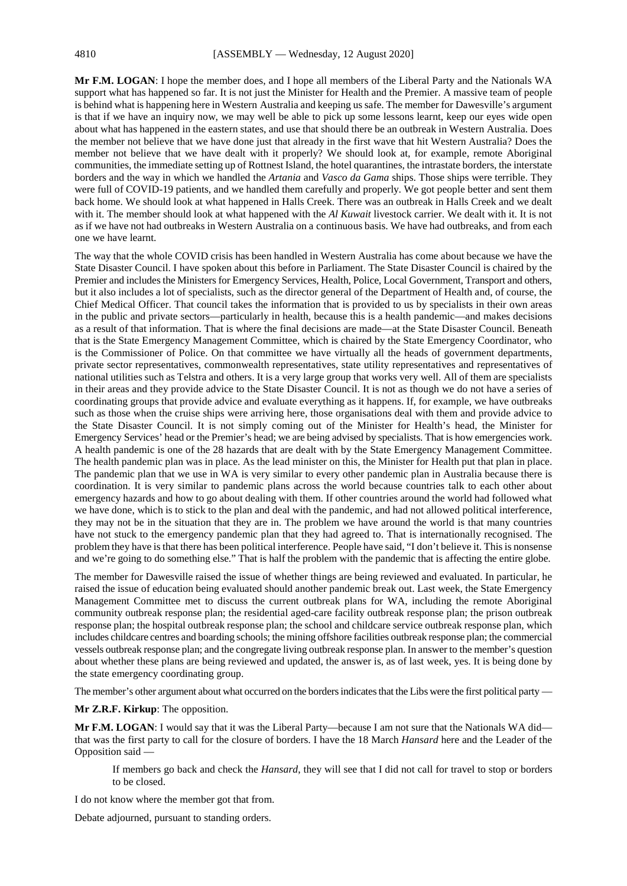**Mr F.M. LOGAN**: I hope the member does, and I hope all members of the Liberal Party and the Nationals WA support what has happened so far. It is not just the Minister for Health and the Premier. A massive team of people is behind what is happening here in Western Australia and keeping us safe. The member for Dawesville's argument is that if we have an inquiry now, we may well be able to pick up some lessons learnt, keep our eyes wide open about what has happened in the eastern states, and use that should there be an outbreak in Western Australia. Does the member not believe that we have done just that already in the first wave that hit Western Australia? Does the member not believe that we have dealt with it properly? We should look at, for example, remote Aboriginal communities, the immediate setting up of Rottnest Island, the hotel quarantines, the intrastate borders, the interstate borders and the way in which we handled the *Artania* and *Vasco da Gama* ships. Those ships were terrible. They were full of COVID-19 patients, and we handled them carefully and properly. We got people better and sent them back home. We should look at what happened in Halls Creek. There was an outbreak in Halls Creek and we dealt with it. The member should look at what happened with the *Al Kuwait* livestock carrier. We dealt with it. It is not as if we have not had outbreaks in Western Australia on a continuous basis. We have had outbreaks, and from each one we have learnt.

The way that the whole COVID crisis has been handled in Western Australia has come about because we have the State Disaster Council. I have spoken about this before in Parliament. The State Disaster Council is chaired by the Premier and includes the Ministers for Emergency Services, Health, Police, Local Government, Transport and others, but it also includes a lot of specialists, such as the director general of the Department of Health and, of course, the Chief Medical Officer. That council takes the information that is provided to us by specialists in their own areas in the public and private sectors—particularly in health, because this is a health pandemic—and makes decisions as a result of that information. That is where the final decisions are made—at the State Disaster Council. Beneath that is the State Emergency Management Committee, which is chaired by the State Emergency Coordinator, who is the Commissioner of Police. On that committee we have virtually all the heads of government departments, private sector representatives, commonwealth representatives, state utility representatives and representatives of national utilities such as Telstra and others. It is a very large group that works very well. All of them are specialists in their areas and they provide advice to the State Disaster Council. It is not as though we do not have a series of coordinating groups that provide advice and evaluate everything as it happens. If, for example, we have outbreaks such as those when the cruise ships were arriving here, those organisations deal with them and provide advice to the State Disaster Council. It is not simply coming out of the Minister for Health's head, the Minister for Emergency Services' head or the Premier's head; we are being advised by specialists. That is how emergencies work. A health pandemic is one of the 28 hazards that are dealt with by the State Emergency Management Committee. The health pandemic plan was in place. As the lead minister on this, the Minister for Health put that plan in place. The pandemic plan that we use in WA is very similar to every other pandemic plan in Australia because there is coordination. It is very similar to pandemic plans across the world because countries talk to each other about emergency hazards and how to go about dealing with them. If other countries around the world had followed what we have done, which is to stick to the plan and deal with the pandemic, and had not allowed political interference, they may not be in the situation that they are in. The problem we have around the world is that many countries have not stuck to the emergency pandemic plan that they had agreed to. That is internationally recognised. The problem they have is that there has been political interference. People have said, "I don't believe it. This is nonsense and we're going to do something else." That is half the problem with the pandemic that is affecting the entire globe.

The member for Dawesville raised the issue of whether things are being reviewed and evaluated. In particular, he raised the issue of education being evaluated should another pandemic break out. Last week, the State Emergency Management Committee met to discuss the current outbreak plans for WA, including the remote Aboriginal community outbreak response plan; the residential aged-care facility outbreak response plan; the prison outbreak response plan; the hospital outbreak response plan; the school and childcare service outbreak response plan, which includes childcare centres and boarding schools; the mining offshore facilities outbreak response plan; the commercial vessels outbreak response plan; and the congregate living outbreak response plan. In answer to the member's question about whether these plans are being reviewed and updated, the answer is, as of last week, yes. It is being done by the state emergency coordinating group.

The member's other argument about what occurred on the borders indicates that the Libs were the first political party —

**Mr Z.R.F. Kirkup**: The opposition.

**Mr F.M. LOGAN**: I would say that it was the Liberal Party—because I am not sure that the Nationals WA did that was the first party to call for the closure of borders. I have the 18 March *Hansard* here and the Leader of the Opposition said —

If members go back and check the *Hansard*, they will see that I did not call for travel to stop or borders to be closed.

I do not know where the member got that from.

Debate adjourned, pursuant to standing orders.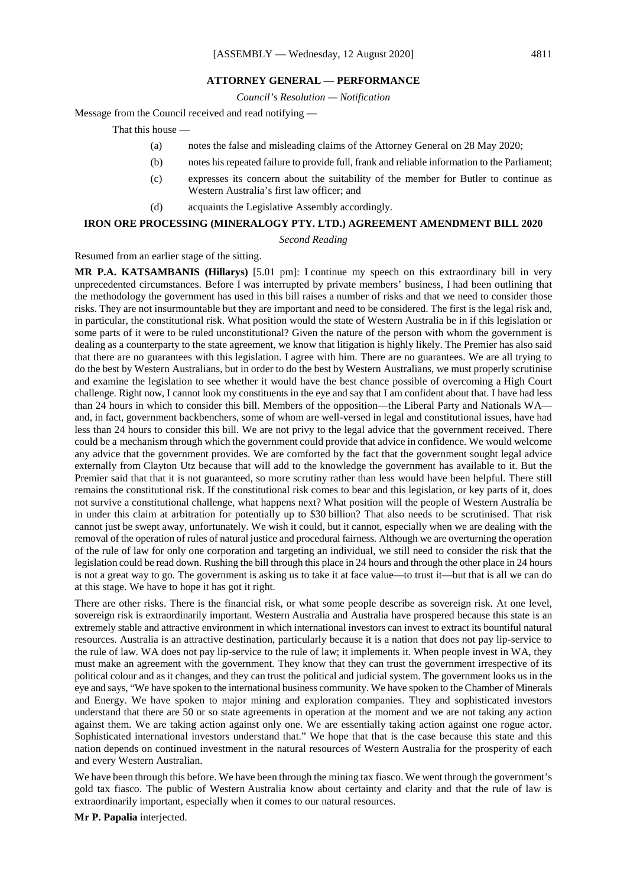#### **ATTORNEY GENERAL — PERFORMANCE**

*Council's Resolution — Notification*

Message from the Council received and read notifying —

That this house —

- (a) notes the false and misleading claims of the Attorney General on 28 May 2020;
- (b) notes his repeated failure to provide full, frank and reliable information to the Parliament;
- (c) expresses its concern about the suitability of the member for Butler to continue as Western Australia's first law officer; and
- (d) acquaints the Legislative Assembly accordingly.

#### **IRON ORE PROCESSING (MINERALOGY PTY. LTD.) AGREEMENT AMENDMENT BILL 2020**

*Second Reading*

#### Resumed from an earlier stage of the sitting.

**MR P.A. KATSAMBANIS (Hillarys)** [5.01 pm]: I continue my speech on this extraordinary bill in very unprecedented circumstances. Before I was interrupted by private members' business, I had been outlining that the methodology the government has used in this bill raises a number of risks and that we need to consider those risks. They are not insurmountable but they are important and need to be considered. The first is the legal risk and, in particular, the constitutional risk. What position would the state of Western Australia be in if this legislation or some parts of it were to be ruled unconstitutional? Given the nature of the person with whom the government is dealing as a counterparty to the state agreement, we know that litigation is highly likely. The Premier has also said that there are no guarantees with this legislation. I agree with him. There are no guarantees. We are all trying to do the best by Western Australians, but in order to do the best by Western Australians, we must properly scrutinise and examine the legislation to see whether it would have the best chance possible of overcoming a High Court challenge. Right now, I cannot look my constituents in the eye and say that I am confident about that. I have had less than 24 hours in which to consider this bill. Members of the opposition—the Liberal Party and Nationals WA and, in fact, government backbenchers, some of whom are well-versed in legal and constitutional issues, have had less than 24 hours to consider this bill. We are not privy to the legal advice that the government received. There could be a mechanism through which the government could provide that advice in confidence. We would welcome any advice that the government provides. We are comforted by the fact that the government sought legal advice externally from Clayton Utz because that will add to the knowledge the government has available to it. But the Premier said that that it is not guaranteed, so more scrutiny rather than less would have been helpful. There still remains the constitutional risk. If the constitutional risk comes to bear and this legislation, or key parts of it, does not survive a constitutional challenge, what happens next? What position will the people of Western Australia be in under this claim at arbitration for potentially up to \$30 billion? That also needs to be scrutinised. That risk cannot just be swept away, unfortunately. We wish it could, but it cannot, especially when we are dealing with the removal of the operation of rules of natural justice and procedural fairness. Although we are overturning the operation of the rule of law for only one corporation and targeting an individual, we still need to consider the risk that the legislation could be read down. Rushing the bill through this place in 24 hours and through the other place in 24 hours is not a great way to go. The government is asking us to take it at face value—to trust it—but that is all we can do at this stage. We have to hope it has got it right.

There are other risks. There is the financial risk, or what some people describe as sovereign risk. At one level, sovereign risk is extraordinarily important. Western Australia and Australia have prospered because this state is an extremely stable and attractive environment in which international investors can invest to extract its bountiful natural resources. Australia is an attractive destination, particularly because it is a nation that does not pay lip-service to the rule of law. WA does not pay lip-service to the rule of law; it implements it. When people invest in WA, they must make an agreement with the government. They know that they can trust the government irrespective of its political colour and as it changes, and they can trust the political and judicial system. The government looks us in the eye and says, "We have spoken to the international business community. We have spoken to the Chamber of Minerals and Energy. We have spoken to major mining and exploration companies. They and sophisticated investors understand that there are 50 or so state agreements in operation at the moment and we are not taking any action against them. We are taking action against only one. We are essentially taking action against one rogue actor. Sophisticated international investors understand that." We hope that that is the case because this state and this nation depends on continued investment in the natural resources of Western Australia for the prosperity of each and every Western Australian.

We have been through this before. We have been through the mining tax fiasco. We went through the government's gold tax fiasco. The public of Western Australia know about certainty and clarity and that the rule of law is extraordinarily important, especially when it comes to our natural resources.

**Mr P. Papalia** interjected.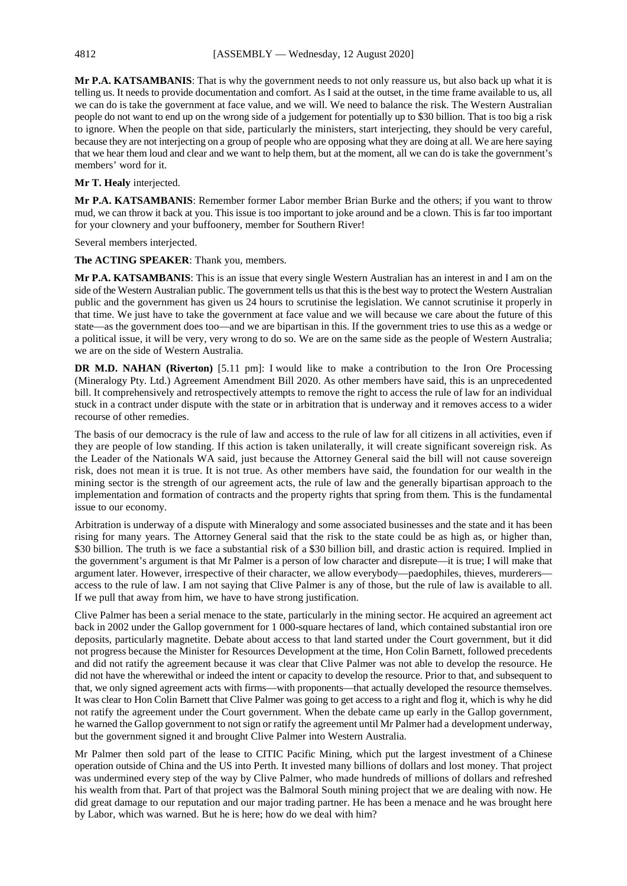**Mr P.A. KATSAMBANIS**: That is why the government needs to not only reassure us, but also back up what it is telling us. It needs to provide documentation and comfort. As I said at the outset, in the time frame available to us, all we can do is take the government at face value, and we will. We need to balance the risk. The Western Australian people do not want to end up on the wrong side of a judgement for potentially up to \$30 billion. That is too big a risk to ignore. When the people on that side, particularly the ministers, start interjecting, they should be very careful, because they are not interjecting on a group of people who are opposing what they are doing at all. We are here saying that we hear them loud and clear and we want to help them, but at the moment, all we can do is take the government's members' word for it.

#### **Mr T. Healy** interjected.

**Mr P.A. KATSAMBANIS**: Remember former Labor member Brian Burke and the others; if you want to throw mud, we can throw it back at you. This issue is too important to joke around and be a clown. This is far too important for your clownery and your buffoonery, member for Southern River!

Several members interjected.

**The ACTING SPEAKER**: Thank you, members.

**Mr P.A. KATSAMBANIS**: This is an issue that every single Western Australian has an interest in and I am on the side of the Western Australian public. The government tells us that this is the best way to protect the Western Australian public and the government has given us 24 hours to scrutinise the legislation. We cannot scrutinise it properly in that time. We just have to take the government at face value and we will because we care about the future of this state—as the government does too—and we are bipartisan in this. If the government tries to use this as a wedge or a political issue, it will be very, very wrong to do so. We are on the same side as the people of Western Australia; we are on the side of Western Australia.

**DR M.D. NAHAN (Riverton)** [5.11 pm]: I would like to make a contribution to the Iron Ore Processing (Mineralogy Pty. Ltd.) Agreement Amendment Bill 2020. As other members have said, this is an unprecedented bill. It comprehensively and retrospectively attempts to remove the right to access the rule of law for an individual stuck in a contract under dispute with the state or in arbitration that is underway and it removes access to a wider recourse of other remedies.

The basis of our democracy is the rule of law and access to the rule of law for all citizens in all activities, even if they are people of low standing. If this action is taken unilaterally, it will create significant sovereign risk. As the Leader of the Nationals WA said, just because the Attorney General said the bill will not cause sovereign risk, does not mean it is true. It is not true. As other members have said, the foundation for our wealth in the mining sector is the strength of our agreement acts, the rule of law and the generally bipartisan approach to the implementation and formation of contracts and the property rights that spring from them. This is the fundamental issue to our economy.

Arbitration is underway of a dispute with Mineralogy and some associated businesses and the state and it has been rising for many years. The Attorney General said that the risk to the state could be as high as, or higher than, \$30 billion. The truth is we face a substantial risk of a \$30 billion bill, and drastic action is required. Implied in the government's argument is that Mr Palmer is a person of low character and disrepute—it is true; I will make that argument later. However, irrespective of their character, we allow everybody—paedophiles, thieves, murderers access to the rule of law. I am not saying that Clive Palmer is any of those, but the rule of law is available to all. If we pull that away from him, we have to have strong justification.

Clive Palmer has been a serial menace to the state, particularly in the mining sector. He acquired an agreement act back in 2002 under the Gallop government for 1 000-square hectares of land, which contained substantial iron ore deposits, particularly magnetite. Debate about access to that land started under the Court government, but it did not progress because the Minister for Resources Development at the time, Hon Colin Barnett, followed precedents and did not ratify the agreement because it was clear that Clive Palmer was not able to develop the resource. He did not have the wherewithal or indeed the intent or capacity to develop the resource. Prior to that, and subsequent to that, we only signed agreement acts with firms—with proponents—that actually developed the resource themselves. It was clear to Hon Colin Barnett that Clive Palmer was going to get access to a right and flog it, which is why he did not ratify the agreement under the Court government. When the debate came up early in the Gallop government, he warned the Gallop government to not sign or ratify the agreement until Mr Palmer had a development underway, but the government signed it and brought Clive Palmer into Western Australia.

Mr Palmer then sold part of the lease to CITIC Pacific Mining, which put the largest investment of a Chinese operation outside of China and the US into Perth. It invested many billions of dollars and lost money. That project was undermined every step of the way by Clive Palmer, who made hundreds of millions of dollars and refreshed his wealth from that. Part of that project was the Balmoral South mining project that we are dealing with now. He did great damage to our reputation and our major trading partner. He has been a menace and he was brought here by Labor, which was warned. But he is here; how do we deal with him?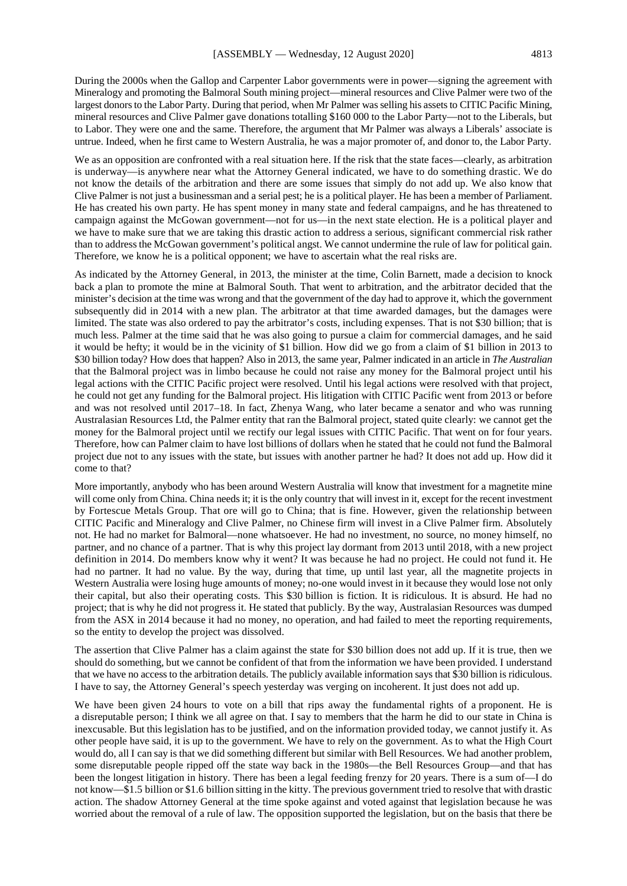During the 2000s when the Gallop and Carpenter Labor governments were in power—signing the agreement with Mineralogy and promoting the Balmoral South mining project—mineral resources and Clive Palmer were two of the largest donors to the Labor Party. During that period, when Mr Palmer was selling his assets to CITIC Pacific Mining, mineral resources and Clive Palmer gave donations totalling \$160 000 to the Labor Party—not to the Liberals, but to Labor. They were one and the same. Therefore, the argument that Mr Palmer was always a Liberals' associate is untrue. Indeed, when he first came to Western Australia, he was a major promoter of, and donor to, the Labor Party.

We as an opposition are confronted with a real situation here. If the risk that the state faces—clearly, as arbitration is underway—is anywhere near what the Attorney General indicated, we have to do something drastic. We do not know the details of the arbitration and there are some issues that simply do not add up. We also know that Clive Palmer is not just a businessman and a serial pest; he is a political player. He has been a member of Parliament. He has created his own party. He has spent money in many state and federal campaigns, and he has threatened to campaign against the McGowan government—not for us—in the next state election. He is a political player and we have to make sure that we are taking this drastic action to address a serious, significant commercial risk rather than to address the McGowan government's political angst. We cannot undermine the rule of law for political gain. Therefore, we know he is a political opponent; we have to ascertain what the real risks are.

As indicated by the Attorney General, in 2013, the minister at the time, Colin Barnett, made a decision to knock back a plan to promote the mine at Balmoral South. That went to arbitration, and the arbitrator decided that the minister's decision at the time was wrong and that the government of the day had to approve it, which the government subsequently did in 2014 with a new plan. The arbitrator at that time awarded damages, but the damages were limited. The state was also ordered to pay the arbitrator's costs, including expenses. That is not \$30 billion; that is much less. Palmer at the time said that he was also going to pursue a claim for commercial damages, and he said it would be hefty; it would be in the vicinity of \$1 billion. How did we go from a claim of \$1 billion in 2013 to \$30 billion today? How does that happen? Also in 2013, the same year, Palmer indicated in an article in *The Australian* that the Balmoral project was in limbo because he could not raise any money for the Balmoral project until his legal actions with the CITIC Pacific project were resolved. Until his legal actions were resolved with that project, he could not get any funding for the Balmoral project. His litigation with CITIC Pacific went from 2013 or before and was not resolved until 2017–18. In fact, Zhenya Wang, who later became a senator and who was running Australasian Resources Ltd, the Palmer entity that ran the Balmoral project, stated quite clearly: we cannot get the money for the Balmoral project until we rectify our legal issues with CITIC Pacific. That went on for four years. Therefore, how can Palmer claim to have lost billions of dollars when he stated that he could not fund the Balmoral project due not to any issues with the state, but issues with another partner he had? It does not add up. How did it come to that?

More importantly, anybody who has been around Western Australia will know that investment for a magnetite mine will come only from China. China needs it; it is the only country that will invest in it, except for the recent investment by Fortescue Metals Group. That ore will go to China; that is fine. However, given the relationship between CITIC Pacific and Mineralogy and Clive Palmer, no Chinese firm will invest in a Clive Palmer firm. Absolutely not. He had no market for Balmoral—none whatsoever. He had no investment, no source, no money himself, no partner, and no chance of a partner. That is why this project lay dormant from 2013 until 2018, with a new project definition in 2014. Do members know why it went? It was because he had no project. He could not fund it. He had no partner. It had no value. By the way, during that time, up until last year, all the magnetite projects in Western Australia were losing huge amounts of money; no-one would invest in it because they would lose not only their capital, but also their operating costs. This \$30 billion is fiction. It is ridiculous. It is absurd. He had no project; that is why he did not progress it. He stated that publicly. By the way, Australasian Resources was dumped from the ASX in 2014 because it had no money, no operation, and had failed to meet the reporting requirements, so the entity to develop the project was dissolved.

The assertion that Clive Palmer has a claim against the state for \$30 billion does not add up. If it is true, then we should do something, but we cannot be confident of that from the information we have been provided. I understand that we have no access to the arbitration details. The publicly available information says that \$30 billion is ridiculous. I have to say, the Attorney General's speech yesterday was verging on incoherent. It just does not add up.

We have been given 24 hours to vote on a bill that rips away the fundamental rights of a proponent. He is a disreputable person; I think we all agree on that. I say to members that the harm he did to our state in China is inexcusable. But this legislation has to be justified, and on the information provided today, we cannot justify it. As other people have said, it is up to the government. We have to rely on the government. As to what the High Court would do, all I can say is that we did something different but similar with Bell Resources. We had another problem, some disreputable people ripped off the state way back in the 1980s—the Bell Resources Group—and that has been the longest litigation in history. There has been a legal feeding frenzy for 20 years. There is a sum of—I do not know—\$1.5 billion or \$1.6 billion sitting in the kitty. The previous government tried to resolve that with drastic action. The shadow Attorney General at the time spoke against and voted against that legislation because he was worried about the removal of a rule of law. The opposition supported the legislation, but on the basis that there be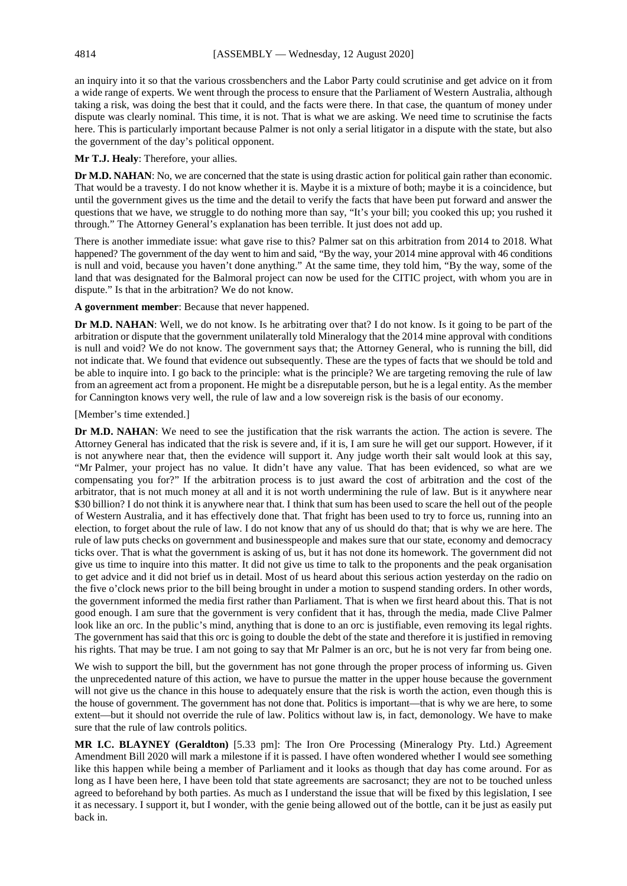an inquiry into it so that the various crossbenchers and the Labor Party could scrutinise and get advice on it from a wide range of experts. We went through the process to ensure that the Parliament of Western Australia, although taking a risk, was doing the best that it could, and the facts were there. In that case, the quantum of money under dispute was clearly nominal. This time, it is not. That is what we are asking. We need time to scrutinise the facts here. This is particularly important because Palmer is not only a serial litigator in a dispute with the state, but also the government of the day's political opponent.

**Mr T.J. Healy**: Therefore, your allies.

**Dr M.D. NAHAN**: No, we are concerned that the state is using drastic action for political gain rather than economic. That would be a travesty. I do not know whether it is. Maybe it is a mixture of both; maybe it is a coincidence, but until the government gives us the time and the detail to verify the facts that have been put forward and answer the questions that we have, we struggle to do nothing more than say, "It's your bill; you cooked this up; you rushed it through." The Attorney General's explanation has been terrible. It just does not add up.

There is another immediate issue: what gave rise to this? Palmer sat on this arbitration from 2014 to 2018. What happened? The government of the day went to him and said, "By the way, your 2014 mine approval with 46 conditions is null and void, because you haven't done anything." At the same time, they told him, "By the way, some of the land that was designated for the Balmoral project can now be used for the CITIC project, with whom you are in dispute." Is that in the arbitration? We do not know.

**A government member**: Because that never happened.

**Dr M.D. NAHAN**: Well, we do not know. Is he arbitrating over that? I do not know. Is it going to be part of the arbitration or dispute that the government unilaterally told Mineralogy that the 2014 mine approval with conditions is null and void? We do not know. The government says that; the Attorney General, who is running the bill, did not indicate that. We found that evidence out subsequently. These are the types of facts that we should be told and be able to inquire into. I go back to the principle: what is the principle? We are targeting removing the rule of law from an agreement act from a proponent. He might be a disreputable person, but he is a legal entity. As the member for Cannington knows very well, the rule of law and a low sovereign risk is the basis of our economy.

### [Member's time extended.]

**Dr M.D. NAHAN**: We need to see the justification that the risk warrants the action. The action is severe. The Attorney General has indicated that the risk is severe and, if it is, I am sure he will get our support. However, if it is not anywhere near that, then the evidence will support it. Any judge worth their salt would look at this say, "Mr Palmer, your project has no value. It didn't have any value. That has been evidenced, so what are we compensating you for?" If the arbitration process is to just award the cost of arbitration and the cost of the arbitrator, that is not much money at all and it is not worth undermining the rule of law. But is it anywhere near \$30 billion? I do not think it is anywhere near that. I think that sum has been used to scare the hell out of the people of Western Australia, and it has effectively done that. That fright has been used to try to force us, running into an election, to forget about the rule of law. I do not know that any of us should do that; that is why we are here. The rule of law puts checks on government and businesspeople and makes sure that our state, economy and democracy ticks over. That is what the government is asking of us, but it has not done its homework. The government did not give us time to inquire into this matter. It did not give us time to talk to the proponents and the peak organisation to get advice and it did not brief us in detail. Most of us heard about this serious action yesterday on the radio on the five o'clock news prior to the bill being brought in under a motion to suspend standing orders. In other words, the government informed the media first rather than Parliament. That is when we first heard about this. That is not good enough. I am sure that the government is very confident that it has, through the media, made Clive Palmer look like an orc. In the public's mind, anything that is done to an orc is justifiable, even removing its legal rights. The government has said that this orc is going to double the debt of the state and therefore it is justified in removing his rights. That may be true. I am not going to say that Mr Palmer is an orc, but he is not very far from being one.

We wish to support the bill, but the government has not gone through the proper process of informing us. Given the unprecedented nature of this action, we have to pursue the matter in the upper house because the government will not give us the chance in this house to adequately ensure that the risk is worth the action, even though this is the house of government. The government has not done that. Politics is important—that is why we are here, to some extent—but it should not override the rule of law. Politics without law is, in fact, demonology. We have to make sure that the rule of law controls politics.

**MR I.C. BLAYNEY (Geraldton)** [5.33 pm]: The Iron Ore Processing (Mineralogy Pty. Ltd.) Agreement Amendment Bill 2020 will mark a milestone if it is passed. I have often wondered whether I would see something like this happen while being a member of Parliament and it looks as though that day has come around. For as long as I have been here, I have been told that state agreements are sacrosanct; they are not to be touched unless agreed to beforehand by both parties. As much as I understand the issue that will be fixed by this legislation, I see it as necessary. I support it, but I wonder, with the genie being allowed out of the bottle, can it be just as easily put back in.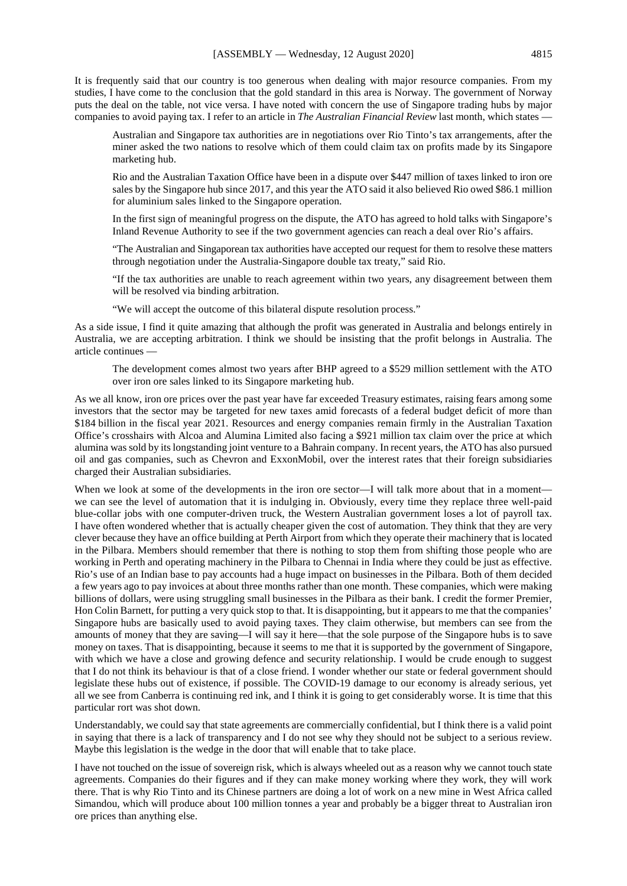It is frequently said that our country is too generous when dealing with major resource companies. From my studies, I have come to the conclusion that the gold standard in this area is Norway. The government of Norway puts the deal on the table, not vice versa. I have noted with concern the use of Singapore trading hubs by major companies to avoid paying tax. I refer to an article in *The Australian Financial Review* last month, which states —

Australian and Singapore tax authorities are in negotiations over Rio Tinto's tax arrangements, after the miner asked the two nations to resolve which of them could claim tax on profits made by its Singapore marketing hub.

Rio and the Australian Taxation Office have been in a dispute over \$447 million of taxes linked to iron ore sales by the Singapore hub since 2017, and this year the ATO said it also believed Rio owed \$86.1 million for aluminium sales linked to the Singapore operation.

In the first sign of meaningful progress on the dispute, the ATO has agreed to hold talks with Singapore's Inland Revenue Authority to see if the two government agencies can reach a deal over Rio's affairs.

"The Australian and Singaporean tax authorities have accepted our request for them to resolve these matters through negotiation under the Australia-Singapore double tax treaty," said Rio.

"If the tax authorities are unable to reach agreement within two years, any disagreement between them will be resolved via binding arbitration.

"We will accept the outcome of this bilateral dispute resolution process."

As a side issue, I find it quite amazing that although the profit was generated in Australia and belongs entirely in Australia, we are accepting arbitration. I think we should be insisting that the profit belongs in Australia. The article continues —

The development comes almost two years after BHP agreed to a \$529 million settlement with the ATO over iron ore sales linked to its Singapore marketing hub.

As we all know, iron ore prices over the past year have far exceeded Treasury estimates, raising fears among some investors that the sector may be targeted for new taxes amid forecasts of a federal budget deficit of more than \$184 billion in the fiscal year 2021. Resources and energy companies remain firmly in the Australian Taxation Office's crosshairs with Alcoa and Alumina Limited also facing a \$921 million tax claim over the price at which alumina was sold by its longstanding joint venture to a Bahrain company. In recent years, the ATO has also pursued oil and gas companies, such as Chevron and ExxonMobil, over the interest rates that their foreign subsidiaries charged their Australian subsidiaries.

When we look at some of the developments in the iron ore sector—I will talk more about that in a moment we can see the level of automation that it is indulging in. Obviously, every time they replace three well-paid blue-collar jobs with one computer-driven truck, the Western Australian government loses a lot of payroll tax. I have often wondered whether that is actually cheaper given the cost of automation. They think that they are very clever because they have an office building at Perth Airport from which they operate their machinery that is located in the Pilbara. Members should remember that there is nothing to stop them from shifting those people who are working in Perth and operating machinery in the Pilbara to Chennai in India where they could be just as effective. Rio's use of an Indian base to pay accounts had a huge impact on businesses in the Pilbara. Both of them decided a few years ago to pay invoices at about three months rather than one month. These companies, which were making billions of dollars, were using struggling small businesses in the Pilbara as their bank. I credit the former Premier, Hon Colin Barnett, for putting a very quick stop to that. It is disappointing, but it appears to me that the companies' Singapore hubs are basically used to avoid paying taxes. They claim otherwise, but members can see from the amounts of money that they are saving—I will say it here—that the sole purpose of the Singapore hubs is to save money on taxes. That is disappointing, because it seems to me that it is supported by the government of Singapore, with which we have a close and growing defence and security relationship. I would be crude enough to suggest that I do not think its behaviour is that of a close friend. I wonder whether our state or federal government should legislate these hubs out of existence, if possible. The COVID-19 damage to our economy is already serious, yet all we see from Canberra is continuing red ink, and I think it is going to get considerably worse. It is time that this particular rort was shot down.

Understandably, we could say that state agreements are commercially confidential, but I think there is a valid point in saying that there is a lack of transparency and I do not see why they should not be subject to a serious review. Maybe this legislation is the wedge in the door that will enable that to take place.

I have not touched on the issue of sovereign risk, which is always wheeled out as a reason why we cannot touch state agreements. Companies do their figures and if they can make money working where they work, they will work there. That is why Rio Tinto and its Chinese partners are doing a lot of work on a new mine in West Africa called Simandou, which will produce about 100 million tonnes a year and probably be a bigger threat to Australian iron ore prices than anything else.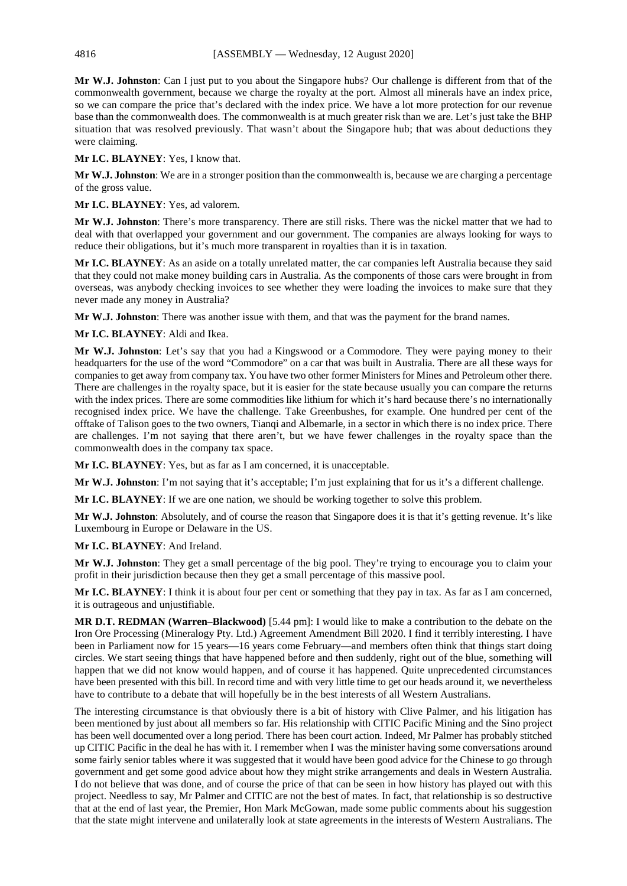**Mr W.J. Johnston**: Can I just put to you about the Singapore hubs? Our challenge is different from that of the commonwealth government, because we charge the royalty at the port. Almost all minerals have an index price, so we can compare the price that's declared with the index price. We have a lot more protection for our revenue base than the commonwealth does. The commonwealth is at much greater risk than we are. Let's just take the BHP situation that was resolved previously. That wasn't about the Singapore hub; that was about deductions they were claiming.

**Mr I.C. BLAYNEY**: Yes, I know that.

**Mr W.J. Johnston**: We are in a stronger position than the commonwealth is, because we are charging a percentage of the gross value.

**Mr I.C. BLAYNEY**: Yes, ad valorem.

**Mr W.J. Johnston**: There's more transparency. There are still risks. There was the nickel matter that we had to deal with that overlapped your government and our government. The companies are always looking for ways to reduce their obligations, but it's much more transparent in royalties than it is in taxation.

**Mr I.C. BLAYNEY**: As an aside on a totally unrelated matter, the car companies left Australia because they said that they could not make money building cars in Australia. As the components of those cars were brought in from overseas, was anybody checking invoices to see whether they were loading the invoices to make sure that they never made any money in Australia?

**Mr W.J. Johnston**: There was another issue with them, and that was the payment for the brand names.

**Mr I.C. BLAYNEY**: Aldi and Ikea.

**Mr W.J. Johnston**: Let's say that you had a Kingswood or a Commodore. They were paying money to their headquarters for the use of the word "Commodore" on a car that was built in Australia. There are all these ways for companies to get away from company tax. You have two other former Ministers for Mines and Petroleum other there. There are challenges in the royalty space, but it is easier for the state because usually you can compare the returns with the index prices. There are some commodities like lithium for which it's hard because there's no internationally recognised index price. We have the challenge. Take Greenbushes, for example. One hundred per cent of the offtake of Talison goes to the two owners, Tianqi and Albemarle, in a sector in which there is no index price. There are challenges. I'm not saying that there aren't, but we have fewer challenges in the royalty space than the commonwealth does in the company tax space.

**Mr I.C. BLAYNEY**: Yes, but as far as I am concerned, it is unacceptable.

**Mr W.J. Johnston**: I'm not saying that it's acceptable; I'm just explaining that for us it's a different challenge.

**Mr I.C. BLAYNEY**: If we are one nation, we should be working together to solve this problem.

**Mr W.J. Johnston**: Absolutely, and of course the reason that Singapore does it is that it's getting revenue. It's like Luxembourg in Europe or Delaware in the US.

#### **Mr I.C. BLAYNEY**: And Ireland.

**Mr W.J. Johnston**: They get a small percentage of the big pool. They're trying to encourage you to claim your profit in their jurisdiction because then they get a small percentage of this massive pool.

**Mr I.C. BLAYNEY**: I think it is about four per cent or something that they pay in tax. As far as I am concerned, it is outrageous and unjustifiable.

**MR D.T. REDMAN (Warren–Blackwood)** [5.44 pm]: I would like to make a contribution to the debate on the Iron Ore Processing (Mineralogy Pty. Ltd.) Agreement Amendment Bill 2020. I find it terribly interesting. I have been in Parliament now for 15 years—16 years come February—and members often think that things start doing circles. We start seeing things that have happened before and then suddenly, right out of the blue, something will happen that we did not know would happen, and of course it has happened. Quite unprecedented circumstances have been presented with this bill. In record time and with very little time to get our heads around it, we nevertheless have to contribute to a debate that will hopefully be in the best interests of all Western Australians.

The interesting circumstance is that obviously there is a bit of history with Clive Palmer, and his litigation has been mentioned by just about all members so far. His relationship with CITIC Pacific Mining and the Sino project has been well documented over a long period. There has been court action. Indeed, Mr Palmer has probably stitched up CITIC Pacific in the deal he has with it. I remember when I was the minister having some conversations around some fairly senior tables where it was suggested that it would have been good advice for the Chinese to go through government and get some good advice about how they might strike arrangements and deals in Western Australia. I do not believe that was done, and of course the price of that can be seen in how history has played out with this project. Needless to say, Mr Palmer and CITIC are not the best of mates. In fact, that relationship is so destructive that at the end of last year, the Premier, Hon Mark McGowan, made some public comments about his suggestion that the state might intervene and unilaterally look at state agreements in the interests of Western Australians. The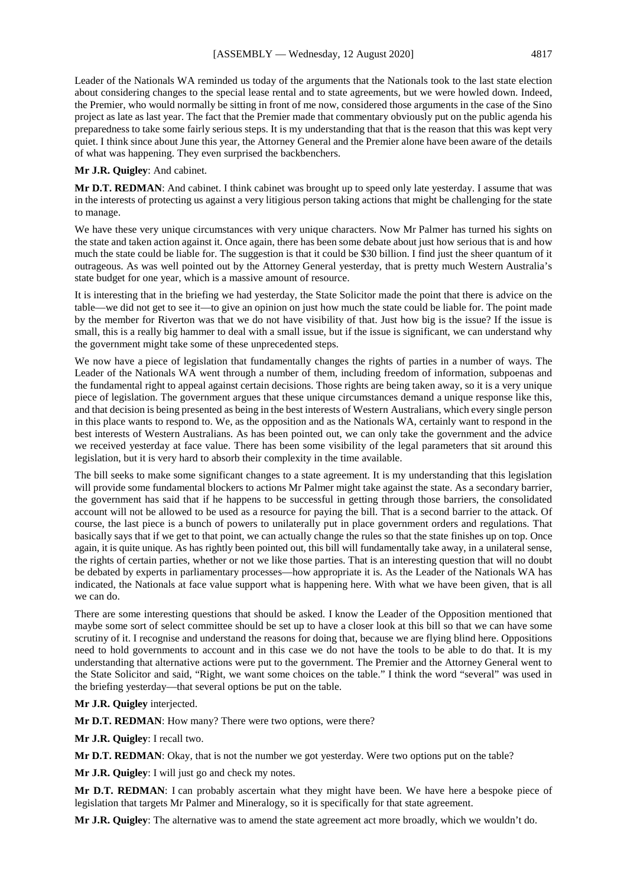Leader of the Nationals WA reminded us today of the arguments that the Nationals took to the last state election about considering changes to the special lease rental and to state agreements, but we were howled down. Indeed, the Premier, who would normally be sitting in front of me now, considered those arguments in the case of the Sino project as late as last year. The fact that the Premier made that commentary obviously put on the public agenda his preparedness to take some fairly serious steps. It is my understanding that that is the reason that this was kept very quiet. I think since about June this year, the Attorney General and the Premier alone have been aware of the details of what was happening. They even surprised the backbenchers.

#### **Mr J.R. Quigley**: And cabinet.

**Mr D.T. REDMAN**: And cabinet. I think cabinet was brought up to speed only late yesterday. I assume that was in the interests of protecting us against a very litigious person taking actions that might be challenging for the state to manage.

We have these very unique circumstances with very unique characters. Now Mr Palmer has turned his sights on the state and taken action against it. Once again, there has been some debate about just how serious that is and how much the state could be liable for. The suggestion is that it could be \$30 billion. I find just the sheer quantum of it outrageous. As was well pointed out by the Attorney General yesterday, that is pretty much Western Australia's state budget for one year, which is a massive amount of resource.

It is interesting that in the briefing we had yesterday, the State Solicitor made the point that there is advice on the table—we did not get to see it—to give an opinion on just how much the state could be liable for. The point made by the member for Riverton was that we do not have visibility of that. Just how big is the issue? If the issue is small, this is a really big hammer to deal with a small issue, but if the issue is significant, we can understand why the government might take some of these unprecedented steps.

We now have a piece of legislation that fundamentally changes the rights of parties in a number of ways. The Leader of the Nationals WA went through a number of them, including freedom of information, subpoenas and the fundamental right to appeal against certain decisions. Those rights are being taken away, so it is a very unique piece of legislation. The government argues that these unique circumstances demand a unique response like this, and that decision is being presented as being in the best interests of Western Australians, which every single person in this place wants to respond to. We, as the opposition and as the Nationals WA, certainly want to respond in the best interests of Western Australians. As has been pointed out, we can only take the government and the advice we received yesterday at face value. There has been some visibility of the legal parameters that sit around this legislation, but it is very hard to absorb their complexity in the time available.

The bill seeks to make some significant changes to a state agreement. It is my understanding that this legislation will provide some fundamental blockers to actions Mr Palmer might take against the state. As a secondary barrier, the government has said that if he happens to be successful in getting through those barriers, the consolidated account will not be allowed to be used as a resource for paying the bill. That is a second barrier to the attack. Of course, the last piece is a bunch of powers to unilaterally put in place government orders and regulations. That basically says that if we get to that point, we can actually change the rules so that the state finishes up on top. Once again, it is quite unique. As has rightly been pointed out, this bill will fundamentally take away, in a unilateral sense, the rights of certain parties, whether or not we like those parties. That is an interesting question that will no doubt be debated by experts in parliamentary processes—how appropriate it is. As the Leader of the Nationals WA has indicated, the Nationals at face value support what is happening here. With what we have been given, that is all we can do.

There are some interesting questions that should be asked. I know the Leader of the Opposition mentioned that maybe some sort of select committee should be set up to have a closer look at this bill so that we can have some scrutiny of it. I recognise and understand the reasons for doing that, because we are flying blind here. Oppositions need to hold governments to account and in this case we do not have the tools to be able to do that. It is my understanding that alternative actions were put to the government. The Premier and the Attorney General went to the State Solicitor and said, "Right, we want some choices on the table." I think the word "several" was used in the briefing yesterday—that several options be put on the table.

#### **Mr J.R. Quigley** interjected.

**Mr D.T. REDMAN**: How many? There were two options, were there?

**Mr J.R. Quigley**: I recall two.

**Mr D.T. REDMAN**: Okay, that is not the number we got yesterday. Were two options put on the table?

**Mr J.R. Quigley**: I will just go and check my notes.

**Mr D.T. REDMAN**: I can probably ascertain what they might have been. We have here a bespoke piece of legislation that targets Mr Palmer and Mineralogy, so it is specifically for that state agreement.

**Mr J.R. Quigley**: The alternative was to amend the state agreement act more broadly, which we wouldn't do.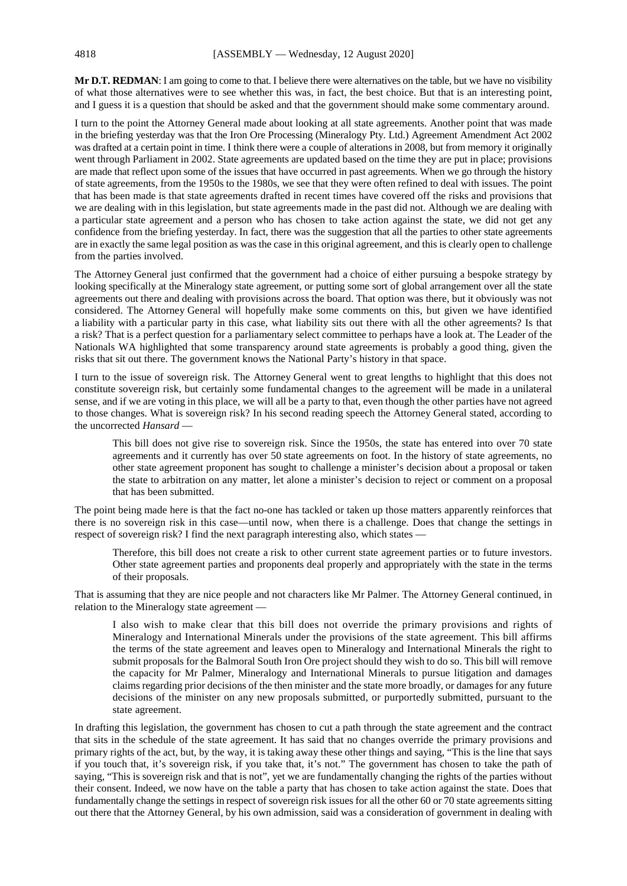**Mr D.T. REDMAN**: I am going to come to that. I believe there were alternatives on the table, but we have no visibility of what those alternatives were to see whether this was, in fact, the best choice. But that is an interesting point, and I guess it is a question that should be asked and that the government should make some commentary around.

I turn to the point the Attorney General made about looking at all state agreements. Another point that was made in the briefing yesterday was that the Iron Ore Processing (Mineralogy Pty. Ltd.) Agreement Amendment Act 2002 was drafted at a certain point in time. I think there were a couple of alterations in 2008, but from memory it originally went through Parliament in 2002. State agreements are updated based on the time they are put in place; provisions are made that reflect upon some of the issues that have occurred in past agreements. When we go through the history of state agreements, from the 1950s to the 1980s, we see that they were often refined to deal with issues. The point that has been made is that state agreements drafted in recent times have covered off the risks and provisions that we are dealing with in this legislation, but state agreements made in the past did not. Although we are dealing with a particular state agreement and a person who has chosen to take action against the state, we did not get any confidence from the briefing yesterday. In fact, there was the suggestion that all the parties to other state agreements are in exactly the same legal position as was the case in this original agreement, and this is clearly open to challenge from the parties involved.

The Attorney General just confirmed that the government had a choice of either pursuing a bespoke strategy by looking specifically at the Mineralogy state agreement, or putting some sort of global arrangement over all the state agreements out there and dealing with provisions across the board. That option was there, but it obviously was not considered. The Attorney General will hopefully make some comments on this, but given we have identified a liability with a particular party in this case, what liability sits out there with all the other agreements? Is that a risk? That is a perfect question for a parliamentary select committee to perhaps have a look at. The Leader of the Nationals WA highlighted that some transparency around state agreements is probably a good thing, given the risks that sit out there. The government knows the National Party's history in that space.

I turn to the issue of sovereign risk. The Attorney General went to great lengths to highlight that this does not constitute sovereign risk, but certainly some fundamental changes to the agreement will be made in a unilateral sense, and if we are voting in this place, we will all be a party to that, even though the other parties have not agreed to those changes. What is sovereign risk? In his second reading speech the Attorney General stated, according to the uncorrected *Hansard* —

This bill does not give rise to sovereign risk. Since the 1950s, the state has entered into over 70 state agreements and it currently has over 50 state agreements on foot. In the history of state agreements, no other state agreement proponent has sought to challenge a minister's decision about a proposal or taken the state to arbitration on any matter, let alone a minister's decision to reject or comment on a proposal that has been submitted.

The point being made here is that the fact no-one has tackled or taken up those matters apparently reinforces that there is no sovereign risk in this case—until now, when there is a challenge. Does that change the settings in respect of sovereign risk? I find the next paragraph interesting also, which states —

Therefore, this bill does not create a risk to other current state agreement parties or to future investors. Other state agreement parties and proponents deal properly and appropriately with the state in the terms of their proposals.

That is assuming that they are nice people and not characters like Mr Palmer. The Attorney General continued, in relation to the Mineralogy state agreement —

I also wish to make clear that this bill does not override the primary provisions and rights of Mineralogy and International Minerals under the provisions of the state agreement. This bill affirms the terms of the state agreement and leaves open to Mineralogy and International Minerals the right to submit proposals for the Balmoral South Iron Ore project should they wish to do so. This bill will remove the capacity for Mr Palmer, Mineralogy and International Minerals to pursue litigation and damages claims regarding prior decisions of the then minister and the state more broadly, or damages for any future decisions of the minister on any new proposals submitted, or purportedly submitted, pursuant to the state agreement.

In drafting this legislation, the government has chosen to cut a path through the state agreement and the contract that sits in the schedule of the state agreement. It has said that no changes override the primary provisions and primary rights of the act, but, by the way, it is taking away these other things and saying, "This is the line that says if you touch that, it's sovereign risk, if you take that, it's not." The government has chosen to take the path of saying, "This is sovereign risk and that is not", yet we are fundamentally changing the rights of the parties without their consent. Indeed, we now have on the table a party that has chosen to take action against the state. Does that fundamentally change the settings in respect of sovereign risk issues for all the other 60 or 70 state agreements sitting out there that the Attorney General, by his own admission, said was a consideration of government in dealing with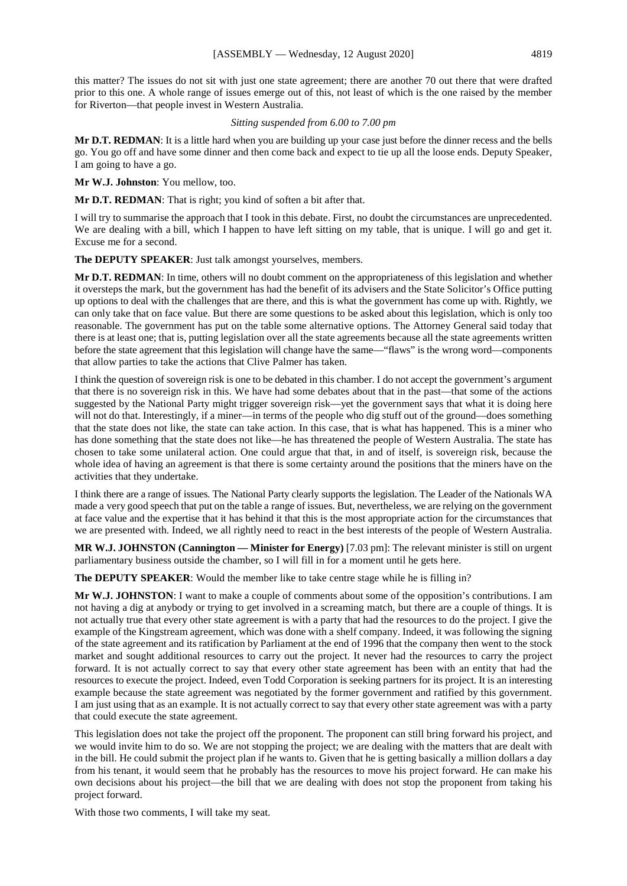this matter? The issues do not sit with just one state agreement; there are another 70 out there that were drafted prior to this one. A whole range of issues emerge out of this, not least of which is the one raised by the member for Riverton—that people invest in Western Australia.

### *Sitting suspended from 6.00 to 7.00 pm*

**Mr D.T. REDMAN**: It is a little hard when you are building up your case just before the dinner recess and the bells go. You go off and have some dinner and then come back and expect to tie up all the loose ends. Deputy Speaker, I am going to have a go.

**Mr W.J. Johnston**: You mellow, too.

**Mr D.T. REDMAN**: That is right; you kind of soften a bit after that.

I will try to summarise the approach that I took in this debate. First, no doubt the circumstances are unprecedented. We are dealing with a bill, which I happen to have left sitting on my table, that is unique. I will go and get it. Excuse me for a second.

**The DEPUTY SPEAKER**: Just talk amongst yourselves, members.

**Mr D.T. REDMAN**: In time, others will no doubt comment on the appropriateness of this legislation and whether it oversteps the mark, but the government has had the benefit of its advisers and the State Solicitor's Office putting up options to deal with the challenges that are there, and this is what the government has come up with. Rightly, we can only take that on face value. But there are some questions to be asked about this legislation, which is only too reasonable. The government has put on the table some alternative options. The Attorney General said today that there is at least one; that is, putting legislation over all the state agreements because all the state agreements written before the state agreement that this legislation will change have the same—"flaws" is the wrong word—components that allow parties to take the actions that Clive Palmer has taken.

I think the question of sovereign risk is one to be debated in this chamber. I do not accept the government's argument that there is no sovereign risk in this. We have had some debates about that in the past—that some of the actions suggested by the National Party might trigger sovereign risk—yet the government says that what it is doing here will not do that. Interestingly, if a miner—in terms of the people who dig stuff out of the ground—does something that the state does not like, the state can take action. In this case, that is what has happened. This is a miner who has done something that the state does not like—he has threatened the people of Western Australia. The state has chosen to take some unilateral action. One could argue that that, in and of itself, is sovereign risk, because the whole idea of having an agreement is that there is some certainty around the positions that the miners have on the activities that they undertake.

I think there are a range of issues. The National Party clearly supports the legislation. The Leader of the Nationals WA made a very good speech that put on the table a range of issues. But, nevertheless, we are relying on the government at face value and the expertise that it has behind it that this is the most appropriate action for the circumstances that we are presented with. Indeed, we all rightly need to react in the best interests of the people of Western Australia.

**MR W.J. JOHNSTON (Cannington — Minister for Energy)** [7.03 pm]: The relevant minister is still on urgent parliamentary business outside the chamber, so I will fill in for a moment until he gets here.

**The DEPUTY SPEAKER:** Would the member like to take centre stage while he is filling in?

**Mr W.J. JOHNSTON**: I want to make a couple of comments about some of the opposition's contributions. I am not having a dig at anybody or trying to get involved in a screaming match, but there are a couple of things. It is not actually true that every other state agreement is with a party that had the resources to do the project. I give the example of the Kingstream agreement, which was done with a shelf company. Indeed, it was following the signing of the state agreement and its ratification by Parliament at the end of 1996 that the company then went to the stock market and sought additional resources to carry out the project. It never had the resources to carry the project forward. It is not actually correct to say that every other state agreement has been with an entity that had the resources to execute the project. Indeed, even Todd Corporation is seeking partners for its project. It is an interesting example because the state agreement was negotiated by the former government and ratified by this government. I am just using that as an example. It is not actually correct to say that every other state agreement was with a party that could execute the state agreement.

This legislation does not take the project off the proponent. The proponent can still bring forward his project, and we would invite him to do so. We are not stopping the project; we are dealing with the matters that are dealt with in the bill. He could submit the project plan if he wants to. Given that he is getting basically a million dollars a day from his tenant, it would seem that he probably has the resources to move his project forward. He can make his own decisions about his project—the bill that we are dealing with does not stop the proponent from taking his project forward.

With those two comments, I will take my seat.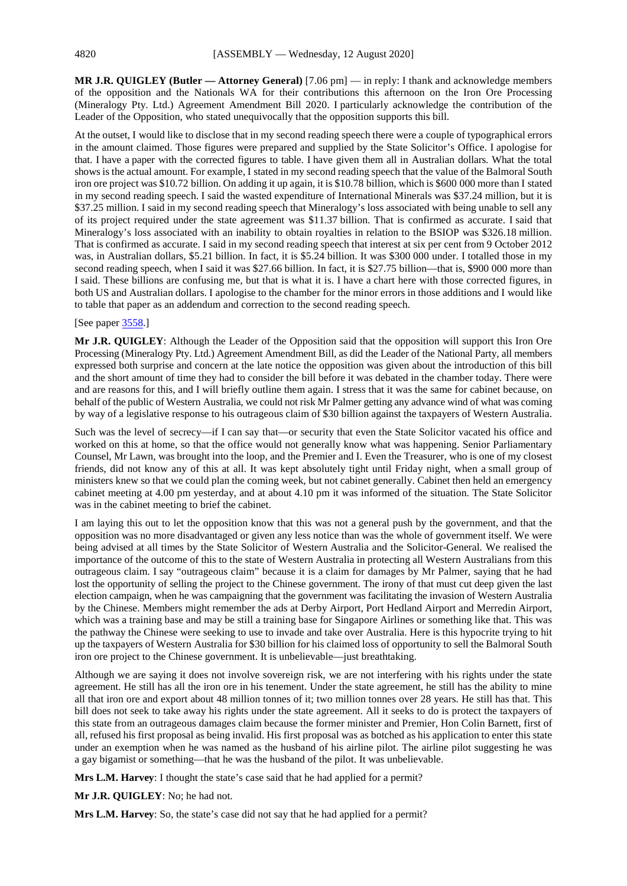**MR J.R. QUIGLEY (Butler — Attorney General)** [7.06 pm] — in reply: I thank and acknowledge members of the opposition and the Nationals WA for their contributions this afternoon on the Iron Ore Processing (Mineralogy Pty. Ltd.) Agreement Amendment Bill 2020. I particularly acknowledge the contribution of the Leader of the Opposition, who stated unequivocally that the opposition supports this bill.

At the outset, I would like to disclose that in my second reading speech there were a couple of typographical errors in the amount claimed. Those figures were prepared and supplied by the State Solicitor's Office. I apologise for that. I have a paper with the corrected figures to table. I have given them all in Australian dollars. What the total showsis the actual amount. For example, I stated in my second reading speech that the value of the Balmoral South iron ore project was \$10.72 billion. On adding it up again, it is \$10.78 billion, which is \$600 000 more than I stated in my second reading speech. I said the wasted expenditure of International Minerals was \$37.24 million, but it is \$37.25 million. I said in my second reading speech that Mineralogy's loss associated with being unable to sell any of its project required under the state agreement was \$11.37 billion. That is confirmed as accurate. I said that Mineralogy's loss associated with an inability to obtain royalties in relation to the BSIOP was \$326.18 million. That is confirmed as accurate. I said in my second reading speech that interest at six per cent from 9 October 2012 was, in Australian dollars, \$5.21 billion. In fact, it is \$5.24 billion. It was \$300 000 under. I totalled those in my second reading speech, when I said it was \$27.66 billion. In fact, it is \$27.75 billion—that is, \$900 000 more than I said. These billions are confusing me, but that is what it is. I have a chart here with those corrected figures, in both US and Australian dollars. I apologise to the chamber for the minor errors in those additions and I would like to table that paper as an addendum and correction to the second reading speech.

# [See paper [3558.](https://www.parliament.wa.gov.au/publications/tabledpapers.nsf/displaypaper/4013558a2cb77093b33c6e3a482585c2004d3a22/$file/3558.pdf)]

**Mr J.R. QUIGLEY**: Although the Leader of the Opposition said that the opposition will support this Iron Ore Processing (Mineralogy Pty. Ltd.) Agreement Amendment Bill, as did the Leader of the National Party, all members expressed both surprise and concern at the late notice the opposition was given about the introduction of this bill and the short amount of time they had to consider the bill before it was debated in the chamber today. There were and are reasons for this, and I will briefly outline them again. I stress that it was the same for cabinet because, on behalf of the public of Western Australia, we could not risk Mr Palmer getting any advance wind of what was coming by way of a legislative response to his outrageous claim of \$30 billion against the taxpayers of Western Australia.

Such was the level of secrecy—if I can say that—or security that even the State Solicitor vacated his office and worked on this at home, so that the office would not generally know what was happening. Senior Parliamentary Counsel, Mr Lawn, was brought into the loop, and the Premier and I. Even the Treasurer, who is one of my closest friends, did not know any of this at all. It was kept absolutely tight until Friday night, when a small group of ministers knew so that we could plan the coming week, but not cabinet generally. Cabinet then held an emergency cabinet meeting at 4.00 pm yesterday, and at about 4.10 pm it was informed of the situation. The State Solicitor was in the cabinet meeting to brief the cabinet.

I am laying this out to let the opposition know that this was not a general push by the government, and that the opposition was no more disadvantaged or given any less notice than was the whole of government itself. We were being advised at all times by the State Solicitor of Western Australia and the Solicitor-General. We realised the importance of the outcome of this to the state of Western Australia in protecting all Western Australians from this outrageous claim. I say "outrageous claim" because it is a claim for damages by Mr Palmer, saying that he had lost the opportunity of selling the project to the Chinese government. The irony of that must cut deep given the last election campaign, when he was campaigning that the government was facilitating the invasion of Western Australia by the Chinese. Members might remember the ads at Derby Airport, Port Hedland Airport and Merredin Airport, which was a training base and may be still a training base for Singapore Airlines or something like that. This was the pathway the Chinese were seeking to use to invade and take over Australia. Here is this hypocrite trying to hit up the taxpayers of Western Australia for \$30 billion for his claimed loss of opportunity to sell the Balmoral South iron ore project to the Chinese government. It is unbelievable—just breathtaking.

Although we are saying it does not involve sovereign risk, we are not interfering with his rights under the state agreement. He still has all the iron ore in his tenement. Under the state agreement, he still has the ability to mine all that iron ore and export about 48 million tonnes of it; two million tonnes over 28 years. He still has that. This bill does not seek to take away his rights under the state agreement. All it seeks to do is protect the taxpayers of this state from an outrageous damages claim because the former minister and Premier, Hon Colin Barnett, first of all, refused his first proposal as being invalid. His first proposal was as botched as his application to enter this state under an exemption when he was named as the husband of his airline pilot. The airline pilot suggesting he was a gay bigamist or something—that he was the husband of the pilot. It was unbelievable.

**Mrs L.M. Harvey**: I thought the state's case said that he had applied for a permit?

**Mr J.R. QUIGLEY**: No; he had not.

**Mrs L.M. Harvey**: So, the state's case did not say that he had applied for a permit?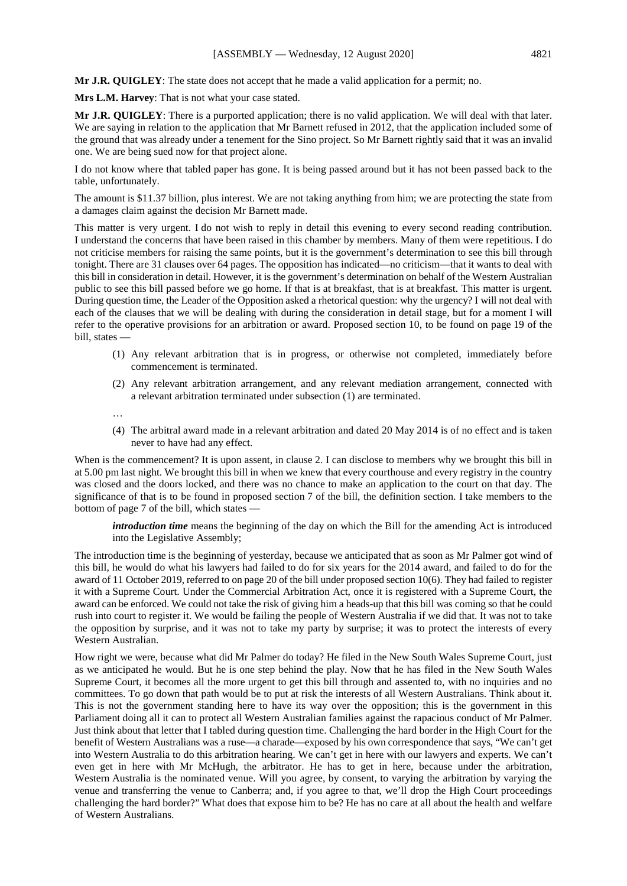**Mr J.R. QUIGLEY**: The state does not accept that he made a valid application for a permit; no.

**Mrs L.M. Harvey**: That is not what your case stated.

**Mr J.R. QUIGLEY**: There is a purported application; there is no valid application. We will deal with that later. We are saying in relation to the application that Mr Barnett refused in 2012, that the application included some of the ground that was already under a tenement for the Sino project. So Mr Barnett rightly said that it was an invalid one. We are being sued now for that project alone.

I do not know where that tabled paper has gone. It is being passed around but it has not been passed back to the table, unfortunately.

The amount is \$11.37 billion, plus interest. We are not taking anything from him; we are protecting the state from a damages claim against the decision Mr Barnett made.

This matter is very urgent. I do not wish to reply in detail this evening to every second reading contribution. I understand the concerns that have been raised in this chamber by members. Many of them were repetitious. I do not criticise members for raising the same points, but it is the government's determination to see this bill through tonight. There are 31 clauses over 64 pages. The opposition has indicated—no criticism—that it wants to deal with this bill in consideration in detail. However, it is the government's determination on behalf of the Western Australian public to see this bill passed before we go home. If that is at breakfast, that is at breakfast. This matter is urgent. During question time, the Leader of the Opposition asked a rhetorical question: why the urgency? I will not deal with each of the clauses that we will be dealing with during the consideration in detail stage, but for a moment I will refer to the operative provisions for an arbitration or award. Proposed section 10, to be found on page 19 of the bill, states —

- (1) Any relevant arbitration that is in progress, or otherwise not completed, immediately before commencement is terminated.
- (2) Any relevant arbitration arrangement, and any relevant mediation arrangement, connected with a relevant arbitration terminated under subsection (1) are terminated.

…

(4) The arbitral award made in a relevant arbitration and dated 20 May 2014 is of no effect and is taken never to have had any effect.

When is the commencement? It is upon assent, in clause 2. I can disclose to members why we brought this bill in at 5.00 pm last night. We brought this bill in when we knew that every courthouse and every registry in the country was closed and the doors locked, and there was no chance to make an application to the court on that day. The significance of that is to be found in proposed section 7 of the bill, the definition section. I take members to the bottom of page 7 of the bill, which states —

*introduction time* means the beginning of the day on which the Bill for the amending Act is introduced into the Legislative Assembly;

The introduction time is the beginning of yesterday, because we anticipated that as soon as Mr Palmer got wind of this bill, he would do what his lawyers had failed to do for six years for the 2014 award, and failed to do for the award of 11 October 2019, referred to on page 20 of the bill under proposed section 10(6). They had failed to register it with a Supreme Court. Under the Commercial Arbitration Act, once it is registered with a Supreme Court, the award can be enforced. We could not take the risk of giving him a heads-up that this bill was coming so that he could rush into court to register it. We would be failing the people of Western Australia if we did that. It was not to take the opposition by surprise, and it was not to take my party by surprise; it was to protect the interests of every Western Australian.

How right we were, because what did Mr Palmer do today? He filed in the New South Wales Supreme Court, just as we anticipated he would. But he is one step behind the play. Now that he has filed in the New South Wales Supreme Court, it becomes all the more urgent to get this bill through and assented to, with no inquiries and no committees. To go down that path would be to put at risk the interests of all Western Australians. Think about it. This is not the government standing here to have its way over the opposition; this is the government in this Parliament doing all it can to protect all Western Australian families against the rapacious conduct of Mr Palmer. Just think about that letter that I tabled during question time. Challenging the hard border in the High Court for the benefit of Western Australians was a ruse—a charade—exposed by his own correspondence that says, "We can't get into Western Australia to do this arbitration hearing. We can't get in here with our lawyers and experts. We can't even get in here with Mr McHugh, the arbitrator. He has to get in here, because under the arbitration, Western Australia is the nominated venue. Will you agree, by consent, to varying the arbitration by varying the venue and transferring the venue to Canberra; and, if you agree to that, we'll drop the High Court proceedings challenging the hard border?" What does that expose him to be? He has no care at all about the health and welfare of Western Australians.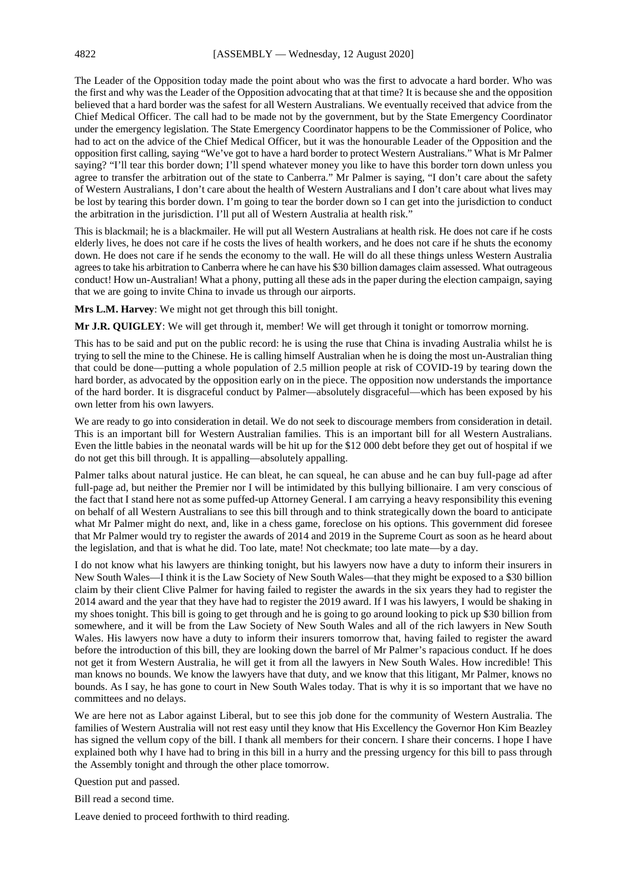The Leader of the Opposition today made the point about who was the first to advocate a hard border. Who was the first and why was the Leader of the Opposition advocating that at that time? It is because she and the opposition believed that a hard border was the safest for all Western Australians. We eventually received that advice from the Chief Medical Officer. The call had to be made not by the government, but by the State Emergency Coordinator under the emergency legislation. The State Emergency Coordinator happens to be the Commissioner of Police, who had to act on the advice of the Chief Medical Officer, but it was the honourable Leader of the Opposition and the opposition first calling, saying "We've got to have a hard border to protect Western Australians." What is Mr Palmer saying? "I'll tear this border down; I'll spend whatever money you like to have this border torn down unless you agree to transfer the arbitration out of the state to Canberra." Mr Palmer is saying, "I don't care about the safety of Western Australians, I don't care about the health of Western Australians and I don't care about what lives may be lost by tearing this border down. I'm going to tear the border down so I can get into the jurisdiction to conduct the arbitration in the jurisdiction. I'll put all of Western Australia at health risk."

This is blackmail; he is a blackmailer. He will put all Western Australians at health risk. He does not care if he costs elderly lives, he does not care if he costs the lives of health workers, and he does not care if he shuts the economy down. He does not care if he sends the economy to the wall. He will do all these things unless Western Australia agrees to take his arbitration to Canberra where he can have his \$30 billion damages claim assessed. What outrageous conduct! How un-Australian! What a phony, putting all these ads in the paper during the election campaign, saying that we are going to invite China to invade us through our airports.

**Mrs L.M. Harvey**: We might not get through this bill tonight.

**Mr J.R. QUIGLEY**: We will get through it, member! We will get through it tonight or tomorrow morning.

This has to be said and put on the public record: he is using the ruse that China is invading Australia whilst he is trying to sell the mine to the Chinese. He is calling himself Australian when he is doing the most un-Australian thing that could be done—putting a whole population of 2.5 million people at risk of COVID-19 by tearing down the hard border, as advocated by the opposition early on in the piece. The opposition now understands the importance of the hard border. It is disgraceful conduct by Palmer—absolutely disgraceful—which has been exposed by his own letter from his own lawyers.

We are ready to go into consideration in detail. We do not seek to discourage members from consideration in detail. This is an important bill for Western Australian families. This is an important bill for all Western Australians. Even the little babies in the neonatal wards will be hit up for the \$12 000 debt before they get out of hospital if we do not get this bill through. It is appalling—absolutely appalling.

Palmer talks about natural justice. He can bleat, he can squeal, he can abuse and he can buy full-page ad after full-page ad, but neither the Premier nor I will be intimidated by this bullying billionaire. I am very conscious of the fact that I stand here not as some puffed-up Attorney General. I am carrying a heavy responsibility this evening on behalf of all Western Australians to see this bill through and to think strategically down the board to anticipate what Mr Palmer might do next, and, like in a chess game, foreclose on his options. This government did foresee that Mr Palmer would try to register the awards of 2014 and 2019 in the Supreme Court as soon as he heard about the legislation, and that is what he did. Too late, mate! Not checkmate; too late mate—by a day.

I do not know what his lawyers are thinking tonight, but his lawyers now have a duty to inform their insurers in New South Wales—I think it is the Law Society of New South Wales—that they might be exposed to a \$30 billion claim by their client Clive Palmer for having failed to register the awards in the six years they had to register the 2014 award and the year that they have had to register the 2019 award. If I was his lawyers, I would be shaking in my shoes tonight. This bill is going to get through and he is going to go around looking to pick up \$30 billion from somewhere, and it will be from the Law Society of New South Wales and all of the rich lawyers in New South Wales. His lawyers now have a duty to inform their insurers tomorrow that, having failed to register the award before the introduction of this bill, they are looking down the barrel of Mr Palmer's rapacious conduct. If he does not get it from Western Australia, he will get it from all the lawyers in New South Wales. How incredible! This man knows no bounds. We know the lawyers have that duty, and we know that this litigant, Mr Palmer, knows no bounds. As I say, he has gone to court in New South Wales today. That is why it is so important that we have no committees and no delays.

We are here not as Labor against Liberal, but to see this job done for the community of Western Australia. The families of Western Australia will not rest easy until they know that His Excellency the Governor Hon Kim Beazley has signed the vellum copy of the bill. I thank all members for their concern. I share their concerns. I hope I have explained both why I have had to bring in this bill in a hurry and the pressing urgency for this bill to pass through the Assembly tonight and through the other place tomorrow.

Question put and passed.

Bill read a second time.

Leave denied to proceed forthwith to third reading.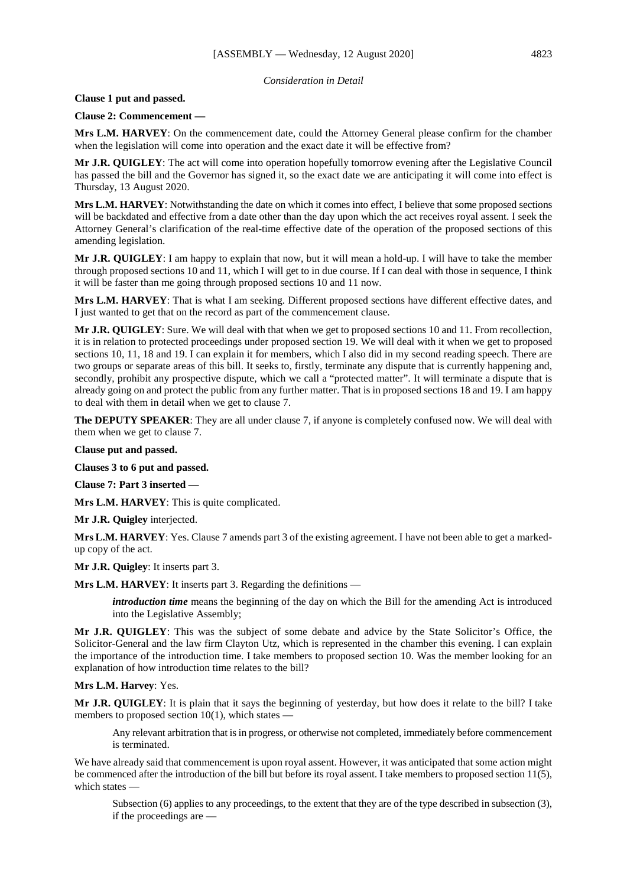#### *Consideration in Detail*

# **Clause 1 put and passed.**

#### **Clause 2: Commencement —**

**Mrs L.M. HARVEY**: On the commencement date, could the Attorney General please confirm for the chamber when the legislation will come into operation and the exact date it will be effective from?

**Mr J.R. QUIGLEY**: The act will come into operation hopefully tomorrow evening after the Legislative Council has passed the bill and the Governor has signed it, so the exact date we are anticipating it will come into effect is Thursday, 13 August 2020.

**Mrs L.M. HARVEY**: Notwithstanding the date on which it comes into effect, I believe that some proposed sections will be backdated and effective from a date other than the day upon which the act receives royal assent. I seek the Attorney General's clarification of the real-time effective date of the operation of the proposed sections of this amending legislation.

**Mr J.R. QUIGLEY**: I am happy to explain that now, but it will mean a hold-up. I will have to take the member through proposed sections 10 and 11, which I will get to in due course. If I can deal with those in sequence, I think it will be faster than me going through proposed sections 10 and 11 now.

**Mrs L.M. HARVEY**: That is what I am seeking. Different proposed sections have different effective dates, and I just wanted to get that on the record as part of the commencement clause.

**Mr J.R. QUIGLEY**: Sure. We will deal with that when we get to proposed sections 10 and 11. From recollection, it is in relation to protected proceedings under proposed section 19. We will deal with it when we get to proposed sections 10, 11, 18 and 19. I can explain it for members, which I also did in my second reading speech. There are two groups or separate areas of this bill. It seeks to, firstly, terminate any dispute that is currently happening and, secondly, prohibit any prospective dispute, which we call a "protected matter". It will terminate a dispute that is already going on and protect the public from any further matter. That is in proposed sections 18 and 19. I am happy to deal with them in detail when we get to clause 7.

**The DEPUTY SPEAKER**: They are all under clause 7, if anyone is completely confused now. We will deal with them when we get to clause 7.

**Clause put and passed.**

**Clauses 3 to 6 put and passed.**

**Clause 7: Part 3 inserted —**

**Mrs L.M. HARVEY**: This is quite complicated.

**Mr J.R. Quigley** interjected.

**Mrs L.M. HARVEY**: Yes. Clause 7 amends part 3 of the existing agreement. I have not been able to get a markedup copy of the act.

**Mr J.R. Quigley**: It inserts part 3.

**Mrs L.M. HARVEY**: It inserts part 3. Regarding the definitions —

*introduction time* means the beginning of the day on which the Bill for the amending Act is introduced into the Legislative Assembly;

**Mr J.R. QUIGLEY**: This was the subject of some debate and advice by the State Solicitor's Office, the Solicitor-General and the law firm Clayton Utz, which is represented in the chamber this evening. I can explain the importance of the introduction time. I take members to proposed section 10. Was the member looking for an explanation of how introduction time relates to the bill?

#### **Mrs L.M. Harvey**: Yes.

**Mr J.R. QUIGLEY**: It is plain that it says the beginning of yesterday, but how does it relate to the bill? I take members to proposed section  $10(1)$ , which states —

Any relevant arbitration that is in progress, or otherwise not completed, immediately before commencement is terminated.

We have already said that commencement is upon royal assent. However, it was anticipated that some action might be commenced after the introduction of the bill but before its royal assent. I take members to proposed section 11(5), which states —

Subsection (6) applies to any proceedings, to the extent that they are of the type described in subsection (3), if the proceedings are —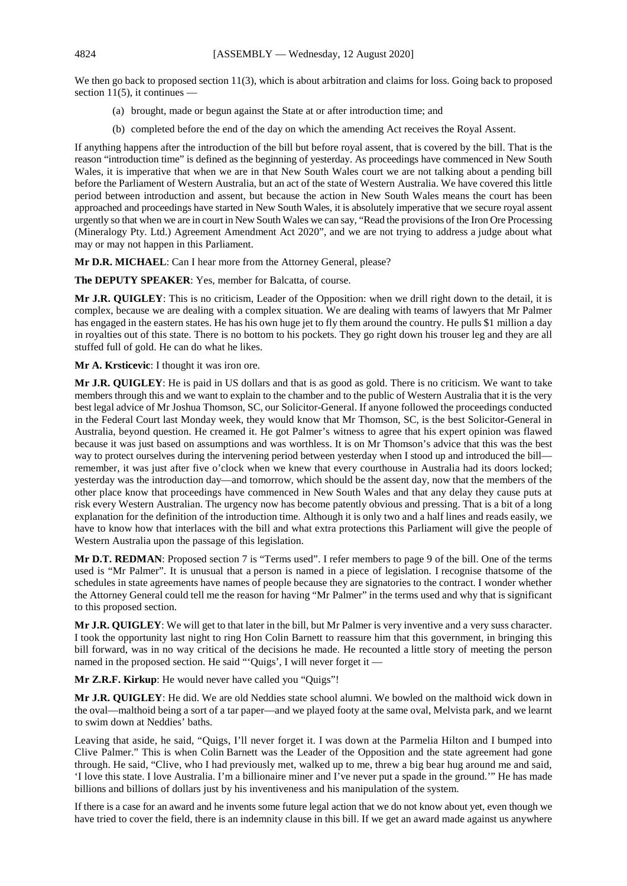We then go back to proposed section 11(3), which is about arbitration and claims for loss. Going back to proposed section  $11(5)$ , it continues  $\overline{\phantom{a}}$ 

- (a) brought, made or begun against the State at or after introduction time; and
- (b) completed before the end of the day on which the amending Act receives the Royal Assent.

If anything happens after the introduction of the bill but before royal assent, that is covered by the bill. That is the reason "introduction time" is defined as the beginning of yesterday. As proceedings have commenced in New South Wales, it is imperative that when we are in that New South Wales court we are not talking about a pending bill before the Parliament of Western Australia, but an act of the state of Western Australia. We have covered this little period between introduction and assent, but because the action in New South Wales means the court has been approached and proceedings have started in New South Wales, it is absolutely imperative that we secure royal assent urgently so that when we are in court in New South Wales we can say, "Read the provisions of the Iron Ore Processing (Mineralogy Pty. Ltd.) Agreement Amendment Act 2020", and we are not trying to address a judge about what may or may not happen in this Parliament.

**Mr D.R. MICHAEL**: Can I hear more from the Attorney General, please?

**The DEPUTY SPEAKER**: Yes, member for Balcatta, of course.

**Mr J.R. QUIGLEY**: This is no criticism, Leader of the Opposition: when we drill right down to the detail, it is complex, because we are dealing with a complex situation. We are dealing with teams of lawyers that Mr Palmer has engaged in the eastern states. He has his own huge jet to fly them around the country. He pulls \$1 million a day in royalties out of this state. There is no bottom to his pockets. They go right down his trouser leg and they are all stuffed full of gold. He can do what he likes.

**Mr A. Krsticevic**: I thought it was iron ore.

**Mr J.R. QUIGLEY**: He is paid in US dollars and that is as good as gold. There is no criticism. We want to take members through this and we want to explain to the chamber and to the public of Western Australia that it is the very best legal advice of Mr Joshua Thomson, SC, our Solicitor-General. If anyone followed the proceedings conducted in the Federal Court last Monday week, they would know that Mr Thomson, SC, is the best Solicitor-General in Australia, beyond question. He creamed it. He got Palmer's witness to agree that his expert opinion was flawed because it was just based on assumptions and was worthless. It is on Mr Thomson's advice that this was the best way to protect ourselves during the intervening period between yesterday when I stood up and introduced the bill remember, it was just after five o'clock when we knew that every courthouse in Australia had its doors locked; yesterday was the introduction day—and tomorrow, which should be the assent day, now that the members of the other place know that proceedings have commenced in New South Wales and that any delay they cause puts at risk every Western Australian. The urgency now has become patently obvious and pressing. That is a bit of a long explanation for the definition of the introduction time. Although it is only two and a half lines and reads easily, we have to know how that interlaces with the bill and what extra protections this Parliament will give the people of Western Australia upon the passage of this legislation.

**Mr D.T. REDMAN**: Proposed section 7 is "Terms used". I refer members to page 9 of the bill. One of the terms used is "Mr Palmer". It is unusual that a person is named in a piece of legislation. I recognise thatsome of the schedules in state agreements have names of people because they are signatories to the contract. I wonder whether the Attorney General could tell me the reason for having "Mr Palmer" in the terms used and why that is significant to this proposed section.

**Mr J.R. QUIGLEY**: We will get to that later in the bill, but Mr Palmer is very inventive and a very suss character. I took the opportunity last night to ring Hon Colin Barnett to reassure him that this government, in bringing this bill forward, was in no way critical of the decisions he made. He recounted a little story of meeting the person named in the proposed section. He said "'Quigs', I will never forget it —

**Mr Z.R.F. Kirkup**: He would never have called you "Quigs"!

**Mr J.R. QUIGLEY**: He did. We are old Neddies state school alumni. We bowled on the malthoid wick down in the oval—malthoid being a sort of a tar paper—and we played footy at the same oval, Melvista park, and we learnt to swim down at Neddies' baths.

Leaving that aside, he said, "Quigs, I'll never forget it. I was down at the Parmelia Hilton and I bumped into Clive Palmer." This is when Colin Barnett was the Leader of the Opposition and the state agreement had gone through. He said, "Clive, who I had previously met, walked up to me, threw a big bear hug around me and said, 'I love this state. I love Australia. I'm a billionaire miner and I've never put a spade in the ground.'" He has made billions and billions of dollars just by his inventiveness and his manipulation of the system.

If there is a case for an award and he invents some future legal action that we do not know about yet, even though we have tried to cover the field, there is an indemnity clause in this bill. If we get an award made against us anywhere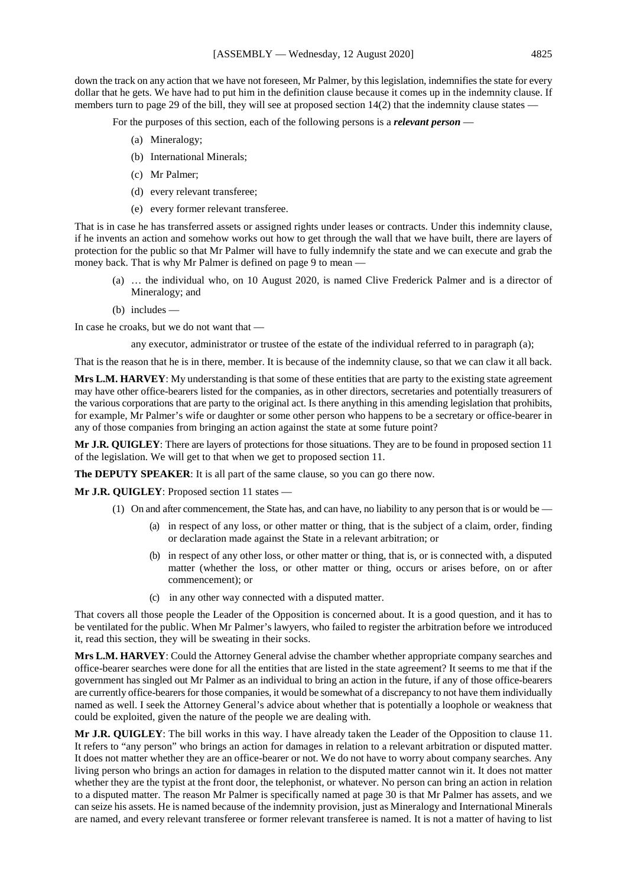down the track on any action that we have not foreseen, Mr Palmer, by this legislation, indemnifies the state for every dollar that he gets. We have had to put him in the definition clause because it comes up in the indemnity clause. If members turn to page 29 of the bill, they will see at proposed section 14(2) that the indemnity clause states –

For the purposes of this section, each of the following persons is a *relevant person* —

- (a) Mineralogy;
- (b) International Minerals;
- (c) Mr Palmer;
- (d) every relevant transferee;
- (e) every former relevant transferee.

That is in case he has transferred assets or assigned rights under leases or contracts. Under this indemnity clause, if he invents an action and somehow works out how to get through the wall that we have built, there are layers of protection for the public so that Mr Palmer will have to fully indemnify the state and we can execute and grab the money back. That is why Mr Palmer is defined on page 9 to mean —

- (a) … the individual who, on 10 August 2020, is named Clive Frederick Palmer and is a director of Mineralogy; and
- (b) includes —

In case he croaks, but we do not want that —

any executor, administrator or trustee of the estate of the individual referred to in paragraph (a);

That is the reason that he is in there, member. It is because of the indemnity clause, so that we can claw it all back.

**Mrs L.M. HARVEY:** My understanding is that some of these entities that are party to the existing state agreement may have other office-bearers listed for the companies, as in other directors, secretaries and potentially treasurers of the various corporations that are party to the original act. Is there anything in this amending legislation that prohibits, for example, Mr Palmer's wife or daughter or some other person who happens to be a secretary or office-bearer in any of those companies from bringing an action against the state at some future point?

**Mr J.R. QUIGLEY**: There are layers of protections for those situations. They are to be found in proposed section 11 of the legislation. We will get to that when we get to proposed section 11.

**The DEPUTY SPEAKER:** It is all part of the same clause, so you can go there now.

**Mr J.R. QUIGLEY**: Proposed section 11 states —

- (1) On and after commencement, the State has, and can have, no liability to any person that is or would be
	- (a) in respect of any loss, or other matter or thing, that is the subject of a claim, order, finding or declaration made against the State in a relevant arbitration; or
	- (b) in respect of any other loss, or other matter or thing, that is, or is connected with, a disputed matter (whether the loss, or other matter or thing, occurs or arises before, on or after commencement); or
	- (c) in any other way connected with a disputed matter.

That covers all those people the Leader of the Opposition is concerned about. It is a good question, and it has to be ventilated for the public. When Mr Palmer's lawyers, who failed to register the arbitration before we introduced it, read this section, they will be sweating in their socks.

**Mrs L.M. HARVEY**: Could the Attorney General advise the chamber whether appropriate company searches and office-bearer searches were done for all the entities that are listed in the state agreement? It seems to me that if the government has singled out Mr Palmer as an individual to bring an action in the future, if any of those office-bearers are currently office-bearers for those companies, it would be somewhat of a discrepancy to not have them individually named as well. I seek the Attorney General's advice about whether that is potentially a loophole or weakness that could be exploited, given the nature of the people we are dealing with.

**Mr J.R. QUIGLEY**: The bill works in this way. I have already taken the Leader of the Opposition to clause 11. It refers to "any person" who brings an action for damages in relation to a relevant arbitration or disputed matter. It does not matter whether they are an office-bearer or not. We do not have to worry about company searches. Any living person who brings an action for damages in relation to the disputed matter cannot win it. It does not matter whether they are the typist at the front door, the telephonist, or whatever. No person can bring an action in relation to a disputed matter. The reason Mr Palmer is specifically named at page 30 is that Mr Palmer has assets, and we can seize his assets. He is named because of the indemnity provision, just as Mineralogy and International Minerals are named, and every relevant transferee or former relevant transferee is named. It is not a matter of having to list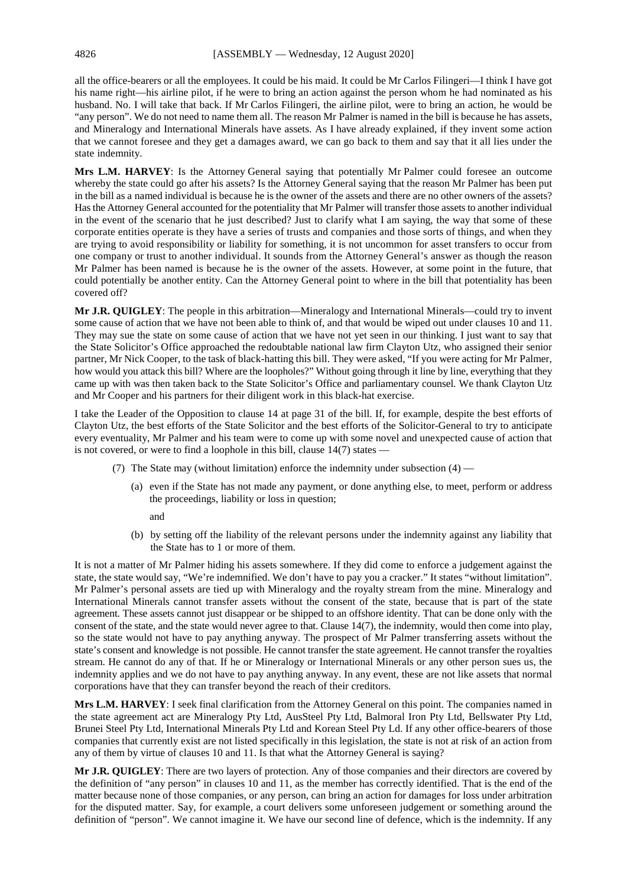all the office-bearers or all the employees. It could be his maid. It could be Mr Carlos Filingeri—I think I have got his name right—his airline pilot, if he were to bring an action against the person whom he had nominated as his husband. No. I will take that back. If Mr Carlos Filingeri, the airline pilot, were to bring an action, he would be "any person". We do not need to name them all. The reason Mr Palmer is named in the bill is because he has assets, and Mineralogy and International Minerals have assets. As I have already explained, if they invent some action that we cannot foresee and they get a damages award, we can go back to them and say that it all lies under the state indemnity.

**Mrs L.M. HARVEY**: Is the Attorney General saying that potentially Mr Palmer could foresee an outcome whereby the state could go after his assets? Is the Attorney General saying that the reason Mr Palmer has been put in the bill as a named individual is because he is the owner of the assets and there are no other owners of the assets? Has the Attorney General accounted for the potentiality that Mr Palmer will transfer those assets to another individual in the event of the scenario that he just described? Just to clarify what I am saying, the way that some of these corporate entities operate is they have a series of trusts and companies and those sorts of things, and when they are trying to avoid responsibility or liability for something, it is not uncommon for asset transfers to occur from one company or trust to another individual. It sounds from the Attorney General's answer as though the reason Mr Palmer has been named is because he is the owner of the assets. However, at some point in the future, that could potentially be another entity. Can the Attorney General point to where in the bill that potentiality has been covered off?

**Mr J.R. QUIGLEY**: The people in this arbitration—Mineralogy and International Minerals—could try to invent some cause of action that we have not been able to think of, and that would be wiped out under clauses 10 and 11. They may sue the state on some cause of action that we have not yet seen in our thinking. I just want to say that the State Solicitor's Office approached the redoubtable national law firm Clayton Utz, who assigned their senior partner, Mr Nick Cooper, to the task of black-hatting this bill. They were asked, "If you were acting for Mr Palmer, how would you attack this bill? Where are the loopholes?" Without going through it line by line, everything that they came up with was then taken back to the State Solicitor's Office and parliamentary counsel. We thank Clayton Utz and Mr Cooper and his partners for their diligent work in this black-hat exercise.

I take the Leader of the Opposition to clause 14 at page 31 of the bill. If, for example, despite the best efforts of Clayton Utz, the best efforts of the State Solicitor and the best efforts of the Solicitor-General to try to anticipate every eventuality, Mr Palmer and his team were to come up with some novel and unexpected cause of action that is not covered, or were to find a loophole in this bill, clause 14(7) states —

- (7) The State may (without limitation) enforce the indemnity under subsection (4)
	- (a) even if the State has not made any payment, or done anything else, to meet, perform or address the proceedings, liability or loss in question;
		- and
	- (b) by setting off the liability of the relevant persons under the indemnity against any liability that the State has to 1 or more of them.

It is not a matter of Mr Palmer hiding his assets somewhere. If they did come to enforce a judgement against the state, the state would say, "We're indemnified. We don't have to pay you a cracker." It states "without limitation". Mr Palmer's personal assets are tied up with Mineralogy and the royalty stream from the mine. Mineralogy and International Minerals cannot transfer assets without the consent of the state, because that is part of the state agreement. These assets cannot just disappear or be shipped to an offshore identity. That can be done only with the consent of the state, and the state would never agree to that. Clause 14(7), the indemnity, would then come into play, so the state would not have to pay anything anyway. The prospect of Mr Palmer transferring assets without the state's consent and knowledge is not possible. He cannot transfer the state agreement. He cannot transfer the royalties stream. He cannot do any of that. If he or Mineralogy or International Minerals or any other person sues us, the indemnity applies and we do not have to pay anything anyway. In any event, these are not like assets that normal corporations have that they can transfer beyond the reach of their creditors.

**Mrs L.M. HARVEY**: I seek final clarification from the Attorney General on this point. The companies named in the state agreement act are Mineralogy Pty Ltd, AusSteel Pty Ltd, Balmoral Iron Pty Ltd, Bellswater Pty Ltd, Brunei Steel Pty Ltd, International Minerals Pty Ltd and Korean Steel Pty Ld. If any other office-bearers of those companies that currently exist are not listed specifically in this legislation, the state is not at risk of an action from any of them by virtue of clauses 10 and 11. Is that what the Attorney General is saying?

**Mr J.R. QUIGLEY**: There are two layers of protection. Any of those companies and their directors are covered by the definition of "any person" in clauses 10 and 11, as the member has correctly identified. That is the end of the matter because none of those companies, or any person, can bring an action for damages for loss under arbitration for the disputed matter. Say, for example, a court delivers some unforeseen judgement or something around the definition of "person". We cannot imagine it. We have our second line of defence, which is the indemnity. If any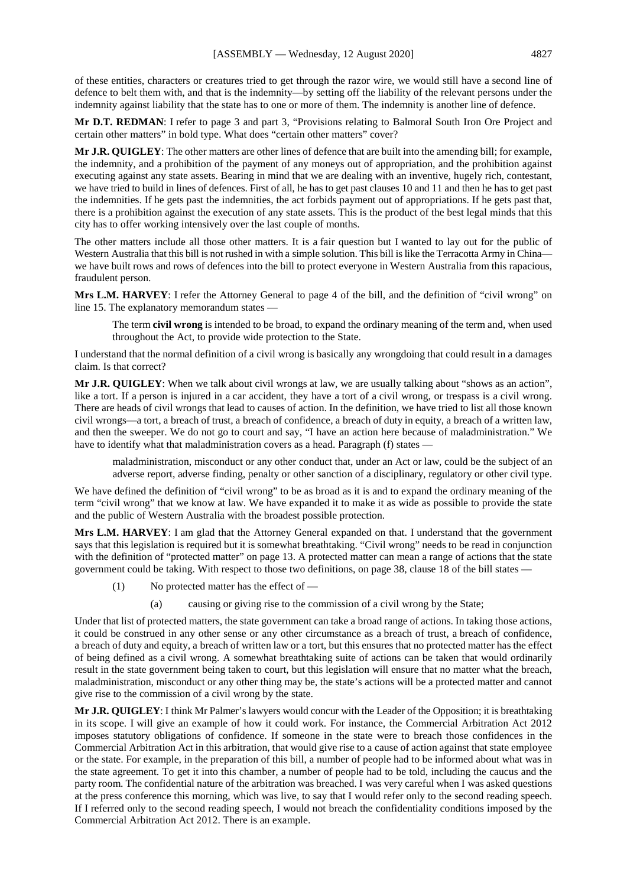of these entities, characters or creatures tried to get through the razor wire, we would still have a second line of defence to belt them with, and that is the indemnity—by setting off the liability of the relevant persons under the indemnity against liability that the state has to one or more of them. The indemnity is another line of defence.

**Mr D.T. REDMAN**: I refer to page 3 and part 3, "Provisions relating to Balmoral South Iron Ore Project and certain other matters" in bold type. What does "certain other matters" cover?

**Mr J.R. QUIGLEY**: The other matters are other lines of defence that are built into the amending bill; for example, the indemnity, and a prohibition of the payment of any moneys out of appropriation, and the prohibition against executing against any state assets. Bearing in mind that we are dealing with an inventive, hugely rich, contestant, we have tried to build in lines of defences. First of all, he has to get past clauses 10 and 11 and then he has to get past the indemnities. If he gets past the indemnities, the act forbids payment out of appropriations. If he gets past that, there is a prohibition against the execution of any state assets. This is the product of the best legal minds that this city has to offer working intensively over the last couple of months.

The other matters include all those other matters. It is a fair question but I wanted to lay out for the public of Western Australia that this bill is not rushed in with a simple solution. This bill is like the Terracotta Army in China we have built rows and rows of defences into the bill to protect everyone in Western Australia from this rapacious, fraudulent person.

**Mrs L.M. HARVEY**: I refer the Attorney General to page 4 of the bill, and the definition of "civil wrong" on line 15. The explanatory memorandum states —

The term **civil wrong** is intended to be broad, to expand the ordinary meaning of the term and, when used throughout the Act, to provide wide protection to the State.

I understand that the normal definition of a civil wrong is basically any wrongdoing that could result in a damages claim. Is that correct?

**Mr J.R. QUIGLEY**: When we talk about civil wrongs at law, we are usually talking about "shows as an action", like a tort. If a person is injured in a car accident, they have a tort of a civil wrong, or trespass is a civil wrong. There are heads of civil wrongs that lead to causes of action. In the definition, we have tried to list all those known civil wrongs—a tort, a breach of trust, a breach of confidence, a breach of duty in equity, a breach of a written law, and then the sweeper. We do not go to court and say, "I have an action here because of maladministration." We have to identify what that maladministration covers as a head. Paragraph (f) states —

maladministration, misconduct or any other conduct that, under an Act or law, could be the subject of an adverse report, adverse finding, penalty or other sanction of a disciplinary, regulatory or other civil type.

We have defined the definition of "civil wrong" to be as broad as it is and to expand the ordinary meaning of the term "civil wrong" that we know at law. We have expanded it to make it as wide as possible to provide the state and the public of Western Australia with the broadest possible protection.

**Mrs L.M. HARVEY**: I am glad that the Attorney General expanded on that. I understand that the government says that this legislation is required but it is somewhat breathtaking. "Civil wrong" needs to be read in conjunction with the definition of "protected matter" on page 13. A protected matter can mean a range of actions that the state government could be taking. With respect to those two definitions, on page 38, clause 18 of the bill states —

- (1) No protected matter has the effect of
	- (a) causing or giving rise to the commission of a civil wrong by the State;

Under that list of protected matters, the state government can take a broad range of actions. In taking those actions, it could be construed in any other sense or any other circumstance as a breach of trust, a breach of confidence, a breach of duty and equity, a breach of written law or a tort, but this ensures that no protected matter has the effect of being defined as a civil wrong. A somewhat breathtaking suite of actions can be taken that would ordinarily result in the state government being taken to court, but this legislation will ensure that no matter what the breach, maladministration, misconduct or any other thing may be, the state's actions will be a protected matter and cannot give rise to the commission of a civil wrong by the state.

**Mr J.R. QUIGLEY**: I think Mr Palmer's lawyers would concur with the Leader of the Opposition; it is breathtaking in its scope. I will give an example of how it could work. For instance, the Commercial Arbitration Act 2012 imposes statutory obligations of confidence. If someone in the state were to breach those confidences in the Commercial Arbitration Act in this arbitration, that would give rise to a cause of action against that state employee or the state. For example, in the preparation of this bill, a number of people had to be informed about what was in the state agreement. To get it into this chamber, a number of people had to be told, including the caucus and the party room. The confidential nature of the arbitration was breached. I was very careful when I was asked questions at the press conference this morning, which was live, to say that I would refer only to the second reading speech. If I referred only to the second reading speech, I would not breach the confidentiality conditions imposed by the Commercial Arbitration Act 2012. There is an example.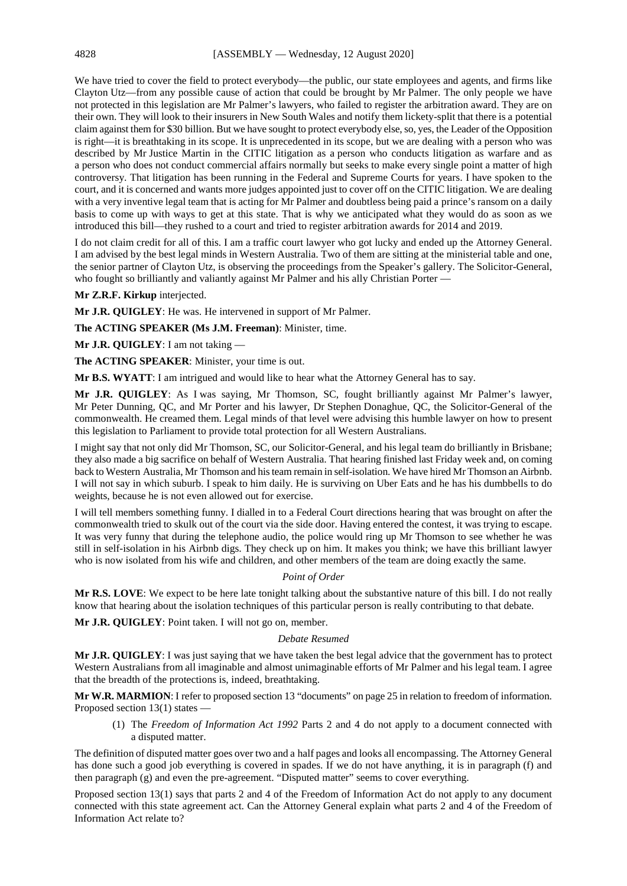We have tried to cover the field to protect everybody—the public, our state employees and agents, and firms like Clayton Utz—from any possible cause of action that could be brought by Mr Palmer. The only people we have not protected in this legislation are Mr Palmer's lawyers, who failed to register the arbitration award. They are on their own. They will look to their insurers in New South Wales and notify them lickety-split that there is a potential claim against them for \$30 billion. But we have sought to protect everybody else, so, yes, the Leader of the Opposition is right—it is breathtaking in its scope. It is unprecedented in its scope, but we are dealing with a person who was described by Mr Justice Martin in the CITIC litigation as a person who conducts litigation as warfare and as a person who does not conduct commercial affairs normally but seeks to make every single point a matter of high controversy. That litigation has been running in the Federal and Supreme Courts for years. I have spoken to the court, and it is concerned and wants more judges appointed just to cover off on the CITIC litigation. We are dealing with a very inventive legal team that is acting for Mr Palmer and doubtless being paid a prince's ransom on a daily basis to come up with ways to get at this state. That is why we anticipated what they would do as soon as we introduced this bill—they rushed to a court and tried to register arbitration awards for 2014 and 2019.

I do not claim credit for all of this. I am a traffic court lawyer who got lucky and ended up the Attorney General. I am advised by the best legal minds in Western Australia. Two of them are sitting at the ministerial table and one, the senior partner of Clayton Utz, is observing the proceedings from the Speaker's gallery. The Solicitor-General, who fought so brilliantly and valiantly against Mr Palmer and his ally Christian Porter —

# **Mr Z.R.F. Kirkup** interjected.

**Mr J.R. QUIGLEY**: He was. He intervened in support of Mr Palmer.

**The ACTING SPEAKER (Ms J.M. Freeman)**: Minister, time.

**Mr J.R. QUIGLEY**: I am not taking —

**The ACTING SPEAKER**: Minister, your time is out.

**Mr B.S. WYATT**: I am intrigued and would like to hear what the Attorney General has to say.

**Mr J.R. QUIGLEY**: As I was saying, Mr Thomson, SC, fought brilliantly against Mr Palmer's lawyer, Mr Peter Dunning, QC, and Mr Porter and his lawyer, Dr Stephen Donaghue, QC, the Solicitor-General of the commonwealth. He creamed them. Legal minds of that level were advising this humble lawyer on how to present this legislation to Parliament to provide total protection for all Western Australians.

I might say that not only did Mr Thomson, SC, our Solicitor-General, and his legal team do brilliantly in Brisbane; they also made a big sacrifice on behalf of Western Australia. That hearing finished last Friday week and, on coming back to Western Australia, Mr Thomson and his team remain in self-isolation. We have hired Mr Thomson an Airbnb. I will not say in which suburb. I speak to him daily. He is surviving on Uber Eats and he has his dumbbells to do weights, because he is not even allowed out for exercise.

I will tell members something funny. I dialled in to a Federal Court directions hearing that was brought on after the commonwealth tried to skulk out of the court via the side door. Having entered the contest, it was trying to escape. It was very funny that during the telephone audio, the police would ring up Mr Thomson to see whether he was still in self-isolation in his Airbnb digs. They check up on him. It makes you think; we have this brilliant lawyer who is now isolated from his wife and children, and other members of the team are doing exactly the same.

#### *Point of Order*

**Mr R.S. LOVE**: We expect to be here late tonight talking about the substantive nature of this bill. I do not really know that hearing about the isolation techniques of this particular person is really contributing to that debate.

**Mr J.R. QUIGLEY**: Point taken. I will not go on, member.

#### *Debate Resumed*

**Mr J.R. QUIGLEY**: I was just saying that we have taken the best legal advice that the government has to protect Western Australians from all imaginable and almost unimaginable efforts of Mr Palmer and his legal team. I agree that the breadth of the protections is, indeed, breathtaking.

**Mr W.R. MARMION**: I refer to proposed section 13 "documents" on page 25 in relation to freedom of information. Proposed section 13(1) states —

(1) The *Freedom of Information Act 1992* Parts 2 and 4 do not apply to a document connected with a disputed matter.

The definition of disputed matter goes over two and a half pages and looks all encompassing. The Attorney General has done such a good job everything is covered in spades. If we do not have anything, it is in paragraph (f) and then paragraph (g) and even the pre-agreement. "Disputed matter" seems to cover everything.

Proposed section 13(1) says that parts 2 and 4 of the Freedom of Information Act do not apply to any document connected with this state agreement act. Can the Attorney General explain what parts 2 and 4 of the Freedom of Information Act relate to?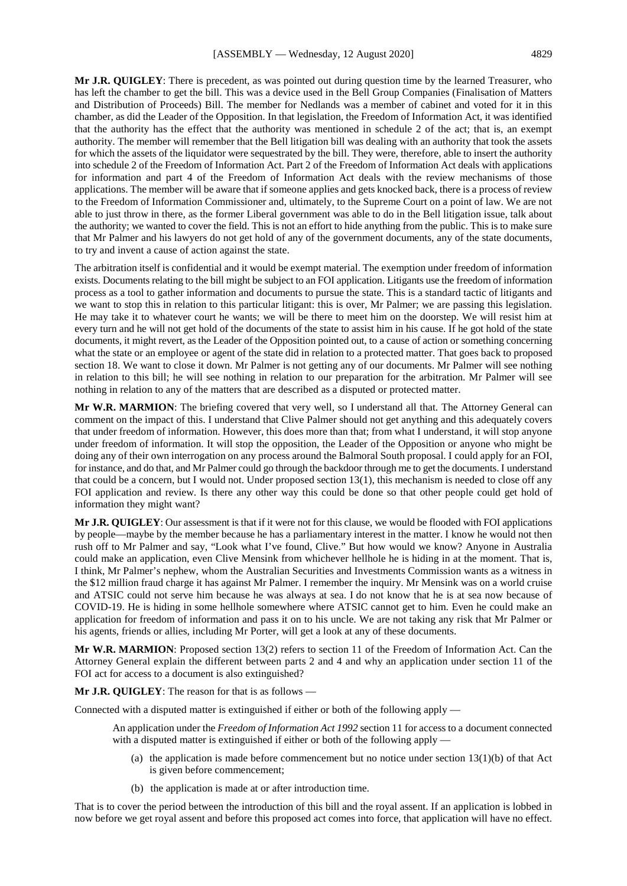**Mr J.R. QUIGLEY**: There is precedent, as was pointed out during question time by the learned Treasurer, who has left the chamber to get the bill. This was a device used in the Bell Group Companies (Finalisation of Matters and Distribution of Proceeds) Bill. The member for Nedlands was a member of cabinet and voted for it in this chamber, as did the Leader of the Opposition. In that legislation, the Freedom of Information Act, it was identified that the authority has the effect that the authority was mentioned in schedule 2 of the act; that is, an exempt authority. The member will remember that the Bell litigation bill was dealing with an authority that took the assets for which the assets of the liquidator were sequestrated by the bill. They were, therefore, able to insert the authority into schedule 2 of the Freedom of Information Act. Part 2 of the Freedom of Information Act deals with applications for information and part 4 of the Freedom of Information Act deals with the review mechanisms of those applications. The member will be aware that if someone applies and gets knocked back, there is a process of review to the Freedom of Information Commissioner and, ultimately, to the Supreme Court on a point of law. We are not able to just throw in there, as the former Liberal government was able to do in the Bell litigation issue, talk about the authority; we wanted to cover the field. This is not an effort to hide anything from the public. This is to make sure that Mr Palmer and his lawyers do not get hold of any of the government documents, any of the state documents, to try and invent a cause of action against the state.

The arbitration itself is confidential and it would be exempt material. The exemption under freedom of information exists. Documents relating to the bill might be subject to an FOI application. Litigants use the freedom of information process as a tool to gather information and documents to pursue the state. This is a standard tactic of litigants and we want to stop this in relation to this particular litigant: this is over, Mr Palmer; we are passing this legislation. He may take it to whatever court he wants; we will be there to meet him on the doorstep. We will resist him at every turn and he will not get hold of the documents of the state to assist him in his cause. If he got hold of the state documents, it might revert, as the Leader of the Opposition pointed out, to a cause of action or something concerning what the state or an employee or agent of the state did in relation to a protected matter. That goes back to proposed section 18. We want to close it down. Mr Palmer is not getting any of our documents. Mr Palmer will see nothing in relation to this bill; he will see nothing in relation to our preparation for the arbitration. Mr Palmer will see nothing in relation to any of the matters that are described as a disputed or protected matter.

**Mr W.R. MARMION**: The briefing covered that very well, so I understand all that. The Attorney General can comment on the impact of this. I understand that Clive Palmer should not get anything and this adequately covers that under freedom of information. However, this does more than that; from what I understand, it will stop anyone under freedom of information. It will stop the opposition, the Leader of the Opposition or anyone who might be doing any of their own interrogation on any process around the Balmoral South proposal. I could apply for an FOI, for instance, and do that, and Mr Palmer could go through the backdoor through me to get the documents. I understand that could be a concern, but I would not. Under proposed section 13(1), this mechanism is needed to close off any FOI application and review. Is there any other way this could be done so that other people could get hold of information they might want?

**Mr J.R. QUIGLEY**: Our assessment is that if it were not for this clause, we would be flooded with FOI applications by people—maybe by the member because he has a parliamentary interest in the matter. I know he would not then rush off to Mr Palmer and say, "Look what I've found, Clive." But how would we know? Anyone in Australia could make an application, even Clive Mensink from whichever hellhole he is hiding in at the moment. That is, I think, Mr Palmer's nephew, whom the Australian Securities and Investments Commission wants as a witness in the \$12 million fraud charge it has against Mr Palmer. I remember the inquiry. Mr Mensink was on a world cruise and ATSIC could not serve him because he was always at sea. I do not know that he is at sea now because of COVID-19. He is hiding in some hellhole somewhere where ATSIC cannot get to him. Even he could make an application for freedom of information and pass it on to his uncle. We are not taking any risk that Mr Palmer or his agents, friends or allies, including Mr Porter, will get a look at any of these documents.

**Mr W.R. MARMION**: Proposed section 13(2) refers to section 11 of the Freedom of Information Act. Can the Attorney General explain the different between parts 2 and 4 and why an application under section 11 of the FOI act for access to a document is also extinguished?

**Mr J.R. QUIGLEY**: The reason for that is as follows —

Connected with a disputed matter is extinguished if either or both of the following apply —

An application under the *Freedom of Information Act 1992* section 11 for access to a document connected with a disputed matter is extinguished if either or both of the following apply —

- (a) the application is made before commencement but no notice under section  $13(1)(b)$  of that Act is given before commencement;
- (b) the application is made at or after introduction time.

That is to cover the period between the introduction of this bill and the royal assent. If an application is lobbed in now before we get royal assent and before this proposed act comes into force, that application will have no effect.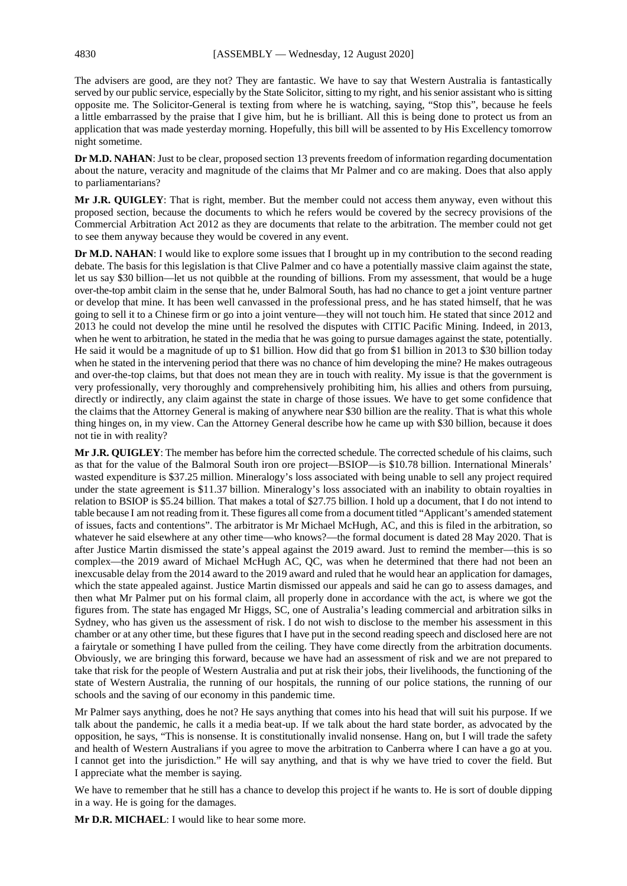The advisers are good, are they not? They are fantastic. We have to say that Western Australia is fantastically served by our public service, especially by the State Solicitor, sitting to my right, and his senior assistant who is sitting opposite me. The Solicitor-General is texting from where he is watching, saying, "Stop this", because he feels a little embarrassed by the praise that I give him, but he is brilliant. All this is being done to protect us from an application that was made yesterday morning. Hopefully, this bill will be assented to by His Excellency tomorrow night sometime.

**Dr M.D. NAHAN**: Just to be clear, proposed section 13 prevents freedom of information regarding documentation about the nature, veracity and magnitude of the claims that Mr Palmer and co are making. Does that also apply to parliamentarians?

**Mr J.R. QUIGLEY**: That is right, member. But the member could not access them anyway, even without this proposed section, because the documents to which he refers would be covered by the secrecy provisions of the Commercial Arbitration Act 2012 as they are documents that relate to the arbitration. The member could not get to see them anyway because they would be covered in any event.

**Dr M.D. NAHAN**: I would like to explore some issues that I brought up in my contribution to the second reading debate. The basis for this legislation is that Clive Palmer and co have a potentially massive claim against the state, let us say \$30 billion—let us not quibble at the rounding of billions. From my assessment, that would be a huge over-the-top ambit claim in the sense that he, under Balmoral South, has had no chance to get a joint venture partner or develop that mine. It has been well canvassed in the professional press, and he has stated himself, that he was going to sell it to a Chinese firm or go into a joint venture—they will not touch him. He stated that since 2012 and 2013 he could not develop the mine until he resolved the disputes with CITIC Pacific Mining. Indeed, in 2013, when he went to arbitration, he stated in the media that he was going to pursue damages against the state, potentially. He said it would be a magnitude of up to \$1 billion. How did that go from \$1 billion in 2013 to \$30 billion today when he stated in the intervening period that there was no chance of him developing the mine? He makes outrageous and over-the-top claims, but that does not mean they are in touch with reality. My issue is that the government is very professionally, very thoroughly and comprehensively prohibiting him, his allies and others from pursuing, directly or indirectly, any claim against the state in charge of those issues. We have to get some confidence that the claims that the Attorney General is making of anywhere near \$30 billion are the reality. That is what this whole thing hinges on, in my view. Can the Attorney General describe how he came up with \$30 billion, because it does not tie in with reality?

**Mr J.R. QUIGLEY**: The member has before him the corrected schedule. The corrected schedule of his claims, such as that for the value of the Balmoral South iron ore project—BSIOP—is \$10.78 billion. International Minerals' wasted expenditure is \$37.25 million. Mineralogy's loss associated with being unable to sell any project required under the state agreement is \$11.37 billion. Mineralogy's loss associated with an inability to obtain royalties in relation to BSIOP is \$5.24 billion. That makes a total of \$27.75 billion. I hold up a document, that I do not intend to table because I am not reading fromit. These figures all come froma document titled "Applicant's amended statement of issues, facts and contentions". The arbitrator is Mr Michael McHugh, AC, and this is filed in the arbitration, so whatever he said elsewhere at any other time—who knows?—the formal document is dated 28 May 2020. That is after Justice Martin dismissed the state's appeal against the 2019 award. Just to remind the member—this is so complex—the 2019 award of Michael McHugh AC, QC, was when he determined that there had not been an inexcusable delay from the 2014 award to the 2019 award and ruled that he would hear an application for damages, which the state appealed against. Justice Martin dismissed our appeals and said he can go to assess damages, and then what Mr Palmer put on his formal claim, all properly done in accordance with the act, is where we got the figures from. The state has engaged Mr Higgs, SC, one of Australia's leading commercial and arbitration silks in Sydney, who has given us the assessment of risk. I do not wish to disclose to the member his assessment in this chamber or at any other time, but these figures that I have put in the second reading speech and disclosed here are not a fairytale or something I have pulled from the ceiling. They have come directly from the arbitration documents. Obviously, we are bringing this forward, because we have had an assessment of risk and we are not prepared to take that risk for the people of Western Australia and put at risk their jobs, their livelihoods, the functioning of the state of Western Australia, the running of our hospitals, the running of our police stations, the running of our schools and the saving of our economy in this pandemic time.

Mr Palmer says anything, does he not? He says anything that comes into his head that will suit his purpose. If we talk about the pandemic, he calls it a media beat-up. If we talk about the hard state border, as advocated by the opposition, he says, "This is nonsense. It is constitutionally invalid nonsense. Hang on, but I will trade the safety and health of Western Australians if you agree to move the arbitration to Canberra where I can have a go at you. I cannot get into the jurisdiction." He will say anything, and that is why we have tried to cover the field. But I appreciate what the member is saying.

We have to remember that he still has a chance to develop this project if he wants to. He is sort of double dipping in a way. He is going for the damages.

**Mr D.R. MICHAEL**: I would like to hear some more.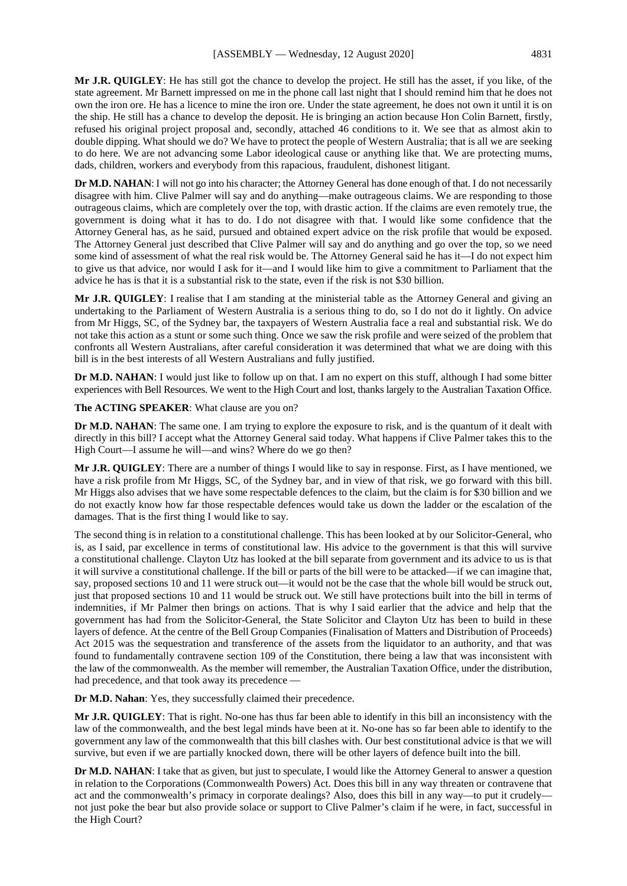**Mr J.R. QUIGLEY**: He has still got the chance to develop the project. He still has the asset, if you like, of the state agreement. Mr Barnett impressed on me in the phone call last night that I should remind him that he does not own the iron ore. He has a licence to mine the iron ore. Under the state agreement, he does not own it until it is on the ship. He still has a chance to develop the deposit. He is bringing an action because Hon Colin Barnett, firstly, refused his original project proposal and, secondly, attached 46 conditions to it. We see that as almost akin to double dipping. What should we do? We have to protect the people of Western Australia; that is all we are seeking to do here. We are not advancing some Labor ideological cause or anything like that. We are protecting mums, dads, children, workers and everybody from this rapacious, fraudulent, dishonest litigant.

**Dr M.D. NAHAN**: I will not go into his character; the Attorney General has done enough of that. I do not necessarily disagree with him. Clive Palmer will say and do anything—make outrageous claims. We are responding to those outrageous claims, which are completely over the top, with drastic action. If the claims are even remotely true, the government is doing what it has to do. I do not disagree with that. I would like some confidence that the Attorney General has, as he said, pursued and obtained expert advice on the risk profile that would be exposed. The Attorney General just described that Clive Palmer will say and do anything and go over the top, so we need some kind of assessment of what the real risk would be. The Attorney General said he has it—I do not expect him to give us that advice, nor would I ask for it—and I would like him to give a commitment to Parliament that the advice he has is that it is a substantial risk to the state, even if the risk is not \$30 billion.

**Mr J.R. QUIGLEY**: I realise that I am standing at the ministerial table as the Attorney General and giving an undertaking to the Parliament of Western Australia is a serious thing to do, so I do not do it lightly. On advice from Mr Higgs, SC, of the Sydney bar, the taxpayers of Western Australia face a real and substantial risk. We do not take this action as a stunt or some such thing. Once we saw the risk profile and were seized of the problem that confronts all Western Australians, after careful consideration it was determined that what we are doing with this bill is in the best interests of all Western Australians and fully justified.

**Dr M.D. NAHAN**: I would just like to follow up on that. I am no expert on this stuff, although I had some bitter experiences with Bell Resources. We went to the High Court and lost, thanks largely to the Australian Taxation Office.

**The ACTING SPEAKER**: What clause are you on?

**Dr M.D. NAHAN:** The same one. I am trying to explore the exposure to risk, and is the quantum of it dealt with directly in this bill? I accept what the Attorney General said today. What happens if Clive Palmer takes this to the High Court—I assume he will—and wins? Where do we go then?

**Mr J.R. QUIGLEY**: There are a number of things I would like to say in response. First, as I have mentioned, we have a risk profile from Mr Higgs, SC, of the Sydney bar, and in view of that risk, we go forward with this bill. Mr Higgs also advises that we have some respectable defences to the claim, but the claim is for \$30 billion and we do not exactly know how far those respectable defences would take us down the ladder or the escalation of the damages. That is the first thing I would like to say.

The second thing is in relation to a constitutional challenge. This has been looked at by our Solicitor-General, who is, as I said, par excellence in terms of constitutional law. His advice to the government is that this will survive a constitutional challenge. Clayton Utz has looked at the bill separate from government and its advice to us is that it will survive a constitutional challenge. If the bill or parts of the bill were to be attacked—if we can imagine that, say, proposed sections 10 and 11 were struck out—it would not be the case that the whole bill would be struck out, just that proposed sections 10 and 11 would be struck out. We still have protections built into the bill in terms of indemnities, if Mr Palmer then brings on actions. That is why I said earlier that the advice and help that the government has had from the Solicitor-General, the State Solicitor and Clayton Utz has been to build in these layers of defence. At the centre of the Bell Group Companies (Finalisation of Matters and Distribution of Proceeds) Act 2015 was the sequestration and transference of the assets from the liquidator to an authority, and that was found to fundamentally contravene section 109 of the Constitution, there being a law that was inconsistent with the law of the commonwealth. As the member will remember, the Australian Taxation Office, under the distribution, had precedence, and that took away its precedence —

**Dr M.D. Nahan**: Yes, they successfully claimed their precedence.

**Mr J.R. QUIGLEY**: That is right. No-one has thus far been able to identify in this bill an inconsistency with the law of the commonwealth, and the best legal minds have been at it. No-one has so far been able to identify to the government any law of the commonwealth that this bill clashes with. Our best constitutional advice is that we will survive, but even if we are partially knocked down, there will be other layers of defence built into the bill.

**Dr M.D. NAHAN**: I take that as given, but just to speculate, I would like the Attorney General to answer a question in relation to the Corporations (Commonwealth Powers) Act. Does this bill in any way threaten or contravene that act and the commonwealth's primacy in corporate dealings? Also, does this bill in any way—to put it crudely not just poke the bear but also provide solace or support to Clive Palmer's claim if he were, in fact, successful in the High Court?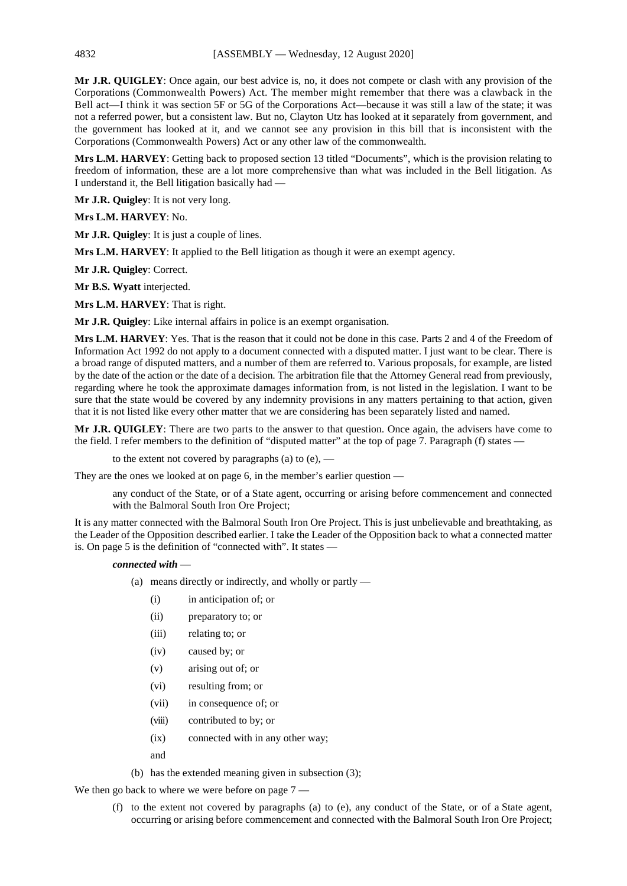**Mr J.R. QUIGLEY**: Once again, our best advice is, no, it does not compete or clash with any provision of the Corporations (Commonwealth Powers) Act. The member might remember that there was a clawback in the Bell act—I think it was section 5F or 5G of the Corporations Act—because it was still a law of the state; it was not a referred power, but a consistent law. But no, Clayton Utz has looked at it separately from government, and the government has looked at it, and we cannot see any provision in this bill that is inconsistent with the Corporations (Commonwealth Powers) Act or any other law of the commonwealth.

**Mrs L.M. HARVEY**: Getting back to proposed section 13 titled "Documents", which is the provision relating to freedom of information, these are a lot more comprehensive than what was included in the Bell litigation. As I understand it, the Bell litigation basically had —

**Mr J.R. Quigley**: It is not very long.

**Mrs L.M. HARVEY**: No.

**Mr J.R. Quigley**: It is just a couple of lines.

**Mrs L.M. HARVEY**: It applied to the Bell litigation as though it were an exempt agency.

**Mr J.R. Quigley**: Correct.

**Mr B.S. Wyatt** interjected.

**Mrs L.M. HARVEY**: That is right.

**Mr J.R. Quigley**: Like internal affairs in police is an exempt organisation.

**Mrs L.M. HARVEY**: Yes. That is the reason that it could not be done in this case. Parts 2 and 4 of the Freedom of Information Act 1992 do not apply to a document connected with a disputed matter. I just want to be clear. There is a broad range of disputed matters, and a number of them are referred to. Various proposals, for example, are listed by the date of the action or the date of a decision. The arbitration file that the Attorney General read from previously, regarding where he took the approximate damages information from, is not listed in the legislation. I want to be sure that the state would be covered by any indemnity provisions in any matters pertaining to that action, given that it is not listed like every other matter that we are considering has been separately listed and named.

**Mr J.R. QUIGLEY**: There are two parts to the answer to that question. Once again, the advisers have come to the field. I refer members to the definition of "disputed matter" at the top of page 7. Paragraph (f) states —

to the extent not covered by paragraphs (a) to  $(e)$ , —

They are the ones we looked at on page 6, in the member's earlier question —

any conduct of the State, or of a State agent, occurring or arising before commencement and connected with the Balmoral South Iron Ore Project;

It is any matter connected with the Balmoral South Iron Ore Project. This is just unbelievable and breathtaking, as the Leader of the Opposition described earlier. I take the Leader of the Opposition back to what a connected matter is. On page 5 is the definition of "connected with". It states —

#### *connected with* —

- (a) means directly or indirectly, and wholly or partly
	- (i) in anticipation of; or
	- (ii) preparatory to; or
	- (iii) relating to; or
	- (iv) caused by; or
	- (v) arising out of; or
	- (vi) resulting from; or
	- (vii) in consequence of; or
	- (viii) contributed to by; or
	- (ix) connected with in any other way;
	- and
- (b) has the extended meaning given in subsection (3);

We then go back to where we were before on page  $7 -$ 

(f) to the extent not covered by paragraphs (a) to (e), any conduct of the State, or of a State agent, occurring or arising before commencement and connected with the Balmoral South Iron Ore Project;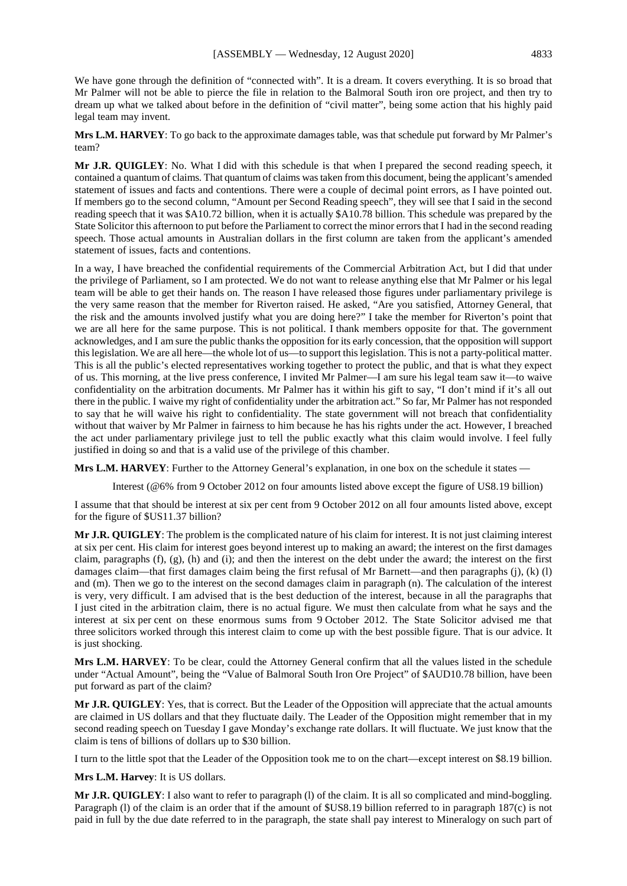We have gone through the definition of "connected with". It is a dream. It covers everything. It is so broad that Mr Palmer will not be able to pierce the file in relation to the Balmoral South iron ore project, and then try to dream up what we talked about before in the definition of "civil matter", being some action that his highly paid legal team may invent.

**Mrs L.M. HARVEY**: To go back to the approximate damages table, was that schedule put forward by Mr Palmer's team?

**Mr J.R. QUIGLEY**: No. What I did with this schedule is that when I prepared the second reading speech, it contained a quantum of claims. That quantum of claims was taken from this document, being the applicant's amended statement of issues and facts and contentions. There were a couple of decimal point errors, as I have pointed out. If members go to the second column, "Amount per Second Reading speech", they will see that I said in the second reading speech that it was \$A10.72 billion, when it is actually \$A10.78 billion. This schedule was prepared by the State Solicitor this afternoon to put before the Parliament to correct the minor errors that I had in the second reading speech. Those actual amounts in Australian dollars in the first column are taken from the applicant's amended statement of issues, facts and contentions.

In a way, I have breached the confidential requirements of the Commercial Arbitration Act, but I did that under the privilege of Parliament, so I am protected. We do not want to release anything else that Mr Palmer or his legal team will be able to get their hands on. The reason I have released those figures under parliamentary privilege is the very same reason that the member for Riverton raised. He asked, "Are you satisfied, Attorney General, that the risk and the amounts involved justify what you are doing here?" I take the member for Riverton's point that we are all here for the same purpose. This is not political. I thank members opposite for that. The government acknowledges, and I am sure the public thanks the opposition for its early concession, that the opposition will support this legislation. We are all here—the whole lot of us—to support this legislation. This is not a party-political matter. This is all the public's elected representatives working together to protect the public, and that is what they expect of us. This morning, at the live press conference, I invited Mr Palmer—I am sure his legal team saw it—to waive confidentiality on the arbitration documents. Mr Palmer has it within his gift to say, "I don't mind if it's all out there in the public. I waive my right of confidentiality under the arbitration act." So far, Mr Palmer has not responded to say that he will waive his right to confidentiality. The state government will not breach that confidentiality without that waiver by Mr Palmer in fairness to him because he has his rights under the act. However, I breached the act under parliamentary privilege just to tell the public exactly what this claim would involve. I feel fully justified in doing so and that is a valid use of the privilege of this chamber.

**Mrs L.M. HARVEY**: Further to the Attorney General's explanation, in one box on the schedule it states —

Interest (@6% from 9 October 2012 on four amounts listed above except the figure of US8.19 billion)

I assume that that should be interest at six per cent from 9 October 2012 on all four amounts listed above, except for the figure of \$US11.37 billion?

**Mr J.R. QUIGLEY**: The problem is the complicated nature of his claim for interest. It is not just claiming interest at six per cent. His claim for interest goes beyond interest up to making an award; the interest on the first damages claim, paragraphs  $(f)$ ,  $(g)$ ,  $(h)$  and  $(i)$ ; and then the interest on the debt under the award; the interest on the first damages claim—that first damages claim being the first refusal of Mr Barnett—and then paragraphs (j), (k) (l) and (m). Then we go to the interest on the second damages claim in paragraph (n). The calculation of the interest is very, very difficult. I am advised that is the best deduction of the interest, because in all the paragraphs that I just cited in the arbitration claim, there is no actual figure. We must then calculate from what he says and the interest at six per cent on these enormous sums from 9 October 2012. The State Solicitor advised me that three solicitors worked through this interest claim to come up with the best possible figure. That is our advice. It is just shocking.

**Mrs L.M. HARVEY**: To be clear, could the Attorney General confirm that all the values listed in the schedule under "Actual Amount", being the "Value of Balmoral South Iron Ore Project" of \$AUD10.78 billion, have been put forward as part of the claim?

**Mr J.R. QUIGLEY**: Yes, that is correct. But the Leader of the Opposition will appreciate that the actual amounts are claimed in US dollars and that they fluctuate daily. The Leader of the Opposition might remember that in my second reading speech on Tuesday I gave Monday's exchange rate dollars. It will fluctuate. We just know that the claim is tens of billions of dollars up to \$30 billion.

I turn to the little spot that the Leader of the Opposition took me to on the chart—except interest on \$8.19 billion.

**Mrs L.M. Harvey**: It is US dollars.

**Mr J.R. QUIGLEY**: I also want to refer to paragraph (1) of the claim. It is all so complicated and mind-boggling. Paragraph (l) of the claim is an order that if the amount of \$US8.19 billion referred to in paragraph 187(c) is not paid in full by the due date referred to in the paragraph, the state shall pay interest to Mineralogy on such part of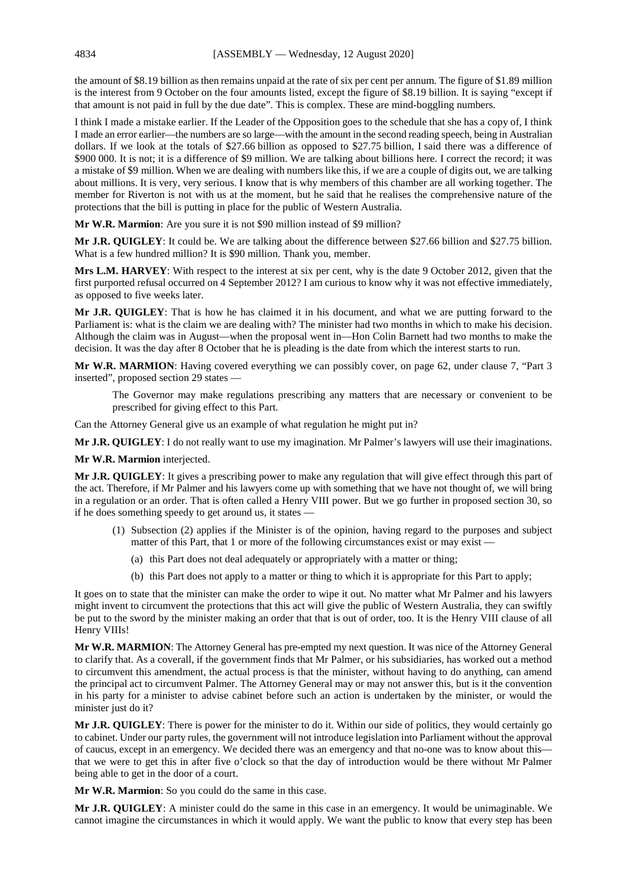the amount of \$8.19 billion as then remains unpaid at the rate of six per cent per annum. The figure of \$1.89 million is the interest from 9 October on the four amounts listed, except the figure of \$8.19 billion. It is saying "except if that amount is not paid in full by the due date". This is complex. These are mind-boggling numbers.

I think I made a mistake earlier. If the Leader of the Opposition goes to the schedule that she has a copy of, I think I made an error earlier—the numbers are so large—with the amount in the second reading speech, being in Australian dollars. If we look at the totals of \$27.66 billion as opposed to \$27.75 billion, I said there was a difference of \$900 000. It is not; it is a difference of \$9 million. We are talking about billions here. I correct the record; it was a mistake of \$9 million. When we are dealing with numbers like this, if we are a couple of digits out, we are talking about millions. It is very, very serious. I know that is why members of this chamber are all working together. The member for Riverton is not with us at the moment, but he said that he realises the comprehensive nature of the protections that the bill is putting in place for the public of Western Australia.

**Mr W.R. Marmion**: Are you sure it is not \$90 million instead of \$9 million?

**Mr J.R. QUIGLEY**: It could be. We are talking about the difference between \$27.66 billion and \$27.75 billion. What is a few hundred million? It is \$90 million. Thank you, member.

**Mrs L.M. HARVEY**: With respect to the interest at six per cent, why is the date 9 October 2012, given that the first purported refusal occurred on 4 September 2012? I am curious to know why it was not effective immediately, as opposed to five weeks later.

**Mr J.R. QUIGLEY**: That is how he has claimed it in his document, and what we are putting forward to the Parliament is: what is the claim we are dealing with? The minister had two months in which to make his decision. Although the claim was in August—when the proposal went in—Hon Colin Barnett had two months to make the decision. It was the day after 8 October that he is pleading is the date from which the interest starts to run.

**Mr W.R. MARMION**: Having covered everything we can possibly cover, on page 62, under clause 7, "Part 3 inserted", proposed section 29 states —

The Governor may make regulations prescribing any matters that are necessary or convenient to be prescribed for giving effect to this Part.

Can the Attorney General give us an example of what regulation he might put in?

**Mr J.R. QUIGLEY**: I do not really want to use my imagination. Mr Palmer's lawyers will use their imaginations.

#### **Mr W.R. Marmion** interjected.

**Mr J.R. QUIGLEY**: It gives a prescribing power to make any regulation that will give effect through this part of the act. Therefore, if Mr Palmer and his lawyers come up with something that we have not thought of, we will bring in a regulation or an order. That is often called a Henry VIII power. But we go further in proposed section 30, so if he does something speedy to get around us, it states —

- (1) Subsection (2) applies if the Minister is of the opinion, having regard to the purposes and subject matter of this Part, that 1 or more of the following circumstances exist or may exist —
	- (a) this Part does not deal adequately or appropriately with a matter or thing;
	- (b) this Part does not apply to a matter or thing to which it is appropriate for this Part to apply;

It goes on to state that the minister can make the order to wipe it out. No matter what Mr Palmer and his lawyers might invent to circumvent the protections that this act will give the public of Western Australia, they can swiftly be put to the sword by the minister making an order that that is out of order, too. It is the Henry VIII clause of all Henry VIIIs!

**Mr W.R. MARMION**: The Attorney General has pre-empted my next question. It was nice of the Attorney General to clarify that. As a coverall, if the government finds that Mr Palmer, or his subsidiaries, has worked out a method to circumvent this amendment, the actual process is that the minister, without having to do anything, can amend the principal act to circumvent Palmer. The Attorney General may or may not answer this, but is it the convention in his party for a minister to advise cabinet before such an action is undertaken by the minister, or would the minister just do it?

**Mr J.R. QUIGLEY**: There is power for the minister to do it. Within our side of politics, they would certainly go to cabinet. Under our party rules, the government will not introduce legislation into Parliament without the approval of caucus, except in an emergency. We decided there was an emergency and that no-one was to know about this that we were to get this in after five o'clock so that the day of introduction would be there without Mr Palmer being able to get in the door of a court.

**Mr W.R. Marmion**: So you could do the same in this case.

**Mr J.R. QUIGLEY**: A minister could do the same in this case in an emergency. It would be unimaginable. We cannot imagine the circumstances in which it would apply. We want the public to know that every step has been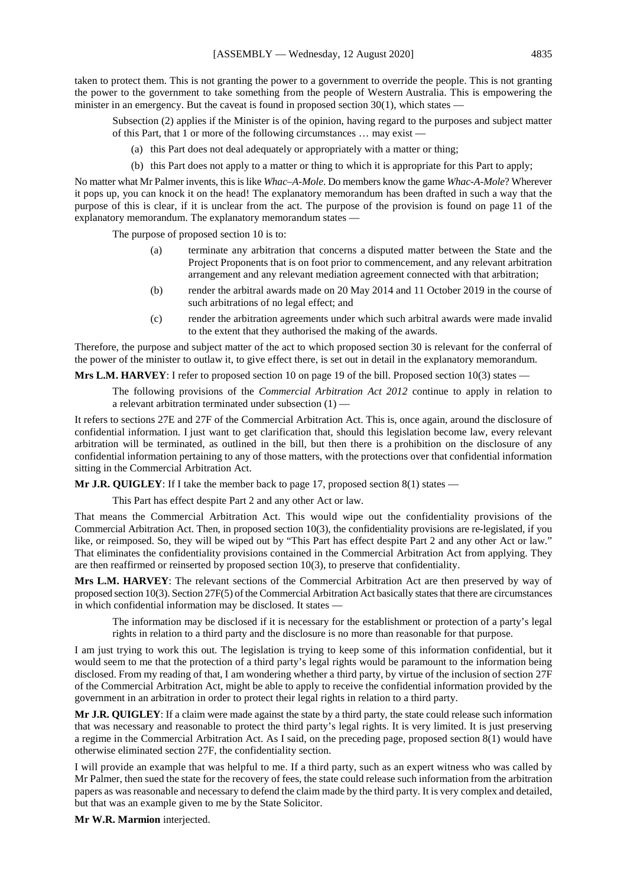taken to protect them. This is not granting the power to a government to override the people. This is not granting the power to the government to take something from the people of Western Australia. This is empowering the minister in an emergency. But the caveat is found in proposed section  $30(1)$ , which states –

Subsection (2) applies if the Minister is of the opinion, having regard to the purposes and subject matter of this Part, that 1 or more of the following circumstances … may exist —

- (a) this Part does not deal adequately or appropriately with a matter or thing;
- (b) this Part does not apply to a matter or thing to which it is appropriate for this Part to apply;

No matter what Mr Palmer invents, this is like *Whac–A-Mole*. Do members know the game *Whac-A-Mole*? Wherever it pops up, you can knock it on the head! The explanatory memorandum has been drafted in such a way that the purpose of this is clear, if it is unclear from the act. The purpose of the provision is found on page 11 of the explanatory memorandum. The explanatory memorandum states —

The purpose of proposed section 10 is to:

- (a) terminate any arbitration that concerns a disputed matter between the State and the Project Proponents that is on foot prior to commencement, and any relevant arbitration arrangement and any relevant mediation agreement connected with that arbitration;
- (b) render the arbitral awards made on 20 May 2014 and 11 October 2019 in the course of such arbitrations of no legal effect; and
- (c) render the arbitration agreements under which such arbitral awards were made invalid to the extent that they authorised the making of the awards.

Therefore, the purpose and subject matter of the act to which proposed section 30 is relevant for the conferral of the power of the minister to outlaw it, to give effect there, is set out in detail in the explanatory memorandum.

**Mrs L.M. HARVEY**: I refer to proposed section 10 on page 19 of the bill. Proposed section 10(3) states —

The following provisions of the *Commercial Arbitration Act 2012* continue to apply in relation to a relevant arbitration terminated under subsection (1) —

It refers to sections 27E and 27F of the Commercial Arbitration Act. This is, once again, around the disclosure of confidential information. I just want to get clarification that, should this legislation become law, every relevant arbitration will be terminated, as outlined in the bill, but then there is a prohibition on the disclosure of any confidential information pertaining to any of those matters, with the protections over that confidential information sitting in the Commercial Arbitration Act.

**Mr J.R. OUIGLEY**: If I take the member back to page 17, proposed section 8(1) states —

This Part has effect despite Part 2 and any other Act or law.

That means the Commercial Arbitration Act. This would wipe out the confidentiality provisions of the Commercial Arbitration Act. Then, in proposed section 10(3), the confidentiality provisions are re-legislated, if you like, or reimposed. So, they will be wiped out by "This Part has effect despite Part 2 and any other Act or law." That eliminates the confidentiality provisions contained in the Commercial Arbitration Act from applying. They are then reaffirmed or reinserted by proposed section 10(3), to preserve that confidentiality.

**Mrs L.M. HARVEY**: The relevant sections of the Commercial Arbitration Act are then preserved by way of proposed section 10(3). Section 27F(5) of the Commercial Arbitration Act basically states that there are circumstances in which confidential information may be disclosed. It states —

The information may be disclosed if it is necessary for the establishment or protection of a party's legal rights in relation to a third party and the disclosure is no more than reasonable for that purpose.

I am just trying to work this out. The legislation is trying to keep some of this information confidential, but it would seem to me that the protection of a third party's legal rights would be paramount to the information being disclosed. From my reading of that, I am wondering whether a third party, by virtue of the inclusion of section 27F of the Commercial Arbitration Act, might be able to apply to receive the confidential information provided by the government in an arbitration in order to protect their legal rights in relation to a third party.

**Mr J.R. QUIGLEY**: If a claim were made against the state by a third party, the state could release such information that was necessary and reasonable to protect the third party's legal rights. It is very limited. It is just preserving a regime in the Commercial Arbitration Act. As I said, on the preceding page, proposed section 8(1) would have otherwise eliminated section 27F, the confidentiality section.

I will provide an example that was helpful to me. If a third party, such as an expert witness who was called by Mr Palmer, then sued the state for the recovery of fees, the state could release such information from the arbitration papers as was reasonable and necessary to defend the claim made by the third party. It is very complex and detailed, but that was an example given to me by the State Solicitor.

**Mr W.R. Marmion** interjected.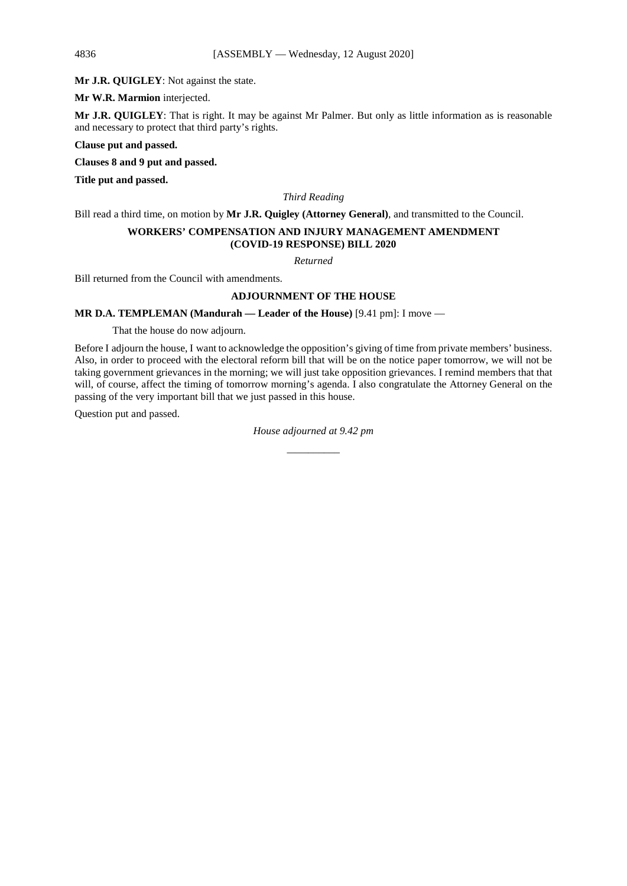**Mr J.R. QUIGLEY**: Not against the state.

**Mr W.R. Marmion** interjected.

**Mr J.R. QUIGLEY**: That is right. It may be against Mr Palmer. But only as little information as is reasonable and necessary to protect that third party's rights.

**Clause put and passed.** 

**Clauses 8 and 9 put and passed.**

**Title put and passed.**

*Third Reading*

Bill read a third time, on motion by **Mr J.R. Quigley (Attorney General)**, and transmitted to the Council.

# **WORKERS' COMPENSATION AND INJURY MANAGEMENT AMENDMENT (COVID-19 RESPONSE) BILL 2020**

*Returned*

Bill returned from the Council with amendments.

# **ADJOURNMENT OF THE HOUSE**

**MR D.A. TEMPLEMAN (Mandurah — Leader of the House)** [9.41 pm]: I move —

That the house do now adjourn.

Before I adjourn the house, I want to acknowledge the opposition's giving of time from private members' business. Also, in order to proceed with the electoral reform bill that will be on the notice paper tomorrow, we will not be taking government grievances in the morning; we will just take opposition grievances. I remind members that that will, of course, affect the timing of tomorrow morning's agenda. I also congratulate the Attorney General on the passing of the very important bill that we just passed in this house.

Question put and passed.

# *House adjourned at 9.42 pm \_\_\_\_\_\_\_\_\_\_*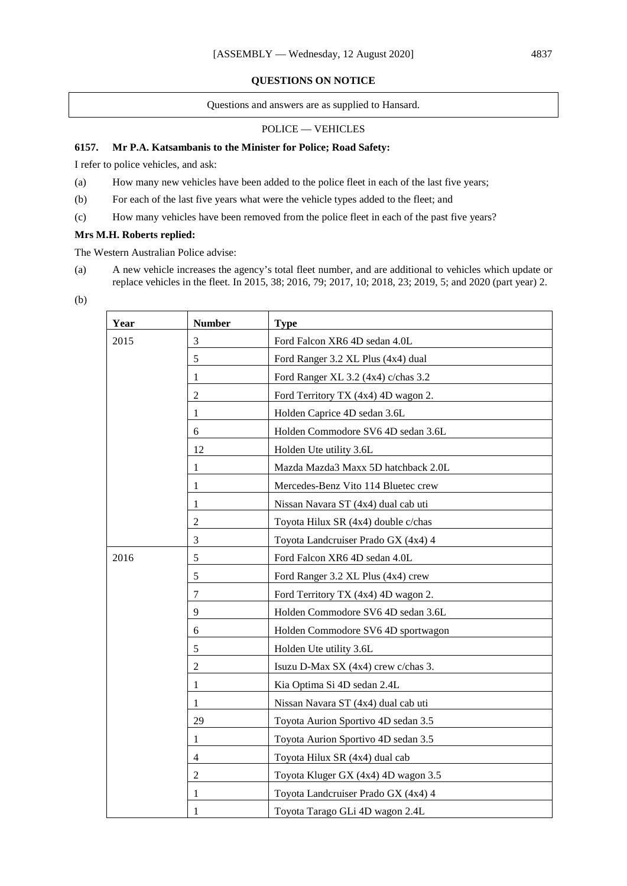# **QUESTIONS ON NOTICE**

Questions and answers are as supplied to Hansard.

## POLICE — VEHICLES

# **6157. Mr P.A. Katsambanis to the Minister for Police; Road Safety:**

I refer to police vehicles, and ask:

- (a) How many new vehicles have been added to the police fleet in each of the last five years;
- (b) For each of the last five years what were the vehicle types added to the fleet; and
- (c) How many vehicles have been removed from the police fleet in each of the past five years?

### **Mrs M.H. Roberts replied:**

The Western Australian Police advise:

- (a) A new vehicle increases the agency's total fleet number, and are additional to vehicles which update or replace vehicles in the fleet. In 2015, 38; 2016, 79; 2017, 10; 2018, 23; 2019, 5; and 2020 (part year) 2.
- (b)

| Year | <b>Number</b>  | <b>Type</b>                         |  |
|------|----------------|-------------------------------------|--|
| 2015 | 3              | Ford Falcon XR6 4D sedan 4.0L       |  |
|      | 5              | Ford Ranger 3.2 XL Plus (4x4) dual  |  |
|      | 1              | Ford Ranger XL 3.2 (4x4) c/chas 3.2 |  |
|      | 2              | Ford Territory TX (4x4) 4D wagon 2. |  |
|      | 1              | Holden Caprice 4D sedan 3.6L        |  |
|      | 6              | Holden Commodore SV6 4D sedan 3.6L  |  |
|      | 12             | Holden Ute utility 3.6L             |  |
|      | 1              | Mazda Mazda3 Maxx 5D hatchback 2.0L |  |
|      | 1              | Mercedes-Benz Vito 114 Bluetec crew |  |
|      | 1              | Nissan Navara ST (4x4) dual cab uti |  |
|      | 2              | Toyota Hilux SR (4x4) double c/chas |  |
|      | $\mathfrak{Z}$ | Toyota Landcruiser Prado GX (4x4) 4 |  |
| 2016 | 5              | Ford Falcon XR6 4D sedan 4.0L       |  |
|      | 5              | Ford Ranger 3.2 XL Plus (4x4) crew  |  |
|      | $\tau$         | Ford Territory TX (4x4) 4D wagon 2. |  |
|      | 9              | Holden Commodore SV6 4D sedan 3.6L  |  |
|      | 6              | Holden Commodore SV6 4D sportwagon  |  |
|      | 5              | Holden Ute utility 3.6L             |  |
|      | 2              | Isuzu D-Max SX (4x4) crew c/chas 3. |  |
|      | 1              | Kia Optima Si 4D sedan 2.4L         |  |
|      | 1              | Nissan Navara ST (4x4) dual cab uti |  |
|      | 29             | Toyota Aurion Sportivo 4D sedan 3.5 |  |
|      | 1              | Toyota Aurion Sportivo 4D sedan 3.5 |  |
|      | 4              | Toyota Hilux SR (4x4) dual cab      |  |
|      | 2              | Toyota Kluger GX (4x4) 4D wagon 3.5 |  |
|      | 1              | Toyota Landcruiser Prado GX (4x4) 4 |  |
|      | 1              | Toyota Tarago GLi 4D wagon 2.4L     |  |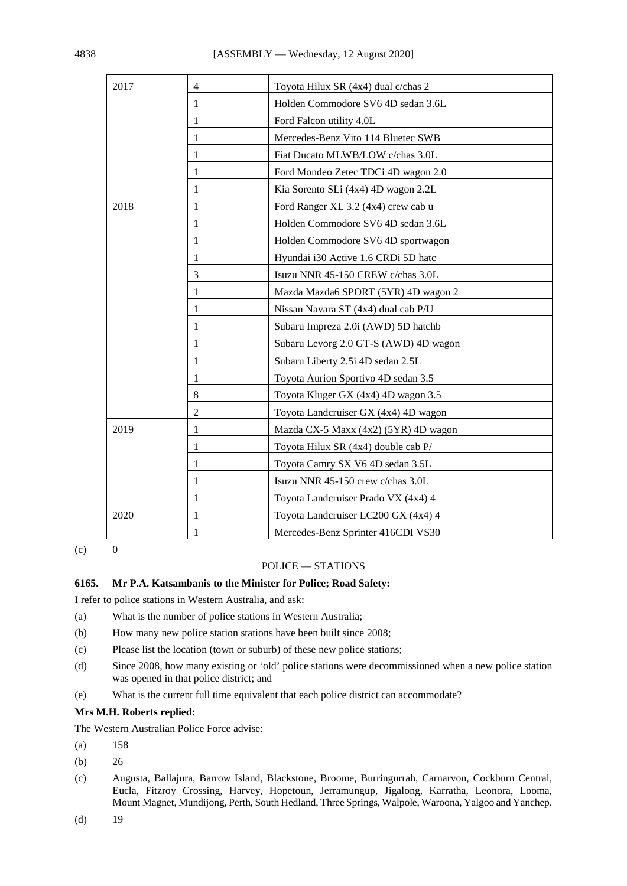| 2017 | $\overline{4}$ | Toyota Hilux SR (4x4) dual c/chas 2   |  |
|------|----------------|---------------------------------------|--|
|      | 1              | Holden Commodore SV6 4D sedan 3.6L    |  |
|      | 1              | Ford Falcon utility 4.0L              |  |
|      | 1              | Mercedes-Benz Vito 114 Bluetec SWB    |  |
|      | 1              | Fiat Ducato MLWB/LOW c/chas 3.0L      |  |
|      | 1              | Ford Mondeo Zetec TDCi 4D wagon 2.0   |  |
|      | 1              | Kia Sorento SLi (4x4) 4D wagon 2.2L   |  |
| 2018 | 1              | Ford Ranger XL 3.2 (4x4) crew cab u   |  |
|      | 1              | Holden Commodore SV6 4D sedan 3.6L    |  |
|      | 1              | Holden Commodore SV6 4D sportwagon    |  |
|      | 1              | Hyundai i30 Active 1.6 CRDi 5D hatc   |  |
|      | 3              | Isuzu NNR 45-150 CREW c/chas 3.0L     |  |
|      | 1              | Mazda Mazda6 SPORT (5YR) 4D wagon 2   |  |
|      | 1              | Nissan Navara ST (4x4) dual cab P/U   |  |
|      | 1              | Subaru Impreza 2.0i (AWD) 5D hatchb   |  |
|      | 1              | Subaru Levorg 2.0 GT-S (AWD) 4D wagon |  |
|      | 1              | Subaru Liberty 2.5i 4D sedan 2.5L     |  |
|      | 1              | Toyota Aurion Sportivo 4D sedan 3.5   |  |
|      | 8              | Toyota Kluger GX (4x4) 4D wagon 3.5   |  |
|      | 2              | Toyota Landcruiser GX (4x4) 4D wagon  |  |
| 2019 | 1              | Mazda CX-5 Maxx (4x2) (5YR) 4D wagon  |  |
|      | 1              | Toyota Hilux SR (4x4) double cab P/   |  |
|      | 1              | Toyota Camry SX V6 4D sedan 3.5L      |  |
|      | 1              | Isuzu NNR 45-150 crew c/chas 3.0L     |  |
|      | 1              | Toyota Landcruiser Prado VX (4x4) 4   |  |
| 2020 | 1              | Toyota Landcruiser LC200 GX (4x4) 4   |  |
|      | 1              | Mercedes-Benz Sprinter 416CDI VS30    |  |

 $(c)$  0

# POLICE — STATIONS

# **6165. Mr P.A. Katsambanis to the Minister for Police; Road Safety:**

I refer to police stations in Western Australia, and ask:

- (a) What is the number of police stations in Western Australia;
- (b) How many new police station stations have been built since 2008;
- (c) Please list the location (town or suburb) of these new police stations;
- (d) Since 2008, how many existing or 'old' police stations were decommissioned when a new police station was opened in that police district; and
- (e) What is the current full time equivalent that each police district can accommodate?

# **Mrs M.H. Roberts replied:**

The Western Australian Police Force advise:

- (a) 158
- (b) 26
- (c) Augusta, Ballajura, Barrow Island, Blackstone, Broome, Burringurrah, Carnarvon, Cockburn Central, Eucla, Fitzroy Crossing, Harvey, Hopetoun, Jerramungup, Jigalong, Karratha, Leonora, Looma, Mount Magnet, Mundijong, Perth, South Hedland, Three Springs, Walpole, Waroona, Yalgoo and Yanchep.
- $(d)$  19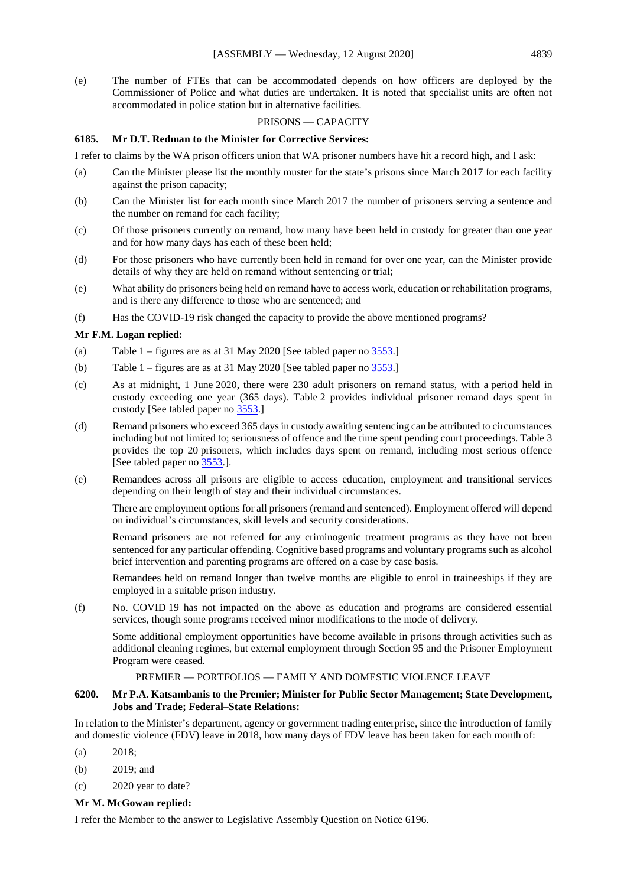(e) The number of FTEs that can be accommodated depends on how officers are deployed by the Commissioner of Police and what duties are undertaken. It is noted that specialist units are often not accommodated in police station but in alternative facilities.

### PRISONS — CAPACITY

#### **6185. Mr D.T. Redman to the Minister for Corrective Services:**

I refer to claims by the WA prison officers union that WA prisoner numbers have hit a record high, and I ask:

- (a) Can the Minister please list the monthly muster for the state's prisons since March 2017 for each facility against the prison capacity;
- (b) Can the Minister list for each month since March 2017 the number of prisoners serving a sentence and the number on remand for each facility;
- (c) Of those prisoners currently on remand, how many have been held in custody for greater than one year and for how many days has each of these been held;
- (d) For those prisoners who have currently been held in remand for over one year, can the Minister provide details of why they are held on remand without sentencing or trial;
- (e) What ability do prisoners being held on remand have to access work, education or rehabilitation programs, and is there any difference to those who are sentenced; and
- (f) Has the COVID-19 risk changed the capacity to provide the above mentioned programs?

#### **Mr F.M. Logan replied:**

- (a) Table  $1 -$  figures are as at 31 May 2020 [See tabled paper no  $\frac{3553}{1}$ ]
- (b) Table 1 figures are as at 31 May 2020 [See tabled paper no  $\frac{3553}{1}$ ]
- (c) As at midnight, 1 June 2020, there were 230 adult prisoners on remand status, with a period held in custody exceeding one year (365 days). Table 2 provides individual prisoner remand days spent in custody [See tabled paper no [3553.](https://www.parliament.wa.gov.au/publications/tabledpapers.nsf/displaypaper/4013553a4107baa03838a515482585c2004d39d9/$file/3553.pdf)]
- (d) Remand prisoners who exceed 365 days in custody awaiting sentencing can be attributed to circumstances including but not limited to; seriousness of offence and the time spent pending court proceedings. Table 3 provides the top 20 prisoners, which includes days spent on remand, including most serious offence [See tabled paper no [3553.\]](https://www.parliament.wa.gov.au/publications/tabledpapers.nsf/displaypaper/4013553a4107baa03838a515482585c2004d39d9/$file/3553.pdf).
- (e) Remandees across all prisons are eligible to access education, employment and transitional services depending on their length of stay and their individual circumstances.

There are employment options for all prisoners (remand and sentenced). Employment offered will depend on individual's circumstances, skill levels and security considerations.

Remand prisoners are not referred for any criminogenic treatment programs as they have not been sentenced for any particular offending. Cognitive based programs and voluntary programs such as alcohol brief intervention and parenting programs are offered on a case by case basis.

Remandees held on remand longer than twelve months are eligible to enrol in traineeships if they are employed in a suitable prison industry.

(f) No. COVID 19 has not impacted on the above as education and programs are considered essential services, though some programs received minor modifications to the mode of delivery.

Some additional employment opportunities have become available in prisons through activities such as additional cleaning regimes, but external employment through Section 95 and the Prisoner Employment Program were ceased.

#### PREMIER — PORTFOLIOS — FAMILY AND DOMESTIC VIOLENCE LEAVE

#### **6200. Mr P.A. Katsambanis to the Premier; Minister for Public Sector Management; State Development, Jobs and Trade; Federal–State Relations:**

In relation to the Minister's department, agency or government trading enterprise, since the introduction of family and domestic violence (FDV) leave in 2018, how many days of FDV leave has been taken for each month of:

- (a) 2018;
- (b) 2019; and
- (c) 2020 year to date?

#### **Mr M. McGowan replied:**

I refer the Member to the answer to Legislative Assembly Question on Notice 6196.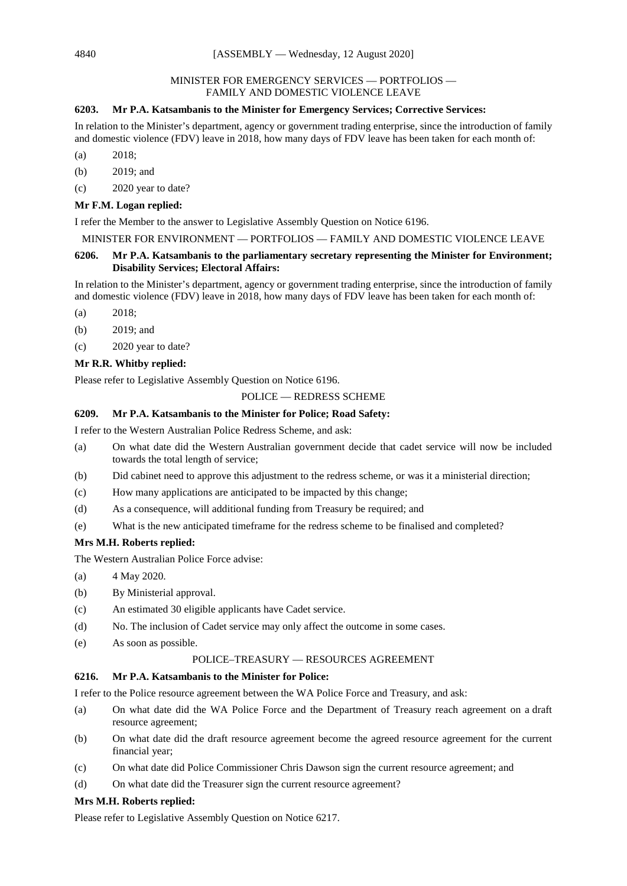### MINISTER FOR EMERGENCY SERVICES — PORTFOLIOS — FAMILY AND DOMESTIC VIOLENCE LEAVE

# **6203. Mr P.A. Katsambanis to the Minister for Emergency Services; Corrective Services:**

In relation to the Minister's department, agency or government trading enterprise, since the introduction of family and domestic violence (FDV) leave in 2018, how many days of FDV leave has been taken for each month of:

(a) 2018;

(b) 2019; and

(c) 2020 year to date?

## **Mr F.M. Logan replied:**

I refer the Member to the answer to Legislative Assembly Question on Notice 6196.

# MINISTER FOR ENVIRONMENT — PORTFOLIOS — FAMILY AND DOMESTIC VIOLENCE LEAVE

# **6206. Mr P.A. Katsambanis to the parliamentary secretary representing the Minister for Environment; Disability Services; Electoral Affairs:**

In relation to the Minister's department, agency or government trading enterprise, since the introduction of family and domestic violence (FDV) leave in 2018, how many days of FDV leave has been taken for each month of:

(a) 2018;

- (b) 2019; and
- (c) 2020 year to date?

# **Mr R.R. Whitby replied:**

Please refer to Legislative Assembly Question on Notice 6196.

# POLICE — REDRESS SCHEME

# **6209. Mr P.A. Katsambanis to the Minister for Police; Road Safety:**

I refer to the Western Australian Police Redress Scheme, and ask:

- (a) On what date did the Western Australian government decide that cadet service will now be included towards the total length of service;
- (b) Did cabinet need to approve this adjustment to the redress scheme, or was it a ministerial direction;
- (c) How many applications are anticipated to be impacted by this change;
- (d) As a consequence, will additional funding from Treasury be required; and
- (e) What is the new anticipated timeframe for the redress scheme to be finalised and completed?

# **Mrs M.H. Roberts replied:**

The Western Australian Police Force advise:

- (a) 4 May 2020.
- (b) By Ministerial approval.
- (c) An estimated 30 eligible applicants have Cadet service.
- (d) No. The inclusion of Cadet service may only affect the outcome in some cases.
- (e) As soon as possible.

# POLICE–TREASURY — RESOURCES AGREEMENT

# **6216. Mr P.A. Katsambanis to the Minister for Police:**

I refer to the Police resource agreement between the WA Police Force and Treasury, and ask:

- (a) On what date did the WA Police Force and the Department of Treasury reach agreement on a draft resource agreement;
- (b) On what date did the draft resource agreement become the agreed resource agreement for the current financial year;
- (c) On what date did Police Commissioner Chris Dawson sign the current resource agreement; and
- (d) On what date did the Treasurer sign the current resource agreement?

# **Mrs M.H. Roberts replied:**

Please refer to Legislative Assembly Question on Notice 6217.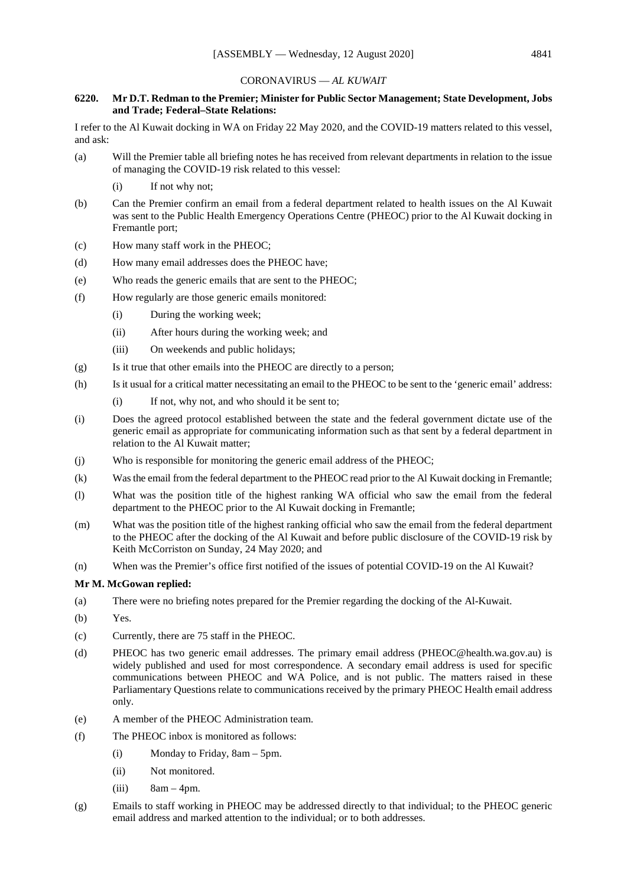#### CORONAVIRUS — *AL KUWAIT*

## **6220. Mr D.T. Redman to the Premier; Minister for Public Sector Management; State Development, Jobs and Trade; Federal–State Relations:**

I refer to the Al Kuwait docking in WA on Friday 22 May 2020, and the COVID-19 matters related to this vessel, and ask:

- (a) Will the Premier table all briefing notes he has received from relevant departments in relation to the issue of managing the COVID-19 risk related to this vessel:
	- (i) If not why not;
- (b) Can the Premier confirm an email from a federal department related to health issues on the Al Kuwait was sent to the Public Health Emergency Operations Centre (PHEOC) prior to the Al Kuwait docking in Fremantle port;
- (c) How many staff work in the PHEOC;
- (d) How many email addresses does the PHEOC have;
- (e) Who reads the generic emails that are sent to the PHEOC;
- (f) How regularly are those generic emails monitored:
	- (i) During the working week;
	- (ii) After hours during the working week; and
	- (iii) On weekends and public holidays;
- (g) Is it true that other emails into the PHEOC are directly to a person;
- (h) Is it usual for a critical matter necessitating an email to the PHEOC to be sent to the 'generic email' address:
	- (i) If not, why not, and who should it be sent to;
- (i) Does the agreed protocol established between the state and the federal government dictate use of the generic email as appropriate for communicating information such as that sent by a federal department in relation to the Al Kuwait matter;
- (j) Who is responsible for monitoring the generic email address of the PHEOC;
- (k) Was the email from the federal department to the PHEOC read prior to the Al Kuwait docking in Fremantle;
- (l) What was the position title of the highest ranking WA official who saw the email from the federal department to the PHEOC prior to the Al Kuwait docking in Fremantle;
- (m) What was the position title of the highest ranking official who saw the email from the federal department to the PHEOC after the docking of the Al Kuwait and before public disclosure of the COVID-19 risk by Keith McCorriston on Sunday, 24 May 2020; and
- (n) When was the Premier's office first notified of the issues of potential COVID-19 on the Al Kuwait?

#### **Mr M. McGowan replied:**

- (a) There were no briefing notes prepared for the Premier regarding the docking of the Al-Kuwait.
- (b) Yes.
- (c) Currently, there are 75 staff in the PHEOC.
- (d) PHEOC has two generic email addresses. The primary email address (PHEOC@health.wa.gov.au) is widely published and used for most correspondence. A secondary email address is used for specific communications between PHEOC and WA Police, and is not public. The matters raised in these Parliamentary Questions relate to communications received by the primary PHEOC Health email address only.
- (e) A member of the PHEOC Administration team.
- (f) The PHEOC inbox is monitored as follows:
	- (i) Monday to Friday, 8am 5pm.
	- (ii) Not monitored.
	- $(iii)$  8am 4pm.
- (g) Emails to staff working in PHEOC may be addressed directly to that individual; to the PHEOC generic email address and marked attention to the individual; or to both addresses.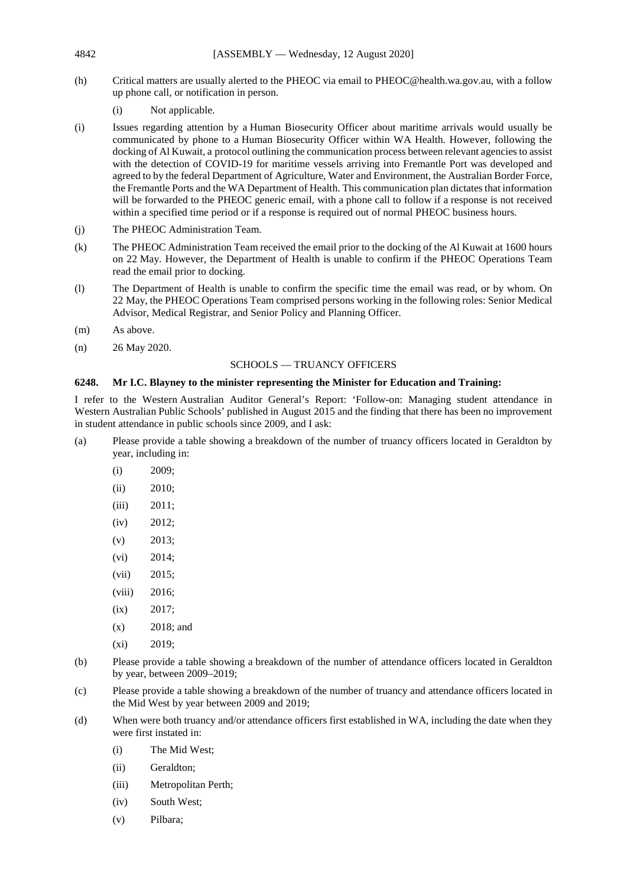- (h) Critical matters are usually alerted to the PHEOC via email to PHEOC@health.wa.gov.au, with a follow up phone call, or notification in person.
	- (i) Not applicable.
- (i) Issues regarding attention by a Human Biosecurity Officer about maritime arrivals would usually be communicated by phone to a Human Biosecurity Officer within WA Health. However, following the docking of Al Kuwait, a protocol outlining the communication process between relevant agencies to assist with the detection of COVID-19 for maritime vessels arriving into Fremantle Port was developed and agreed to by the federal Department of Agriculture, Water and Environment, the Australian Border Force, the Fremantle Ports and the WA Department of Health. This communication plan dictates that information will be forwarded to the PHEOC generic email, with a phone call to follow if a response is not received within a specified time period or if a response is required out of normal PHEOC business hours.
- (j) The PHEOC Administration Team.
- (k) The PHEOC Administration Team received the email prior to the docking of the Al Kuwait at 1600 hours on 22 May. However, the Department of Health is unable to confirm if the PHEOC Operations Team read the email prior to docking.
- (l) The Department of Health is unable to confirm the specific time the email was read, or by whom. On 22 May, the PHEOC Operations Team comprised persons working in the following roles: Senior Medical Advisor, Medical Registrar, and Senior Policy and Planning Officer.
- (m) As above.
- (n) 26 May 2020.

# SCHOOLS — TRUANCY OFFICERS

### **6248. Mr I.C. Blayney to the minister representing the Minister for Education and Training:**

I refer to the Western Australian Auditor General's Report: 'Follow-on: Managing student attendance in Western Australian Public Schools' published in August 2015 and the finding that there has been no improvement in student attendance in public schools since 2009, and I ask:

- (a) Please provide a table showing a breakdown of the number of truancy officers located in Geraldton by year, including in:
	- (i) 2009;
	- (ii) 2010;
	- (iii) 2011;
	- (iv) 2012;
	- $(v)$  2013;
	- (vi) 2014;
	- (vii) 2015;
	- (viii) 2016;
	- (ix) 2017;
	- (x) 2018; and
	- (xi) 2019;
- (b) Please provide a table showing a breakdown of the number of attendance officers located in Geraldton by year, between 2009–2019;
- (c) Please provide a table showing a breakdown of the number of truancy and attendance officers located in the Mid West by year between 2009 and 2019;
- (d) When were both truancy and/or attendance officers first established in WA, including the date when they were first instated in:
	- (i) The Mid West;
	- (ii) Geraldton;
	- (iii) Metropolitan Perth;
	- (iv) South West;
	- (v) Pilbara;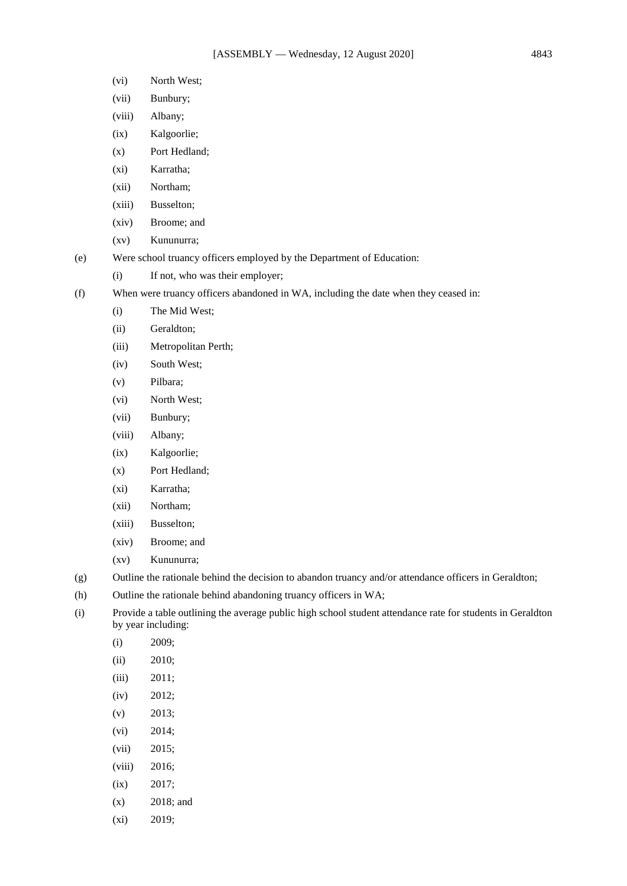- (vi) North West;
- (vii) Bunbury;
- (viii) Albany;
- (ix) Kalgoorlie;
- (x) Port Hedland;
- (xi) Karratha;
- (xii) Northam;
- (xiii) Busselton;
- (xiv) Broome; and
- (xv) Kununurra;
- (e) Were school truancy officers employed by the Department of Education:
	- (i) If not, who was their employer;
- (f) When were truancy officers abandoned in WA, including the date when they ceased in:
	- (i) The Mid West;
	- (ii) Geraldton;
	- (iii) Metropolitan Perth;
	- (iv) South West;
	- (v) Pilbara;
	- (vi) North West;
	- (vii) Bunbury;
	- (viii) Albany;
	- (ix) Kalgoorlie;
	- (x) Port Hedland;
	- (xi) Karratha;
	- (xii) Northam;
	- (xiii) Busselton;
	- (xiv) Broome; and
	- (xv) Kununurra;
- (g) Outline the rationale behind the decision to abandon truancy and/or attendance officers in Geraldton;
- (h) Outline the rationale behind abandoning truancy officers in WA;
- (i) Provide a table outlining the average public high school student attendance rate for students in Geraldton by year including:
	- (i) 2009;
	- (ii) 2010;
	- (iii) 2011;
	- (iv) 2012;
	- (v) 2013;
	- (vi) 2014;
	- (vii) 2015;
	- (viii) 2016;
	- (ix) 2017;
	- (x) 2018; and
	- (xi) 2019;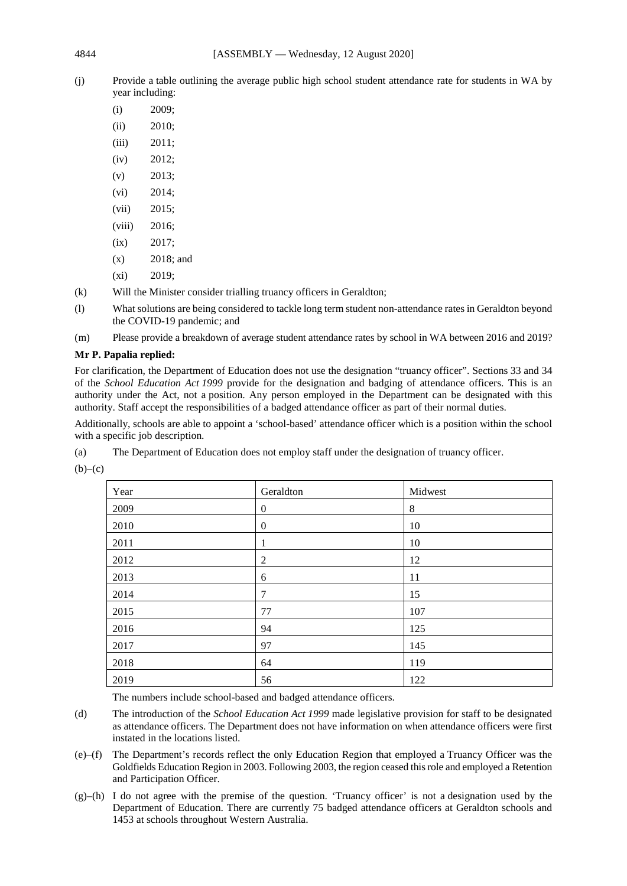(j) Provide a table outlining the average public high school student attendance rate for students in WA by year including:

| (i)    | 2009: |
|--------|-------|
| (ii)   | 2010: |
| (iii)  | 2011: |
| (iv)   | 2012: |
| (v)    | 2013: |
| (vi)   | 2014: |
| (vii)  | 2015; |
| (viii) | 2016: |
| (ix)   | 2017: |

- (x) 2018; and
- $(xi)$  2019;
- (k) Will the Minister consider trialling truancy officers in Geraldton;
- (l) What solutions are being considered to tackle long term student non-attendance rates in Geraldton beyond the COVID-19 pandemic; and
- (m) Please provide a breakdown of average student attendance rates by school in WA between 2016 and 2019?

#### **Mr P. Papalia replied:**

For clarification, the Department of Education does not use the designation "truancy officer". Sections 33 and 34 of the *School Education Act 1999* provide for the designation and badging of attendance officers. This is an authority under the Act, not a position. Any person employed in the Department can be designated with this authority. Staff accept the responsibilities of a badged attendance officer as part of their normal duties.

Additionally, schools are able to appoint a 'school-based' attendance officer which is a position within the school with a specific job description.

- (a) The Department of Education does not employ staff under the designation of truancy officer.
- $(b)$ – $(c)$

| Year | Geraldton        | Midwest |
|------|------------------|---------|
| 2009 | $\boldsymbol{0}$ | 8       |
| 2010 | $\boldsymbol{0}$ | 10      |
| 2011 | 1                | 10      |
| 2012 | $\overline{2}$   | 12      |
| 2013 | $6\,$            | 11      |
| 2014 | $\overline{7}$   | 15      |
| 2015 | 77               | 107     |
| 2016 | 94               | 125     |
| 2017 | 97               | 145     |
| 2018 | 64               | 119     |
| 2019 | 56               | 122     |

The numbers include school-based and badged attendance officers.

- (d) The introduction of the *School Education Act 1999* made legislative provision for staff to be designated as attendance officers. The Department does not have information on when attendance officers were first instated in the locations listed.
- (e)–(f) The Department's records reflect the only Education Region that employed a Truancy Officer was the Goldfields Education Region in 2003. Following 2003, the region ceased this role and employed a Retention and Participation Officer.
- $(g)$ –(h) I do not agree with the premise of the question. 'Truancy officer' is not a designation used by the Department of Education. There are currently 75 badged attendance officers at Geraldton schools and 1453 at schools throughout Western Australia.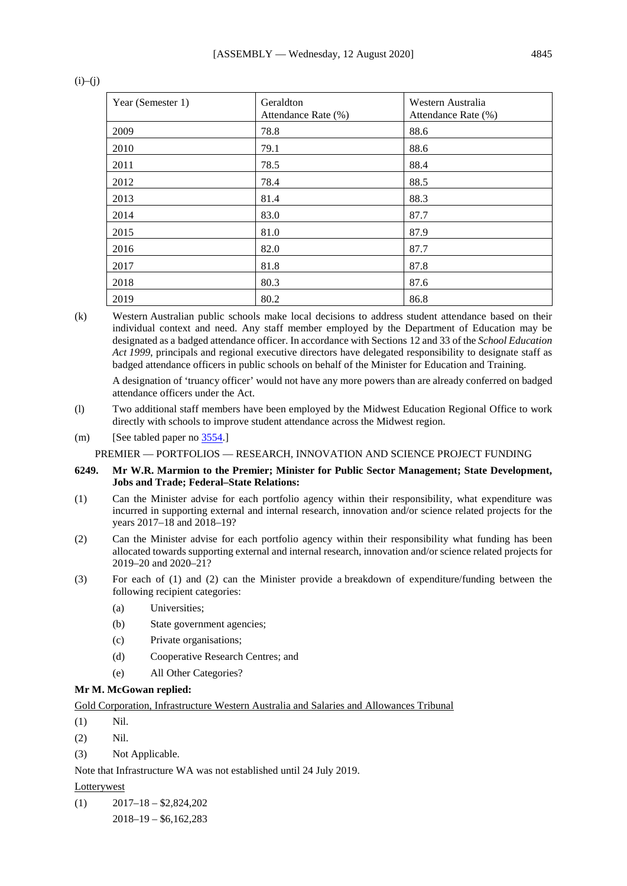| Year (Semester 1) | Geraldton<br>Attendance Rate (%) | Western Australia<br>Attendance Rate (%) |
|-------------------|----------------------------------|------------------------------------------|
| 2009              | 78.8                             | 88.6                                     |
| 2010              | 79.1                             | 88.6                                     |
| 2011              | 78.5                             | 88.4                                     |
| 2012              | 78.4                             | 88.5                                     |
| 2013              | 81.4                             | 88.3                                     |
| 2014              | 83.0                             | 87.7                                     |
| 2015              | 81.0                             | 87.9                                     |
| 2016              | 82.0                             | 87.7                                     |
| 2017              | 81.8                             | 87.8                                     |
| 2018              | 80.3                             | 87.6                                     |
| 2019              | 80.2                             | 86.8                                     |

# $(i)$ – $(j)$

(k) Western Australian public schools make local decisions to address student attendance based on their individual context and need. Any staff member employed by the Department of Education may be designated as a badged attendance officer. In accordance with Sections 12 and 33 of the *School Education Act 1999*, principals and regional executive directors have delegated responsibility to designate staff as badged attendance officers in public schools on behalf of the Minister for Education and Training.

A designation of 'truancy officer' would not have any more powers than are already conferred on badged attendance officers under the Act.

- (l) Two additional staff members have been employed by the Midwest Education Regional Office to work directly with schools to improve student attendance across the Midwest region.
- (m) [See tabled paper no [3554.\]](https://www.parliament.wa.gov.au/publications/tabledpapers.nsf/displaypaper/4013554a939e87dbefda59ad482585c2004d39fb/$file/3554.pdf)

PREMIER — PORTFOLIOS — RESEARCH, INNOVATION AND SCIENCE PROJECT FUNDING

## **6249. Mr W.R. Marmion to the Premier; Minister for Public Sector Management; State Development, Jobs and Trade; Federal–State Relations:**

- (1) Can the Minister advise for each portfolio agency within their responsibility, what expenditure was incurred in supporting external and internal research, innovation and/or science related projects for the years 2017–18 and 2018–19?
- (2) Can the Minister advise for each portfolio agency within their responsibility what funding has been allocated towards supporting external and internal research, innovation and/or science related projects for 2019–20 and 2020–21?
- (3) For each of (1) and (2) can the Minister provide a breakdown of expenditure/funding between the following recipient categories:
	- (a) Universities;
	- (b) State government agencies;
	- (c) Private organisations;
	- (d) Cooperative Research Centres; and
	- (e) All Other Categories?

### **Mr M. McGowan replied:**

Gold Corporation, Infrastructure Western Australia and Salaries and Allowances Tribunal

- (1) Nil.
- (2) Nil.
- (3) Not Applicable.

Note that Infrastructure WA was not established until 24 July 2019.

## **Lotterywest**

 $(1)$   $2017-18- $2,824,202$ 

2018–19 – \$6,162,283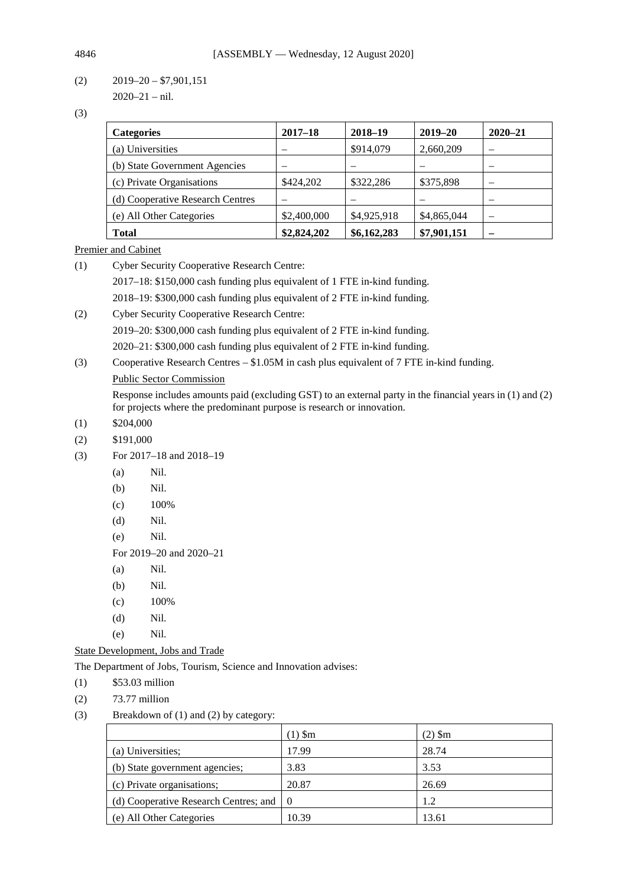$(2)$  2019–20 – \$7,901,151 2020–21 – nil.

(3)

| <b>Categories</b>                | $2017 - 18$ | 2018-19     | $2019 - 20$ | $2020 - 21$              |
|----------------------------------|-------------|-------------|-------------|--------------------------|
| (a) Universities                 |             | \$914,079   | 2,660,209   |                          |
| (b) State Government Agencies    |             |             |             | $\overline{\phantom{a}}$ |
| (c) Private Organisations        | \$424,202   | \$322,286   | \$375,898   | $\overline{\phantom{a}}$ |
| (d) Cooperative Research Centres |             |             |             |                          |
| (e) All Other Categories         | \$2,400,000 | \$4,925,918 | \$4,865,044 | $\overline{\phantom{a}}$ |
| <b>Total</b>                     | \$2,824,202 | \$6,162,283 | \$7,901,151 |                          |

Premier and Cabinet

(1) Cyber Security Cooperative Research Centre: 2017–18: \$150,000 cash funding plus equivalent of 1 FTE in-kind funding. 2018–19: \$300,000 cash funding plus equivalent of 2 FTE in-kind funding. (2) Cyber Security Cooperative Research Centre:

2019–20: \$300,000 cash funding plus equivalent of 2 FTE in-kind funding.

2020–21: \$300,000 cash funding plus equivalent of 2 FTE in-kind funding.

(3) Cooperative Research Centres – \$1.05M in cash plus equivalent of 7 FTE in-kind funding.

# Public Sector Commission

Response includes amounts paid (excluding GST) to an external party in the financial years in (1) and (2) for projects where the predominant purpose is research or innovation.

- $(1)$  \$204,000
- (2) \$191,000
- (3) For 2017–18 and 2018–19
	- (a) Nil.
	- (b) Nil.
	- $(c)$  100%
	- (d) Nil.
	- (e) Nil.
	- For 2019–20 and 2020–21
	- (a) Nil.
	- (b) Nil.
	- $(c)$  100%
	- (d) Nil.
	- (e) Nil.

# State Development, Jobs and Trade

The Department of Jobs, Tourism, Science and Innovation advises:

- (1) \$53.03 million
- (2) 73.77 million
- (3) Breakdown of (1) and (2) by category:

|                                                       | $(1)$ Sm | (2) \$m |
|-------------------------------------------------------|----------|---------|
| (a) Universities;                                     | 17.99    | 28.74   |
| (b) State government agencies;                        | 3.83     | 3.53    |
| (c) Private organisations;                            | 20.87    | 26.69   |
| (d) Cooperative Research Centres; and $\vert 0 \vert$ |          | 1.2     |
| (e) All Other Categories                              | 10.39    | 13.61   |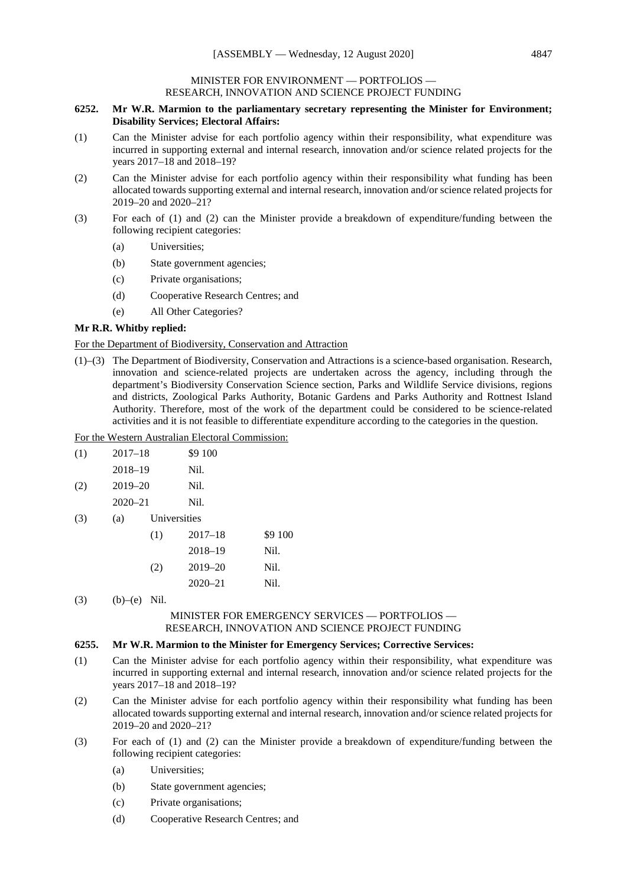### MINISTER FOR ENVIRONMENT — PORTFOLIOS — RESEARCH, INNOVATION AND SCIENCE PROJECT FUNDING

### **6252. Mr W.R. Marmion to the parliamentary secretary representing the Minister for Environment; Disability Services; Electoral Affairs:**

- (1) Can the Minister advise for each portfolio agency within their responsibility, what expenditure was incurred in supporting external and internal research, innovation and/or science related projects for the years 2017–18 and 2018–19?
- (2) Can the Minister advise for each portfolio agency within their responsibility what funding has been allocated towards supporting external and internal research, innovation and/or science related projects for 2019–20 and 2020–21?
- (3) For each of (1) and (2) can the Minister provide a breakdown of expenditure/funding between the following recipient categories:
	- (a) Universities;
	- (b) State government agencies;
	- (c) Private organisations;
	- (d) Cooperative Research Centres; and
	- (e) All Other Categories?

### **Mr R.R. Whitby replied:**

### For the Department of Biodiversity, Conservation and Attraction

(1)–(3) The Department of Biodiversity, Conservation and Attractions is a science-based organisation. Research, innovation and science-related projects are undertaken across the agency, including through the department's Biodiversity Conservation Science section, Parks and Wildlife Service divisions, regions and districts, Zoological Parks Authority, Botanic Gardens and Parks Authority and Rottnest Island Authority. Therefore, most of the work of the department could be considered to be science-related activities and it is not feasible to differentiate expenditure according to the categories in the question.

### For the Western Australian Electoral Commission:

| (1) | $2017 - 18$ | \$9 100 |  |
|-----|-------------|---------|--|
|     | 2018–19     | Nil.    |  |
| (2) | 2019–20     | Nil.    |  |

- 2020–21 Nil.
- (3) (a) Universities

| (1) | $2017 - 18$ | \$9 100 |
|-----|-------------|---------|
|     | 2018-19     | Nil.    |
| (2) | $2019 - 20$ | Nil.    |
|     | $2020 - 21$ | Nil.    |

(3) (b)–(e) Nil.

## MINISTER FOR EMERGENCY SERVICES — PORTFOLIOS — RESEARCH, INNOVATION AND SCIENCE PROJECT FUNDING

### **6255. Mr W.R. Marmion to the Minister for Emergency Services; Corrective Services:**

- (1) Can the Minister advise for each portfolio agency within their responsibility, what expenditure was incurred in supporting external and internal research, innovation and/or science related projects for the years 2017–18 and 2018–19?
- (2) Can the Minister advise for each portfolio agency within their responsibility what funding has been allocated towards supporting external and internal research, innovation and/or science related projects for 2019–20 and 2020–21?
- (3) For each of (1) and (2) can the Minister provide a breakdown of expenditure/funding between the following recipient categories:
	- (a) Universities;
	- (b) State government agencies;
	- (c) Private organisations;
	- (d) Cooperative Research Centres; and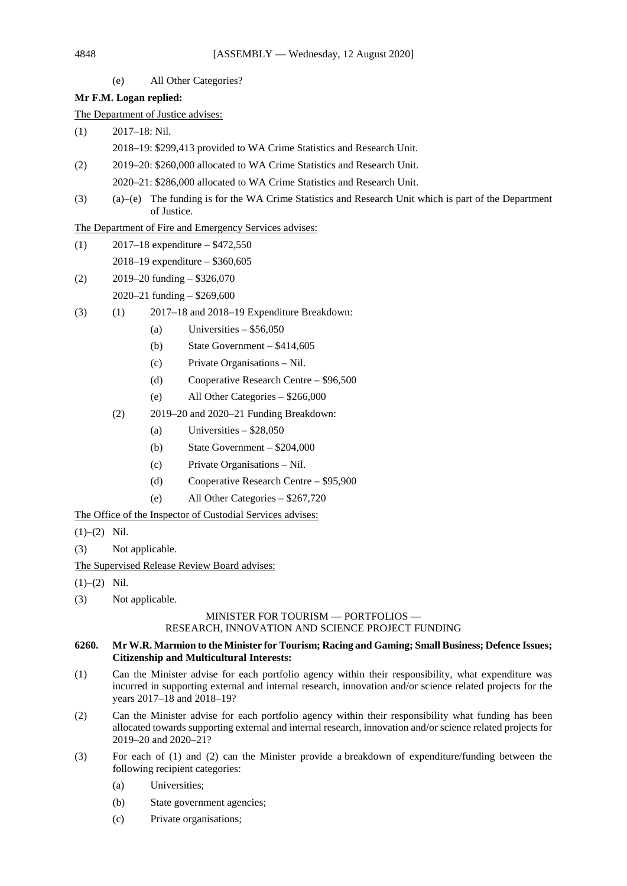(e) All Other Categories?

# **Mr F.M. Logan replied:**

The Department of Justice advises:

- (1) 2017–18: Nil. 2018–19: \$299,413 provided to WA Crime Statistics and Research Unit.
- (2) 2019–20: \$260,000 allocated to WA Crime Statistics and Research Unit.
	- 2020–21: \$286,000 allocated to WA Crime Statistics and Research Unit.
- (3) (a)–(e) The funding is for the WA Crime Statistics and Research Unit which is part of the Department of Justice.

The Department of Fire and Emergency Services advises:

- (1)  $2017-18$  expenditure  $-$  \$472,550 2018–19 expenditure – \$360,605
- (2) 2019–20 funding \$326,070 2020–21 funding – \$269,600
- (3) (1) 2017–18 and 2018–19 Expenditure Breakdown:
	- (a) Universities  $-$  \$56,050
	- (b) State Government \$414,605
	- (c) Private Organisations Nil.
	- (d) Cooperative Research Centre \$96,500
	- (e) All Other Categories \$266,000
	- (2) 2019–20 and 2020–21 Funding Breakdown:
		- (a) Universities  $-$  \$28,050
		- (b) State Government \$204,000
		- (c) Private Organisations Nil.
		- (d) Cooperative Research Centre \$95,900
		- (e) All Other Categories \$267,720

The Office of the Inspector of Custodial Services advises:

- $(1)–(2)$  Nil.
- (3) Not applicable.

The Supervised Release Review Board advises:

- $(1)–(2)$  Nil.
- (3) Not applicable.

# MINISTER FOR TOURISM — PORTFOLIOS — RESEARCH, INNOVATION AND SCIENCE PROJECT FUNDING

### **6260. Mr W.R. Marmion to the Minister for Tourism; Racing and Gaming; Small Business; Defence Issues; Citizenship and Multicultural Interests:**

- (1) Can the Minister advise for each portfolio agency within their responsibility, what expenditure was incurred in supporting external and internal research, innovation and/or science related projects for the years 2017–18 and 2018–19?
- (2) Can the Minister advise for each portfolio agency within their responsibility what funding has been allocated towards supporting external and internal research, innovation and/or science related projects for 2019–20 and 2020–21?
- (3) For each of (1) and (2) can the Minister provide a breakdown of expenditure/funding between the following recipient categories:
	- (a) Universities;
	- (b) State government agencies;
	- (c) Private organisations;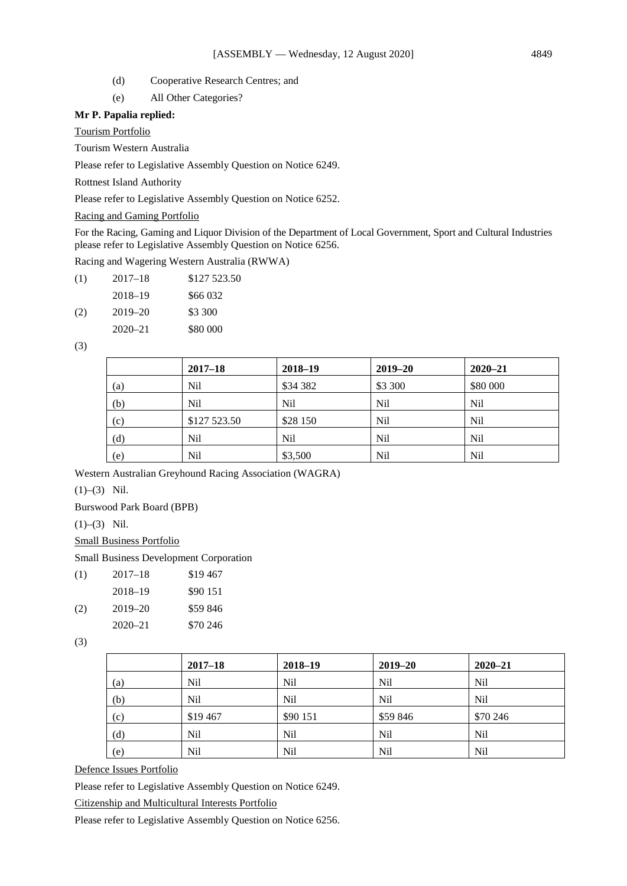- (d) Cooperative Research Centres; and
- (e) All Other Categories?

## **Mr P. Papalia replied:**

Tourism Portfolio

Tourism Western Australia

Please refer to Legislative Assembly Question on Notice 6249.

Rottnest Island Authority

Please refer to Legislative Assembly Question on Notice 6252.

# Racing and Gaming Portfolio

For the Racing, Gaming and Liquor Division of the Department of Local Government, Sport and Cultural Industries please refer to Legislative Assembly Question on Notice 6256.

Racing and Wagering Western Australia (RWWA)

| (1) | $2017 - 18$ | \$127 523.50 |
|-----|-------------|--------------|
|     | 2018-19     | \$66 032     |
| (2) | 2019-20     | \$3 300      |
|     | $2020 - 21$ | \$80 000     |

(3)

|     | $2017 - 18$  | 2018-19         | $2019 - 20$ | $2020 - 21$     |
|-----|--------------|-----------------|-------------|-----------------|
| (a) | <b>Nil</b>   | \$34 382        | \$3 300     | \$80 000        |
| (b) | <b>Nil</b>   | Nil             | Nil         | <b>Nil</b>      |
| (c) | \$127 523.50 | \$28 150        | Nil         | <b>Nil</b>      |
| (d) | <b>Nil</b>   | N <sub>il</sub> | Nil         | N <sub>il</sub> |
| (e) | <b>Nil</b>   | \$3,500         | Nil         | N <sub>il</sub> |

Western Australian Greyhound Racing Association (WAGRA)

 $(1)–(3)$  Nil.

Burswood Park Board (BPB)

(1)–(3) Nil.

Small Business Portfolio

## Small Business Development Corporation

| (1) | 2017–18     | \$19467  |
|-----|-------------|----------|
|     | 2018-19     | \$90 151 |
| (2) | $2019 - 20$ | \$59 846 |
|     | $2020 - 21$ | \$70 246 |

(3)

|     | $2017 - 18$ | 2018-19         | $2019 - 20$     | $2020 - 21$     |
|-----|-------------|-----------------|-----------------|-----------------|
| (a) | Nil         | Nil             | N <sub>il</sub> | N <sub>il</sub> |
| (b) | Nil         | N <sub>il</sub> | N <sub>il</sub> | N <sub>il</sub> |
| (c) | \$19467     | \$90 151        | \$59 846        | \$70 246        |
| (d) | Nil         | Nil             | Nil             | N <sub>il</sub> |
| (e) | Nil         | Nil             | N <sub>il</sub> | N <sub>il</sub> |

Defence Issues Portfolio

Please refer to Legislative Assembly Question on Notice 6249.

Citizenship and Multicultural Interests Portfolio

Please refer to Legislative Assembly Question on Notice 6256.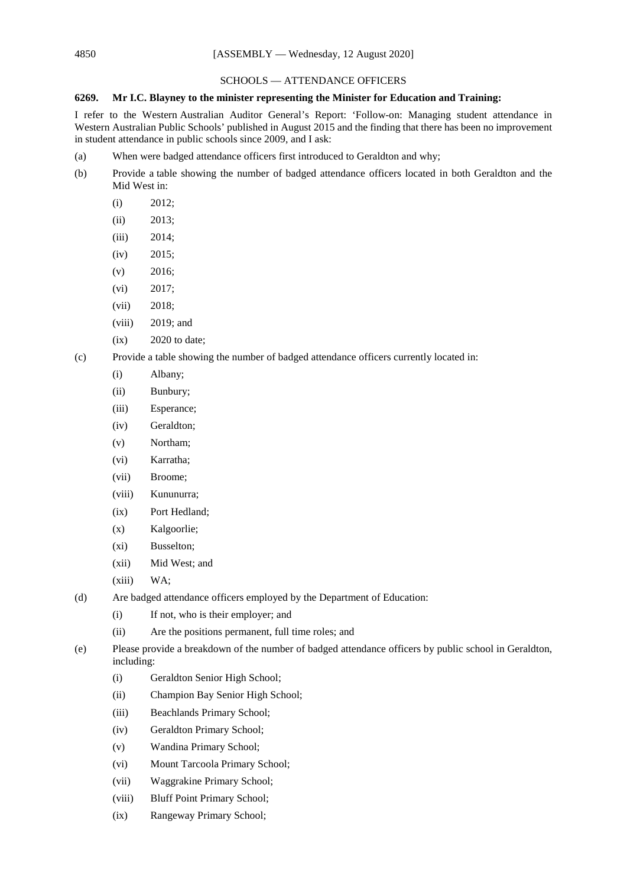## SCHOOLS — ATTENDANCE OFFICERS

## **6269. Mr I.C. Blayney to the minister representing the Minister for Education and Training:**

I refer to the Western Australian Auditor General's Report: 'Follow-on: Managing student attendance in Western Australian Public Schools' published in August 2015 and the finding that there has been no improvement in student attendance in public schools since 2009, and I ask:

- (a) When were badged attendance officers first introduced to Geraldton and why;
- (b) Provide a table showing the number of badged attendance officers located in both Geraldton and the Mid West in:
	- (i) 2012;
	- (ii) 2013;
	- (iii) 2014;
	- (iv) 2015;
	- $(v)$  2016;
	- (vi) 2017;
	- (vii) 2018;
	- (viii) 2019; and
	- $(ix)$  2020 to date;
- (c) Provide a table showing the number of badged attendance officers currently located in:
	- (i) Albany;
	- (ii) Bunbury;
	- (iii) Esperance;
	- (iv) Geraldton;
	- (v) Northam;
	- (vi) Karratha;
	- (vii) Broome;
	- (viii) Kununurra;
	- (ix) Port Hedland;
	- (x) Kalgoorlie;
	- (xi) Busselton;
	- (xii) Mid West; and
	- (xiii) WA;
- (d) Are badged attendance officers employed by the Department of Education:
	- (i) If not, who is their employer; and
	- (ii) Are the positions permanent, full time roles; and
- (e) Please provide a breakdown of the number of badged attendance officers by public school in Geraldton, including:
	- (i) Geraldton Senior High School;
	- (ii) Champion Bay Senior High School;
	- (iii) Beachlands Primary School;
	- (iv) Geraldton Primary School;
	- (v) Wandina Primary School;
	- (vi) Mount Tarcoola Primary School;
	- (vii) Waggrakine Primary School;
	- (viii) Bluff Point Primary School;
	- (ix) Rangeway Primary School;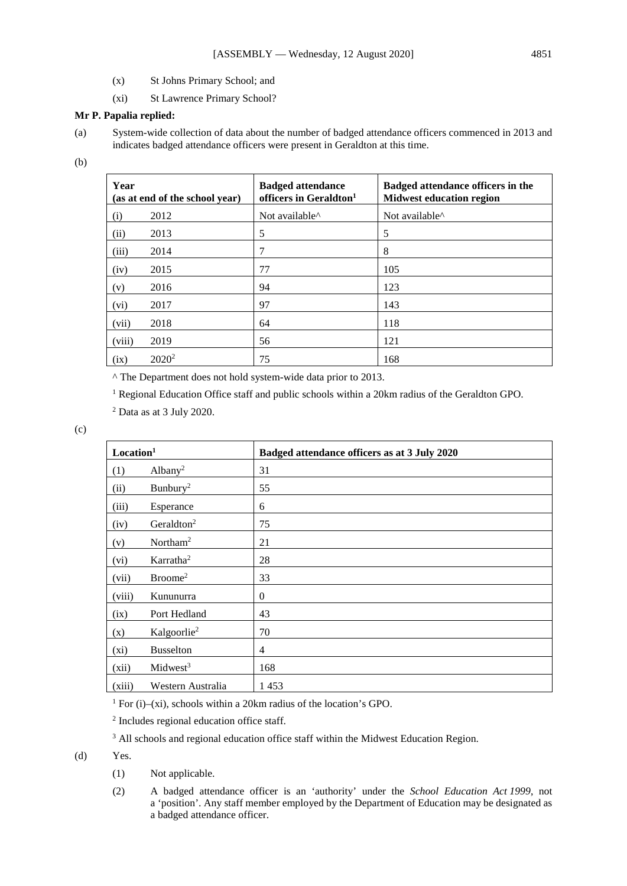- (x) St Johns Primary School; and
- (xi) St Lawrence Primary School?

## **Mr P. Papalia replied:**

(a) System-wide collection of data about the number of badged attendance officers commenced in 2013 and indicates badged attendance officers were present in Geraldton at this time.

(b)

| Year   | (as at end of the school year) | <b>Badged attendance</b><br>officers in Geraldton <sup>1</sup> | Badged attendance officers in the<br><b>Midwest education region</b> |
|--------|--------------------------------|----------------------------------------------------------------|----------------------------------------------------------------------|
| (i)    | 2012                           | Not available <sup><math>\wedge</math></sup>                   | Not available <sup><math>\wedge</math></sup>                         |
| (ii)   | 2013                           | 5                                                              | 5                                                                    |
| (iii)  | 2014                           | 7                                                              | 8                                                                    |
| (iv)   | 2015                           | 77                                                             | 105                                                                  |
| (v)    | 2016                           | 94                                                             | 123                                                                  |
| (vi)   | 2017                           | 97                                                             | 143                                                                  |
| (vii)  | 2018                           | 64                                                             | 118                                                                  |
| (viii) | 2019                           | 56                                                             | 121                                                                  |
| (ix)   | $2020^2$                       | 75                                                             | 168                                                                  |

^ The Department does not hold system-wide data prior to 2013.

<sup>1</sup> Regional Education Office staff and public schools within a 20km radius of the Geraldton GPO.

<sup>2</sup> Data as at 3 July 2020.

(c)

| Location <sup>1</sup> |                         | Badged attendance officers as at 3 July 2020 |
|-----------------------|-------------------------|----------------------------------------------|
| (1)                   | Albany <sup>2</sup>     | 31                                           |
| (ii)                  | Bunbury <sup>2</sup>    | 55                                           |
| (iii)                 | Esperance               | 6                                            |
| (iv)                  | Geraldton <sup>2</sup>  | 75                                           |
| (v)                   | Northam <sup>2</sup>    | 21                                           |
| (vi)                  | Karratha <sup>2</sup>   | 28                                           |
| (vii)                 | Broome <sup>2</sup>     | 33                                           |
| (viii)                | Kununurra               | $\overline{0}$                               |
| (ix)                  | Port Hedland            | 43                                           |
| (x)                   | Kalgoorlie <sup>2</sup> | 70                                           |
| (xi)                  | <b>Busselton</b>        | $\overline{4}$                               |
| (xii)                 | Midwest <sup>3</sup>    | 168                                          |
| (xiii)                | Western Australia       | 1453                                         |

<sup>1</sup> For (i)–(xi), schools within a 20km radius of the location's GPO.

<sup>2</sup> Includes regional education office staff.

<sup>3</sup> All schools and regional education office staff within the Midwest Education Region.

(d) Yes.

- (1) Not applicable.
- (2) A badged attendance officer is an 'authority' under the *School Education Act 1999*, not a 'position'. Any staff member employed by the Department of Education may be designated as a badged attendance officer.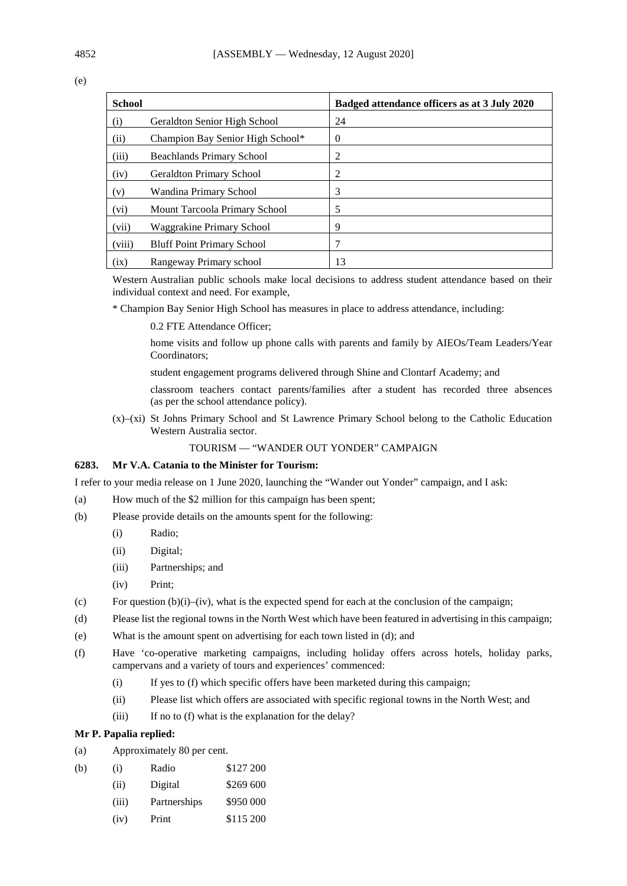(e)

| <b>School</b> |                                   | Badged attendance officers as at 3 July 2020 |
|---------------|-----------------------------------|----------------------------------------------|
| (i)           | Geraldton Senior High School      | 24                                           |
| (ii)          | Champion Bay Senior High School*  | $\Omega$                                     |
| (iii)         | <b>Beachlands Primary School</b>  | 2                                            |
| (iv)          | <b>Geraldton Primary School</b>   | 2                                            |
| (v)           | Wandina Primary School            | 3                                            |
| (vi)          | Mount Tarcoola Primary School     | 5                                            |
| (vii)         | Waggrakine Primary School         | 9                                            |
| (viii)        | <b>Bluff Point Primary School</b> | 7                                            |
| (ix)          | Rangeway Primary school           | 13                                           |

Western Australian public schools make local decisions to address student attendance based on their individual context and need. For example,

\* Champion Bay Senior High School has measures in place to address attendance, including:

0.2 FTE Attendance Officer;

home visits and follow up phone calls with parents and family by AIEOs/Team Leaders/Year Coordinators;

student engagement programs delivered through Shine and Clontarf Academy; and

classroom teachers contact parents/families after a student has recorded three absences (as per the school attendance policy).

(x)–(xi) St Johns Primary School and St Lawrence Primary School belong to the Catholic Education Western Australia sector.

# TOURISM — "WANDER OUT YONDER" CAMPAIGN

## **6283. Mr V.A. Catania to the Minister for Tourism:**

I refer to your media release on 1 June 2020, launching the "Wander out Yonder" campaign, and I ask:

- (a) How much of the \$2 million for this campaign has been spent;
- (b) Please provide details on the amounts spent for the following:
	- (i) Radio;
	- (ii) Digital;
	- (iii) Partnerships; and
	- (iv) Print;
- (c) For question  $(b)(i)$ –(iv), what is the expected spend for each at the conclusion of the campaign;
- (d) Please list the regional towns in the North West which have been featured in advertising in this campaign;
- (e) What is the amount spent on advertising for each town listed in (d); and
- (f) Have 'co-operative marketing campaigns, including holiday offers across hotels, holiday parks, campervans and a variety of tours and experiences' commenced:
	- (i) If yes to (f) which specific offers have been marketed during this campaign;
	- (ii) Please list which offers are associated with specific regional towns in the North West; and
	- (iii) If no to (f) what is the explanation for the delay?

### **Mr P. Papalia replied:**

- (a) Approximately 80 per cent.
- (b) (i) Radio \$127 200
	- (ii) Digital \$269 600
	- (iii) Partnerships \$950 000
	- (iv) Print \$115 200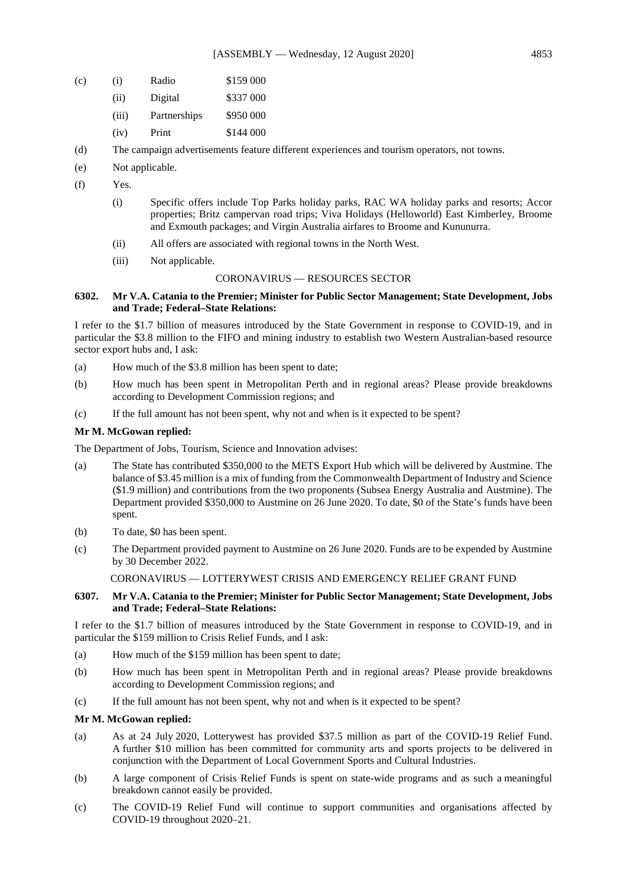- (c) (i) Radio \$159 000
	- (ii) Digital \$337 000
	- (iii) Partnerships \$950 000
	- (iv) Print \$144 000
- (d) The campaign advertisements feature different experiences and tourism operators, not towns.
- (e) Not applicable.
- (f) Yes.
	- (i) Specific offers include Top Parks holiday parks, RAC WA holiday parks and resorts; Accor properties; Britz campervan road trips; Viva Holidays (Helloworld) East Kimberley, Broome and Exmouth packages; and Virgin Australia airfares to Broome and Kununurra.
	- (ii) All offers are associated with regional towns in the North West.
	- (iii) Not applicable.

### CORONAVIRUS — RESOURCES SECTOR

## **6302. Mr V.A. Catania to the Premier; Minister for Public Sector Management; State Development, Jobs and Trade; Federal–State Relations:**

I refer to the \$1.7 billion of measures introduced by the State Government in response to COVID-19, and in particular the \$3.8 million to the FIFO and mining industry to establish two Western Australian-based resource sector export hubs and, I ask:

- (a) How much of the \$3.8 million has been spent to date;
- (b) How much has been spent in Metropolitan Perth and in regional areas? Please provide breakdowns according to Development Commission regions; and
- (c) If the full amount has not been spent, why not and when is it expected to be spent?

### **Mr M. McGowan replied:**

The Department of Jobs, Tourism, Science and Innovation advises:

- (a) The State has contributed \$350,000 to the METS Export Hub which will be delivered by Austmine. The balance of \$3.45 million is a mix of funding from the Commonwealth Department of Industry and Science (\$1.9 million) and contributions from the two proponents (Subsea Energy Australia and Austmine). The Department provided \$350,000 to Austmine on 26 June 2020. To date, \$0 of the State's funds have been spent.
- (b) To date, \$0 has been spent.
- (c) The Department provided payment to Austmine on 26 June 2020. Funds are to be expended by Austmine by 30 December 2022.

CORONAVIRUS — LOTTERYWEST CRISIS AND EMERGENCY RELIEF GRANT FUND

### **6307. Mr V.A. Catania to the Premier; Minister for Public Sector Management; State Development, Jobs and Trade; Federal–State Relations:**

I refer to the \$1.7 billion of measures introduced by the State Government in response to COVID-19, and in particular the \$159 million to Crisis Relief Funds, and I ask:

- (a) How much of the \$159 million has been spent to date;
- (b) How much has been spent in Metropolitan Perth and in regional areas? Please provide breakdowns according to Development Commission regions; and
- (c) If the full amount has not been spent, why not and when is it expected to be spent?

## **Mr M. McGowan replied:**

- (a) As at 24 July 2020, Lotterywest has provided \$37.5 million as part of the COVID-19 Relief Fund. A further \$10 million has been committed for community arts and sports projects to be delivered in conjunction with the Department of Local Government Sports and Cultural Industries.
- (b) A large component of Crisis Relief Funds is spent on state-wide programs and as such a meaningful breakdown cannot easily be provided.
- (c) The COVID-19 Relief Fund will continue to support communities and organisations affected by COVID-19 throughout 2020–21.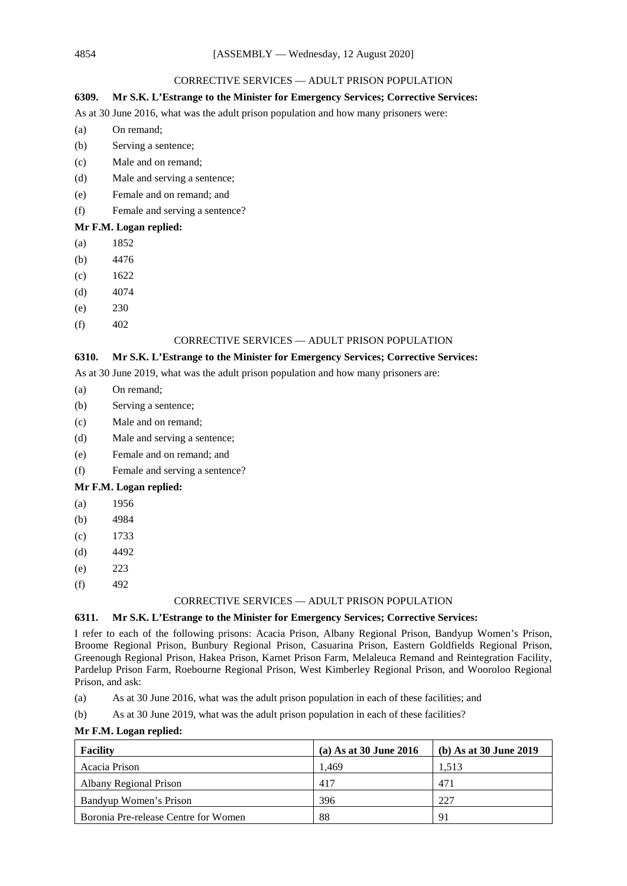### CORRECTIVE SERVICES — ADULT PRISON POPULATION

# **6309. Mr S.K. L'Estrange to the Minister for Emergency Services; Corrective Services:**

As at 30 June 2016, what was the adult prison population and how many prisoners were:

- (a) On remand;
- (b) Serving a sentence;
- (c) Male and on remand;
- (d) Male and serving a sentence;
- (e) Female and on remand; and
- (f) Female and serving a sentence?

## **Mr F.M. Logan replied:**

- (a) 1852
- (b) 4476
- (c) 1622
- (d) 4074
- (e) 230
- $(f)$  402

# CORRECTIVE SERVICES — ADULT PRISON POPULATION

## **6310. Mr S.K. L'Estrange to the Minister for Emergency Services; Corrective Services:**

As at 30 June 2019, what was the adult prison population and how many prisoners are:

- (a) On remand;
- (b) Serving a sentence;
- (c) Male and on remand;
- (d) Male and serving a sentence;
- (e) Female and on remand; and
- (f) Female and serving a sentence?

### **Mr F.M. Logan replied:**

- (a) 1956
- (b) 4984
- (c) 1733
- (d) 4492
- (e) 223
- $(f)$  492

### CORRECTIVE SERVICES — ADULT PRISON POPULATION

## **6311. Mr S.K. L'Estrange to the Minister for Emergency Services; Corrective Services:**

I refer to each of the following prisons: Acacia Prison, Albany Regional Prison, Bandyup Women's Prison, Broome Regional Prison, Bunbury Regional Prison, Casuarina Prison, Eastern Goldfields Regional Prison, Greenough Regional Prison, Hakea Prison, Karnet Prison Farm, Melaleuca Remand and Reintegration Facility, Pardelup Prison Farm, Roebourne Regional Prison, West Kimberley Regional Prison, and Wooroloo Regional Prison, and ask:

- (a) As at 30 June 2016, what was the adult prison population in each of these facilities; and
- (b) As at 30 June 2019, what was the adult prison population in each of these facilities?

### **Mr F.M. Logan replied:**

| <b>Facility</b>                      | (a) As at 30 June 2016 | (b) As at $30$ June $2019$ |
|--------------------------------------|------------------------|----------------------------|
| Acacia Prison                        | 1.469                  | 1.513                      |
| Albany Regional Prison               | 417                    | 471                        |
| Bandyup Women's Prison               | 396                    | 227                        |
| Boronia Pre-release Centre for Women | 88                     | 91                         |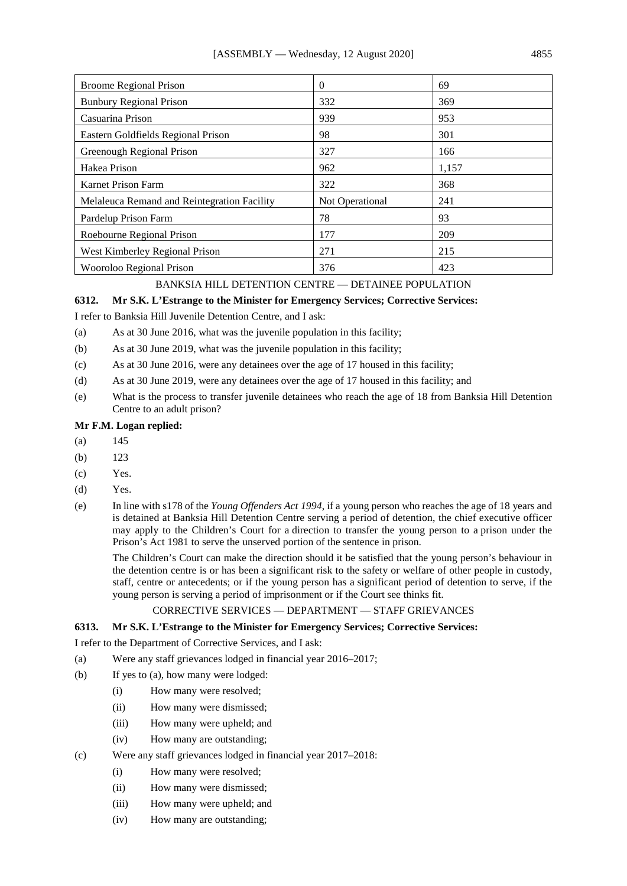| <b>Broome Regional Prison</b>               | $\theta$        | 69    |
|---------------------------------------------|-----------------|-------|
| <b>Bunbury Regional Prison</b>              | 332             | 369   |
| Casuarina Prison                            | 939             | 953   |
| Eastern Goldfields Regional Prison          | 98              | 301   |
| Greenough Regional Prison                   | 327             | 166   |
| Hakea Prison                                | 962             | 1,157 |
| Karnet Prison Farm                          | 322             | 368   |
| Melaleuca Remand and Reintegration Facility | Not Operational | 241   |
| Pardelup Prison Farm                        | 78              | 93    |
| Roebourne Regional Prison                   | 177             | 209   |
| West Kimberley Regional Prison              | 271             | 215   |
| Wooroloo Regional Prison                    | 376             | 423   |

# BANKSIA HILL DETENTION CENTRE — DETAINEE POPULATION

### **6312. Mr S.K. L'Estrange to the Minister for Emergency Services; Corrective Services:**

I refer to Banksia Hill Juvenile Detention Centre, and I ask:

- (a) As at 30 June 2016, what was the juvenile population in this facility;
- (b) As at 30 June 2019, what was the juvenile population in this facility;
- (c) As at 30 June 2016, were any detainees over the age of 17 housed in this facility;
- (d) As at 30 June 2019, were any detainees over the age of 17 housed in this facility; and
- (e) What is the process to transfer juvenile detainees who reach the age of 18 from Banksia Hill Detention Centre to an adult prison?

# **Mr F.M. Logan replied:**

- (a) 145
- (b) 123
- (c) Yes.
- (d) Yes.
- (e) In line with s178 of the *Young Offenders Act 1994*, if a young person who reaches the age of 18 years and is detained at Banksia Hill Detention Centre serving a period of detention, the chief executive officer may apply to the Children's Court for a direction to transfer the young person to a prison under the Prison's Act 1981 to serve the unserved portion of the sentence in prison.

The Children's Court can make the direction should it be satisfied that the young person's behaviour in the detention centre is or has been a significant risk to the safety or welfare of other people in custody, staff, centre or antecedents; or if the young person has a significant period of detention to serve, if the young person is serving a period of imprisonment or if the Court see thinks fit.

## CORRECTIVE SERVICES — DEPARTMENT — STAFF GRIEVANCES

# **6313. Mr S.K. L'Estrange to the Minister for Emergency Services; Corrective Services:**

I refer to the Department of Corrective Services, and I ask:

- (a) Were any staff grievances lodged in financial year 2016–2017;
- (b) If yes to (a), how many were lodged:
	- (i) How many were resolved;
	- (ii) How many were dismissed;
	- (iii) How many were upheld; and
	- (iv) How many are outstanding;
- (c) Were any staff grievances lodged in financial year 2017–2018:
	- (i) How many were resolved;
	- (ii) How many were dismissed;
	- (iii) How many were upheld; and
	- (iv) How many are outstanding;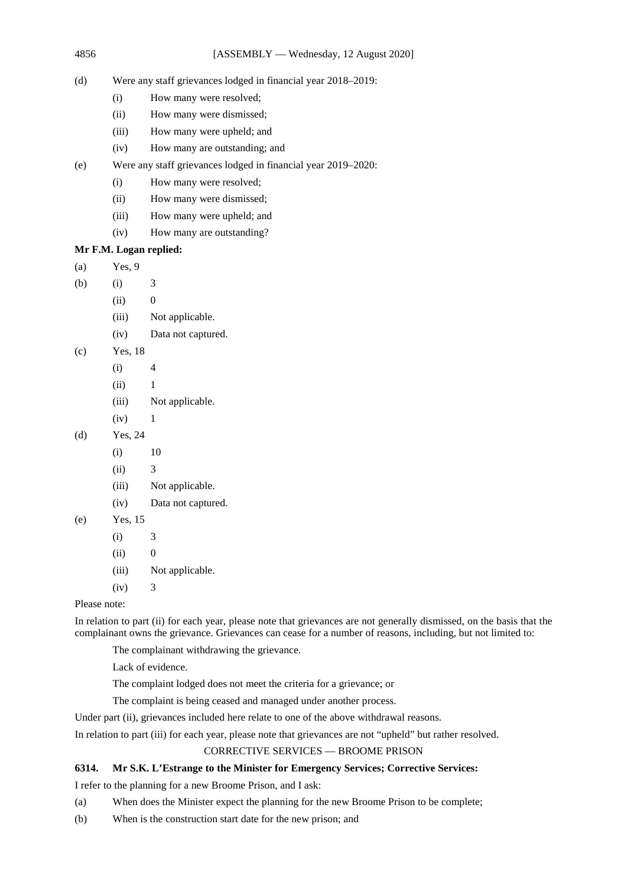- (d) Were any staff grievances lodged in financial year 2018–2019:
	- (i) How many were resolved;
	- (ii) How many were dismissed;
	- (iii) How many were upheld; and
	- (iv) How many are outstanding; and
- (e) Were any staff grievances lodged in financial year 2019–2020:
	- (i) How many were resolved;
	- (ii) How many were dismissed;
	- (iii) How many were upheld; and
	- (iv) How many are outstanding?

# **Mr F.M. Logan replied:**

- (a) Yes, 9
- (b) (i)  $3$ 
	- $(ii)$  0
	- (iii) Not applicable.
	- (iv) Data not captured.
- (c) Yes, 18
	- $(i)$  4
	- $(ii)$  1
	- (iii) Not applicable.
	- $(iv)$  1
- (d) Yes, 24
	- (i) 10
	- $(ii)$  3
	- (iii) Not applicable.
	- (iv) Data not captured.
- (e) Yes, 15
	- (i) 3
	- $(ii)$  0
	- (iii) Not applicable.
	- $(iv)$  3

Please note:

In relation to part (ii) for each year, please note that grievances are not generally dismissed, on the basis that the complainant owns the grievance. Grievances can cease for a number of reasons, including, but not limited to:

The complainant withdrawing the grievance.

Lack of evidence.

The complaint lodged does not meet the criteria for a grievance; or

The complaint is being ceased and managed under another process.

Under part (ii), grievances included here relate to one of the above withdrawal reasons.

In relation to part (iii) for each year, please note that grievances are not "upheld" but rather resolved.

## CORRECTIVE SERVICES — BROOME PRISON

# **6314. Mr S.K. L'Estrange to the Minister for Emergency Services; Corrective Services:**

I refer to the planning for a new Broome Prison, and I ask:

- (a) When does the Minister expect the planning for the new Broome Prison to be complete;
- (b) When is the construction start date for the new prison; and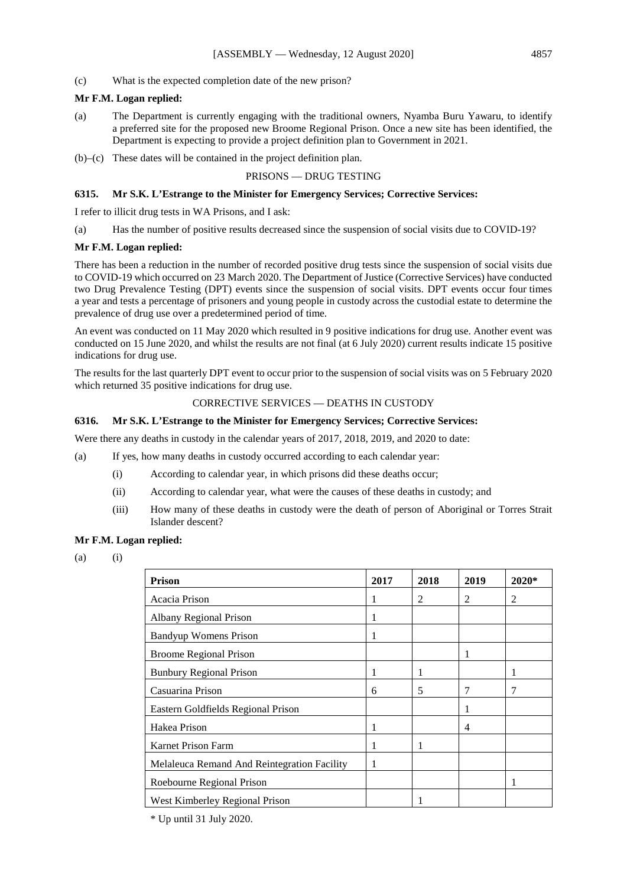(c) What is the expected completion date of the new prison?

## **Mr F.M. Logan replied:**

- (a) The Department is currently engaging with the traditional owners, Nyamba Buru Yawaru, to identify a preferred site for the proposed new Broome Regional Prison. Once a new site has been identified, the Department is expecting to provide a project definition plan to Government in 2021.
- (b)–(c) These dates will be contained in the project definition plan.

#### PRISONS — DRUG TESTING

### **6315. Mr S.K. L'Estrange to the Minister for Emergency Services; Corrective Services:**

I refer to illicit drug tests in WA Prisons, and I ask:

(a) Has the number of positive results decreased since the suspension of social visits due to COVID-19?

#### **Mr F.M. Logan replied:**

There has been a reduction in the number of recorded positive drug tests since the suspension of social visits due to COVID-19 which occurred on 23 March 2020. The Department of Justice (Corrective Services) have conducted two Drug Prevalence Testing (DPT) events since the suspension of social visits. DPT events occur four times a year and tests a percentage of prisoners and young people in custody across the custodial estate to determine the prevalence of drug use over a predetermined period of time.

An event was conducted on 11 May 2020 which resulted in 9 positive indications for drug use. Another event was conducted on 15 June 2020, and whilst the results are not final (at 6 July 2020) current results indicate 15 positive indications for drug use.

The results for the last quarterly DPT event to occur prior to the suspension of social visits was on 5 February 2020 which returned 35 positive indications for drug use.

### CORRECTIVE SERVICES — DEATHS IN CUSTODY

#### **6316. Mr S.K. L'Estrange to the Minister for Emergency Services; Corrective Services:**

Were there any deaths in custody in the calendar years of 2017, 2018, 2019, and 2020 to date:

(a) If yes, how many deaths in custody occurred according to each calendar year:

- (i) According to calendar year, in which prisons did these deaths occur;
- (ii) According to calendar year, what were the causes of these deaths in custody; and
- (iii) How many of these deaths in custody were the death of person of Aboriginal or Torres Strait Islander descent?

### **Mr F.M. Logan replied:**

 $(a)$   $(i)$ 

| <b>Prison</b>                               | 2017 | 2018 | 2019 | 2020* |
|---------------------------------------------|------|------|------|-------|
| Acacia Prison                               | 1    | 2    | 2    | 2     |
| Albany Regional Prison                      | 1    |      |      |       |
| Bandyup Womens Prison                       | 1    |      |      |       |
| <b>Broome Regional Prison</b>               |      |      | 1    |       |
| <b>Bunbury Regional Prison</b>              | 1    |      |      |       |
| Casuarina Prison                            | 6    | 5    | 7    | 7     |
| Eastern Goldfields Regional Prison          |      |      | 1    |       |
| Hakea Prison                                | 1    |      | 4    |       |
| <b>Karnet Prison Farm</b>                   |      |      |      |       |
| Melaleuca Remand And Reintegration Facility | 1    |      |      |       |
| Roebourne Regional Prison                   |      |      |      |       |
| West Kimberley Regional Prison              |      |      |      |       |

\* Up until 31 July 2020.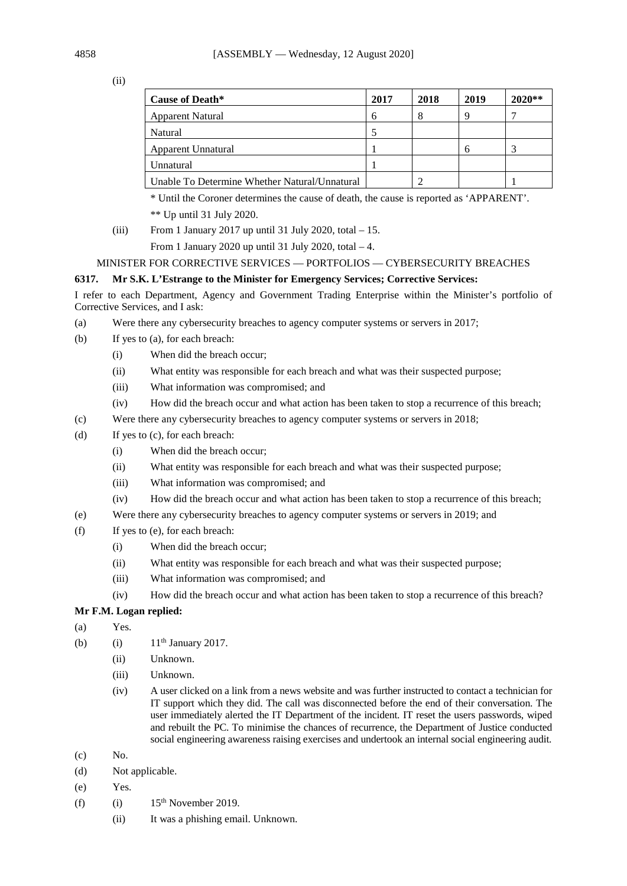(ii)

| <b>Cause of Death*</b>                        | 2017 | 2018 | 2019 | $2020**$ |
|-----------------------------------------------|------|------|------|----------|
| Apparent Natural                              | 6    | 8    |      |          |
| Natural                                       |      |      |      |          |
| Apparent Unnatural                            |      |      |      |          |
| Unnatural                                     |      |      |      |          |
| Unable To Determine Whether Natural/Unnatural |      |      |      |          |

\* Until the Coroner determines the cause of death, the cause is reported as 'APPARENT'. \*\* Up until 31 July 2020.

(iii) From 1 January 2017 up until 31 July 2020, total  $-15$ .

From 1 January 2020 up until 31 July 2020, total  $-4$ .

## MINISTER FOR CORRECTIVE SERVICES — PORTFOLIOS — CYBERSECURITY BREACHES

## **6317. Mr S.K. L'Estrange to the Minister for Emergency Services; Corrective Services:**

I refer to each Department, Agency and Government Trading Enterprise within the Minister's portfolio of Corrective Services, and I ask:

- (a) Were there any cybersecurity breaches to agency computer systems or servers in 2017;
- (b) If yes to (a), for each breach:
	- (i) When did the breach occur;
	- (ii) What entity was responsible for each breach and what was their suspected purpose;
	- (iii) What information was compromised; and
	- (iv) How did the breach occur and what action has been taken to stop a recurrence of this breach;
- (c) Were there any cybersecurity breaches to agency computer systems or servers in 2018;
- (d) If yes to (c), for each breach:
	- (i) When did the breach occur;
	- (ii) What entity was responsible for each breach and what was their suspected purpose;
	- (iii) What information was compromised; and
	- (iv) How did the breach occur and what action has been taken to stop a recurrence of this breach;
- (e) Were there any cybersecurity breaches to agency computer systems or servers in 2019; and
- (f) If yes to (e), for each breach:
	- (i) When did the breach occur;
	- (ii) What entity was responsible for each breach and what was their suspected purpose;
	- (iii) What information was compromised; and
	- (iv) How did the breach occur and what action has been taken to stop a recurrence of this breach?

# **Mr F.M. Logan replied:**

- (a) Yes.
- (b) (i)  $11^{th}$  January 2017.
	- (ii) Unknown.
	- (iii) Unknown.
	- (iv) A user clicked on a link from a news website and was further instructed to contact a technician for IT support which they did. The call was disconnected before the end of their conversation. The user immediately alerted the IT Department of the incident. IT reset the users passwords, wiped and rebuilt the PC. To minimise the chances of recurrence, the Department of Justice conducted social engineering awareness raising exercises and undertook an internal social engineering audit.
- $(c)$  No.
- (d) Not applicable.
- (e) Yes.
- (f) (i)  $15<sup>th</sup>$  November 2019.
	- (ii) It was a phishing email. Unknown.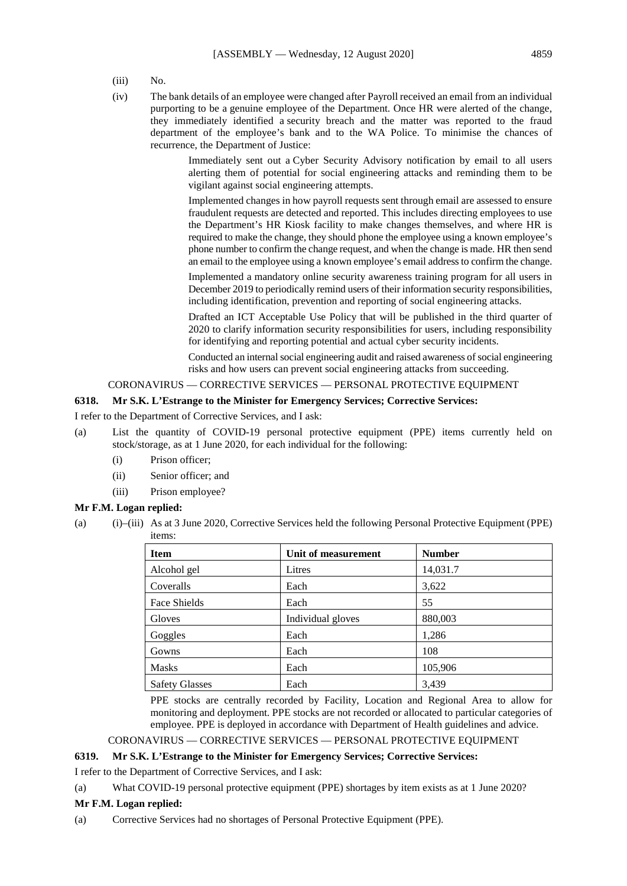- (iii) No.
- (iv) The bank details of an employee were changed after Payroll received an email from an individual purporting to be a genuine employee of the Department. Once HR were alerted of the change, they immediately identified a security breach and the matter was reported to the fraud department of the employee's bank and to the WA Police. To minimise the chances of recurrence, the Department of Justice:

Immediately sent out a Cyber Security Advisory notification by email to all users alerting them of potential for social engineering attacks and reminding them to be vigilant against social engineering attempts.

Implemented changes in how payroll requests sent through email are assessed to ensure fraudulent requests are detected and reported. This includes directing employees to use the Department's HR Kiosk facility to make changes themselves, and where HR is required to make the change, they should phone the employee using a known employee's phone number to confirm the change request, and when the change is made. HR then send an email to the employee using a known employee's email address to confirm the change.

Implemented a mandatory online security awareness training program for all users in December 2019 to periodically remind users of their information security responsibilities, including identification, prevention and reporting of social engineering attacks.

Drafted an ICT Acceptable Use Policy that will be published in the third quarter of 2020 to clarify information security responsibilities for users, including responsibility for identifying and reporting potential and actual cyber security incidents.

Conducted an internal social engineering audit and raised awareness of social engineering risks and how users can prevent social engineering attacks from succeeding.

# CORONAVIRUS — CORRECTIVE SERVICES — PERSONAL PROTECTIVE EQUIPMENT

### **6318. Mr S.K. L'Estrange to the Minister for Emergency Services; Corrective Services:**

I refer to the Department of Corrective Services, and I ask:

- (a) List the quantity of COVID-19 personal protective equipment (PPE) items currently held on stock/storage, as at 1 June 2020, for each individual for the following:
	- (i) Prison officer;
	- (ii) Senior officer; and
	- (iii) Prison employee?

### **Mr F.M. Logan replied:**

(a) (i)–(iii) As at 3 June 2020, Corrective Services held the following Personal Protective Equipment (PPE) items:

| <b>Item</b>           | Unit of measurement | <b>Number</b> |
|-----------------------|---------------------|---------------|
| Alcohol gel           | Litres              | 14,031.7      |
| Coveralls             | Each                | 3,622         |
| Face Shields          | Each                | 55            |
| Gloves                | Individual gloves   | 880,003       |
| Goggles               | Each                | 1,286         |
| Gowns                 | Each                | 108           |
| <b>Masks</b>          | Each                | 105,906       |
| <b>Safety Glasses</b> | Each                | 3,439         |

PPE stocks are centrally recorded by Facility, Location and Regional Area to allow for monitoring and deployment. PPE stocks are not recorded or allocated to particular categories of employee. PPE is deployed in accordance with Department of Health guidelines and advice.

## CORONAVIRUS — CORRECTIVE SERVICES — PERSONAL PROTECTIVE EQUIPMENT

# **6319. Mr S.K. L'Estrange to the Minister for Emergency Services; Corrective Services:**

I refer to the Department of Corrective Services, and I ask:

### (a) What COVID-19 personal protective equipment (PPE) shortages by item exists as at 1 June 2020?

### **Mr F.M. Logan replied:**

(a) Corrective Services had no shortages of Personal Protective Equipment (PPE).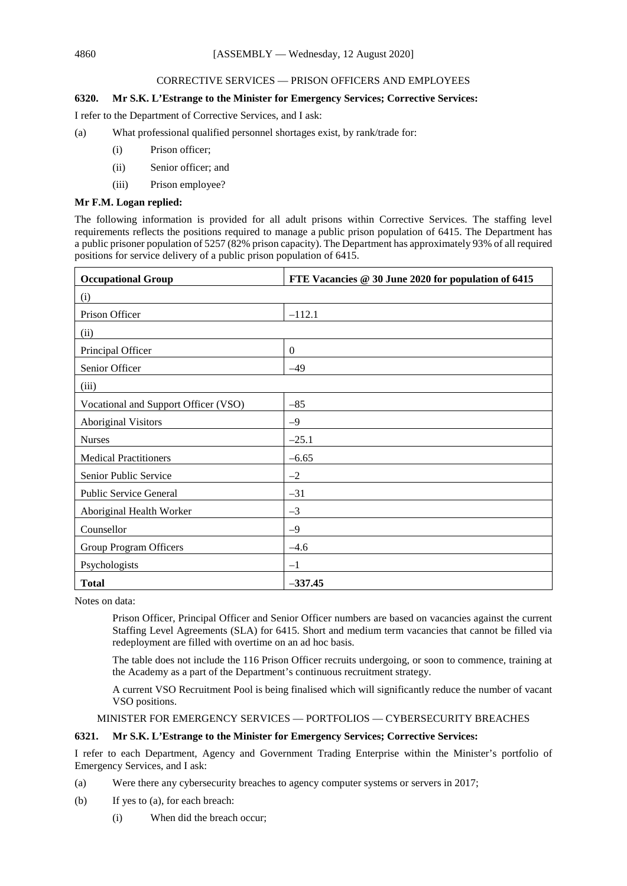# CORRECTIVE SERVICES — PRISON OFFICERS AND EMPLOYEES

# **6320. Mr S.K. L'Estrange to the Minister for Emergency Services; Corrective Services:**

I refer to the Department of Corrective Services, and I ask:

- (a) What professional qualified personnel shortages exist, by rank/trade for:
	- (i) Prison officer;
	- (ii) Senior officer; and
	- (iii) Prison employee?

# **Mr F.M. Logan replied:**

The following information is provided for all adult prisons within Corrective Services. The staffing level requirements reflects the positions required to manage a public prison population of 6415. The Department has a public prisoner population of 5257 (82% prison capacity). The Department has approximately 93% of all required positions for service delivery of a public prison population of 6415.

| <b>Occupational Group</b>            | FTE Vacancies @ 30 June 2020 for population of 6415 |
|--------------------------------------|-----------------------------------------------------|
| (i)                                  |                                                     |
| Prison Officer                       | $-112.1$                                            |
| (ii)                                 |                                                     |
| Principal Officer                    | $\overline{0}$                                      |
| Senior Officer                       | $-49$                                               |
| (iii)                                |                                                     |
| Vocational and Support Officer (VSO) | $-85$                                               |
| <b>Aboriginal Visitors</b>           | $-9$                                                |
| <b>Nurses</b>                        | $-25.1$                                             |
| <b>Medical Practitioners</b>         | $-6.65$                                             |
| Senior Public Service                | $-2$                                                |
| <b>Public Service General</b>        | $-31$                                               |
| Aboriginal Health Worker             | $-3$                                                |
| Counsellor                           | $-9$                                                |
| <b>Group Program Officers</b>        | $-4.6$                                              |
| Psychologists                        | $-1$                                                |
| <b>Total</b>                         | $-337.45$                                           |

Notes on data:

Prison Officer, Principal Officer and Senior Officer numbers are based on vacancies against the current Staffing Level Agreements (SLA) for 6415. Short and medium term vacancies that cannot be filled via redeployment are filled with overtime on an ad hoc basis.

The table does not include the 116 Prison Officer recruits undergoing, or soon to commence, training at the Academy as a part of the Department's continuous recruitment strategy.

A current VSO Recruitment Pool is being finalised which will significantly reduce the number of vacant VSO positions.

# MINISTER FOR EMERGENCY SERVICES — PORTFOLIOS — CYBERSECURITY BREACHES

## **6321. Mr S.K. L'Estrange to the Minister for Emergency Services; Corrective Services:**

I refer to each Department, Agency and Government Trading Enterprise within the Minister's portfolio of Emergency Services, and I ask:

(a) Were there any cybersecurity breaches to agency computer systems or servers in 2017;

- (b) If yes to (a), for each breach:
	- (i) When did the breach occur;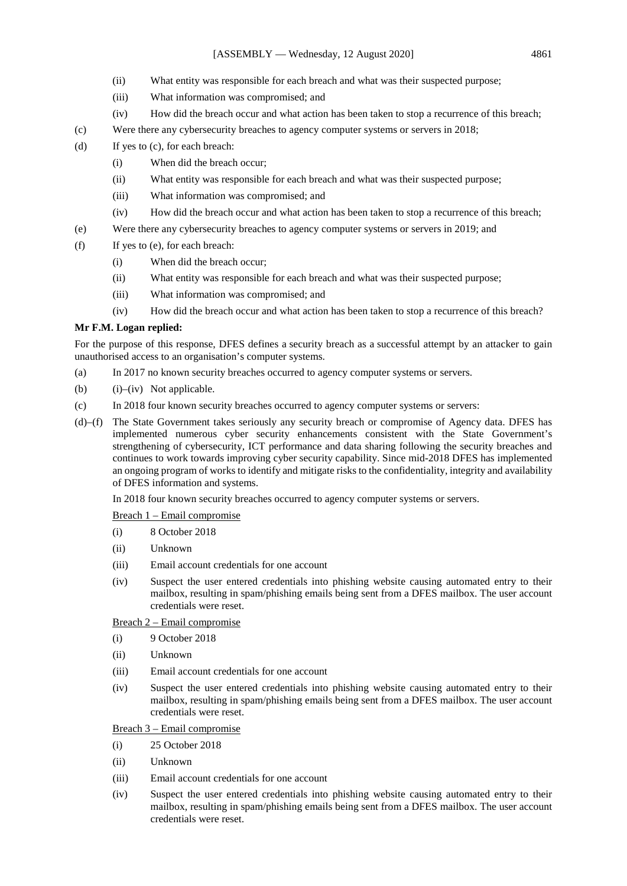- (ii) What entity was responsible for each breach and what was their suspected purpose;
- (iii) What information was compromised; and
- (iv) How did the breach occur and what action has been taken to stop a recurrence of this breach;
- (c) Were there any cybersecurity breaches to agency computer systems or servers in 2018;
- (d) If yes to (c), for each breach:
	- (i) When did the breach occur;
	- (ii) What entity was responsible for each breach and what was their suspected purpose;
	- (iii) What information was compromised; and
	- (iv) How did the breach occur and what action has been taken to stop a recurrence of this breach;
- (e) Were there any cybersecurity breaches to agency computer systems or servers in 2019; and
- (f) If yes to (e), for each breach:
	- (i) When did the breach occur;
	- (ii) What entity was responsible for each breach and what was their suspected purpose;
	- (iii) What information was compromised; and
	- (iv) How did the breach occur and what action has been taken to stop a recurrence of this breach?

### **Mr F.M. Logan replied:**

For the purpose of this response, DFES defines a security breach as a successful attempt by an attacker to gain unauthorised access to an organisation's computer systems.

- (a) In 2017 no known security breaches occurred to agency computer systems or servers.
- (b)  $(i)$ –(iv) Not applicable.
- (c) In 2018 four known security breaches occurred to agency computer systems or servers:
- (d)–(f) The State Government takes seriously any security breach or compromise of Agency data. DFES has implemented numerous cyber security enhancements consistent with the State Government's strengthening of cybersecurity, ICT performance and data sharing following the security breaches and continues to work towards improving cyber security capability. Since mid-2018 DFES has implemented an ongoing program of works to identify and mitigate risks to the confidentiality, integrity and availability of DFES information and systems.

In 2018 four known security breaches occurred to agency computer systems or servers.

Breach 1 – Email compromise

- (i) 8 October 2018
- (ii) Unknown
- (iii) Email account credentials for one account
- (iv) Suspect the user entered credentials into phishing website causing automated entry to their mailbox, resulting in spam/phishing emails being sent from a DFES mailbox. The user account credentials were reset.

### Breach 2 – Email compromise

- (i) 9 October 2018
- (ii) Unknown
- (iii) Email account credentials for one account
- (iv) Suspect the user entered credentials into phishing website causing automated entry to their mailbox, resulting in spam/phishing emails being sent from a DFES mailbox. The user account credentials were reset.

Breach 3 – Email compromise

- (i) 25 October 2018
- (ii) Unknown
- (iii) Email account credentials for one account
- (iv) Suspect the user entered credentials into phishing website causing automated entry to their mailbox, resulting in spam/phishing emails being sent from a DFES mailbox. The user account credentials were reset.